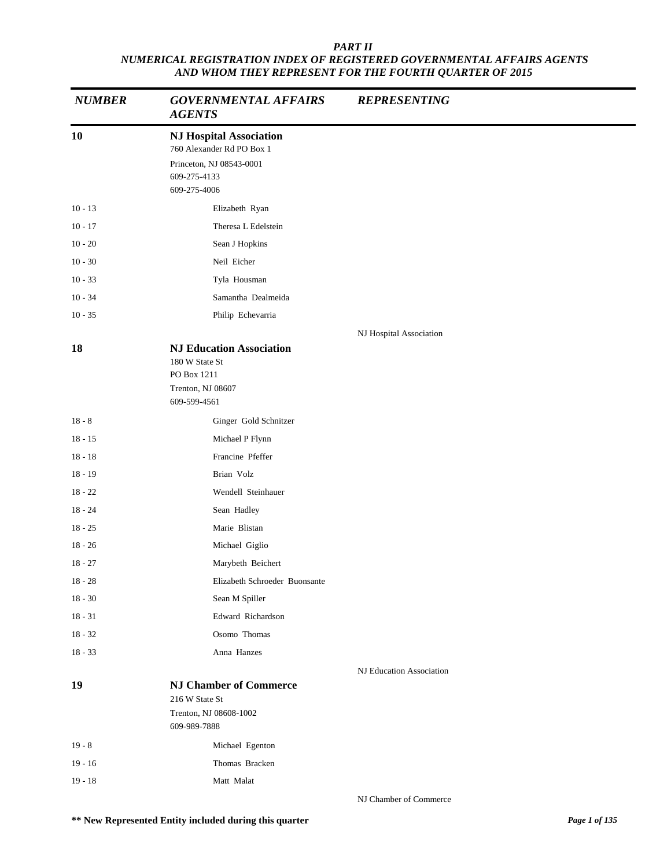| <b>NUMBER</b> | <b>GOVERNMENTAL AFFAIRS</b><br><b>AGENTS</b>                                                                            | <b>REPRESENTING</b>      |
|---------------|-------------------------------------------------------------------------------------------------------------------------|--------------------------|
| 10            | <b>NJ Hospital Association</b><br>760 Alexander Rd PO Box 1<br>Princeton, NJ 08543-0001<br>609-275-4133<br>609-275-4006 |                          |
| $10 - 13$     | Elizabeth Ryan                                                                                                          |                          |
| $10 - 17$     | Theresa L Edelstein                                                                                                     |                          |
| $10 - 20$     | Sean J Hopkins                                                                                                          |                          |
| $10 - 30$     | Neil Eicher                                                                                                             |                          |
| $10 - 33$     | Tyla Housman                                                                                                            |                          |
| $10 - 34$     | Samantha Dealmeida                                                                                                      |                          |
| $10 - 35$     | Philip Echevarria                                                                                                       |                          |
|               |                                                                                                                         | NJ Hospital Association  |
| 18            | <b>NJ Education Association</b><br>180 W State St<br>PO Box 1211<br>Trenton, NJ 08607<br>609-599-4561                   |                          |
| $18 - 8$      | Ginger Gold Schnitzer                                                                                                   |                          |
| $18 - 15$     | Michael P Flynn                                                                                                         |                          |
| $18 - 18$     | Francine Pfeffer                                                                                                        |                          |
| $18 - 19$     | Brian Volz                                                                                                              |                          |
| $18 - 22$     | Wendell Steinhauer                                                                                                      |                          |
| $18 - 24$     | Sean Hadley                                                                                                             |                          |
| $18 - 25$     | Marie Blistan                                                                                                           |                          |
| $18 - 26$     | Michael Giglio                                                                                                          |                          |
| $18 - 27$     | Marybeth Beichert                                                                                                       |                          |
| $18 - 28$     | Elizabeth Schroeder Buonsante                                                                                           |                          |
| $18 - 30$     | Sean M Spiller                                                                                                          |                          |
| $18 - 31$     | Edward Richardson                                                                                                       |                          |
| $18 - 32$     | Osomo Thomas                                                                                                            |                          |
| $18 - 33$     | Anna Hanzes                                                                                                             |                          |
|               |                                                                                                                         | NJ Education Association |
| 19            | <b>NJ Chamber of Commerce</b><br>216 W State St<br>Trenton, NJ 08608-1002<br>609-989-7888                               |                          |
|               |                                                                                                                         |                          |
| $19 - 8$      | Michael Egenton                                                                                                         |                          |
| $19 - 16$     | Thomas Bracken                                                                                                          |                          |
| $19 - 18$     | Matt Malat                                                                                                              |                          |

NJ Chamber of Commerce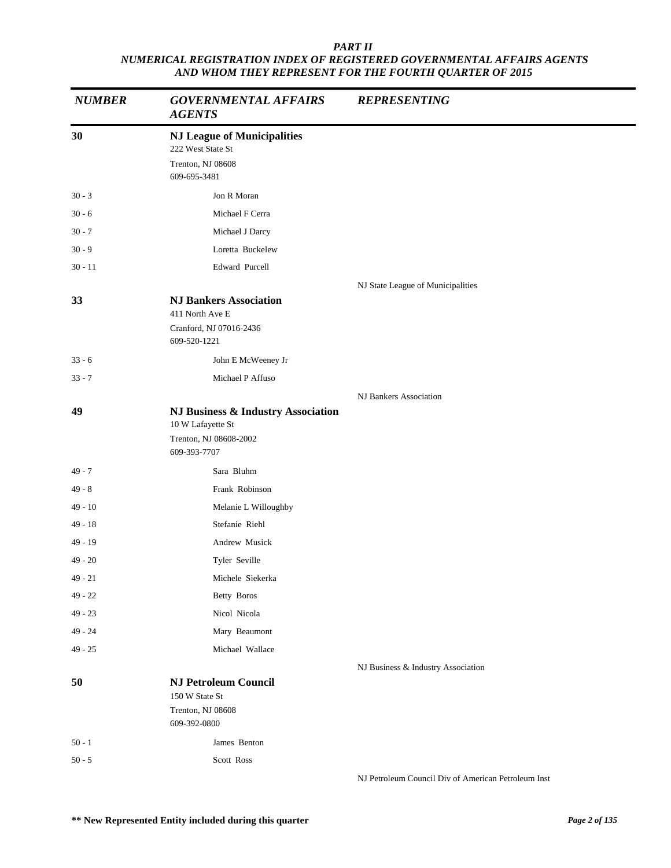| <b>NUMBER</b> | <b>GOVERNMENTAL AFFAIRS</b><br><b>AGENTS</b>                                                      | <b>REPRESENTING</b>                                 |
|---------------|---------------------------------------------------------------------------------------------------|-----------------------------------------------------|
| 30            | <b>NJ League of Municipalities</b><br>222 West State St<br>Trenton, NJ 08608<br>609-695-3481      |                                                     |
| $30 - 3$      | Jon R Moran                                                                                       |                                                     |
| $30 - 6$      | Michael F Cerra                                                                                   |                                                     |
| $30 - 7$      | Michael J Darcy                                                                                   |                                                     |
| $30 - 9$      | Loretta Buckelew                                                                                  |                                                     |
| $30 - 11$     | Edward Purcell                                                                                    |                                                     |
| 33            | <b>NJ Bankers Association</b><br>411 North Ave E<br>Cranford, NJ 07016-2436<br>609-520-1221       | NJ State League of Municipalities                   |
| $33 - 6$      | John E McWeeney Jr                                                                                |                                                     |
| $33 - 7$      | Michael P Affuso                                                                                  |                                                     |
|               |                                                                                                   | NJ Bankers Association                              |
| 49            | NJ Business & Industry Association<br>10 W Lafayette St<br>Trenton, NJ 08608-2002<br>609-393-7707 |                                                     |
| 49 - 7        | Sara Bluhm                                                                                        |                                                     |
| $49 - 8$      | Frank Robinson                                                                                    |                                                     |
| $49 - 10$     | Melanie L Willoughby                                                                              |                                                     |
| 49 - 18       | Stefanie Riehl                                                                                    |                                                     |
| $49 - 19$     | Andrew Musick                                                                                     |                                                     |
| $49 - 20$     | Tyler Seville                                                                                     |                                                     |
| 49 - 21       | Michele Siekerka                                                                                  |                                                     |
| $49 - 22$     | Betty Boros                                                                                       |                                                     |
| $49 - 23$     | Nicol Nicola                                                                                      |                                                     |
| $49 - 24$     | Mary Beaumont                                                                                     |                                                     |
| $49 - 25$     | Michael Wallace                                                                                   |                                                     |
|               |                                                                                                   | NJ Business & Industry Association                  |
| 50            | <b>NJ Petroleum Council</b><br>150 W State St<br>Trenton, NJ 08608<br>609-392-0800                |                                                     |
| $50 - 1$      | James Benton                                                                                      |                                                     |
| $50 - 5$      | Scott Ross                                                                                        |                                                     |
|               |                                                                                                   | NJ Petroleum Council Div of American Petroleum Inst |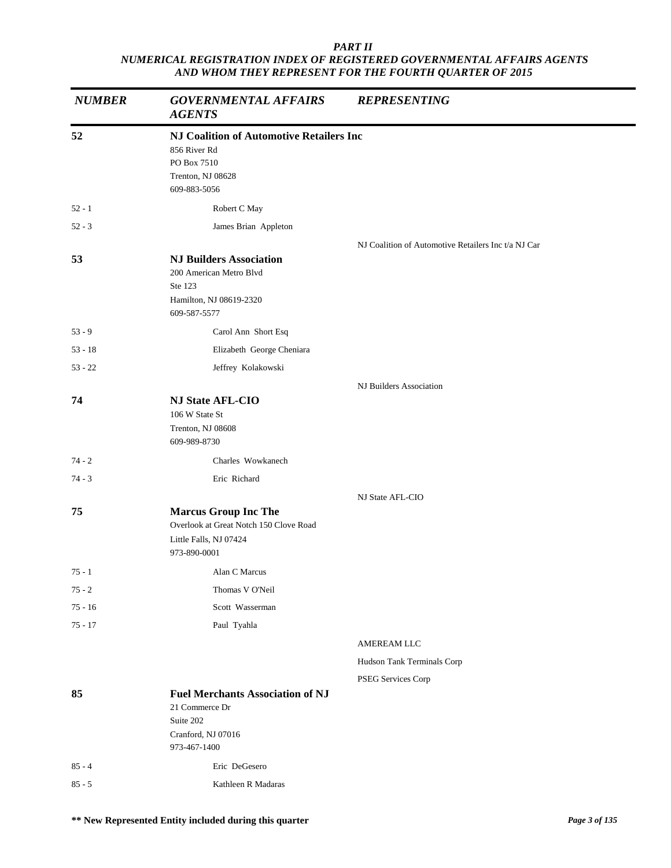| <b>NUMBER</b> | <b>GOVERNMENTAL AFFAIRS</b><br><b>AGENTS</b>                     | <b>REPRESENTING</b>                                 |
|---------------|------------------------------------------------------------------|-----------------------------------------------------|
| 52            | <b>NJ Coalition of Automotive Retailers Inc</b>                  |                                                     |
|               | 856 River Rd                                                     |                                                     |
|               | PO Box 7510<br>Trenton, NJ 08628                                 |                                                     |
|               | 609-883-5056                                                     |                                                     |
| $52 - 1$      | Robert C May                                                     |                                                     |
| $52 - 3$      | James Brian Appleton                                             |                                                     |
|               |                                                                  | NJ Coalition of Automotive Retailers Inc t/a NJ Car |
| 53            | <b>NJ Builders Association</b>                                   |                                                     |
|               | 200 American Metro Blvd<br>Ste 123                               |                                                     |
|               | Hamilton, NJ 08619-2320                                          |                                                     |
|               | 609-587-5577                                                     |                                                     |
| $53 - 9$      | Carol Ann Short Esq                                              |                                                     |
| $53 - 18$     | Elizabeth George Cheniara                                        |                                                     |
| $53 - 22$     | Jeffrey Kolakowski                                               |                                                     |
|               |                                                                  | NJ Builders Association                             |
| 74            | <b>NJ State AFL-CIO</b>                                          |                                                     |
|               | 106 W State St<br>Trenton, NJ 08608                              |                                                     |
|               | 609-989-8730                                                     |                                                     |
| $74 - 2$      | Charles Wowkanech                                                |                                                     |
| $74 - 3$      | Eric Richard                                                     |                                                     |
|               |                                                                  | NJ State AFL-CIO                                    |
| 75            | <b>Marcus Group Inc The</b>                                      |                                                     |
|               | Overlook at Great Notch 150 Clove Road<br>Little Falls, NJ 07424 |                                                     |
|               | 973-890-0001                                                     |                                                     |
| $75 - 1$      | Alan C Marcus                                                    |                                                     |
| $75 - 2$      | Thomas V O'Neil                                                  |                                                     |
| $75 - 16$     | Scott Wasserman                                                  |                                                     |
| $75 - 17$     | Paul Tyahla                                                      |                                                     |
|               |                                                                  | AMEREAM LLC                                         |
|               |                                                                  | Hudson Tank Terminals Corp                          |
|               |                                                                  | PSEG Services Corp                                  |
| 85            | <b>Fuel Merchants Association of NJ</b><br>21 Commerce Dr        |                                                     |
|               | Suite 202                                                        |                                                     |
|               | Cranford, NJ 07016<br>973-467-1400                               |                                                     |
| $85 - 4$      | Eric DeGesero                                                    |                                                     |
| $85 - 5$      | Kathleen R Madaras                                               |                                                     |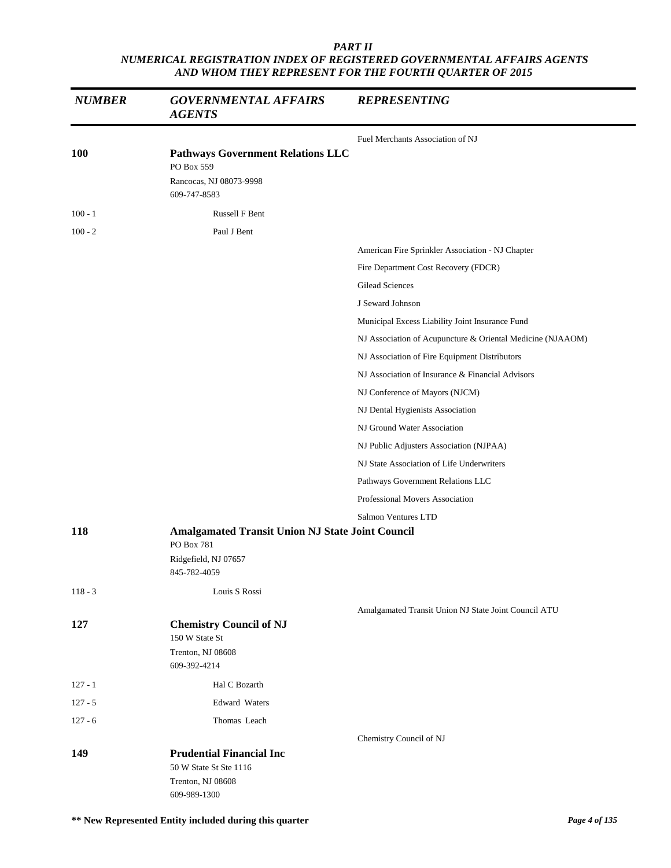| <b>NUMBER</b> | <b>GOVERNMENTAL AFFAIRS</b><br><b>AGENTS</b>                                                      | <b>REPRESENTING</b>                                        |
|---------------|---------------------------------------------------------------------------------------------------|------------------------------------------------------------|
|               |                                                                                                   | Fuel Merchants Association of NJ                           |
| <b>100</b>    | <b>Pathways Government Relations LLC</b><br>PO Box 559<br>Rancocas, NJ 08073-9998<br>609-747-8583 |                                                            |
| $100 - 1$     | Russell F Bent                                                                                    |                                                            |
| $100 - 2$     | Paul J Bent                                                                                       |                                                            |
|               |                                                                                                   | American Fire Sprinkler Association - NJ Chapter           |
|               |                                                                                                   | Fire Department Cost Recovery (FDCR)                       |
|               |                                                                                                   | Gilead Sciences                                            |
|               |                                                                                                   | J Seward Johnson                                           |
|               |                                                                                                   | Municipal Excess Liability Joint Insurance Fund            |
|               |                                                                                                   | NJ Association of Acupuncture & Oriental Medicine (NJAAOM) |
|               |                                                                                                   | NJ Association of Fire Equipment Distributors              |
|               |                                                                                                   | NJ Association of Insurance & Financial Advisors           |
|               |                                                                                                   | NJ Conference of Mayors (NJCM)                             |
|               |                                                                                                   | NJ Dental Hygienists Association                           |
|               |                                                                                                   | NJ Ground Water Association                                |
|               |                                                                                                   | NJ Public Adjusters Association (NJPAA)                    |
|               |                                                                                                   | NJ State Association of Life Underwriters                  |
|               |                                                                                                   | Pathways Government Relations LLC                          |
|               |                                                                                                   | Professional Movers Association                            |
|               |                                                                                                   | Salmon Ventures LTD                                        |
| 118           | Amalgamated Transit Union NJ State Joint Council<br>PO Box 781<br>Ridgefield, NJ 07657            |                                                            |
|               | 845-782-4059                                                                                      |                                                            |
| $118 - 3$     | Louis S Rossi                                                                                     |                                                            |
| 127           | <b>Chemistry Council of NJ</b><br>150 W State St<br>Trenton, NJ 08608                             | Amalgamated Transit Union NJ State Joint Council ATU       |
|               | 609-392-4214                                                                                      |                                                            |
| $127 - 1$     | Hal C Bozarth                                                                                     |                                                            |
| $127 - 5$     | <b>Edward Waters</b>                                                                              |                                                            |
| $127 - 6$     | Thomas Leach                                                                                      |                                                            |
|               |                                                                                                   | Chemistry Council of NJ                                    |
| 149           | <b>Prudential Financial Inc</b><br>50 W State St Ste 1116<br>Trenton, NJ 08608<br>609-989-1300    |                                                            |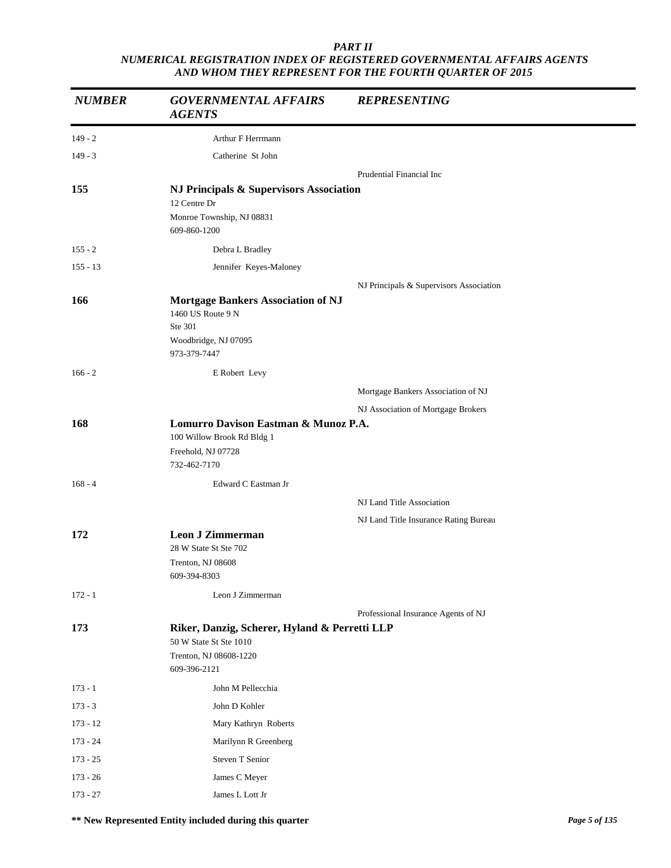| <b>NUMBER</b> | <b>GOVERNMENTAL AFFAIRS</b><br><b>AGENTS</b>                                                                      | <b>REPRESENTING</b>                     |
|---------------|-------------------------------------------------------------------------------------------------------------------|-----------------------------------------|
| $149 - 2$     | Arthur F Herrmann                                                                                                 |                                         |
| $149 - 3$     | Catherine St John                                                                                                 |                                         |
|               |                                                                                                                   | Prudential Financial Inc                |
| 155           | NJ Principals & Supervisors Association<br>12 Centre Dr<br>Monroe Township, NJ 08831<br>609-860-1200              |                                         |
| $155 - 2$     | Debra L Bradley                                                                                                   |                                         |
| $155 - 13$    | Jennifer Keyes-Maloney                                                                                            |                                         |
| 166           | <b>Mortgage Bankers Association of NJ</b><br>1460 US Route 9 N<br>Ste 301<br>Woodbridge, NJ 07095<br>973-379-7447 | NJ Principals & Supervisors Association |
| $166 - 2$     | E Robert Levy                                                                                                     |                                         |
|               |                                                                                                                   | Mortgage Bankers Association of NJ      |
|               |                                                                                                                   | NJ Association of Mortgage Brokers      |
| 168           | Lomurro Davison Eastman & Munoz P.A.<br>100 Willow Brook Rd Bldg 1<br>Freehold, NJ 07728<br>732-462-7170          |                                         |
| $168 - 4$     | Edward C Eastman Jr                                                                                               |                                         |
|               |                                                                                                                   | NJ Land Title Association               |
|               |                                                                                                                   | NJ Land Title Insurance Rating Bureau   |
| 172           | <b>Leon J Zimmerman</b><br>28 W State St Ste 702<br>Trenton, NJ 08608<br>609-394-8303                             |                                         |
| $172 - 1$     | Leon J Zimmerman                                                                                                  |                                         |
| 173           | Riker, Danzig, Scherer, Hyland & Perretti LLP<br>50 W State St Ste 1010<br>Trenton, NJ 08608-1220<br>609-396-2121 | Professional Insurance Agents of NJ     |
| $173 - 1$     | John M Pellecchia                                                                                                 |                                         |
| $173 - 3$     | John D Kohler                                                                                                     |                                         |
| $173 - 12$    | Mary Kathryn Roberts                                                                                              |                                         |
| $173 - 24$    | Marilynn R Greenberg                                                                                              |                                         |
| $173 - 25$    | Steven T Senior                                                                                                   |                                         |
| $173 - 26$    | James C Meyer                                                                                                     |                                         |
| $173 - 27$    | James L Lott Jr                                                                                                   |                                         |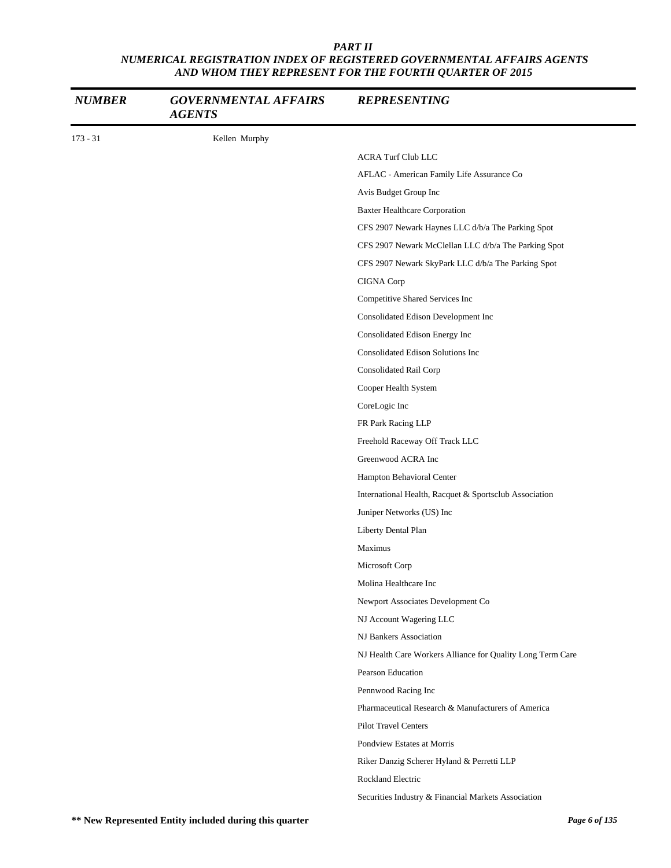| <b>NUMBER</b> | <b>GOVERNMENTAL AFFAIRS</b><br><b>AGENTS</b> | <b>REPRESENTING</b>                                        |
|---------------|----------------------------------------------|------------------------------------------------------------|
| $173 - 31$    | Kellen Murphy                                |                                                            |
|               |                                              | <b>ACRA Turf Club LLC</b>                                  |
|               |                                              | AFLAC - American Family Life Assurance Co                  |
|               |                                              | Avis Budget Group Inc                                      |
|               |                                              | <b>Baxter Healthcare Corporation</b>                       |
|               |                                              | CFS 2907 Newark Haynes LLC d/b/a The Parking Spot          |
|               |                                              | CFS 2907 Newark McClellan LLC d/b/a The Parking Spot       |
|               |                                              | CFS 2907 Newark SkyPark LLC d/b/a The Parking Spot         |
|               |                                              | CIGNA Corp                                                 |
|               |                                              | Competitive Shared Services Inc                            |
|               |                                              | Consolidated Edison Development Inc                        |
|               |                                              | Consolidated Edison Energy Inc                             |
|               |                                              | Consolidated Edison Solutions Inc                          |
|               |                                              | Consolidated Rail Corp                                     |
|               |                                              | Cooper Health System                                       |
|               |                                              | CoreLogic Inc                                              |
|               |                                              | FR Park Racing LLP                                         |
|               |                                              | Freehold Raceway Off Track LLC                             |
|               |                                              | Greenwood ACRA Inc                                         |
|               |                                              | Hampton Behavioral Center                                  |
|               |                                              | International Health, Racquet & Sportsclub Association     |
|               |                                              | Juniper Networks (US) Inc                                  |
|               |                                              | Liberty Dental Plan                                        |
|               |                                              | Maximus                                                    |
|               |                                              | Microsoft Corp                                             |
|               |                                              | Molina Healthcare Inc                                      |
|               |                                              | Newport Associates Development Co                          |
|               |                                              | NJ Account Wagering LLC                                    |
|               |                                              | NJ Bankers Association                                     |
|               |                                              | NJ Health Care Workers Alliance for Quality Long Term Care |
|               |                                              | Pearson Education                                          |
|               |                                              | Pennwood Racing Inc                                        |
|               |                                              | Pharmaceutical Research & Manufacturers of America         |
|               |                                              | <b>Pilot Travel Centers</b>                                |
|               |                                              | Pondview Estates at Morris                                 |
|               |                                              | Riker Danzig Scherer Hyland & Perretti LLP                 |
|               |                                              | Rockland Electric                                          |
|               |                                              | Securities Industry & Financial Markets Association        |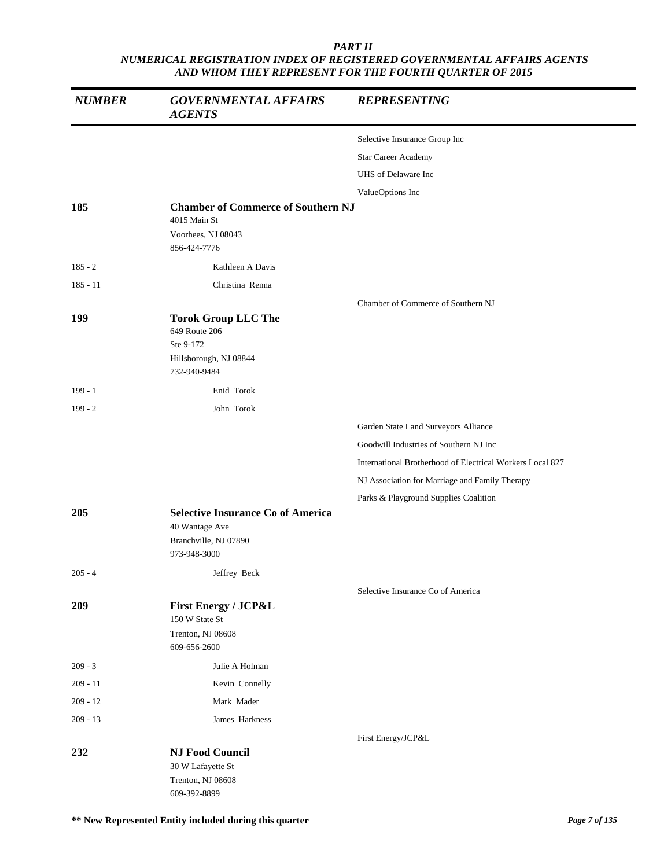| <b>NUMBER</b> | <b>GOVERNMENTAL AFFAIRS</b><br><b>AGENTS</b>                                                        | <b>REPRESENTING</b>                                       |
|---------------|-----------------------------------------------------------------------------------------------------|-----------------------------------------------------------|
|               |                                                                                                     | Selective Insurance Group Inc                             |
|               |                                                                                                     | Star Career Academy                                       |
|               |                                                                                                     | UHS of Delaware Inc                                       |
|               |                                                                                                     | ValueOptions Inc                                          |
| 185           | <b>Chamber of Commerce of Southern NJ</b><br>4015 Main St                                           |                                                           |
|               | Voorhees, NJ 08043<br>856-424-7776                                                                  |                                                           |
| $185 - 2$     | Kathleen A Davis                                                                                    |                                                           |
| $185 - 11$    | Christina Renna                                                                                     |                                                           |
|               |                                                                                                     | Chamber of Commerce of Southern NJ                        |
| 199           | <b>Torok Group LLC The</b><br>649 Route 206<br>Ste 9-172<br>Hillsborough, NJ 08844<br>732-940-9484  |                                                           |
| $199 - 1$     | Enid Torok                                                                                          |                                                           |
| $199 - 2$     | John Torok                                                                                          |                                                           |
|               |                                                                                                     | Garden State Land Surveyors Alliance                      |
|               |                                                                                                     | Goodwill Industries of Southern NJ Inc                    |
|               |                                                                                                     | International Brotherhood of Electrical Workers Local 827 |
|               |                                                                                                     | NJ Association for Marriage and Family Therapy            |
|               |                                                                                                     | Parks & Playground Supplies Coalition                     |
| 205           | <b>Selective Insurance Co of America</b><br>40 Wantage Ave<br>Branchville, NJ 07890<br>973-948-3000 |                                                           |
| $205 - 4$     | Jeffrey Beck                                                                                        |                                                           |
| 209           | <b>First Energy / JCP&amp;L</b><br>150 W State St<br>Trenton, NJ 08608<br>609-656-2600              | Selective Insurance Co of America                         |
| $209 - 3$     | Julie A Holman                                                                                      |                                                           |
| $209 - 11$    | Kevin Connelly                                                                                      |                                                           |
| $209 - 12$    | Mark Mader                                                                                          |                                                           |
| $209 - 13$    | James Harkness                                                                                      |                                                           |
|               |                                                                                                     | First Energy/JCP&L                                        |
| 232           | <b>NJ Food Council</b><br>30 W Lafayette St<br>Trenton, NJ 08608<br>609-392-8899                    |                                                           |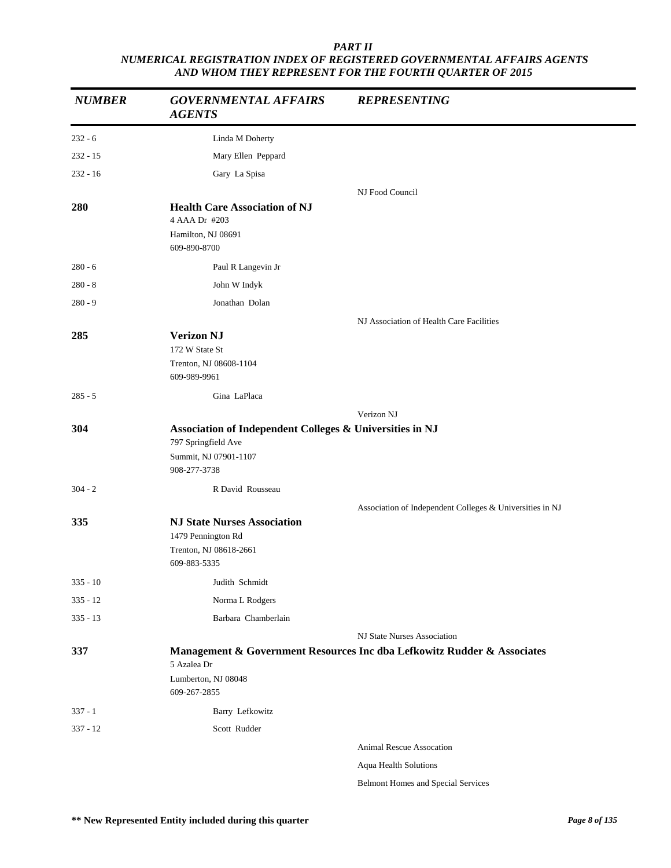| <b>NUMBER</b> | <b>GOVERNMENTAL AFFAIRS</b><br><b>AGENTS</b>             | <b>REPRESENTING</b>                                                     |
|---------------|----------------------------------------------------------|-------------------------------------------------------------------------|
| $232 - 6$     | Linda M Doherty                                          |                                                                         |
| $232 - 15$    | Mary Ellen Peppard                                       |                                                                         |
| $232 - 16$    | Gary La Spisa                                            |                                                                         |
|               |                                                          | NJ Food Council                                                         |
| 280           | <b>Health Care Association of NJ</b><br>4 AAA Dr #203    |                                                                         |
|               | Hamilton, NJ 08691<br>609-890-8700                       |                                                                         |
| $280 - 6$     | Paul R Langevin Jr                                       |                                                                         |
| $280 - 8$     | John W Indyk                                             |                                                                         |
| $280 - 9$     | Jonathan Dolan                                           |                                                                         |
|               |                                                          | NJ Association of Health Care Facilities                                |
| 285           | <b>Verizon NJ</b>                                        |                                                                         |
|               | 172 W State St<br>Trenton, NJ 08608-1104                 |                                                                         |
|               | 609-989-9961                                             |                                                                         |
| $285 - 5$     | Gina LaPlaca                                             |                                                                         |
|               |                                                          | Verizon NJ                                                              |
| 304           | Association of Independent Colleges & Universities in NJ |                                                                         |
|               | 797 Springfield Ave                                      |                                                                         |
|               | Summit, NJ 07901-1107<br>908-277-3738                    |                                                                         |
| $304 - 2$     | R David Rousseau                                         |                                                                         |
|               |                                                          | Association of Independent Colleges & Universities in NJ                |
| 335           | <b>NJ State Nurses Association</b>                       |                                                                         |
|               | 1479 Pennington Rd<br>Trenton, NJ 08618-2661             |                                                                         |
|               | 609-883-5335                                             |                                                                         |
| $335 - 10$    | Judith Schmidt                                           |                                                                         |
| $335 - 12$    | Norma L Rodgers                                          |                                                                         |
| $335 - 13$    | Barbara Chamberlain                                      |                                                                         |
|               |                                                          | NJ State Nurses Association                                             |
| 337           | 5 Azalea Dr                                              | Management & Government Resources Inc dba Lefkowitz Rudder & Associates |
|               | Lumberton, NJ 08048<br>609-267-2855                      |                                                                         |
| $337 - 1$     | Barry Lefkowitz                                          |                                                                         |
| $337 - 12$    | Scott Rudder                                             |                                                                         |
|               |                                                          | <b>Animal Rescue Assocation</b>                                         |
|               |                                                          | Aqua Health Solutions                                                   |

Belmont Homes and Special Services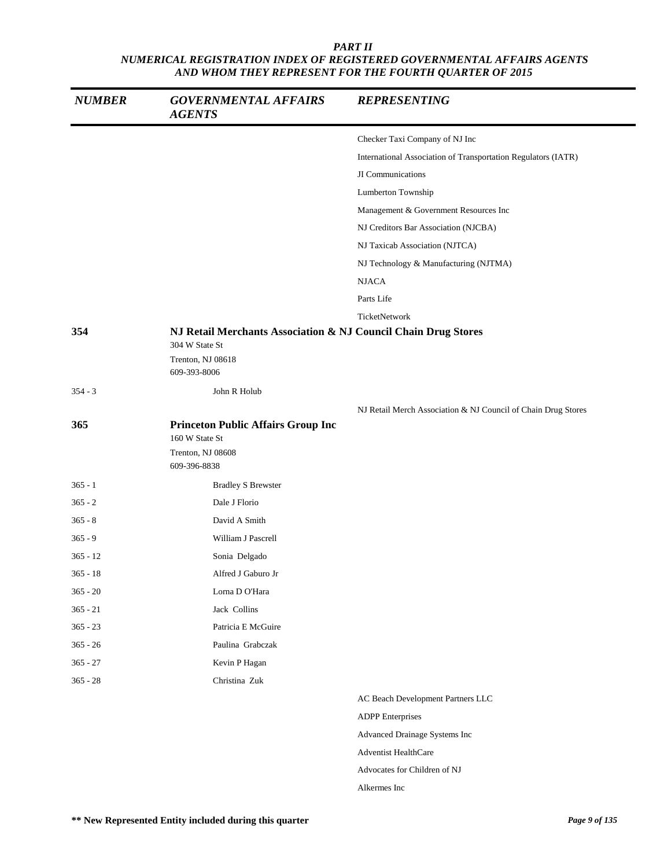| <b>NUMBER</b> | <b>GOVERNMENTAL AFFAIRS</b><br><b>AGENTS</b>                                                          | <b>REPRESENTING</b>                                           |
|---------------|-------------------------------------------------------------------------------------------------------|---------------------------------------------------------------|
|               |                                                                                                       | Checker Taxi Company of NJ Inc                                |
|               |                                                                                                       | International Association of Transportation Regulators (IATR) |
|               |                                                                                                       | JI Communications                                             |
|               |                                                                                                       | Lumberton Township                                            |
|               |                                                                                                       | Management & Government Resources Inc                         |
|               |                                                                                                       | NJ Creditors Bar Association (NJCBA)                          |
|               |                                                                                                       | NJ Taxicab Association (NJTCA)                                |
|               |                                                                                                       | NJ Technology & Manufacturing (NJTMA)                         |
|               |                                                                                                       | <b>NJACA</b>                                                  |
|               |                                                                                                       | Parts Life                                                    |
|               |                                                                                                       | TicketNetwork                                                 |
| 354           | NJ Retail Merchants Association & NJ Council Chain Drug Stores<br>304 W State St<br>Trenton, NJ 08618 |                                                               |
|               | 609-393-8006                                                                                          |                                                               |
| $354 - 3$     | John R Holub                                                                                          |                                                               |
|               |                                                                                                       | NJ Retail Merch Association & NJ Council of Chain Drug Stores |
| 365           | <b>Princeton Public Affairs Group Inc</b><br>160 W State St                                           |                                                               |
|               | Trenton, NJ 08608<br>609-396-8838                                                                     |                                                               |
| $365 - 1$     | <b>Bradley S Brewster</b>                                                                             |                                                               |
| $365 - 2$     | Dale J Florio                                                                                         |                                                               |
| $365 - 8$     | David A Smith                                                                                         |                                                               |
| $365 - 9$     | William J Pascrell                                                                                    |                                                               |
| $365 - 12$    | Sonia Delgado                                                                                         |                                                               |
| $365 - 18$    | Alfred J Gaburo Jr                                                                                    |                                                               |
| $365 - 20$    | Lorna D O'Hara                                                                                        |                                                               |
| $365 - 21$    | Jack Collins                                                                                          |                                                               |
| $365 - 23$    | Patricia E McGuire                                                                                    |                                                               |
| $365 - 26$    | Paulina Grabczak                                                                                      |                                                               |
| $365 - 27$    | Kevin P Hagan                                                                                         |                                                               |
| $365 - 28$    | Christina Zuk                                                                                         |                                                               |
|               |                                                                                                       | AC Beach Development Partners LLC                             |
|               |                                                                                                       | <b>ADPP</b> Enterprises                                       |
|               |                                                                                                       | Advanced Drainage Systems Inc                                 |
|               |                                                                                                       | <b>Adventist HealthCare</b>                                   |
|               |                                                                                                       | Advocates for Children of NJ                                  |
|               |                                                                                                       | Alkermes Inc                                                  |
|               |                                                                                                       |                                                               |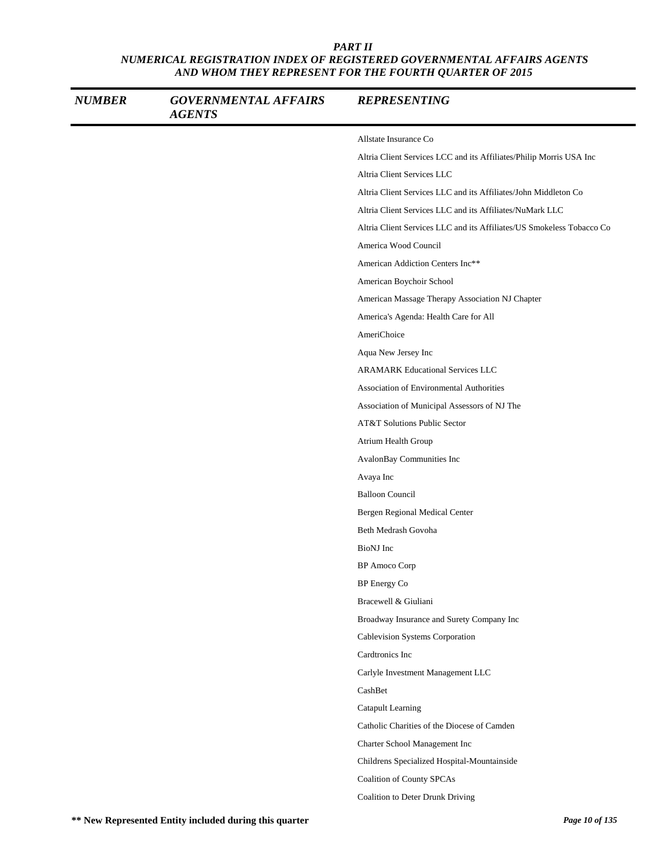| <b>NUMBER</b> | <b>GOVERNMENTAL AFFAIRS</b><br><b>AGENTS</b> | <b>REPRESENTING</b>                                                   |
|---------------|----------------------------------------------|-----------------------------------------------------------------------|
|               |                                              | Allstate Insurance Co                                                 |
|               |                                              | Altria Client Services LCC and its Affiliates/Philip Morris USA Inc   |
|               |                                              | Altria Client Services LLC                                            |
|               |                                              | Altria Client Services LLC and its Affiliates/John Middleton Co       |
|               |                                              | Altria Client Services LLC and its Affiliates/NuMark LLC              |
|               |                                              | Altria Client Services LLC and its Affiliates/US Smokeless Tobacco Co |
|               |                                              | America Wood Council                                                  |
|               |                                              | American Addiction Centers Inc**                                      |
|               |                                              | American Boychoir School                                              |
|               |                                              | American Massage Therapy Association NJ Chapter                       |
|               |                                              | America's Agenda: Health Care for All                                 |
|               |                                              | AmeriChoice                                                           |
|               |                                              | Aqua New Jersey Inc                                                   |
|               |                                              | <b>ARAMARK Educational Services LLC</b>                               |
|               |                                              | Association of Environmental Authorities                              |
|               |                                              | Association of Municipal Assessors of NJ The                          |
|               |                                              | <b>AT&amp;T Solutions Public Sector</b>                               |
|               |                                              | Atrium Health Group                                                   |
|               |                                              | AvalonBay Communities Inc                                             |
|               |                                              | Avaya Inc                                                             |
|               |                                              | <b>Balloon Council</b>                                                |
|               |                                              | Bergen Regional Medical Center                                        |
|               |                                              | Beth Medrash Govoha                                                   |
|               |                                              | BioNJ Inc                                                             |
|               |                                              | <b>BP</b> Amoco Corp                                                  |
|               |                                              | BP Energy Co                                                          |
|               |                                              | Bracewell & Giuliani                                                  |
|               |                                              | Broadway Insurance and Surety Company Inc                             |
|               |                                              | Cablevision Systems Corporation                                       |
|               |                                              | Cardtronics Inc                                                       |
|               |                                              | Carlyle Investment Management LLC                                     |
|               |                                              | CashBet                                                               |
|               |                                              | Catapult Learning                                                     |
|               |                                              | Catholic Charities of the Diocese of Camden                           |
|               |                                              | Charter School Management Inc                                         |
|               |                                              | Childrens Specialized Hospital-Mountainside                           |
|               |                                              | Coalition of County SPCAs                                             |
|               |                                              | Coalition to Deter Drunk Driving                                      |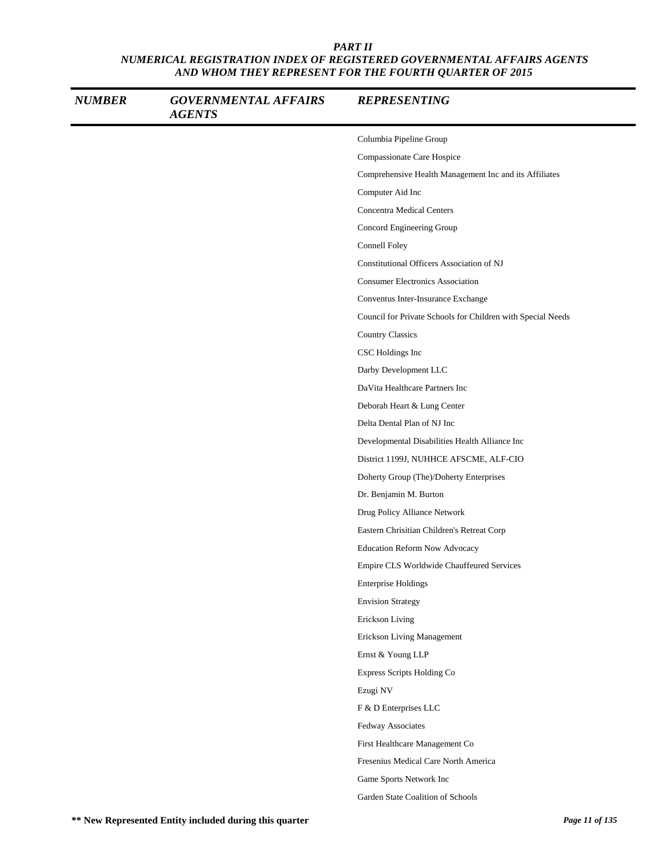| <b>NUMBER</b> | <b>GOVERNMENTAL AFFAIRS</b><br><b>AGENTS</b> | <b>REPRESENTING</b>                                         |
|---------------|----------------------------------------------|-------------------------------------------------------------|
|               |                                              | Columbia Pipeline Group                                     |
|               |                                              | Compassionate Care Hospice                                  |
|               |                                              | Comprehensive Health Management Inc and its Affiliates      |
|               |                                              | Computer Aid Inc                                            |
|               |                                              | <b>Concentra Medical Centers</b>                            |
|               |                                              | Concord Engineering Group                                   |
|               |                                              | Connell Foley                                               |
|               |                                              | Constitutional Officers Association of NJ                   |
|               |                                              | <b>Consumer Electronics Association</b>                     |
|               |                                              | Conventus Inter-Insurance Exchange                          |
|               |                                              | Council for Private Schools for Children with Special Needs |
|               |                                              | <b>Country Classics</b>                                     |
|               |                                              | CSC Holdings Inc                                            |
|               |                                              | Darby Development LLC                                       |
|               |                                              | DaVita Healthcare Partners Inc                              |
|               |                                              | Deborah Heart & Lung Center                                 |
|               |                                              | Delta Dental Plan of NJ Inc                                 |
|               |                                              | Developmental Disabilities Health Alliance Inc              |
|               |                                              | District 1199J, NUHHCE AFSCME, ALF-CIO                      |
|               |                                              | Doherty Group (The)/Doherty Enterprises                     |
|               |                                              | Dr. Benjamin M. Burton                                      |
|               |                                              | Drug Policy Alliance Network                                |
|               |                                              | Eastern Chrisitian Children's Retreat Corp                  |
|               |                                              | <b>Education Reform Now Advocacy</b>                        |
|               |                                              | Empire CLS Worldwide Chauffeured Services                   |
|               |                                              | <b>Enterprise Holdings</b>                                  |
|               |                                              | <b>Envision Strategy</b>                                    |
|               |                                              | Erickson Living                                             |
|               |                                              | Erickson Living Management                                  |
|               |                                              | Ernst & Young LLP                                           |
|               |                                              | Express Scripts Holding Co                                  |
|               |                                              | Ezugi NV                                                    |
|               |                                              | F & D Enterprises LLC                                       |
|               |                                              | Fedway Associates                                           |
|               |                                              | First Healthcare Management Co                              |
|               |                                              | Fresenius Medical Care North America                        |
|               |                                              | Game Sports Network Inc                                     |
|               |                                              | Garden State Coalition of Schools                           |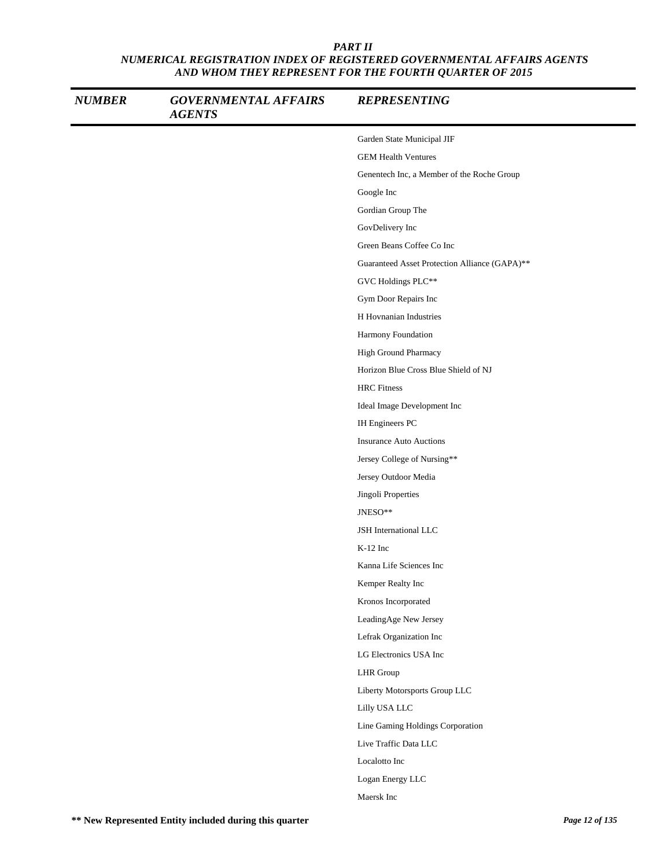| <b>NUMBER</b> | <b>GOVERNMENTAL AFFAIRS</b><br><b>AGENTS</b> | <b>REPRESENTING</b>                           |
|---------------|----------------------------------------------|-----------------------------------------------|
|               |                                              | Garden State Municipal JIF                    |
|               |                                              | <b>GEM Health Ventures</b>                    |
|               |                                              | Genentech Inc, a Member of the Roche Group    |
|               |                                              | Google Inc                                    |
|               |                                              | Gordian Group The                             |
|               |                                              | GovDelivery Inc                               |
|               |                                              | Green Beans Coffee Co Inc                     |
|               |                                              | Guaranteed Asset Protection Alliance (GAPA)** |
|               |                                              | GVC Holdings PLC**                            |
|               |                                              | Gym Door Repairs Inc                          |
|               |                                              | H Hovnanian Industries                        |
|               |                                              | Harmony Foundation                            |
|               |                                              | High Ground Pharmacy                          |
|               |                                              | Horizon Blue Cross Blue Shield of NJ          |
|               |                                              | <b>HRC</b> Fitness                            |
|               |                                              | Ideal Image Development Inc                   |
|               |                                              | IH Engineers PC                               |
|               |                                              | <b>Insurance Auto Auctions</b>                |
|               |                                              | Jersey College of Nursing**                   |
|               |                                              | Jersey Outdoor Media                          |
|               |                                              | Jingoli Properties                            |
|               |                                              | JNESO**                                       |
|               |                                              | JSH International LLC                         |
|               |                                              | $K-12$ Inc                                    |
|               |                                              | Kanna Life Sciences Inc                       |
|               |                                              | Kemper Realty Inc                             |
|               |                                              | Kronos Incorporated                           |
|               |                                              | LeadingAge New Jersey                         |
|               |                                              | Lefrak Organization Inc                       |
|               |                                              | LG Electronics USA Inc                        |
|               |                                              | <b>LHR</b> Group                              |
|               |                                              | Liberty Motorsports Group LLC                 |
|               |                                              | Lilly USA LLC                                 |
|               |                                              | Line Gaming Holdings Corporation              |
|               |                                              | Live Traffic Data LLC                         |
|               |                                              | Localotto Inc                                 |
|               |                                              | Logan Energy LLC                              |
|               |                                              | Maersk Inc                                    |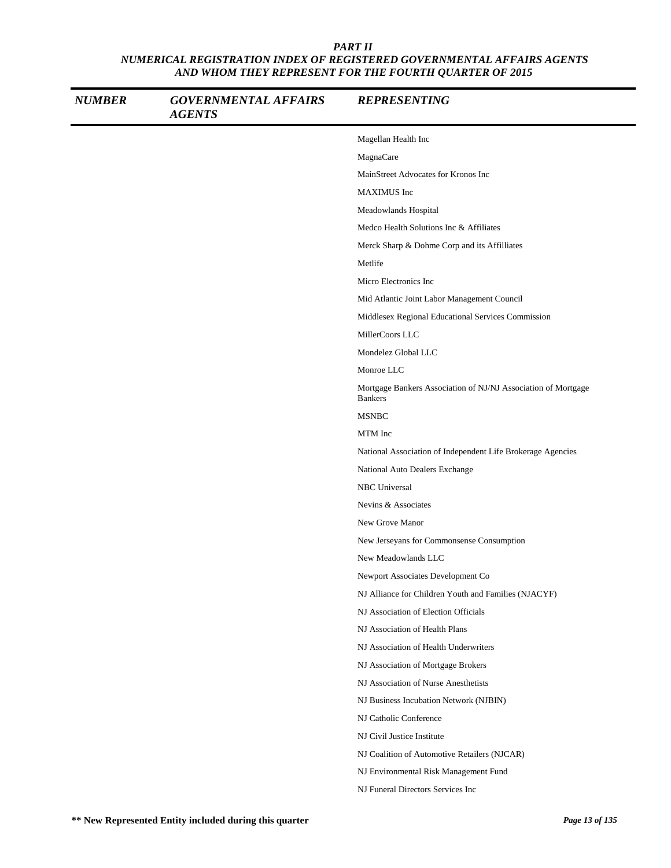| <b>NUMBER</b> | <b>GOVERNMENTAL AFFAIRS</b><br><b>AGENTS</b> | <b>REPRESENTING</b>                                                             |
|---------------|----------------------------------------------|---------------------------------------------------------------------------------|
|               |                                              | Magellan Health Inc                                                             |
|               |                                              | MagnaCare                                                                       |
|               |                                              | MainStreet Advocates for Kronos Inc                                             |
|               |                                              | <b>MAXIMUS</b> Inc                                                              |
|               |                                              | Meadowlands Hospital                                                            |
|               |                                              | Medco Health Solutions Inc & Affiliates                                         |
|               |                                              | Merck Sharp & Dohme Corp and its Affilliates                                    |
|               |                                              | Metlife                                                                         |
|               |                                              | Micro Electronics Inc                                                           |
|               |                                              | Mid Atlantic Joint Labor Management Council                                     |
|               |                                              | Middlesex Regional Educational Services Commission                              |
|               |                                              | MillerCoors LLC                                                                 |
|               |                                              | Mondelez Global LLC                                                             |
|               |                                              | Monroe LLC                                                                      |
|               |                                              | Mortgage Bankers Association of NJ/NJ Association of Mortgage<br><b>Bankers</b> |
|               |                                              | <b>MSNBC</b>                                                                    |
|               |                                              | MTM Inc                                                                         |
|               |                                              | National Association of Independent Life Brokerage Agencies                     |
|               |                                              | National Auto Dealers Exchange                                                  |
|               |                                              | NBC Universal                                                                   |
|               |                                              | Nevins & Associates                                                             |
|               |                                              | New Grove Manor                                                                 |
|               |                                              | New Jerseyans for Commonsense Consumption                                       |
|               |                                              | New Meadowlands LLC                                                             |
|               |                                              | Newport Associates Development Co                                               |
|               |                                              | NJ Alliance for Children Youth and Families (NJACYF)                            |
|               |                                              | NJ Association of Election Officials                                            |
|               |                                              | NJ Association of Health Plans                                                  |
|               |                                              | NJ Association of Health Underwriters                                           |
|               |                                              | NJ Association of Mortgage Brokers                                              |
|               |                                              | NJ Association of Nurse Anesthetists                                            |
|               |                                              | NJ Business Incubation Network (NJBIN)                                          |
|               |                                              | NJ Catholic Conference                                                          |
|               |                                              | NJ Civil Justice Institute                                                      |
|               |                                              | NJ Coalition of Automotive Retailers (NJCAR)                                    |
|               |                                              | NJ Environmental Risk Management Fund                                           |
|               |                                              | NJ Funeral Directors Services Inc                                               |
|               |                                              |                                                                                 |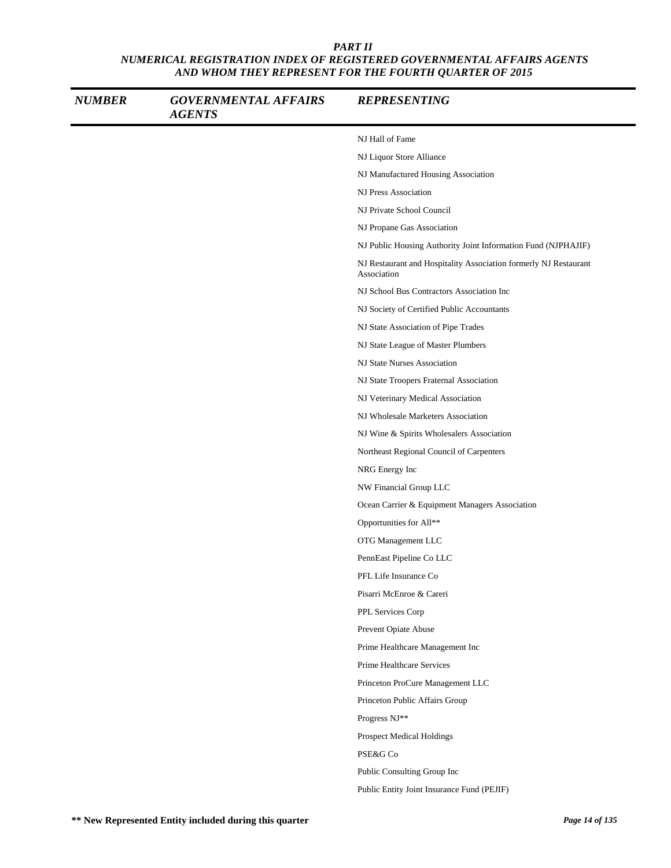| <b>NUMBER</b> | <b>GOVERNMENTAL AFFAIRS</b><br><b>AGENTS</b> | <b>REPRESENTING</b>                                                             |
|---------------|----------------------------------------------|---------------------------------------------------------------------------------|
|               |                                              | NJ Hall of Fame                                                                 |
|               |                                              | NJ Liquor Store Alliance                                                        |
|               |                                              | NJ Manufactured Housing Association                                             |
|               |                                              | NJ Press Association                                                            |
|               |                                              | NJ Private School Council                                                       |
|               |                                              | NJ Propane Gas Association                                                      |
|               |                                              | NJ Public Housing Authority Joint Information Fund (NJPHAJIF)                   |
|               |                                              | NJ Restaurant and Hospitality Association formerly NJ Restaurant<br>Association |
|               |                                              | NJ School Bus Contractors Association Inc                                       |
|               |                                              | NJ Society of Certified Public Accountants                                      |
|               |                                              | NJ State Association of Pipe Trades                                             |
|               |                                              | NJ State League of Master Plumbers                                              |
|               |                                              | NJ State Nurses Association                                                     |
|               |                                              | NJ State Troopers Fraternal Association                                         |
|               |                                              | NJ Veterinary Medical Association                                               |
|               |                                              | NJ Wholesale Marketers Association                                              |
|               |                                              | NJ Wine & Spirits Wholesalers Association                                       |
|               |                                              | Northeast Regional Council of Carpenters                                        |
|               |                                              | NRG Energy Inc                                                                  |
|               |                                              | NW Financial Group LLC                                                          |
|               |                                              | Ocean Carrier & Equipment Managers Association                                  |
|               |                                              | Opportunities for All**                                                         |
|               |                                              | OTG Management LLC                                                              |
|               |                                              | PennEast Pipeline Co LLC                                                        |
|               |                                              | PFL Life Insurance Co                                                           |
|               |                                              | Pisarri McEnroe & Careri                                                        |
|               |                                              | PPL Services Corp                                                               |
|               |                                              | Prevent Opiate Abuse                                                            |
|               |                                              | Prime Healthcare Management Inc                                                 |
|               |                                              | Prime Healthcare Services                                                       |
|               |                                              | Princeton ProCure Management LLC                                                |
|               |                                              | Princeton Public Affairs Group                                                  |
|               |                                              | Progress NJ**                                                                   |
|               |                                              | <b>Prospect Medical Holdings</b>                                                |
|               |                                              | PSE&G Co                                                                        |
|               |                                              | Public Consulting Group Inc                                                     |
|               |                                              | Public Entity Joint Insurance Fund (PEJIF)                                      |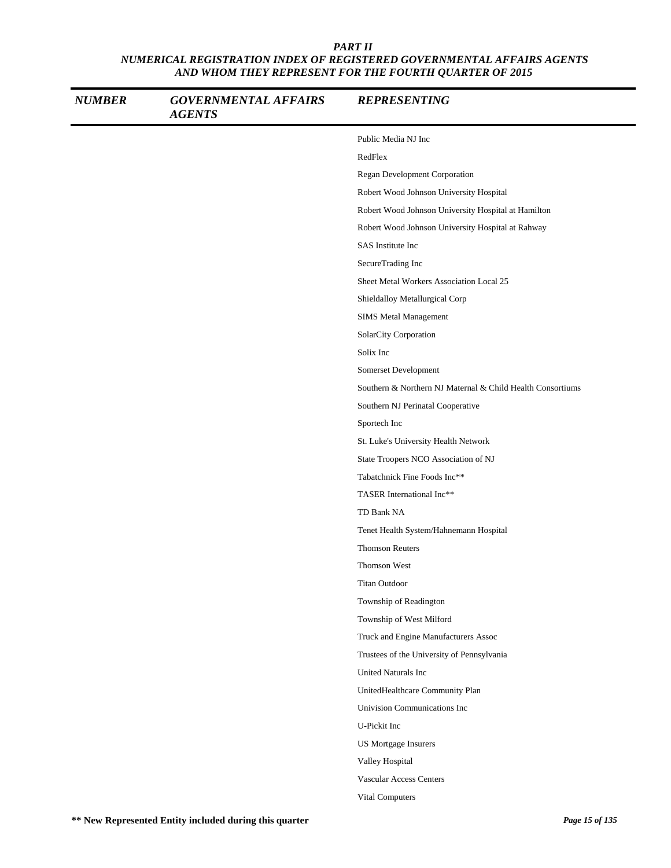| <b>NUMBER</b> | <b>GOVERNMENTAL AFFAIRS</b><br><b>AGENTS</b> | <b>REPRESENTING</b>                                        |
|---------------|----------------------------------------------|------------------------------------------------------------|
|               |                                              | Public Media NJ Inc                                        |
|               |                                              | RedFlex                                                    |
|               |                                              | Regan Development Corporation                              |
|               |                                              | Robert Wood Johnson University Hospital                    |
|               |                                              | Robert Wood Johnson University Hospital at Hamilton        |
|               |                                              | Robert Wood Johnson University Hospital at Rahway          |
|               |                                              | <b>SAS</b> Institute Inc                                   |
|               |                                              | SecureTrading Inc                                          |
|               |                                              | Sheet Metal Workers Association Local 25                   |
|               |                                              | Shieldalloy Metallurgical Corp                             |
|               |                                              | SIMS Metal Management                                      |
|               |                                              | SolarCity Corporation                                      |
|               |                                              | Solix Inc                                                  |
|               |                                              | Somerset Development                                       |
|               |                                              | Southern & Northern NJ Maternal & Child Health Consortiums |
|               |                                              | Southern NJ Perinatal Cooperative                          |
|               |                                              | Sportech Inc                                               |
|               |                                              | St. Luke's University Health Network                       |
|               |                                              | State Troopers NCO Association of NJ                       |
|               |                                              | Tabatchnick Fine Foods Inc**                               |
|               |                                              | TASER International Inc**                                  |
|               |                                              | TD Bank NA                                                 |
|               |                                              | Tenet Health System/Hahnemann Hospital                     |
|               |                                              | <b>Thomson Reuters</b>                                     |
|               |                                              | Thomson West                                               |
|               |                                              | Titan Outdoor                                              |
|               |                                              | Township of Readington                                     |
|               |                                              | Township of West Milford                                   |
|               |                                              | Truck and Engine Manufacturers Assoc                       |
|               |                                              | Trustees of the University of Pennsylvania                 |
|               |                                              | United Naturals Inc                                        |
|               |                                              | UnitedHealthcare Community Plan                            |
|               |                                              | Univision Communications Inc                               |
|               |                                              | U-Pickit Inc                                               |
|               |                                              | <b>US Mortgage Insurers</b>                                |
|               |                                              | Valley Hospital                                            |
|               |                                              | Vascular Access Centers                                    |
|               |                                              | Vital Computers                                            |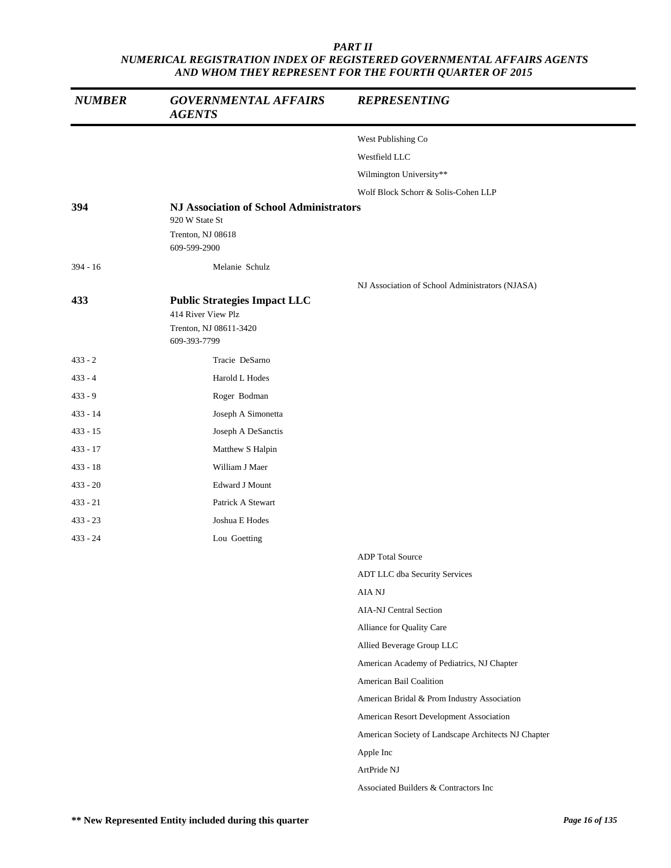| <b>NUMBER</b> | <b>GOVERNMENTAL AFFAIRS</b><br><b>AGENTS</b>                                                        | <b>REPRESENTING</b>                                 |
|---------------|-----------------------------------------------------------------------------------------------------|-----------------------------------------------------|
|               |                                                                                                     | West Publishing Co                                  |
|               |                                                                                                     | Westfield LLC                                       |
|               |                                                                                                     | Wilmington University**                             |
|               |                                                                                                     | Wolf Block Schorr & Solis-Cohen LLP                 |
| 394           | <b>NJ Association of School Administrators</b><br>920 W State St                                    |                                                     |
|               | Trenton, NJ 08618<br>609-599-2900                                                                   |                                                     |
| $394 - 16$    | Melanie Schulz                                                                                      |                                                     |
|               |                                                                                                     | NJ Association of School Administrators (NJASA)     |
| 433           | <b>Public Strategies Impact LLC</b><br>414 River View Plz<br>Trenton, NJ 08611-3420<br>609-393-7799 |                                                     |
| $433 - 2$     | Tracie DeSarno                                                                                      |                                                     |
| $433 - 4$     | Harold L Hodes                                                                                      |                                                     |
| $433 - 9$     | Roger Bodman                                                                                        |                                                     |
| $433 - 14$    | Joseph A Simonetta                                                                                  |                                                     |
| $433 - 15$    | Joseph A DeSanctis                                                                                  |                                                     |
| $433 - 17$    | Matthew S Halpin                                                                                    |                                                     |
| $433 - 18$    | William J Maer                                                                                      |                                                     |
| $433 - 20$    | Edward J Mount                                                                                      |                                                     |
| $433 - 21$    | Patrick A Stewart                                                                                   |                                                     |
| $433 - 23$    | Joshua E Hodes                                                                                      |                                                     |
| $433 - 24$    | Lou Goetting                                                                                        |                                                     |
|               |                                                                                                     | <b>ADP</b> Total Source                             |
|               |                                                                                                     | ADT LLC dba Security Services                       |
|               |                                                                                                     | AIA NJ                                              |
|               |                                                                                                     | <b>AIA-NJ Central Section</b>                       |
|               |                                                                                                     | Alliance for Quality Care                           |
|               |                                                                                                     | Allied Beverage Group LLC                           |
|               |                                                                                                     | American Academy of Pediatrics, NJ Chapter          |
|               |                                                                                                     | American Bail Coalition                             |
|               |                                                                                                     | American Bridal & Prom Industry Association         |
|               |                                                                                                     | American Resort Development Association             |
|               |                                                                                                     | American Society of Landscape Architects NJ Chapter |
|               |                                                                                                     | Apple Inc                                           |
|               |                                                                                                     | ArtPride NJ                                         |
|               |                                                                                                     | Associated Builders & Contractors Inc               |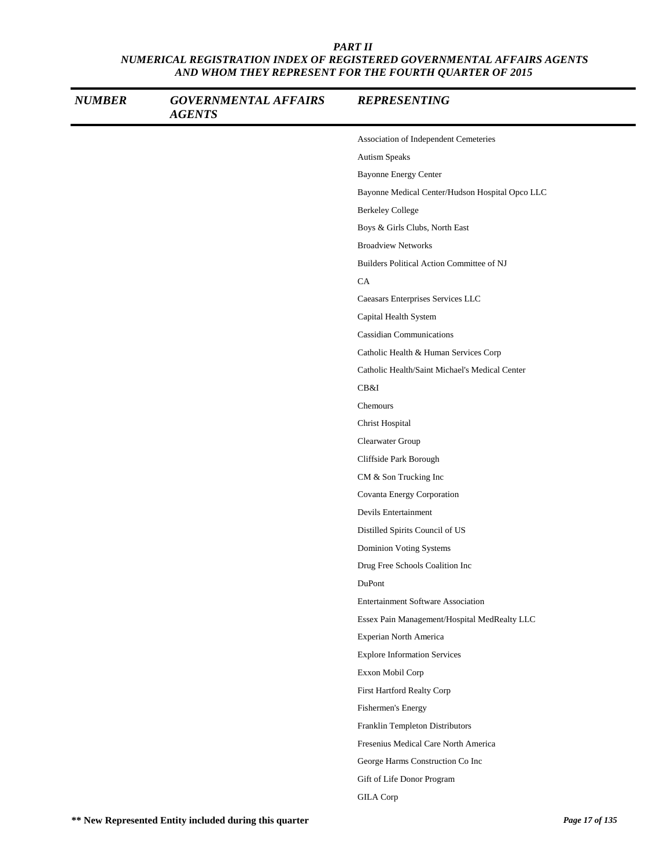| <b>NUMBER</b> | <b>GOVERNMENTAL AFFAIRS</b><br><b>AGENTS</b> | <b>REPRESENTING</b>                             |
|---------------|----------------------------------------------|-------------------------------------------------|
|               |                                              | Association of Independent Cemeteries           |
|               |                                              | Autism Speaks                                   |
|               |                                              | <b>Bayonne Energy Center</b>                    |
|               |                                              | Bayonne Medical Center/Hudson Hospital Opco LLC |
|               |                                              | <b>Berkeley College</b>                         |
|               |                                              | Boys & Girls Clubs, North East                  |
|               |                                              | <b>Broadview Networks</b>                       |
|               |                                              | Builders Political Action Committee of NJ       |
|               |                                              | CA                                              |
|               |                                              | Caeasars Enterprises Services LLC               |
|               |                                              | Capital Health System                           |
|               |                                              | <b>Cassidian Communications</b>                 |
|               |                                              | Catholic Health & Human Services Corp           |
|               |                                              | Catholic Health/Saint Michael's Medical Center  |
|               |                                              | CB&I                                            |
|               |                                              | Chemours                                        |
|               |                                              | Christ Hospital                                 |
|               |                                              | Clearwater Group                                |
|               |                                              | Cliffside Park Borough                          |
|               |                                              | CM & Son Trucking Inc                           |
|               |                                              | Covanta Energy Corporation                      |
|               |                                              | Devils Entertainment                            |
|               |                                              | Distilled Spirits Council of US                 |
|               |                                              | Dominion Voting Systems                         |
|               |                                              | Drug Free Schools Coalition Inc                 |
|               |                                              | DuPont                                          |
|               |                                              | <b>Entertainment Software Association</b>       |
|               |                                              | Essex Pain Management/Hospital MedRealty LLC    |
|               |                                              | Experian North America                          |
|               |                                              | <b>Explore Information Services</b>             |
|               |                                              | Exxon Mobil Corp                                |
|               |                                              | First Hartford Realty Corp                      |
|               |                                              | Fishermen's Energy                              |
|               |                                              | Franklin Templeton Distributors                 |
|               |                                              | Fresenius Medical Care North America            |
|               |                                              | George Harms Construction Co Inc                |
|               |                                              | Gift of Life Donor Program                      |
|               |                                              | <b>GILA</b> Corp                                |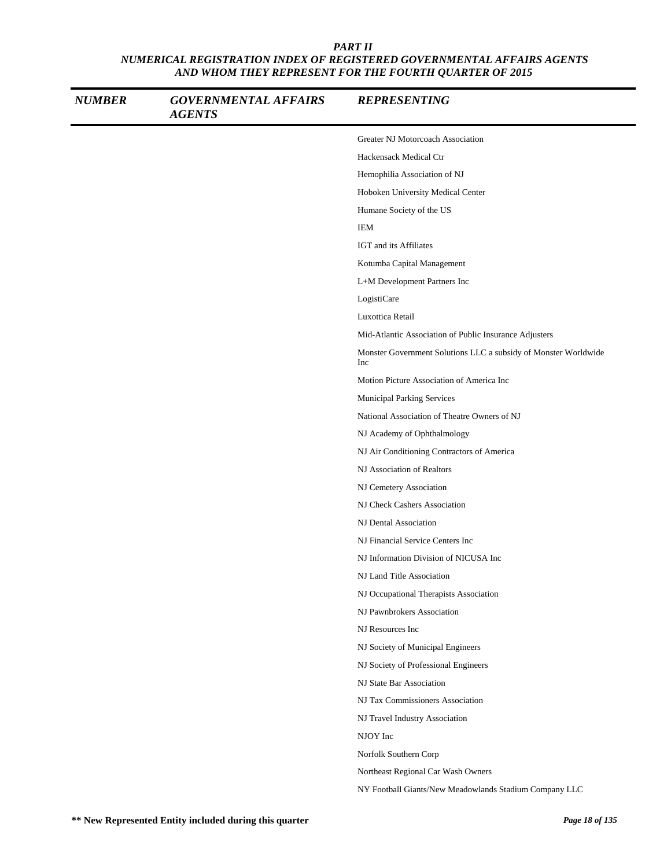| <b>NUMBER</b> | <b>GOVERNMENTAL AFFAIRS</b><br><b>AGENTS</b> | <b>REPRESENTING</b>                                                    |
|---------------|----------------------------------------------|------------------------------------------------------------------------|
|               |                                              | Greater NJ Motorcoach Association                                      |
|               |                                              | Hackensack Medical Ctr                                                 |
|               |                                              | Hemophilia Association of NJ                                           |
|               |                                              | Hoboken University Medical Center                                      |
|               |                                              | Humane Society of the US                                               |
|               |                                              | <b>IEM</b>                                                             |
|               |                                              | IGT and its Affiliates                                                 |
|               |                                              | Kotumba Capital Management                                             |
|               |                                              | L+M Development Partners Inc                                           |
|               |                                              | LogistiCare                                                            |
|               |                                              | Luxottica Retail                                                       |
|               |                                              | Mid-Atlantic Association of Public Insurance Adjusters                 |
|               |                                              | Monster Government Solutions LLC a subsidy of Monster Worldwide<br>Inc |
|               |                                              | Motion Picture Association of America Inc                              |
|               |                                              | Municipal Parking Services                                             |
|               |                                              | National Association of Theatre Owners of NJ                           |
|               |                                              | NJ Academy of Ophthalmology                                            |
|               |                                              | NJ Air Conditioning Contractors of America                             |
|               |                                              | NJ Association of Realtors                                             |
|               |                                              | NJ Cemetery Association                                                |
|               |                                              | NJ Check Cashers Association                                           |
|               |                                              | NJ Dental Association                                                  |
|               |                                              | NJ Financial Service Centers Inc                                       |
|               |                                              | NJ Information Division of NICUSA Inc                                  |
|               |                                              | NJ Land Title Association                                              |
|               |                                              | NJ Occupational Therapists Association                                 |
|               |                                              | NJ Pawnbrokers Association                                             |
|               |                                              | NJ Resources Inc                                                       |
|               |                                              | NJ Society of Municipal Engineers                                      |
|               |                                              | NJ Society of Professional Engineers                                   |
|               |                                              | NJ State Bar Association                                               |
|               |                                              | NJ Tax Commissioners Association                                       |
|               |                                              | NJ Travel Industry Association                                         |
|               |                                              | NJOY Inc                                                               |
|               |                                              | Norfolk Southern Corp                                                  |
|               |                                              | Northeast Regional Car Wash Owners                                     |
|               |                                              | NY Football Giants/New Meadowlands Stadium Company LLC                 |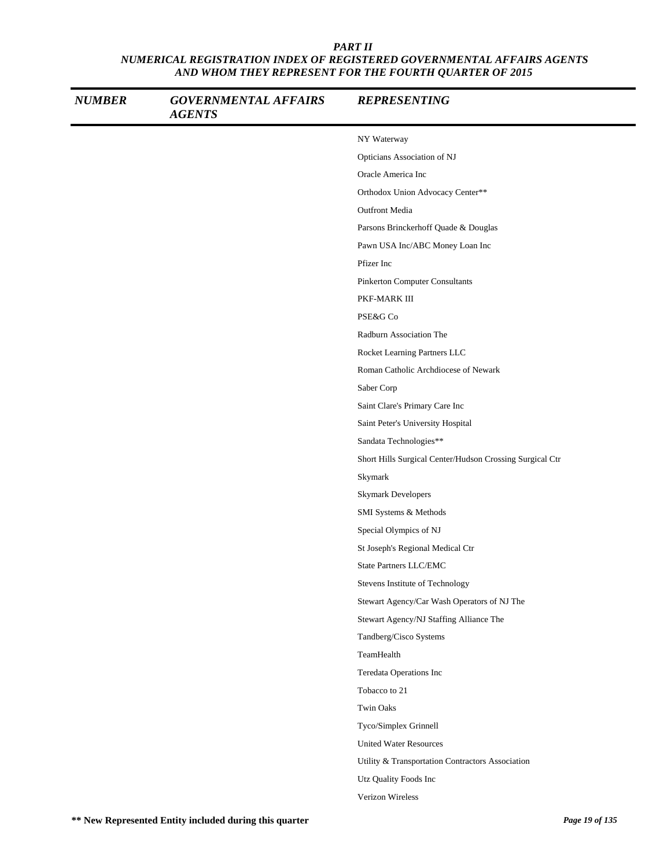| <b>NUMBER</b> | <b>GOVERNMENTAL AFFAIRS</b><br><b>AGENTS</b> | <b>REPRESENTING</b>                                      |
|---------------|----------------------------------------------|----------------------------------------------------------|
|               |                                              | NY Waterway                                              |
|               |                                              | Opticians Association of NJ                              |
|               |                                              | Oracle America Inc                                       |
|               |                                              | Orthodox Union Advocacy Center**                         |
|               |                                              | <b>Outfront Media</b>                                    |
|               |                                              | Parsons Brinckerhoff Quade & Douglas                     |
|               |                                              | Pawn USA Inc/ABC Money Loan Inc                          |
|               |                                              | Pfizer Inc                                               |
|               |                                              | <b>Pinkerton Computer Consultants</b>                    |
|               |                                              | PKF-MARK III                                             |
|               |                                              | PSE&G Co                                                 |
|               |                                              | Radburn Association The                                  |
|               |                                              | Rocket Learning Partners LLC                             |
|               |                                              | Roman Catholic Archdiocese of Newark                     |
|               |                                              | Saber Corp                                               |
|               |                                              | Saint Clare's Primary Care Inc                           |
|               |                                              | Saint Peter's University Hospital                        |
|               |                                              | Sandata Technologies**                                   |
|               |                                              | Short Hills Surgical Center/Hudson Crossing Surgical Ctr |
|               |                                              | Skymark                                                  |
|               |                                              | <b>Skymark Developers</b>                                |
|               |                                              | SMI Systems & Methods                                    |
|               |                                              | Special Olympics of NJ                                   |
|               |                                              | St Joseph's Regional Medical Ctr                         |
|               |                                              | State Partners LLC/EMC                                   |
|               |                                              | Stevens Institute of Technology                          |
|               |                                              | Stewart Agency/Car Wash Operators of NJ The              |
|               |                                              | Stewart Agency/NJ Staffing Alliance The                  |
|               |                                              | Tandberg/Cisco Systems                                   |
|               |                                              | TeamHealth                                               |
|               |                                              | Teredata Operations Inc                                  |
|               |                                              | Tobacco to 21                                            |
|               |                                              | <b>Twin Oaks</b>                                         |
|               |                                              | Tyco/Simplex Grinnell                                    |
|               |                                              | <b>United Water Resources</b>                            |
|               |                                              | Utility & Transportation Contractors Association         |
|               |                                              | Utz Quality Foods Inc                                    |
|               |                                              | Verizon Wireless                                         |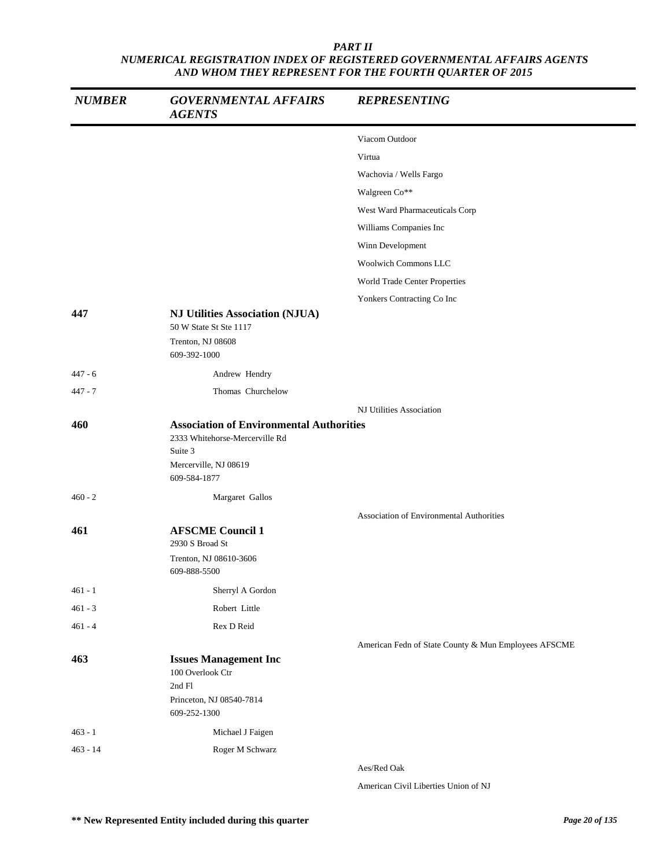| <b>NUMBER</b> | <b>GOVERNMENTAL AFFAIRS</b><br><b>AGENTS</b>                                                                                          | <b>REPRESENTING</b>                                  |
|---------------|---------------------------------------------------------------------------------------------------------------------------------------|------------------------------------------------------|
|               |                                                                                                                                       | Viacom Outdoor                                       |
|               |                                                                                                                                       | Virtua                                               |
|               |                                                                                                                                       | Wachovia / Wells Fargo                               |
|               |                                                                                                                                       | Walgreen Co**                                        |
|               |                                                                                                                                       | West Ward Pharmaceuticals Corp                       |
|               |                                                                                                                                       | Williams Companies Inc                               |
|               |                                                                                                                                       | Winn Development                                     |
|               |                                                                                                                                       | <b>Woolwich Commons LLC</b>                          |
|               |                                                                                                                                       | World Trade Center Properties                        |
|               |                                                                                                                                       | Yonkers Contracting Co Inc                           |
| 447           | <b>NJ Utilities Association (NJUA)</b><br>50 W State St Ste 1117                                                                      |                                                      |
|               | Trenton, NJ 08608<br>609-392-1000                                                                                                     |                                                      |
| $447 - 6$     | Andrew Hendry                                                                                                                         |                                                      |
| $447 - 7$     | Thomas Churchelow                                                                                                                     |                                                      |
|               |                                                                                                                                       | NJ Utilities Association                             |
| 460           | <b>Association of Environmental Authorities</b><br>2333 Whitehorse-Mercerville Rd<br>Suite 3<br>Mercerville, NJ 08619<br>609-584-1877 |                                                      |
| $460 - 2$     | Margaret Gallos                                                                                                                       |                                                      |
|               |                                                                                                                                       | <b>Association of Environmental Authorities</b>      |
| 461           | <b>AFSCME Council 1</b><br>2930 S Broad St<br>Trenton, NJ 08610-3606<br>609-888-5500                                                  |                                                      |
| $461 - 1$     | Sherryl A Gordon                                                                                                                      |                                                      |
| $461 - 3$     | Robert Little                                                                                                                         |                                                      |
| $461 - 4$     | Rex D Reid                                                                                                                            |                                                      |
|               |                                                                                                                                       | American Fedn of State County & Mun Employees AFSCME |
| 463           | <b>Issues Management Inc</b><br>100 Overlook Ctr<br>2nd Fl<br>Princeton, NJ 08540-7814<br>609-252-1300                                |                                                      |
| $463 - 1$     | Michael J Faigen                                                                                                                      |                                                      |
| $463 - 14$    | Roger M Schwarz                                                                                                                       |                                                      |
|               |                                                                                                                                       | Aes/Red Oak                                          |

American Civil Liberties Union of NJ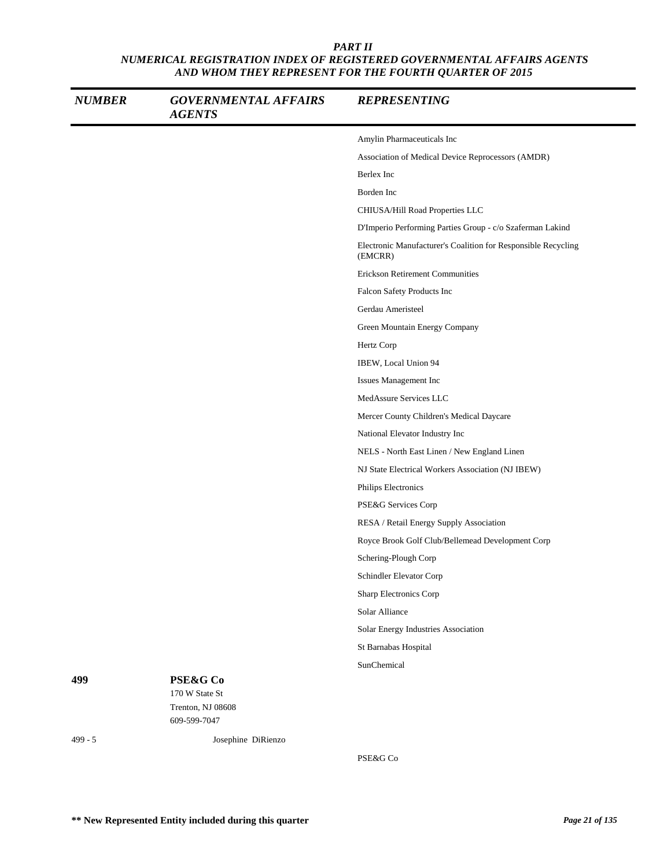| <b>NUMBER</b> | <b>GOVERNMENTAL AFFAIRS</b><br><b>AGENTS</b>    | <b>REPRESENTING</b>                                                      |
|---------------|-------------------------------------------------|--------------------------------------------------------------------------|
|               |                                                 | Amylin Pharmaceuticals Inc                                               |
|               |                                                 | Association of Medical Device Reprocessors (AMDR)                        |
|               |                                                 | Berlex Inc                                                               |
|               |                                                 | Borden Inc                                                               |
|               |                                                 | CHIUSA/Hill Road Properties LLC                                          |
|               |                                                 | D'Imperio Performing Parties Group - c/o Szaferman Lakind                |
|               |                                                 | Electronic Manufacturer's Coalition for Responsible Recycling<br>(EMCRR) |
|               |                                                 | Erickson Retirement Communities                                          |
|               |                                                 | Falcon Safety Products Inc                                               |
|               |                                                 | Gerdau Ameristeel                                                        |
|               |                                                 | Green Mountain Energy Company                                            |
|               |                                                 | Hertz Corp                                                               |
|               |                                                 | IBEW, Local Union 94                                                     |
|               |                                                 | Issues Management Inc                                                    |
|               |                                                 | MedAssure Services LLC                                                   |
|               |                                                 | Mercer County Children's Medical Daycare                                 |
|               |                                                 | National Elevator Industry Inc                                           |
|               |                                                 | NELS - North East Linen / New England Linen                              |
|               |                                                 | NJ State Electrical Workers Association (NJ IBEW)                        |
|               |                                                 | Philips Electronics                                                      |
|               |                                                 | PSE&G Services Corp                                                      |
|               |                                                 | RESA / Retail Energy Supply Association                                  |
|               |                                                 | Royce Brook Golf Club/Bellemead Development Corp                         |
|               |                                                 | Schering-Plough Corp                                                     |
|               |                                                 | Schindler Elevator Corp                                                  |
|               |                                                 | <b>Sharp Electronics Corp</b>                                            |
|               |                                                 | Solar Alliance                                                           |
|               |                                                 | Solar Energy Industries Association                                      |
|               |                                                 | St Barnabas Hospital                                                     |
|               |                                                 | SunChemical                                                              |
| 499           | PSE&G Co<br>170 W State St<br>Trenton, NJ 08608 |                                                                          |
|               | 609-599-7047                                    |                                                                          |
| $499 - 5$     | Josephine DiRienzo                              |                                                                          |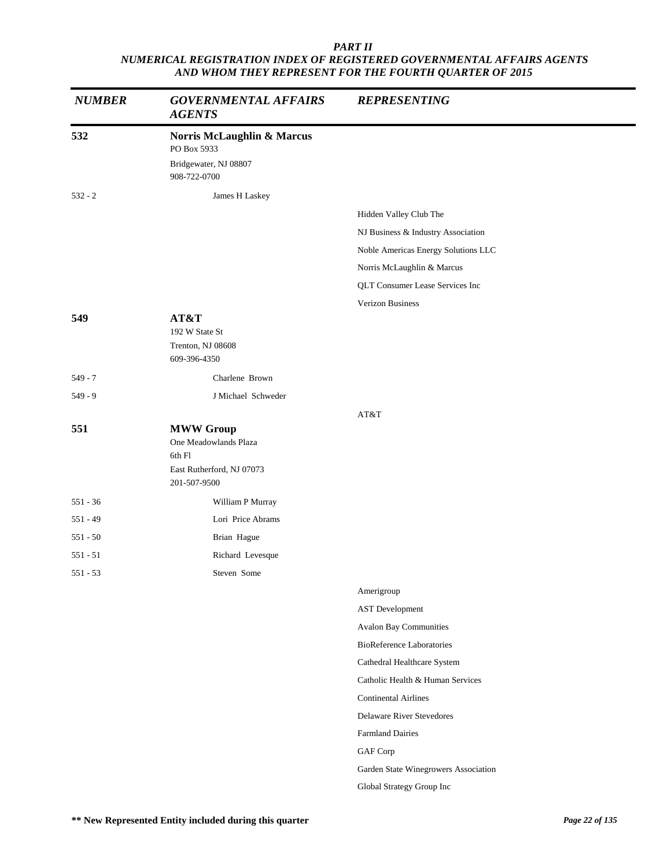| <b>NUMBER</b> | <b>GOVERNMENTAL AFFAIRS</b><br><b>AGENTS</b> | <b>REPRESENTING</b>                  |
|---------------|----------------------------------------------|--------------------------------------|
| 532           | Norris McLaughlin & Marcus<br>PO Box 5933    |                                      |
|               | Bridgewater, NJ 08807<br>908-722-0700        |                                      |
| $532 - 2$     | James H Laskey                               |                                      |
|               |                                              | Hidden Valley Club The               |
|               |                                              | NJ Business & Industry Association   |
|               |                                              | Noble Americas Energy Solutions LLC  |
|               |                                              | Norris McLaughlin & Marcus           |
|               |                                              | QLT Consumer Lease Services Inc      |
|               |                                              | Verizon Business                     |
| 549           | AT&T                                         |                                      |
|               | 192 W State St<br>Trenton, NJ 08608          |                                      |
|               | 609-396-4350                                 |                                      |
| $549 - 7$     | Charlene Brown                               |                                      |
| $549 - 9$     | J Michael Schweder                           |                                      |
|               |                                              | AT&T                                 |
| 551           | <b>MWW Group</b>                             |                                      |
|               | One Meadowlands Plaza<br>6th Fl              |                                      |
|               | East Rutherford, NJ 07073<br>201-507-9500    |                                      |
| $551 - 36$    | William P Murray                             |                                      |
| $551 - 49$    | Lori Price Abrams                            |                                      |
| $551 - 50$    | Brian Hague                                  |                                      |
| $551 - 51$    | Richard Levesque                             |                                      |
| $551 - 53$    | Steven Some                                  |                                      |
|               |                                              | Amerigroup                           |
|               |                                              | <b>AST</b> Development               |
|               |                                              | <b>Avalon Bay Communities</b>        |
|               |                                              | <b>BioReference Laboratories</b>     |
|               |                                              | Cathedral Healthcare System          |
|               |                                              | Catholic Health & Human Services     |
|               |                                              | <b>Continental Airlines</b>          |
|               |                                              | Delaware River Stevedores            |
|               |                                              | <b>Farmland Dairies</b>              |
|               |                                              | GAF Corp                             |
|               |                                              | Garden State Winegrowers Association |
|               |                                              | Global Strategy Group Inc            |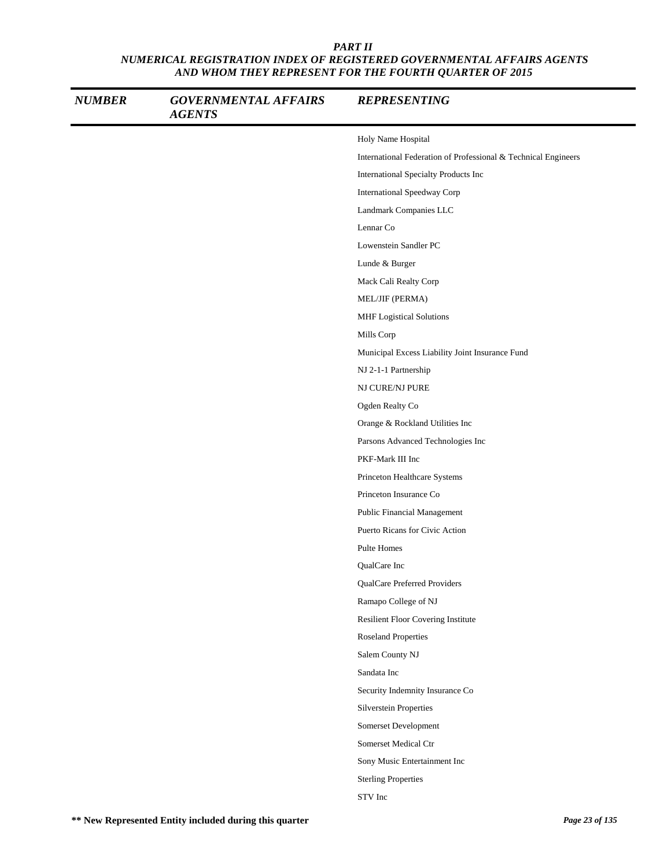| <b>NUMBER</b> | <b>GOVERNMENTAL AFFAIRS</b><br><b>AGENTS</b> | <b>REPRESENTING</b>                                            |
|---------------|----------------------------------------------|----------------------------------------------------------------|
|               |                                              | Holy Name Hospital                                             |
|               |                                              | International Federation of Professional & Technical Engineers |
|               |                                              | International Specialty Products Inc                           |
|               |                                              | International Speedway Corp                                    |
|               |                                              | Landmark Companies LLC                                         |
|               |                                              | Lennar Co                                                      |
|               |                                              | Lowenstein Sandler PC                                          |
|               |                                              | Lunde & Burger                                                 |
|               |                                              | Mack Cali Realty Corp                                          |
|               |                                              | MEL/JIF (PERMA)                                                |
|               |                                              | <b>MHF</b> Logistical Solutions                                |
|               |                                              | Mills Corp                                                     |
|               |                                              | Municipal Excess Liability Joint Insurance Fund                |
|               |                                              | NJ 2-1-1 Partnership                                           |
|               |                                              | NJ CURE/NJ PURE                                                |
|               |                                              | Ogden Realty Co                                                |
|               |                                              | Orange & Rockland Utilities Inc                                |
|               |                                              | Parsons Advanced Technologies Inc                              |
|               |                                              | PKF-Mark III Inc                                               |
|               |                                              | Princeton Healthcare Systems                                   |
|               |                                              | Princeton Insurance Co                                         |
|               |                                              | Public Financial Management                                    |
|               |                                              | Puerto Ricans for Civic Action                                 |
|               |                                              | Pulte Homes                                                    |
|               |                                              | QualCare Inc                                                   |
|               |                                              | QualCare Preferred Providers                                   |
|               |                                              | Ramapo College of NJ                                           |
|               |                                              | Resilient Floor Covering Institute                             |
|               |                                              | <b>Roseland Properties</b>                                     |
|               |                                              | Salem County NJ                                                |
|               |                                              | Sandata Inc                                                    |
|               |                                              | Security Indemnity Insurance Co                                |
|               |                                              | Silverstein Properties                                         |
|               |                                              | Somerset Development                                           |
|               |                                              | Somerset Medical Ctr                                           |
|               |                                              | Sony Music Entertainment Inc                                   |
|               |                                              | <b>Sterling Properties</b>                                     |
|               |                                              | STV Inc                                                        |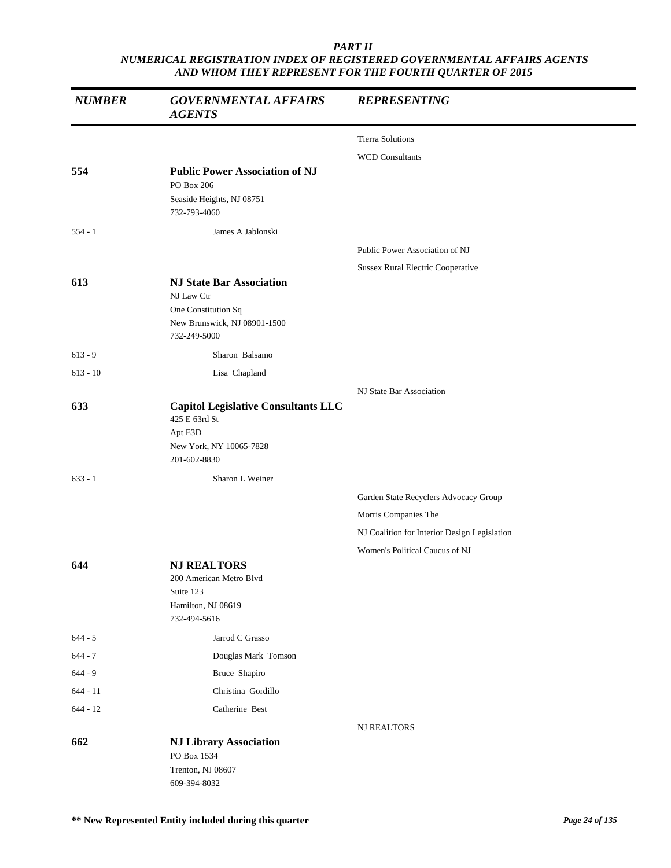| <b>NUMBER</b> | <b>GOVERNMENTAL AFFAIRS</b><br><b>AGENTS</b>  | <b>REPRESENTING</b>                          |
|---------------|-----------------------------------------------|----------------------------------------------|
|               |                                               | <b>Tierra Solutions</b>                      |
|               |                                               | <b>WCD Consultants</b>                       |
| 554           | <b>Public Power Association of NJ</b>         |                                              |
|               | PO Box 206<br>Seaside Heights, NJ 08751       |                                              |
|               | 732-793-4060                                  |                                              |
| $554 - 1$     | James A Jablonski                             |                                              |
|               |                                               | Public Power Association of NJ               |
|               |                                               | Sussex Rural Electric Cooperative            |
| 613           | <b>NJ State Bar Association</b><br>NJ Law Ctr |                                              |
|               | One Constitution Sq                           |                                              |
|               | New Brunswick, NJ 08901-1500<br>732-249-5000  |                                              |
| $613 - 9$     | Sharon Balsamo                                |                                              |
| $613 - 10$    | Lisa Chapland                                 |                                              |
|               |                                               | NJ State Bar Association                     |
| 633           | <b>Capitol Legislative Consultants LLC</b>    |                                              |
|               | 425 E 63rd St                                 |                                              |
|               | Apt E3D<br>New York, NY 10065-7828            |                                              |
|               | 201-602-8830                                  |                                              |
| $633 - 1$     | Sharon L Weiner                               |                                              |
|               |                                               | Garden State Recyclers Advocacy Group        |
|               |                                               | Morris Companies The                         |
|               |                                               | NJ Coalition for Interior Design Legislation |
|               |                                               | Women's Political Caucus of NJ               |
| 644           | <b>NJ REALTORS</b>                            |                                              |
|               | 200 American Metro Blvd<br>Suite 123          |                                              |
|               | Hamilton, NJ 08619                            |                                              |
|               | 732-494-5616                                  |                                              |
| $644 - 5$     | Jarrod C Grasso                               |                                              |
| $644 - 7$     | Douglas Mark Tomson                           |                                              |
| $644 - 9$     | Bruce Shapiro                                 |                                              |
| $644 - 11$    | Christina Gordillo                            |                                              |
| $644 - 12$    | Catherine Best                                |                                              |
|               |                                               | <b>NJ REALTORS</b>                           |
| 662           | <b>NJ Library Association</b><br>PO Box 1534  |                                              |
|               | Trenton, NJ 08607                             |                                              |
|               | 609-394-8032                                  |                                              |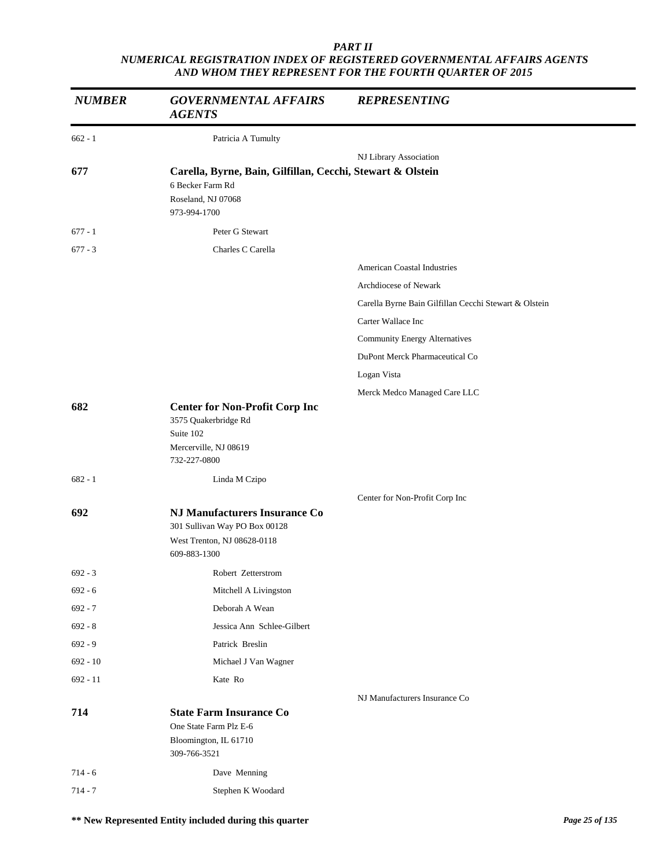| <b>NUMBER</b> | <b>GOVERNMENTAL AFFAIRS</b><br><b>AGENTS</b>                                                                         | <b>REPRESENTING</b>                                   |
|---------------|----------------------------------------------------------------------------------------------------------------------|-------------------------------------------------------|
| $662 - 1$     | Patricia A Tumulty                                                                                                   |                                                       |
|               |                                                                                                                      | NJ Library Association                                |
| 677           | Carella, Byrne, Bain, Gilfillan, Cecchi, Stewart & Olstein<br>6 Becker Farm Rd<br>Roseland, NJ 07068<br>973-994-1700 |                                                       |
| $677 - 1$     | Peter G Stewart                                                                                                      |                                                       |
| $677 - 3$     | Charles C Carella                                                                                                    |                                                       |
|               |                                                                                                                      | <b>American Coastal Industries</b>                    |
|               |                                                                                                                      | Archdiocese of Newark                                 |
|               |                                                                                                                      | Carella Byrne Bain Gilfillan Cecchi Stewart & Olstein |
|               |                                                                                                                      | Carter Wallace Inc                                    |
|               |                                                                                                                      | <b>Community Energy Alternatives</b>                  |
|               |                                                                                                                      | DuPont Merck Pharmaceutical Co                        |
|               |                                                                                                                      | Logan Vista                                           |
|               |                                                                                                                      | Merck Medco Managed Care LLC                          |
| 682           | <b>Center for Non-Profit Corp Inc</b><br>3575 Quakerbridge Rd<br>Suite 102<br>Mercerville, NJ 08619<br>732-227-0800  |                                                       |
| $682 - 1$     | Linda M Czipo                                                                                                        |                                                       |
|               |                                                                                                                      | Center for Non-Profit Corp Inc                        |
| 692           | NJ Manufacturers Insurance Co<br>301 Sullivan Way PO Box 00128<br>West Trenton, NJ 08628-0118<br>609-883-1300        |                                                       |
| $692 - 3$     | Robert Zetterstrom                                                                                                   |                                                       |
| $692 - 6$     | Mitchell A Livingston                                                                                                |                                                       |
| $692 - 7$     | Deborah A Wean                                                                                                       |                                                       |
| $692 - 8$     | Jessica Ann Schlee-Gilbert                                                                                           |                                                       |
| $692 - 9$     | Patrick Breslin                                                                                                      |                                                       |
| $692 - 10$    | Michael J Van Wagner                                                                                                 |                                                       |
| $692 - 11$    | Kate Ro                                                                                                              |                                                       |
|               |                                                                                                                      | NJ Manufacturers Insurance Co                         |
| 714           | <b>State Farm Insurance Co</b><br>One State Farm Plz E-6<br>Bloomington, IL 61710<br>309-766-3521                    |                                                       |
| $714 - 6$     | Dave Menning                                                                                                         |                                                       |
| $714 - 7$     | Stephen K Woodard                                                                                                    |                                                       |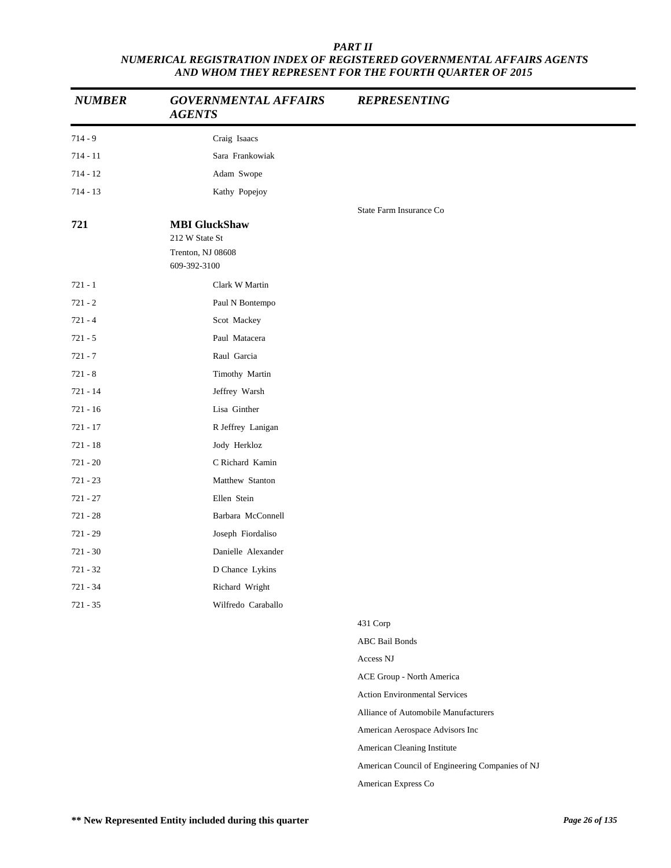| <b>NUMBER</b> | <b>GOVERNMENTAL AFFAIRS</b><br><b>AGENTS</b>                                | <b>REPRESENTING</b>                             |
|---------------|-----------------------------------------------------------------------------|-------------------------------------------------|
| $714 - 9$     | Craig Isaacs                                                                |                                                 |
| $714 - 11$    | Sara Frankowiak                                                             |                                                 |
| $714 - 12$    | Adam Swope                                                                  |                                                 |
| $714 - 13$    | Kathy Popejoy                                                               |                                                 |
| 721           | <b>MBI</b> GluckShaw<br>212 W State St<br>Trenton, NJ 08608<br>609-392-3100 | State Farm Insurance Co                         |
| $721 - 1$     | Clark W Martin                                                              |                                                 |
| $721 - 2$     | Paul N Bontempo                                                             |                                                 |
| $721 - 4$     | Scot Mackey                                                                 |                                                 |
| $721 - 5$     | Paul Matacera                                                               |                                                 |
| $721 - 7$     | Raul Garcia                                                                 |                                                 |
| $721 - 8$     | Timothy Martin                                                              |                                                 |
| $721 - 14$    | Jeffrey Warsh                                                               |                                                 |
| $721 - 16$    | Lisa Ginther                                                                |                                                 |
| $721 - 17$    | R Jeffrey Lanigan                                                           |                                                 |
| $721 - 18$    | Jody Herkloz                                                                |                                                 |
| $721 - 20$    | C Richard Kamin                                                             |                                                 |
| $721 - 23$    | Matthew Stanton                                                             |                                                 |
| $721 - 27$    | Ellen Stein                                                                 |                                                 |
| $721 - 28$    | Barbara McConnell                                                           |                                                 |
| $721 - 29$    | Joseph Fiordaliso                                                           |                                                 |
| $721 - 30$    | Danielle Alexander                                                          |                                                 |
| $721 - 32$    | D Chance Lykins                                                             |                                                 |
| 721 - 34      | Richard Wright                                                              |                                                 |
| $721 - 35$    | Wilfredo Caraballo                                                          |                                                 |
|               |                                                                             | 431 Corp                                        |
|               |                                                                             | <b>ABC Bail Bonds</b>                           |
|               |                                                                             | Access NJ                                       |
|               |                                                                             | ACE Group - North America                       |
|               |                                                                             | <b>Action Environmental Services</b>            |
|               |                                                                             | Alliance of Automobile Manufacturers            |
|               |                                                                             | American Aerospace Advisors Inc                 |
|               |                                                                             | American Cleaning Institute                     |
|               |                                                                             | American Council of Engineering Companies of NJ |

American Express Co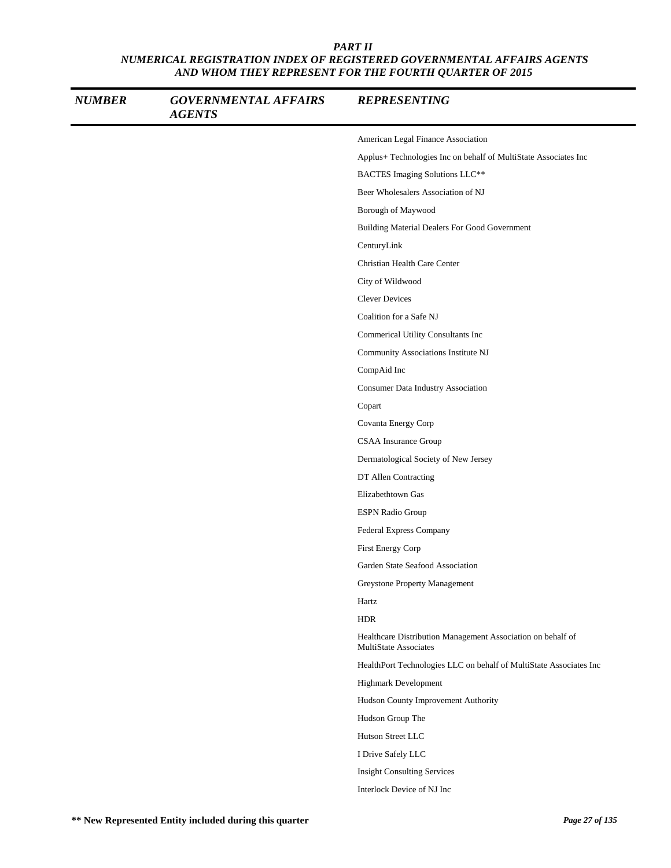| <b>NUMBER</b> | <b>GOVERNMENTAL AFFAIRS</b><br><b>AGENTS</b> | <b>REPRESENTING</b>                                                                         |
|---------------|----------------------------------------------|---------------------------------------------------------------------------------------------|
|               |                                              | American Legal Finance Association                                                          |
|               |                                              | Applus+ Technologies Inc on behalf of MultiState Associates Inc                             |
|               |                                              | BACTES Imaging Solutions LLC**                                                              |
|               |                                              | Beer Wholesalers Association of NJ                                                          |
|               |                                              | Borough of Maywood                                                                          |
|               |                                              | Building Material Dealers For Good Government                                               |
|               |                                              | CenturyLink                                                                                 |
|               |                                              | Christian Health Care Center                                                                |
|               |                                              | City of Wildwood                                                                            |
|               |                                              | <b>Clever Devices</b>                                                                       |
|               |                                              | Coalition for a Safe NJ                                                                     |
|               |                                              | Commerical Utility Consultants Inc                                                          |
|               |                                              | Community Associations Institute NJ                                                         |
|               |                                              | CompAid Inc                                                                                 |
|               |                                              | Consumer Data Industry Association                                                          |
|               |                                              | Copart                                                                                      |
|               |                                              | Covanta Energy Corp                                                                         |
|               |                                              | CSAA Insurance Group                                                                        |
|               |                                              | Dermatological Society of New Jersey                                                        |
|               |                                              | DT Allen Contracting                                                                        |
|               |                                              | Elizabethtown Gas                                                                           |
|               |                                              | <b>ESPN Radio Group</b>                                                                     |
|               |                                              | Federal Express Company                                                                     |
|               |                                              | First Energy Corp                                                                           |
|               |                                              | Garden State Seafood Association                                                            |
|               |                                              | Greystone Property Management                                                               |
|               |                                              | Hartz                                                                                       |
|               |                                              | <b>HDR</b>                                                                                  |
|               |                                              | Healthcare Distribution Management Association on behalf of<br><b>MultiState Associates</b> |
|               |                                              | HealthPort Technologies LLC on behalf of MultiState Associates Inc                          |
|               |                                              | Highmark Development                                                                        |
|               |                                              | Hudson County Improvement Authority                                                         |
|               |                                              | Hudson Group The                                                                            |
|               |                                              | Hutson Street LLC                                                                           |
|               |                                              | I Drive Safely LLC                                                                          |
|               |                                              | <b>Insight Consulting Services</b>                                                          |
|               |                                              | Interlock Device of NJ Inc                                                                  |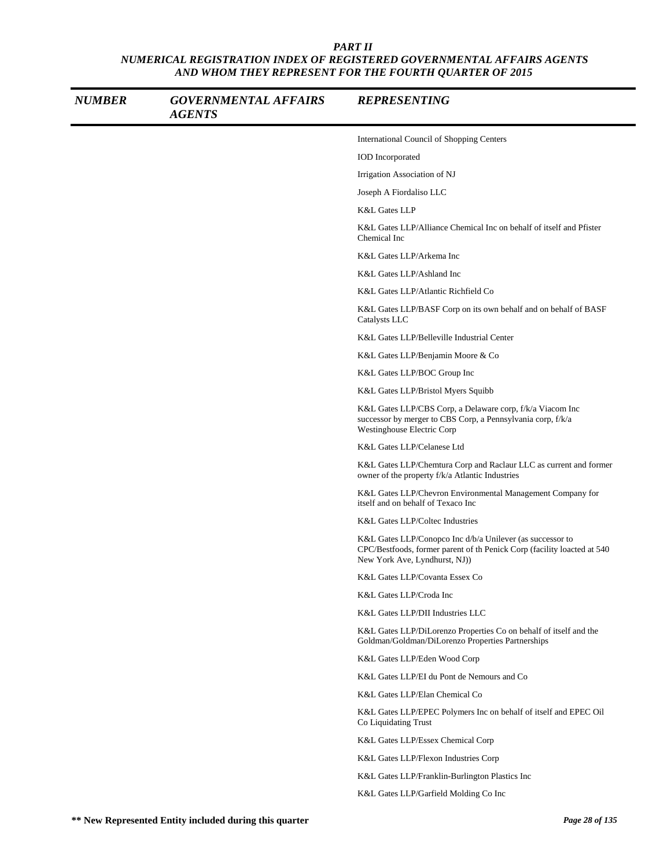| <b>NUMBER</b> | <b>GOVERNMENTAL AFFAIRS</b><br><b>AGENTS</b> | <b>REPRESENTING</b>                                                                                                                                                   |
|---------------|----------------------------------------------|-----------------------------------------------------------------------------------------------------------------------------------------------------------------------|
|               |                                              | International Council of Shopping Centers                                                                                                                             |
|               |                                              | <b>IOD</b> Incorporated                                                                                                                                               |
|               |                                              | Irrigation Association of NJ                                                                                                                                          |
|               |                                              | Joseph A Fiordaliso LLC                                                                                                                                               |
|               |                                              | <b>K&amp;L Gates LLP</b>                                                                                                                                              |
|               |                                              | K&L Gates LLP/Alliance Chemical Inc on behalf of itself and Pfister<br>Chemical Inc                                                                                   |
|               |                                              | K&L Gates LLP/Arkema Inc                                                                                                                                              |
|               |                                              | K&L Gates LLP/Ashland Inc                                                                                                                                             |
|               |                                              | K&L Gates LLP/Atlantic Richfield Co                                                                                                                                   |
|               |                                              | K&L Gates LLP/BASF Corp on its own behalf and on behalf of BASF<br>Catalysts LLC                                                                                      |
|               |                                              | K&L Gates LLP/Belleville Industrial Center                                                                                                                            |
|               |                                              | K&L Gates LLP/Benjamin Moore & Co                                                                                                                                     |
|               |                                              | K&L Gates LLP/BOC Group Inc                                                                                                                                           |
|               |                                              | K&L Gates LLP/Bristol Myers Squibb                                                                                                                                    |
|               |                                              | K&L Gates LLP/CBS Corp, a Delaware corp, f/k/a Viacom Inc<br>successor by merger to CBS Corp, a Pennsylvania corp, f/k/a<br>Westinghouse Electric Corp                |
|               |                                              | K&L Gates LLP/Celanese Ltd                                                                                                                                            |
|               |                                              | K&L Gates LLP/Chemtura Corp and Raclaur LLC as current and former<br>owner of the property f/k/a Atlantic Industries                                                  |
|               |                                              | K&L Gates LLP/Chevron Environmental Management Company for<br>itself and on behalf of Texaco Inc                                                                      |
|               |                                              | K&L Gates LLP/Coltec Industries                                                                                                                                       |
|               |                                              | K&L Gates LLP/Conopco Inc d/b/a Unilever (as successor to<br>CPC/Bestfoods, former parent of th Penick Corp (facility loacted at 540<br>New York Ave, Lyndhurst, NJ)) |
|               |                                              | K&L Gates LLP/Covanta Essex Co                                                                                                                                        |
|               |                                              | K&L Gates LLP/Croda Inc                                                                                                                                               |
|               |                                              | K&L Gates LLP/DII Industries LLC                                                                                                                                      |
|               |                                              | K&L Gates LLP/DiLorenzo Properties Co on behalf of itself and the<br>Goldman/Goldman/DiLorenzo Properties Partnerships                                                |
|               |                                              | K&L Gates LLP/Eden Wood Corp                                                                                                                                          |
|               |                                              | K&L Gates LLP/EI du Pont de Nemours and Co                                                                                                                            |
|               |                                              | K&L Gates LLP/Elan Chemical Co                                                                                                                                        |
|               |                                              | K&L Gates LLP/EPEC Polymers Inc on behalf of itself and EPEC Oil<br>Co Liquidating Trust                                                                              |
|               |                                              | K&L Gates LLP/Essex Chemical Corp                                                                                                                                     |
|               |                                              | K&L Gates LLP/Flexon Industries Corp                                                                                                                                  |
|               |                                              | K&L Gates LLP/Franklin-Burlington Plastics Inc                                                                                                                        |
|               |                                              | K&L Gates LLP/Garfield Molding Co Inc                                                                                                                                 |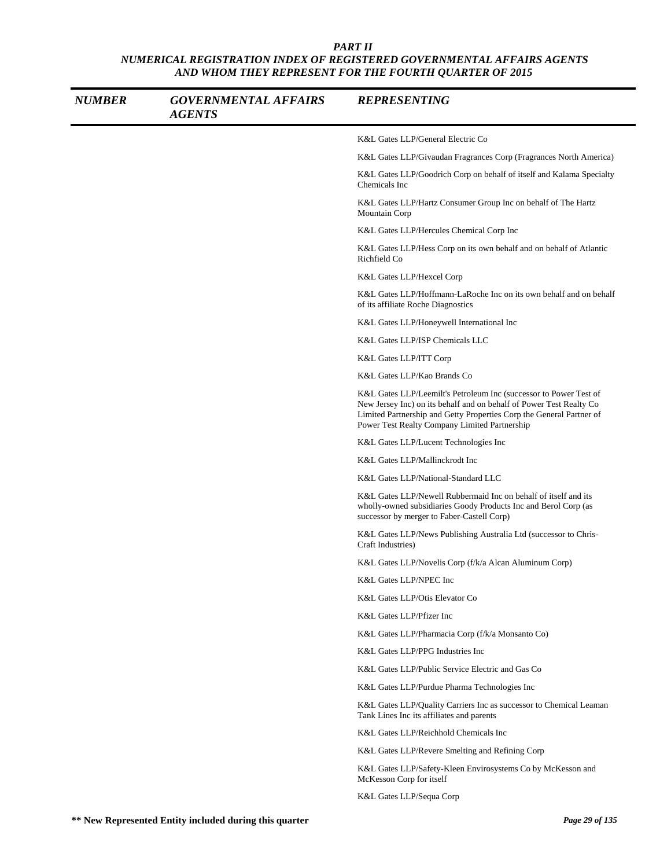| <b>NUMBER</b> | <b>GOVERNMENTAL AFFAIRS</b><br><b>AGENTS</b> | <b>REPRESENTING</b>                                                                                                                                                                                                                                               |
|---------------|----------------------------------------------|-------------------------------------------------------------------------------------------------------------------------------------------------------------------------------------------------------------------------------------------------------------------|
|               |                                              | K&L Gates LLP/General Electric Co                                                                                                                                                                                                                                 |
|               |                                              | K&L Gates LLP/Givaudan Fragrances Corp (Fragrances North America)                                                                                                                                                                                                 |
|               |                                              | K&L Gates LLP/Goodrich Corp on behalf of itself and Kalama Specialty<br>Chemicals Inc                                                                                                                                                                             |
|               |                                              | K&L Gates LLP/Hartz Consumer Group Inc on behalf of The Hartz<br>Mountain Corp                                                                                                                                                                                    |
|               |                                              | K&L Gates LLP/Hercules Chemical Corp Inc                                                                                                                                                                                                                          |
|               |                                              | K&L Gates LLP/Hess Corp on its own behalf and on behalf of Atlantic<br>Richfield Co                                                                                                                                                                               |
|               |                                              | K&L Gates LLP/Hexcel Corp                                                                                                                                                                                                                                         |
|               |                                              | K&L Gates LLP/Hoffmann-LaRoche Inc on its own behalf and on behalf<br>of its affiliate Roche Diagnostics                                                                                                                                                          |
|               |                                              | K&L Gates LLP/Honeywell International Inc                                                                                                                                                                                                                         |
|               |                                              | K&L Gates LLP/ISP Chemicals LLC                                                                                                                                                                                                                                   |
|               |                                              | K&L Gates LLP/ITT Corp                                                                                                                                                                                                                                            |
|               |                                              | K&L Gates LLP/Kao Brands Co                                                                                                                                                                                                                                       |
|               |                                              | K&L Gates LLP/Leemilt's Petroleum Inc (successor to Power Test of<br>New Jersey Inc) on its behalf and on behalf of Power Test Realty Co<br>Limited Partnership and Getty Properties Corp the General Partner of<br>Power Test Realty Company Limited Partnership |
|               |                                              | K&L Gates LLP/Lucent Technologies Inc                                                                                                                                                                                                                             |
|               |                                              | K&L Gates LLP/Mallinckrodt Inc                                                                                                                                                                                                                                    |
|               |                                              | K&L Gates LLP/National-Standard LLC                                                                                                                                                                                                                               |
|               |                                              | K&L Gates LLP/Newell Rubbermaid Inc on behalf of itself and its<br>wholly-owned subsidiaries Goody Products Inc and Berol Corp (as<br>successor by merger to Faber-Castell Corp)                                                                                  |
|               |                                              | K&L Gates LLP/News Publishing Australia Ltd (successor to Chris-<br>Craft Industries)                                                                                                                                                                             |
|               |                                              | K&L Gates LLP/Novelis Corp (f/k/a Alcan Aluminum Corp)                                                                                                                                                                                                            |
|               |                                              | K&L Gates LLP/NPEC Inc                                                                                                                                                                                                                                            |
|               |                                              | K&L Gates LLP/Otis Elevator Co                                                                                                                                                                                                                                    |
|               |                                              | K&L Gates LLP/Pfizer Inc                                                                                                                                                                                                                                          |
|               |                                              | K&L Gates LLP/Pharmacia Corp (f/k/a Monsanto Co)                                                                                                                                                                                                                  |
|               |                                              | K&L Gates LLP/PPG Industries Inc                                                                                                                                                                                                                                  |
|               |                                              | K&L Gates LLP/Public Service Electric and Gas Co                                                                                                                                                                                                                  |
|               |                                              | K&L Gates LLP/Purdue Pharma Technologies Inc                                                                                                                                                                                                                      |
|               |                                              | K&L Gates LLP/Quality Carriers Inc as successor to Chemical Leaman<br>Tank Lines Inc its affiliates and parents                                                                                                                                                   |
|               |                                              | K&L Gates LLP/Reichhold Chemicals Inc                                                                                                                                                                                                                             |
|               |                                              | K&L Gates LLP/Revere Smelting and Refining Corp                                                                                                                                                                                                                   |
|               |                                              | K&L Gates LLP/Safety-Kleen Envirosystems Co by McKesson and<br>McKesson Corp for itself                                                                                                                                                                           |
|               |                                              | K&L Gates LLP/Sequa Corp                                                                                                                                                                                                                                          |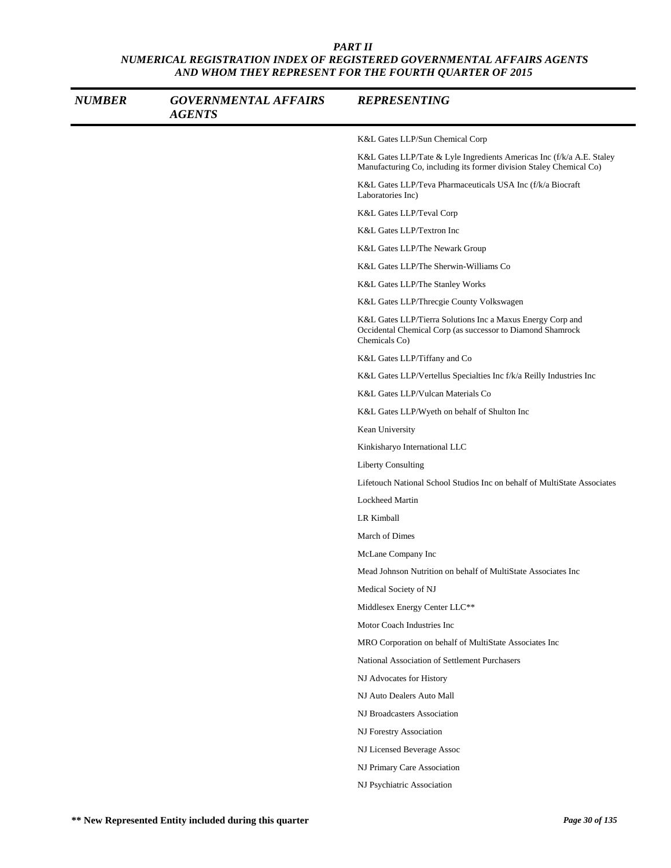| <b>NUMBER</b> | <b>GOVERNMENTAL AFFAIRS</b><br><b>AGENTS</b> | <b>REPRESENTING</b>                                                                                                                          |
|---------------|----------------------------------------------|----------------------------------------------------------------------------------------------------------------------------------------------|
|               |                                              | K&L Gates LLP/Sun Chemical Corp                                                                                                              |
|               |                                              | K&L Gates LLP/Tate & Lyle Ingredients Americas Inc (f/k/a A.E. Staley<br>Manufacturing Co, including its former division Staley Chemical Co) |
|               |                                              | K&L Gates LLP/Teva Pharmaceuticals USA Inc (f/k/a Biocraft<br>Laboratories Inc)                                                              |
|               |                                              | K&L Gates LLP/Teval Corp                                                                                                                     |
|               |                                              | K&L Gates LLP/Textron Inc                                                                                                                    |
|               |                                              | K&L Gates LLP/The Newark Group                                                                                                               |
|               |                                              | K&L Gates LLP/The Sherwin-Williams Co                                                                                                        |
|               |                                              | K&L Gates LLP/The Stanley Works                                                                                                              |
|               |                                              | K&L Gates LLP/Threcgie County Volkswagen                                                                                                     |
|               |                                              | K&L Gates LLP/Tierra Solutions Inc a Maxus Energy Corp and<br>Occidental Chemical Corp (as successor to Diamond Shamrock<br>Chemicals Co)    |
|               |                                              | K&L Gates LLP/Tiffany and Co                                                                                                                 |
|               |                                              | K&L Gates LLP/Vertellus Specialties Inc f/k/a Reilly Industries Inc                                                                          |
|               |                                              | K&L Gates LLP/Vulcan Materials Co                                                                                                            |
|               |                                              | K&L Gates LLP/Wyeth on behalf of Shulton Inc                                                                                                 |
|               |                                              | Kean University                                                                                                                              |
|               |                                              | Kinkisharyo International LLC                                                                                                                |
|               |                                              | <b>Liberty Consulting</b>                                                                                                                    |
|               |                                              | Lifetouch National School Studios Inc on behalf of MultiState Associates                                                                     |
|               |                                              | <b>Lockheed Martin</b>                                                                                                                       |
|               |                                              | LR Kimball                                                                                                                                   |
|               |                                              | March of Dimes                                                                                                                               |
|               |                                              | McLane Company Inc                                                                                                                           |
|               |                                              | Mead Johnson Nutrition on behalf of MultiState Associates Inc                                                                                |
|               |                                              | Medical Society of NJ                                                                                                                        |
|               |                                              | Middlesex Energy Center LLC**                                                                                                                |
|               |                                              | Motor Coach Industries Inc                                                                                                                   |
|               |                                              | MRO Corporation on behalf of MultiState Associates Inc                                                                                       |
|               |                                              | National Association of Settlement Purchasers                                                                                                |
|               |                                              | NJ Advocates for History                                                                                                                     |
|               |                                              | NJ Auto Dealers Auto Mall                                                                                                                    |
|               |                                              | NJ Broadcasters Association                                                                                                                  |
|               |                                              | NJ Forestry Association                                                                                                                      |
|               |                                              | NJ Licensed Beverage Assoc                                                                                                                   |
|               |                                              | NJ Primary Care Association                                                                                                                  |
|               |                                              | NJ Psychiatric Association                                                                                                                   |
|               |                                              |                                                                                                                                              |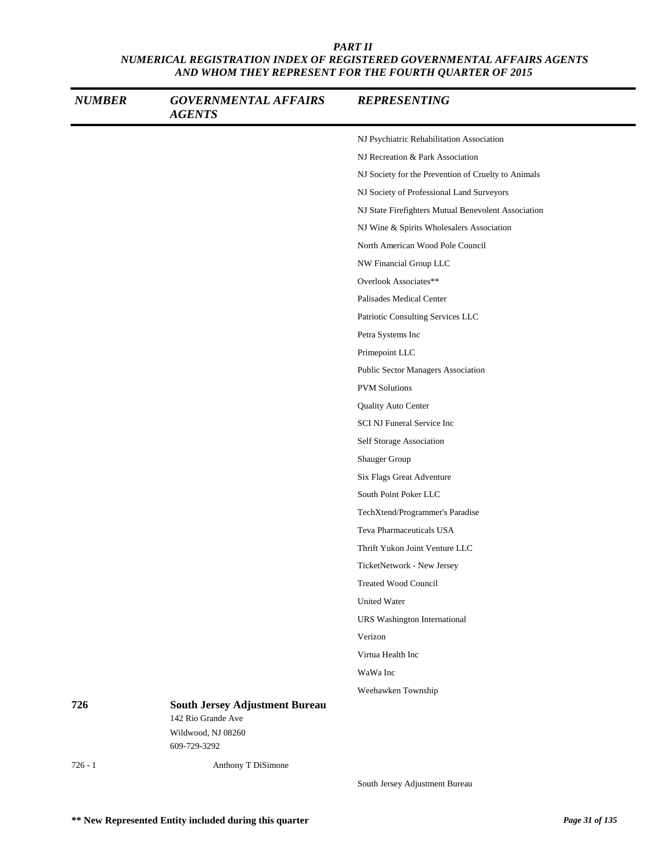| <b>NUMBER</b> | <b>GOVERNMENTAL AFFAIRS</b><br><b>AGENTS</b>                | <b>REPRESENTING</b>                                 |
|---------------|-------------------------------------------------------------|-----------------------------------------------------|
|               |                                                             | NJ Psychiatric Rehabilitation Association           |
|               |                                                             | NJ Recreation & Park Association                    |
|               |                                                             | NJ Society for the Prevention of Cruelty to Animals |
|               |                                                             | NJ Society of Professional Land Surveyors           |
|               |                                                             | NJ State Firefighters Mutual Benevolent Association |
|               |                                                             | NJ Wine & Spirits Wholesalers Association           |
|               |                                                             | North American Wood Pole Council                    |
|               |                                                             | NW Financial Group LLC                              |
|               |                                                             | Overlook Associates**                               |
|               |                                                             | Palisades Medical Center                            |
|               |                                                             | Patriotic Consulting Services LLC                   |
|               |                                                             | Petra Systems Inc                                   |
|               |                                                             | Primepoint LLC                                      |
|               |                                                             | Public Sector Managers Association                  |
|               |                                                             | <b>PVM</b> Solutions                                |
|               |                                                             | Quality Auto Center                                 |
|               |                                                             | SCI NJ Funeral Service Inc                          |
|               |                                                             | Self Storage Association                            |
|               |                                                             | Shauger Group                                       |
|               |                                                             | Six Flags Great Adventure                           |
|               |                                                             | South Point Poker LLC                               |
|               |                                                             | TechXtend/Programmer's Paradise                     |
|               |                                                             | Teva Pharmaceuticals USA                            |
|               |                                                             | Thrift Yukon Joint Venture LLC                      |
|               |                                                             | TicketNetwork - New Jersey                          |
|               |                                                             | Treated Wood Council                                |
|               |                                                             | <b>United Water</b>                                 |
|               |                                                             | URS Washington International                        |
|               |                                                             | Verizon                                             |
|               |                                                             | Virtua Health Inc                                   |
|               |                                                             | WaWa Inc                                            |
|               |                                                             | Weehawken Township                                  |
| 726           | <b>South Jersey Adjustment Bureau</b><br>142 Rio Grande Ave |                                                     |
|               | Wildwood, NJ 08260                                          |                                                     |
|               | 609-729-3292                                                |                                                     |
| $726 - 1$     | Anthony T DiSimone                                          |                                                     |

South Jersey Adjustment Bureau

**\*\* New Represented Entity included during this quarter** *Page 31 of 135*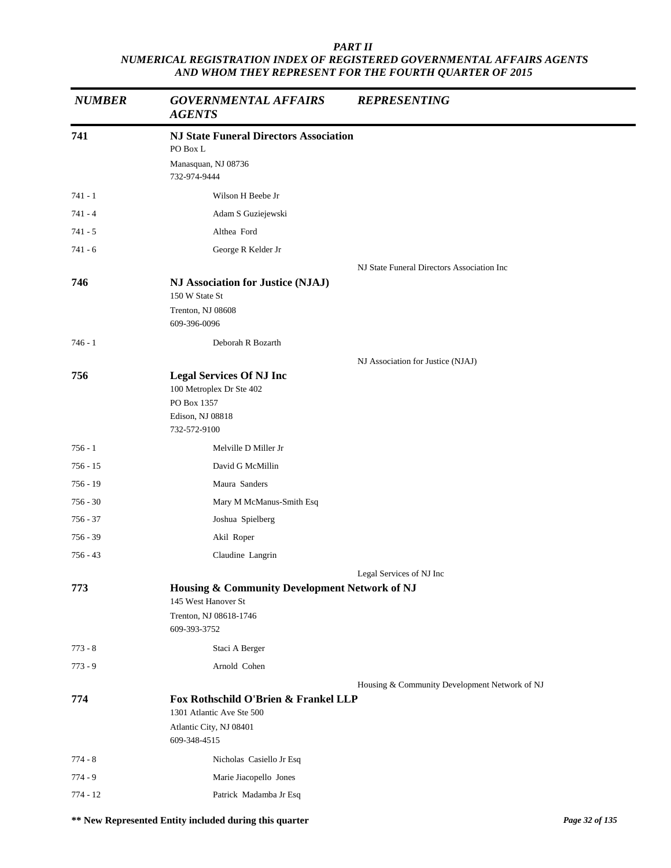| <b>NUMBER</b> | <b>GOVERNMENTAL AFFAIRS</b><br><b>AGENTS</b>                                                                 | <b>REPRESENTING</b>                           |
|---------------|--------------------------------------------------------------------------------------------------------------|-----------------------------------------------|
| 741           | <b>NJ State Funeral Directors Association</b><br>PO Box L                                                    |                                               |
|               | Manasquan, NJ 08736<br>732-974-9444                                                                          |                                               |
| $741 - 1$     | Wilson H Beebe Jr                                                                                            |                                               |
| $741 - 4$     | Adam S Guziejewski                                                                                           |                                               |
| 741 - 5       | Althea Ford                                                                                                  |                                               |
| $741 - 6$     | George R Kelder Jr                                                                                           |                                               |
|               |                                                                                                              | NJ State Funeral Directors Association Inc    |
| 746           | NJ Association for Justice (NJAJ)<br>150 W State St                                                          |                                               |
|               | Trenton, NJ 08608<br>609-396-0096                                                                            |                                               |
| $746 - 1$     | Deborah R Bozarth                                                                                            |                                               |
|               |                                                                                                              | NJ Association for Justice (NJAJ)             |
| 756           | <b>Legal Services Of NJ Inc</b><br>100 Metroplex Dr Ste 402<br>PO Box 1357                                   |                                               |
|               | Edison, NJ 08818<br>732-572-9100                                                                             |                                               |
| $756 - 1$     | Melville D Miller Jr                                                                                         |                                               |
| 756 - 15      | David G McMillin                                                                                             |                                               |
| $756 - 19$    | Maura Sanders                                                                                                |                                               |
| $756 - 30$    | Mary M McManus-Smith Esq                                                                                     |                                               |
| 756 - 37      | Joshua Spielberg                                                                                             |                                               |
| 756 - 39      | Akil Roper                                                                                                   |                                               |
| $756 - 43$    | Claudine Langrin                                                                                             |                                               |
|               |                                                                                                              | Legal Services of NJ Inc                      |
| 773           | Housing & Community Development Network of NJ                                                                |                                               |
|               | 145 West Hanover St                                                                                          |                                               |
|               | Trenton, NJ 08618-1746<br>609-393-3752                                                                       |                                               |
| $773 - 8$     | Staci A Berger                                                                                               |                                               |
| $773 - 9$     | Arnold Cohen                                                                                                 |                                               |
|               |                                                                                                              | Housing & Community Development Network of NJ |
| 774           | Fox Rothschild O'Brien & Frankel LLP<br>1301 Atlantic Ave Ste 500<br>Atlantic City, NJ 08401<br>609-348-4515 |                                               |
| $774 - 8$     | Nicholas Casiello Jr Esq                                                                                     |                                               |
| $774 - 9$     | Marie Jiacopello Jones                                                                                       |                                               |
| $774 - 12$    | Patrick Madamba Jr Esq                                                                                       |                                               |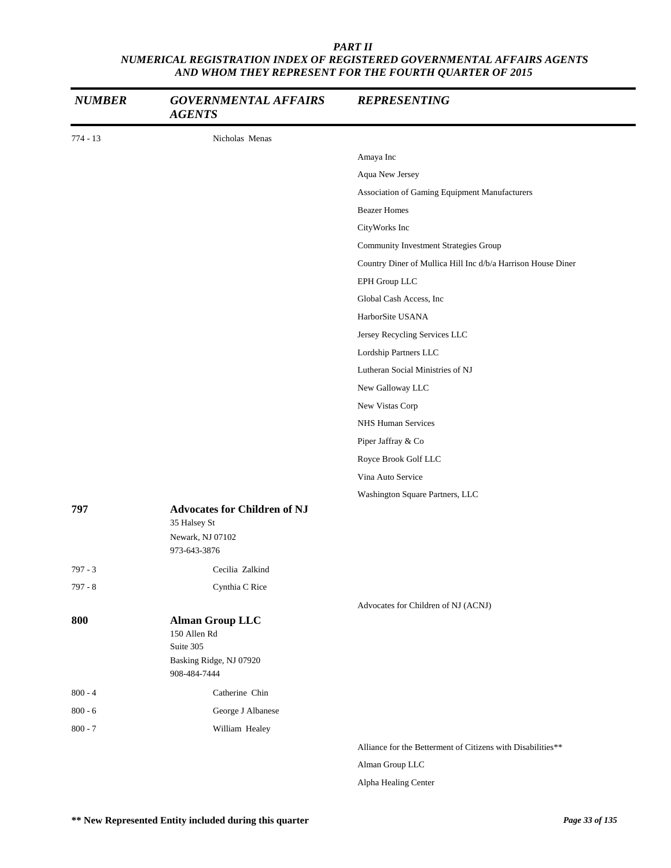| <b>NUMBER</b> | <b>GOVERNMENTAL AFFAIRS</b><br><b>AGENTS</b>        | <b>REPRESENTING</b>                                          |
|---------------|-----------------------------------------------------|--------------------------------------------------------------|
| $774 - 13$    | Nicholas Menas                                      |                                                              |
|               |                                                     | Amaya Inc                                                    |
|               |                                                     | Aqua New Jersey                                              |
|               |                                                     | Association of Gaming Equipment Manufacturers                |
|               |                                                     | <b>Beazer Homes</b>                                          |
|               |                                                     | CityWorks Inc                                                |
|               |                                                     | <b>Community Investment Strategies Group</b>                 |
|               |                                                     | Country Diner of Mullica Hill Inc d/b/a Harrison House Diner |
|               |                                                     | EPH Group LLC                                                |
|               |                                                     | Global Cash Access, Inc.                                     |
|               |                                                     | HarborSite USANA                                             |
|               |                                                     | Jersey Recycling Services LLC                                |
|               |                                                     | Lordship Partners LLC                                        |
|               |                                                     | Lutheran Social Ministries of NJ                             |
|               |                                                     | New Galloway LLC                                             |
|               |                                                     | New Vistas Corp                                              |
|               |                                                     | NHS Human Services                                           |
|               |                                                     | Piper Jaffray & Co                                           |
|               |                                                     | Royce Brook Golf LLC                                         |
|               |                                                     | Vina Auto Service                                            |
|               |                                                     | Washington Square Partners, LLC                              |
| 797           | <b>Advocates for Children of NJ</b><br>35 Halsey St |                                                              |
|               | Newark, NJ 07102<br>973-643-3876                    |                                                              |
| $797 - 3$     | Cecilia Zalkind                                     |                                                              |
| $797 - 8$     | Cynthia C Rice                                      |                                                              |
|               |                                                     | Advocates for Children of NJ (ACNJ)                          |
| 800           | <b>Alman Group LLC</b><br>150 Allen Rd<br>Suite 305 |                                                              |
|               | Basking Ridge, NJ 07920<br>908-484-7444             |                                                              |
| $800 - 4$     | Catherine Chin                                      |                                                              |
| $800 - 6$     | George J Albanese                                   |                                                              |
| $800 - 7$     | William Healey                                      |                                                              |
|               |                                                     | Alliance for the Betterment of Citizens with Disabilities**  |
|               |                                                     | Alman Group LLC                                              |

Alpha Healing Center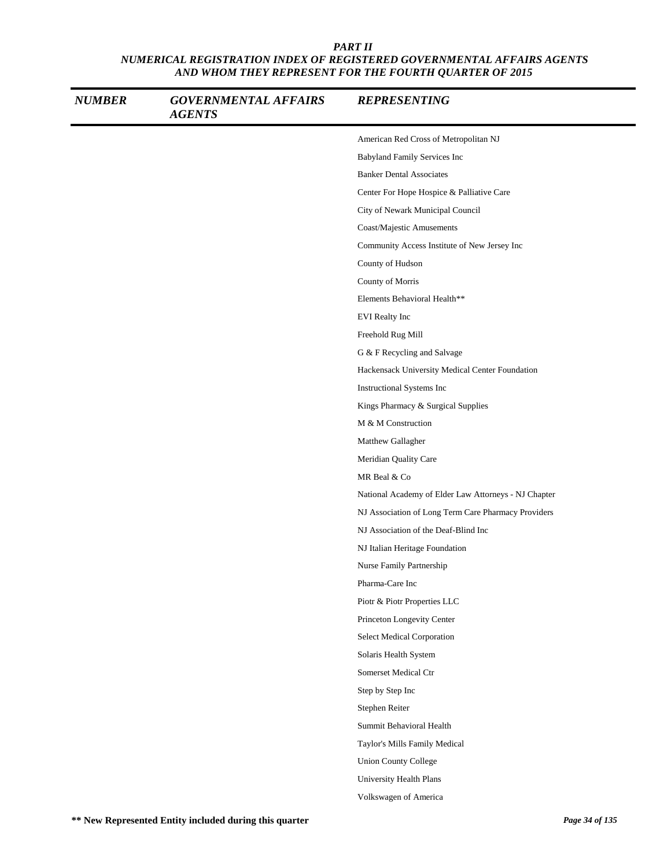| <b>NUMBER</b> | <b>GOVERNMENTAL AFFAIRS</b><br><b>AGENTS</b> | <b>REPRESENTING</b>                                  |
|---------------|----------------------------------------------|------------------------------------------------------|
|               |                                              | American Red Cross of Metropolitan NJ                |
|               |                                              | Babyland Family Services Inc                         |
|               |                                              | <b>Banker Dental Associates</b>                      |
|               |                                              | Center For Hope Hospice & Palliative Care            |
|               |                                              | City of Newark Municipal Council                     |
|               |                                              | Coast/Majestic Amusements                            |
|               |                                              | Community Access Institute of New Jersey Inc         |
|               |                                              | County of Hudson                                     |
|               |                                              | County of Morris                                     |
|               |                                              | Elements Behavioral Health**                         |
|               |                                              | <b>EVI</b> Realty Inc                                |
|               |                                              | Freehold Rug Mill                                    |
|               |                                              | G & F Recycling and Salvage                          |
|               |                                              | Hackensack University Medical Center Foundation      |
|               |                                              | Instructional Systems Inc                            |
|               |                                              | Kings Pharmacy & Surgical Supplies                   |
|               |                                              | M & M Construction                                   |
|               |                                              | Matthew Gallagher                                    |
|               |                                              | Meridian Quality Care                                |
|               |                                              | MR Beal & Co                                         |
|               |                                              | National Academy of Elder Law Attorneys - NJ Chapter |
|               |                                              | NJ Association of Long Term Care Pharmacy Providers  |
|               |                                              | NJ Association of the Deaf-Blind Inc                 |
|               |                                              | NJ Italian Heritage Foundation                       |
|               |                                              | Nurse Family Partnership                             |
|               |                                              | Pharma-Care Inc                                      |
|               |                                              | Piotr & Piotr Properties LLC                         |
|               |                                              | Princeton Longevity Center                           |
|               |                                              | Select Medical Corporation                           |
|               |                                              | Solaris Health System                                |
|               |                                              | Somerset Medical Ctr                                 |
|               |                                              | Step by Step Inc                                     |
|               |                                              | Stephen Reiter                                       |
|               |                                              | Summit Behavioral Health                             |
|               |                                              | Taylor's Mills Family Medical                        |
|               |                                              | <b>Union County College</b>                          |
|               |                                              | University Health Plans                              |
|               |                                              | Volkswagen of America                                |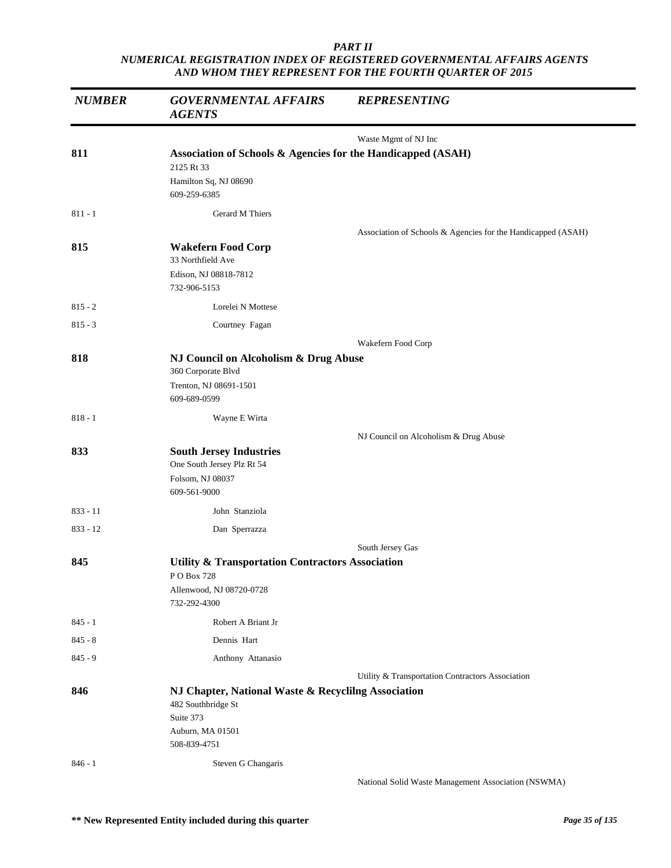| <b>NUMBER</b> | <b>GOVERNMENTAL AFFAIRS</b><br><b>AGENTS</b>                                                                               | <b>REPRESENTING</b>                                          |
|---------------|----------------------------------------------------------------------------------------------------------------------------|--------------------------------------------------------------|
|               |                                                                                                                            | Waste Mgmt of NJ Inc                                         |
| 811           | Association of Schools & Agencies for the Handicapped (ASAH)<br>2125 Rt 33<br>Hamilton Sq, NJ 08690                        |                                                              |
|               | 609-259-6385                                                                                                               |                                                              |
| $811 - 1$     | Gerard M Thiers                                                                                                            |                                                              |
| 815           | <b>Wakefern Food Corp</b>                                                                                                  | Association of Schools & Agencies for the Handicapped (ASAH) |
|               | 33 Northfield Ave<br>Edison, NJ 08818-7812<br>732-906-5153                                                                 |                                                              |
| $815 - 2$     | Lorelei N Mottese                                                                                                          |                                                              |
| $815 - 3$     | Courtney Fagan                                                                                                             |                                                              |
|               |                                                                                                                            | Wakefern Food Corp                                           |
| 818           | NJ Council on Alcoholism & Drug Abuse<br>360 Corporate Blvd<br>Trenton, NJ 08691-1501                                      |                                                              |
|               | 609-689-0599                                                                                                               |                                                              |
| $818 - 1$     | Wayne E Wirta                                                                                                              |                                                              |
| 833           | <b>South Jersey Industries</b><br>One South Jersey Plz Rt 54<br>Folsom, NJ 08037<br>609-561-9000                           | NJ Council on Alcoholism & Drug Abuse                        |
| $833 - 11$    | John Stanziola                                                                                                             |                                                              |
| $833 - 12$    | Dan Sperrazza                                                                                                              |                                                              |
|               |                                                                                                                            | South Jersey Gas                                             |
| 845           | <b>Utility &amp; Transportation Contractors Association</b><br>P O Box 728<br>Allenwood, NJ 08720-0728<br>732-292-4300     |                                                              |
| $845 - 1$     | Robert A Briant Jr                                                                                                         |                                                              |
| $845 - 8$     | Dennis Hart                                                                                                                |                                                              |
| $845 - 9$     | Anthony Attanasio                                                                                                          |                                                              |
| 846           | NJ Chapter, National Waste & Recyclilng Association<br>482 Southbridge St<br>Suite 373<br>Auburn, MA 01501<br>508-839-4751 | Utility & Transportation Contractors Association             |
| $846 - 1$     | Steven G Changaris                                                                                                         | National Solid Waste Management Association (NSWMA)          |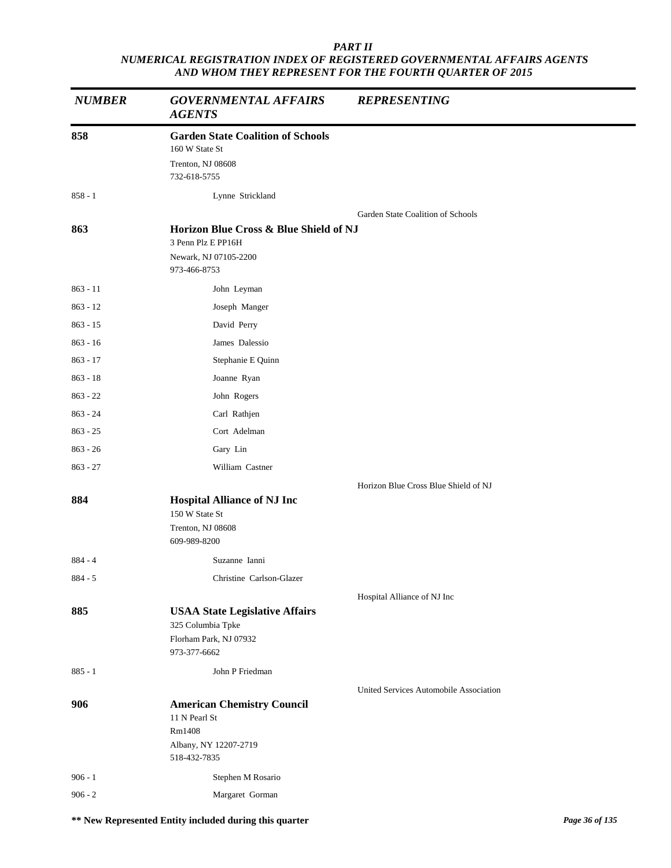| <b>NUMBER</b> | <b>GOVERNMENTAL AFFAIRS</b><br><b>AGENTS</b>                 | <b>REPRESENTING</b>                    |  |
|---------------|--------------------------------------------------------------|----------------------------------------|--|
| 858           | <b>Garden State Coalition of Schools</b><br>160 W State St   |                                        |  |
|               | Trenton, NJ 08608<br>732-618-5755                            |                                        |  |
| $858 - 1$     | Lynne Strickland                                             |                                        |  |
|               |                                                              | Garden State Coalition of Schools      |  |
| 863           | Horizon Blue Cross & Blue Shield of NJ<br>3 Penn Plz E PP16H |                                        |  |
|               | Newark, NJ 07105-2200<br>973-466-8753                        |                                        |  |
| $863 - 11$    | John Leyman                                                  |                                        |  |
| $863 - 12$    | Joseph Manger                                                |                                        |  |
| $863 - 15$    | David Perry                                                  |                                        |  |
| $863 - 16$    | James Dalessio                                               |                                        |  |
| $863 - 17$    | Stephanie E Quinn                                            |                                        |  |
| $863 - 18$    | Joanne Ryan                                                  |                                        |  |
| $863 - 22$    | John Rogers                                                  |                                        |  |
| $863 - 24$    | Carl Rathjen                                                 |                                        |  |
| $863 - 25$    | Cort Adelman                                                 |                                        |  |
| $863 - 26$    | Gary Lin                                                     |                                        |  |
| $863 - 27$    | William Castner                                              |                                        |  |
|               |                                                              | Horizon Blue Cross Blue Shield of NJ   |  |
| 884           | <b>Hospital Alliance of NJ Inc</b><br>150 W State St         |                                        |  |
|               | Trenton, NJ 08608<br>609-989-8200                            |                                        |  |
| $884 - 4$     | Suzanne Ianni                                                |                                        |  |
| $884 - 5$     | Christine Carlson-Glazer                                     |                                        |  |
|               |                                                              | Hospital Alliance of NJ Inc            |  |
| 885           | <b>USAA State Legislative Affairs</b><br>325 Columbia Tpke   |                                        |  |
|               | Florham Park, NJ 07932                                       |                                        |  |
|               | 973-377-6662                                                 |                                        |  |
| $885 - 1$     | John P Friedman                                              |                                        |  |
|               |                                                              | United Services Automobile Association |  |
| 906           | <b>American Chemistry Council</b><br>11 N Pearl St<br>Rm1408 |                                        |  |
|               | Albany, NY 12207-2719<br>518-432-7835                        |                                        |  |
| $906 - 1$     | Stephen M Rosario                                            |                                        |  |
| $906 - 2$     | Margaret Gorman                                              |                                        |  |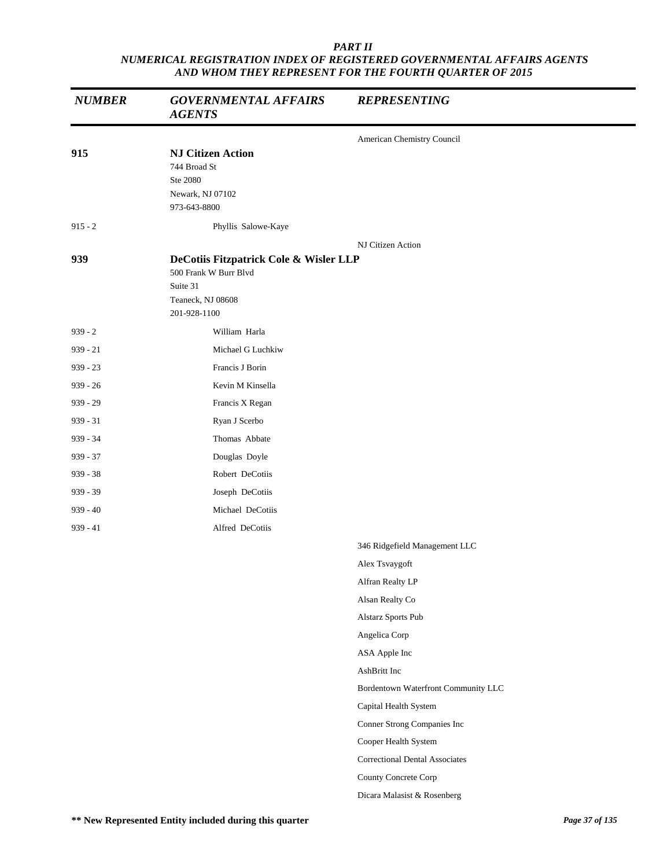| <b>NUMBER</b> | <b>GOVERNMENTAL AFFAIRS</b><br><b>AGENTS</b>                                                                     | <b>REPRESENTING</b>                   |  |
|---------------|------------------------------------------------------------------------------------------------------------------|---------------------------------------|--|
|               |                                                                                                                  | American Chemistry Council            |  |
| 915           | <b>NJ Citizen Action</b><br>744 Broad St<br>Ste 2080<br>Newark, NJ 07102<br>973-643-8800                         |                                       |  |
| $915 - 2$     | Phyllis Salowe-Kaye                                                                                              |                                       |  |
|               |                                                                                                                  | NJ Citizen Action                     |  |
| 939           | DeCotiis Fitzpatrick Cole & Wisler LLP<br>500 Frank W Burr Blvd<br>Suite 31<br>Teaneck, NJ 08608<br>201-928-1100 |                                       |  |
| $939 - 2$     | William Harla                                                                                                    |                                       |  |
| $939 - 21$    | Michael G Luchkiw                                                                                                |                                       |  |
| $939 - 23$    | Francis J Borin                                                                                                  |                                       |  |
| $939 - 26$    | Kevin M Kinsella                                                                                                 |                                       |  |
| $939 - 29$    | Francis X Regan                                                                                                  |                                       |  |
| $939 - 31$    | Ryan J Scerbo                                                                                                    |                                       |  |
| 939 - 34      | Thomas Abbate                                                                                                    |                                       |  |
| $939 - 37$    | Douglas Doyle                                                                                                    |                                       |  |
| $939 - 38$    | Robert DeCotiis                                                                                                  |                                       |  |
| $939 - 39$    | Joseph DeCotiis                                                                                                  |                                       |  |
| $939 - 40$    | Michael DeCotiis                                                                                                 |                                       |  |
| $939 - 41$    | Alfred DeCotiis                                                                                                  |                                       |  |
|               |                                                                                                                  | 346 Ridgefield Management LLC         |  |
|               |                                                                                                                  | Alex Tsvaygoft                        |  |
|               |                                                                                                                  | Alfran Realty LP                      |  |
|               |                                                                                                                  | Alsan Realty Co                       |  |
|               |                                                                                                                  | Alstarz Sports Pub                    |  |
|               |                                                                                                                  | Angelica Corp                         |  |
|               |                                                                                                                  | ASA Apple Inc                         |  |
|               |                                                                                                                  | AshBritt Inc                          |  |
|               |                                                                                                                  | Bordentown Waterfront Community LLC   |  |
|               |                                                                                                                  | Capital Health System                 |  |
|               |                                                                                                                  | Conner Strong Companies Inc           |  |
|               |                                                                                                                  | Cooper Health System                  |  |
|               |                                                                                                                  | <b>Correctional Dental Associates</b> |  |
|               |                                                                                                                  | County Concrete Corp                  |  |
|               |                                                                                                                  | Dicara Malasist & Rosenberg           |  |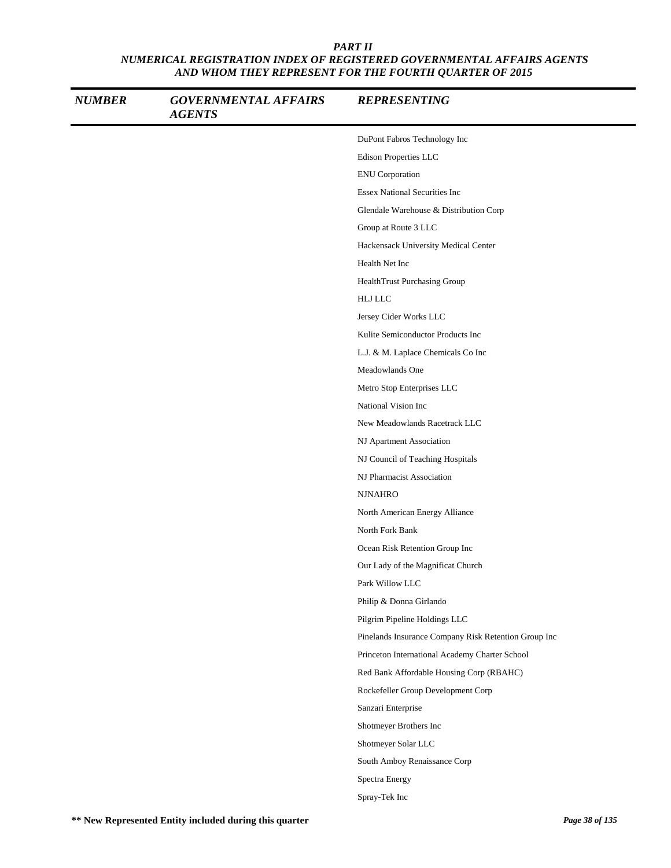| <b>NUMBER</b> | <b>GOVERNMENTAL AFFAIRS</b><br><b>AGENTS</b> | <b>REPRESENTING</b>                                  |
|---------------|----------------------------------------------|------------------------------------------------------|
|               |                                              | DuPont Fabros Technology Inc                         |
|               |                                              | Edison Properties LLC                                |
|               |                                              | <b>ENU</b> Corporation                               |
|               |                                              | <b>Essex National Securities Inc</b>                 |
|               |                                              | Glendale Warehouse & Distribution Corp               |
|               |                                              | Group at Route 3 LLC                                 |
|               |                                              | Hackensack University Medical Center                 |
|               |                                              | Health Net Inc                                       |
|               |                                              | HealthTrust Purchasing Group                         |
|               |                                              | <b>HLJ LLC</b>                                       |
|               |                                              | Jersey Cider Works LLC                               |
|               |                                              | Kulite Semiconductor Products Inc                    |
|               |                                              | L.J. & M. Laplace Chemicals Co Inc                   |
|               |                                              | Meadowlands One                                      |
|               |                                              | Metro Stop Enterprises LLC                           |
|               |                                              | National Vision Inc                                  |
|               |                                              | New Meadowlands Racetrack LLC                        |
|               |                                              | NJ Apartment Association                             |
|               |                                              | NJ Council of Teaching Hospitals                     |
|               |                                              | NJ Pharmacist Association                            |
|               |                                              | <b>NJNAHRO</b>                                       |
|               |                                              | North American Energy Alliance                       |
|               |                                              | North Fork Bank                                      |
|               |                                              | Ocean Risk Retention Group Inc                       |
|               |                                              | Our Lady of the Magnificat Church                    |
|               |                                              | Park Willow LLC                                      |
|               |                                              | Philip & Donna Girlando                              |
|               |                                              | Pilgrim Pipeline Holdings LLC                        |
|               |                                              | Pinelands Insurance Company Risk Retention Group Inc |
|               |                                              | Princeton International Academy Charter School       |
|               |                                              | Red Bank Affordable Housing Corp (RBAHC)             |
|               |                                              | Rockefeller Group Development Corp                   |
|               |                                              | Sanzari Enterprise                                   |
|               |                                              | Shotmeyer Brothers Inc                               |
|               |                                              | Shotmeyer Solar LLC                                  |
|               |                                              | South Amboy Renaissance Corp                         |
|               |                                              | Spectra Energy                                       |
|               |                                              | Spray-Tek Inc                                        |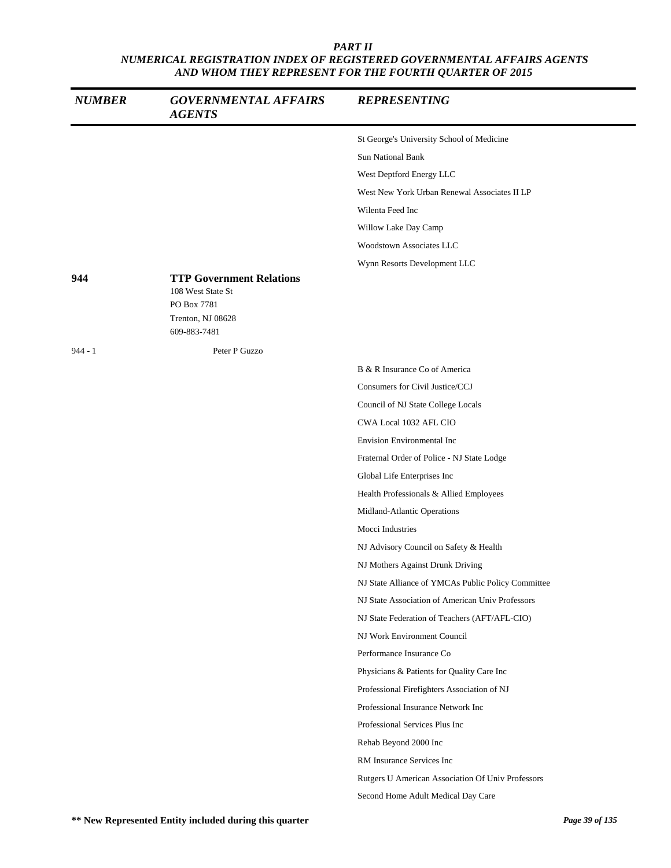| <b>NUMBER</b> | <b>GOVERNMENTAL AFFAIRS</b><br><b>AGENTS</b>         | <b>REPRESENTING</b>                                |
|---------------|------------------------------------------------------|----------------------------------------------------|
|               |                                                      | St George's University School of Medicine          |
|               |                                                      | <b>Sun National Bank</b>                           |
|               |                                                      | West Deptford Energy LLC                           |
|               |                                                      | West New York Urban Renewal Associates II LP       |
|               |                                                      | Wilenta Feed Inc                                   |
|               |                                                      | Willow Lake Day Camp                               |
|               |                                                      | <b>Woodstown Associates LLC</b>                    |
|               |                                                      | Wynn Resorts Development LLC                       |
| 944           | <b>TTP Government Relations</b><br>108 West State St |                                                    |
|               | PO Box 7781                                          |                                                    |
|               | Trenton, NJ 08628<br>609-883-7481                    |                                                    |
| $944 - 1$     | Peter P Guzzo                                        |                                                    |
|               |                                                      | B & R Insurance Co of America                      |
|               |                                                      | Consumers for Civil Justice/CCJ                    |
|               |                                                      | Council of NJ State College Locals                 |
|               |                                                      | CWA Local 1032 AFL CIO                             |
|               |                                                      | <b>Envision Environmental Inc</b>                  |
|               |                                                      | Fraternal Order of Police - NJ State Lodge         |
|               |                                                      | Global Life Enterprises Inc                        |
|               |                                                      | Health Professionals & Allied Employees            |
|               |                                                      | Midland-Atlantic Operations                        |
|               |                                                      | Mocci Industries                                   |
|               |                                                      | NJ Advisory Council on Safety & Health             |
|               |                                                      | NJ Mothers Against Drunk Driving                   |
|               |                                                      | NJ State Alliance of YMCAs Public Policy Committee |
|               |                                                      | NJ State Association of American Univ Professors   |
|               |                                                      | NJ State Federation of Teachers (AFT/AFL-CIO)      |
|               |                                                      | NJ Work Environment Council                        |
|               |                                                      | Performance Insurance Co                           |
|               |                                                      | Physicians & Patients for Quality Care Inc         |
|               |                                                      | Professional Firefighters Association of NJ        |
|               |                                                      | Professional Insurance Network Inc                 |
|               |                                                      | Professional Services Plus Inc                     |
|               |                                                      | Rehab Beyond 2000 Inc                              |
|               |                                                      | RM Insurance Services Inc                          |
|               |                                                      | Rutgers U American Association Of Univ Professors  |
|               |                                                      | Second Home Adult Medical Day Care                 |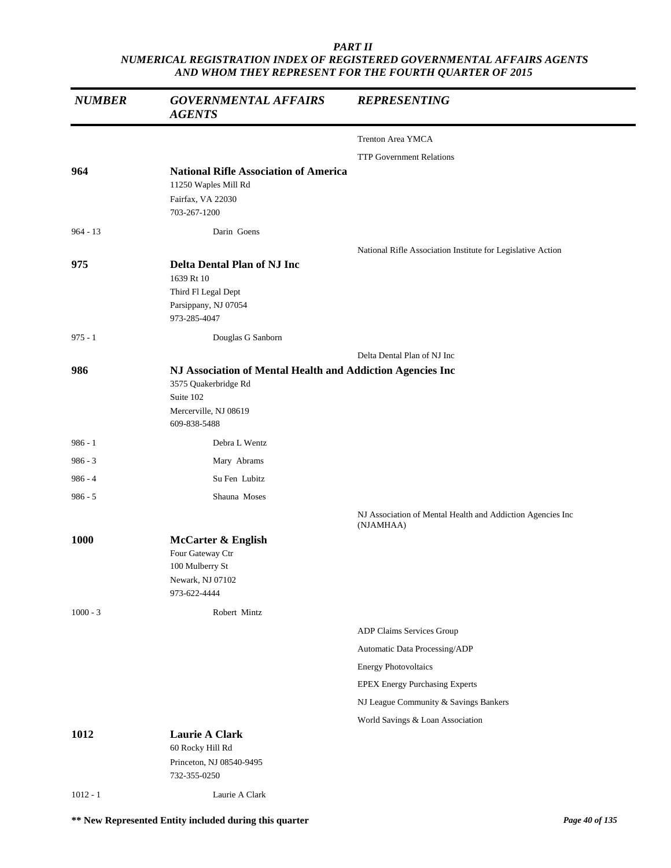| <b>NUMBER</b> | <b>GOVERNMENTAL AFFAIRS</b><br><b>AGENTS</b>                                                                                             | <b>REPRESENTING</b>                                         |
|---------------|------------------------------------------------------------------------------------------------------------------------------------------|-------------------------------------------------------------|
|               |                                                                                                                                          | <b>Trenton Area YMCA</b>                                    |
|               |                                                                                                                                          | <b>TTP Government Relations</b>                             |
| 964           | <b>National Rifle Association of America</b><br>11250 Waples Mill Rd<br>Fairfax, VA 22030<br>703-267-1200                                |                                                             |
| $964 - 13$    | Darin Goens                                                                                                                              |                                                             |
|               |                                                                                                                                          | National Rifle Association Institute for Legislative Action |
| 975           | Delta Dental Plan of NJ Inc<br>1639 Rt 10<br>Third Fl Legal Dept<br>Parsippany, NJ 07054<br>973-285-4047                                 |                                                             |
| $975 - 1$     | Douglas G Sanborn                                                                                                                        |                                                             |
|               |                                                                                                                                          | Delta Dental Plan of NJ Inc                                 |
| 986           | NJ Association of Mental Health and Addiction Agencies Inc<br>3575 Quakerbridge Rd<br>Suite 102<br>Mercerville, NJ 08619<br>609-838-5488 |                                                             |
| $986 - 1$     | Debra L Wentz                                                                                                                            |                                                             |
| $986 - 3$     | Mary Abrams                                                                                                                              |                                                             |
| $986 - 4$     | Su Fen Lubitz                                                                                                                            |                                                             |
| $986 - 5$     | Shauna Moses                                                                                                                             |                                                             |
|               |                                                                                                                                          | NJ Association of Mental Health and Addiction Agencies Inc  |
| 1000          | McCarter & English<br>Four Gateway Ctr<br>100 Mulberry St<br>Newark, NJ 07102<br>973-622-4444                                            | (NJAMHAA)                                                   |
| $1000 - 3$    | Robert Mintz                                                                                                                             |                                                             |
|               |                                                                                                                                          | ADP Claims Services Group                                   |
|               |                                                                                                                                          | Automatic Data Processing/ADP                               |
|               |                                                                                                                                          | <b>Energy Photovoltaics</b>                                 |
|               |                                                                                                                                          | <b>EPEX Energy Purchasing Experts</b>                       |
|               |                                                                                                                                          | NJ League Community & Savings Bankers                       |
|               |                                                                                                                                          | World Savings & Loan Association                            |
| 1012          | Laurie A Clark<br>60 Rocky Hill Rd<br>Princeton, NJ 08540-9495                                                                           |                                                             |
|               | 732-355-0250                                                                                                                             |                                                             |
| $1012 - 1$    | Laurie A Clark                                                                                                                           |                                                             |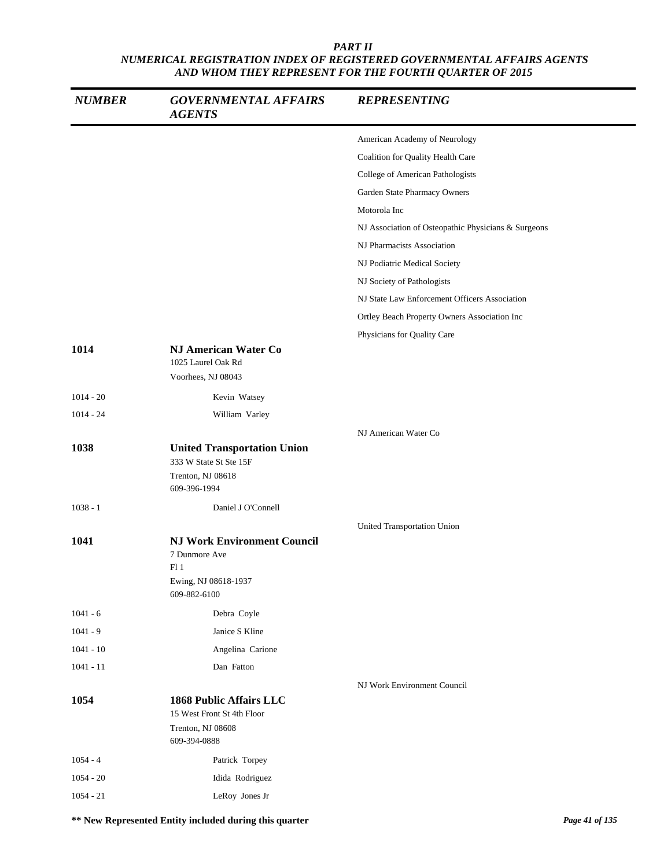| <b>NUMBER</b> | <b>GOVERNMENTAL AFFAIRS</b><br><b>AGENTS</b>                                                       | <b>REPRESENTING</b>                                 |
|---------------|----------------------------------------------------------------------------------------------------|-----------------------------------------------------|
|               |                                                                                                    | American Academy of Neurology                       |
|               |                                                                                                    | Coalition for Quality Health Care                   |
|               |                                                                                                    | College of American Pathologists                    |
|               |                                                                                                    | Garden State Pharmacy Owners                        |
|               |                                                                                                    | Motorola Inc                                        |
|               |                                                                                                    | NJ Association of Osteopathic Physicians & Surgeons |
|               |                                                                                                    | NJ Pharmacists Association                          |
|               |                                                                                                    | NJ Podiatric Medical Society                        |
|               |                                                                                                    | NJ Society of Pathologists                          |
|               |                                                                                                    | NJ State Law Enforcement Officers Association       |
|               |                                                                                                    | Ortley Beach Property Owners Association Inc        |
|               |                                                                                                    | Physicians for Quality Care                         |
| 1014          | NJ American Water Co<br>1025 Laurel Oak Rd<br>Voorhees, NJ 08043                                   |                                                     |
| $1014 - 20$   | Kevin Watsey                                                                                       |                                                     |
| $1014 - 24$   | William Varley                                                                                     |                                                     |
|               |                                                                                                    | NJ American Water Co                                |
| 1038          | <b>United Transportation Union</b><br>333 W State St Ste 15F<br>Trenton, NJ 08618<br>609-396-1994  |                                                     |
| $1038 - 1$    | Daniel J O'Connell                                                                                 |                                                     |
|               |                                                                                                    | United Transportation Union                         |
| 1041          | <b>NJ Work Environment Council</b><br>7 Dunmore Ave<br>F11<br>Ewing, NJ 08618-1937<br>609-882-6100 |                                                     |
| $1041 - 6$    | Debra Coyle                                                                                        |                                                     |
| $1041 - 9$    | Janice S Kline                                                                                     |                                                     |
| $1041 - 10$   | Angelina Carione                                                                                   |                                                     |
| $1041 - 11$   | Dan Fatton                                                                                         |                                                     |
|               |                                                                                                    | NJ Work Environment Council                         |
| 1054          | <b>1868 Public Affairs LLC</b><br>15 West Front St 4th Floor<br>Trenton, NJ 08608<br>609-394-0888  |                                                     |
| $1054 - 4$    | Patrick Torpey                                                                                     |                                                     |
| $1054 - 20$   | Idida Rodriguez                                                                                    |                                                     |
| $1054 - 21$   | LeRoy Jones Jr                                                                                     |                                                     |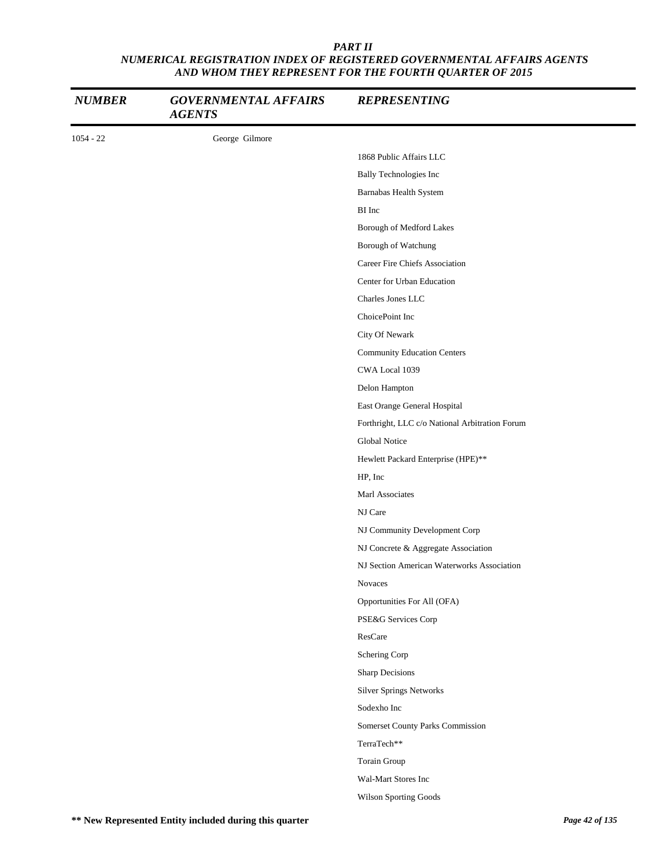| <b>NUMBER</b> | <b>GOVERNMENTAL AFFAIRS</b><br><b>AGENTS</b> | <b>REPRESENTING</b>                            |
|---------------|----------------------------------------------|------------------------------------------------|
| $1054 - 22$   | George Gilmore                               |                                                |
|               |                                              | 1868 Public Affairs LLC                        |
|               |                                              | <b>Bally Technologies Inc</b>                  |
|               |                                              | Barnabas Health System                         |
|               |                                              | BI Inc                                         |
|               |                                              | Borough of Medford Lakes                       |
|               |                                              | Borough of Watchung                            |
|               |                                              | Career Fire Chiefs Association                 |
|               |                                              | Center for Urban Education                     |
|               |                                              | Charles Jones LLC                              |
|               |                                              | ChoicePoint Inc                                |
|               |                                              | City Of Newark                                 |
|               |                                              | <b>Community Education Centers</b>             |
|               |                                              | CWA Local 1039                                 |
|               |                                              | Delon Hampton                                  |
|               |                                              | East Orange General Hospital                   |
|               |                                              | Forthright, LLC c/o National Arbitration Forum |
|               |                                              | Global Notice                                  |
|               |                                              | Hewlett Packard Enterprise (HPE)**             |
|               |                                              | HP, Inc                                        |
|               |                                              | Marl Associates                                |
|               |                                              | NJ Care                                        |
|               |                                              | NJ Community Development Corp                  |
|               |                                              | NJ Concrete & Aggregate Association            |
|               |                                              | NJ Section American Waterworks Association     |
|               |                                              | <b>Novaces</b>                                 |
|               |                                              | Opportunities For All (OFA)                    |
|               |                                              | PSE&G Services Corp                            |
|               |                                              | ResCare                                        |
|               |                                              | Schering Corp                                  |
|               |                                              | <b>Sharp Decisions</b>                         |
|               |                                              | <b>Silver Springs Networks</b>                 |
|               |                                              | Sodexho Inc                                    |
|               |                                              | Somerset County Parks Commission               |
|               |                                              | TerraTech**                                    |
|               |                                              | Torain Group                                   |
|               |                                              | Wal-Mart Stores Inc                            |
|               |                                              | Wilson Sporting Goods                          |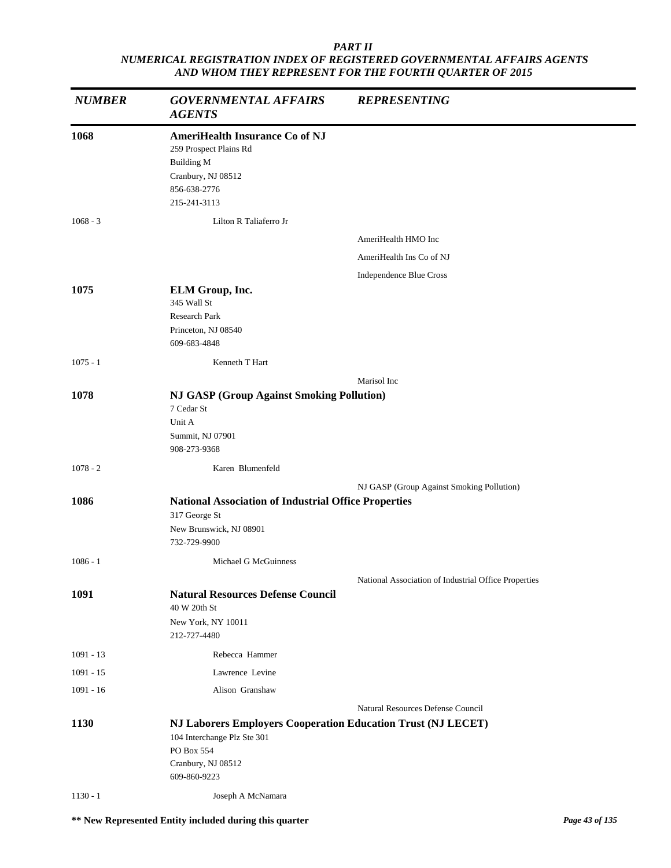| <b>NUMBER</b> | <b>GOVERNMENTAL AFFAIRS</b><br><b>AGENTS</b>                                                                                                    | <b>REPRESENTING</b>                                  |
|---------------|-------------------------------------------------------------------------------------------------------------------------------------------------|------------------------------------------------------|
| 1068          | <b>AmeriHealth Insurance Co of NJ</b><br>259 Prospect Plains Rd<br><b>Building M</b><br>Cranbury, NJ 08512<br>856-638-2776<br>215-241-3113      |                                                      |
| $1068 - 3$    | Lilton R Taliaferro Jr                                                                                                                          |                                                      |
|               |                                                                                                                                                 | AmeriHealth HMO Inc                                  |
|               |                                                                                                                                                 | AmeriHealth Ins Co of NJ                             |
|               |                                                                                                                                                 | Independence Blue Cross                              |
| 1075          | ELM Group, Inc.<br>345 Wall St<br>Research Park<br>Princeton, NJ 08540<br>609-683-4848                                                          |                                                      |
| $1075 - 1$    | Kenneth T Hart                                                                                                                                  |                                                      |
|               |                                                                                                                                                 | Marisol Inc                                          |
| 1078          | <b>NJ GASP (Group Against Smoking Pollution)</b><br>7 Cedar St<br>Unit A<br>Summit, NJ 07901<br>908-273-9368                                    |                                                      |
| $1078 - 2$    | Karen Blumenfeld                                                                                                                                |                                                      |
|               |                                                                                                                                                 | NJ GASP (Group Against Smoking Pollution)            |
| 1086          | <b>National Association of Industrial Office Properties</b><br>317 George St<br>New Brunswick, NJ 08901<br>732-729-9900                         |                                                      |
| $1086 - 1$    | Michael G McGuinness                                                                                                                            |                                                      |
|               |                                                                                                                                                 |                                                      |
| 1091          | <b>Natural Resources Defense Council</b><br>40 W 20th St<br>New York, NY 10011<br>212-727-4480                                                  | National Association of Industrial Office Properties |
| $1091 - 13$   | Rebecca Hammer                                                                                                                                  |                                                      |
| $1091 - 15$   | Lawrence Levine                                                                                                                                 |                                                      |
| $1091 - 16$   | Alison Granshaw                                                                                                                                 |                                                      |
|               |                                                                                                                                                 | Natural Resources Defense Council                    |
| 1130          | NJ Laborers Employers Cooperation Education Trust (NJ LECET)<br>104 Interchange Plz Ste 301<br>PO Box 554<br>Cranbury, NJ 08512<br>609-860-9223 |                                                      |
| $1130 - 1$    | Joseph A McNamara                                                                                                                               |                                                      |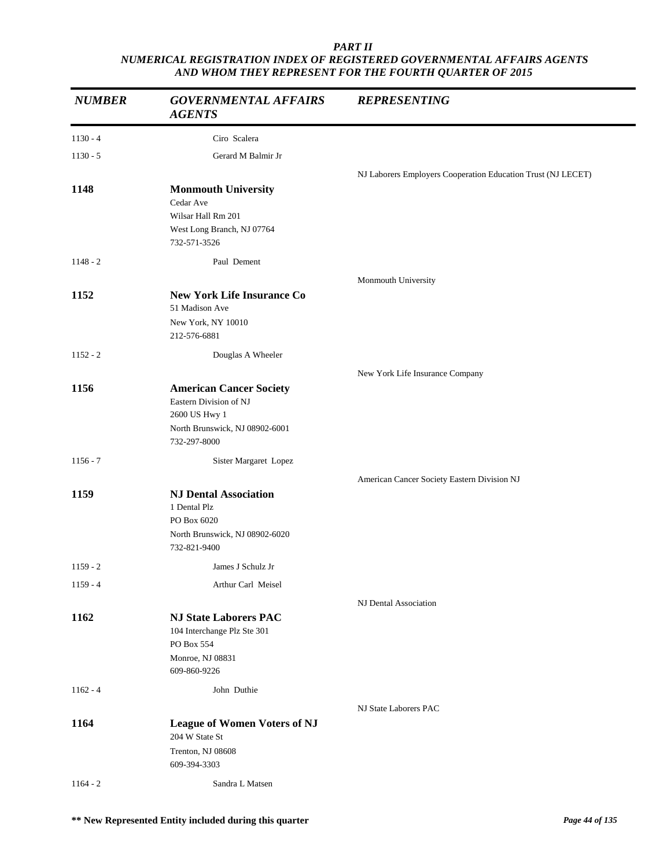| <b>NUMBER</b> | <b>GOVERNMENTAL AFFAIRS</b><br><b>AGENTS</b>                                                  | <b>REPRESENTING</b>                                          |
|---------------|-----------------------------------------------------------------------------------------------|--------------------------------------------------------------|
| $1130 - 4$    | Ciro Scalera                                                                                  |                                                              |
| $1130 - 5$    | Gerard M Balmir Jr                                                                            |                                                              |
|               |                                                                                               | NJ Laborers Employers Cooperation Education Trust (NJ LECET) |
| 1148          | <b>Monmouth University</b>                                                                    |                                                              |
|               | Cedar Ave<br>Wilsar Hall Rm 201                                                               |                                                              |
|               | West Long Branch, NJ 07764<br>732-571-3526                                                    |                                                              |
| $1148 - 2$    | Paul Dement                                                                                   |                                                              |
|               |                                                                                               | Monmouth University                                          |
| 1152          | <b>New York Life Insurance Co</b><br>51 Madison Ave                                           |                                                              |
|               | New York, NY 10010<br>212-576-6881                                                            |                                                              |
| $1152 - 2$    | Douglas A Wheeler                                                                             |                                                              |
|               |                                                                                               | New York Life Insurance Company                              |
| 1156          | <b>American Cancer Society</b><br>Eastern Division of NJ<br>2600 US Hwy 1                     |                                                              |
|               | North Brunswick, NJ 08902-6001<br>732-297-8000                                                |                                                              |
| $1156 - 7$    | Sister Margaret Lopez                                                                         |                                                              |
|               |                                                                                               | American Cancer Society Eastern Division NJ                  |
| 1159          | <b>NJ Dental Association</b><br>1 Dental Plz<br>PO Box 6020                                   |                                                              |
|               | North Brunswick, NJ 08902-6020<br>732-821-9400                                                |                                                              |
| $1159 - 2$    | James J Schulz Jr                                                                             |                                                              |
| $1159 - 4$    | Arthur Carl Meisel                                                                            |                                                              |
|               |                                                                                               | NJ Dental Association                                        |
| 1162          | <b>NJ State Laborers PAC</b><br>104 Interchange Plz Ste 301<br>PO Box 554<br>Monroe, NJ 08831 |                                                              |
|               | 609-860-9226                                                                                  |                                                              |
| $1162 - 4$    | John Duthie                                                                                   |                                                              |
|               |                                                                                               | NJ State Laborers PAC                                        |
| 1164          | <b>League of Women Voters of NJ</b><br>204 W State St                                         |                                                              |
|               | Trenton, NJ 08608<br>609-394-3303                                                             |                                                              |
| $1164 - 2$    | Sandra L Matsen                                                                               |                                                              |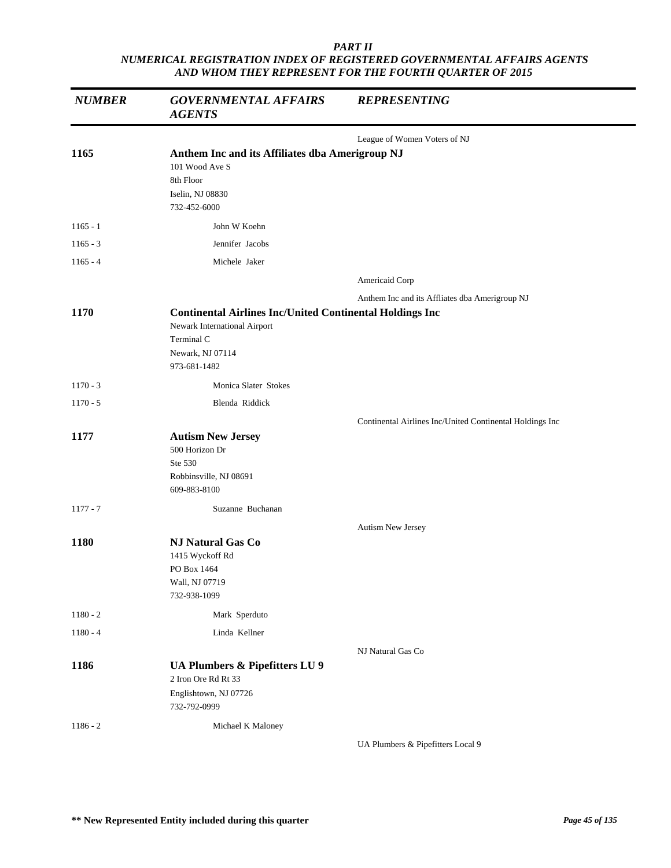| <b>NUMBER</b> | <b>GOVERNMENTAL AFFAIRS</b><br><b>AGENTS</b>                                                                                                      | <b>REPRESENTING</b>                                      |
|---------------|---------------------------------------------------------------------------------------------------------------------------------------------------|----------------------------------------------------------|
|               |                                                                                                                                                   | League of Women Voters of NJ                             |
| 1165          | Anthem Inc and its Affiliates dba Amerigroup NJ<br>101 Wood Ave S<br>8th Floor<br>Iselin, NJ 08830<br>732-452-6000                                |                                                          |
| $1165 - 1$    | John W Koehn                                                                                                                                      |                                                          |
| $1165 - 3$    | Jennifer Jacobs                                                                                                                                   |                                                          |
| $1165 - 4$    | Michele Jaker                                                                                                                                     |                                                          |
|               |                                                                                                                                                   | Americaid Corp                                           |
|               |                                                                                                                                                   | Anthem Inc and its Affliates dba Amerigroup NJ           |
| 1170          | <b>Continental Airlines Inc/United Continental Holdings Inc</b><br>Newark International Airport<br>Terminal C<br>Newark, NJ 07114<br>973-681-1482 |                                                          |
| $1170 - 3$    | Monica Slater Stokes                                                                                                                              |                                                          |
| $1170 - 5$    | Blenda Riddick                                                                                                                                    |                                                          |
|               |                                                                                                                                                   | Continental Airlines Inc/United Continental Holdings Inc |
| 1177          | <b>Autism New Jersey</b><br>500 Horizon Dr<br>Ste 530<br>Robbinsville, NJ 08691<br>609-883-8100                                                   |                                                          |
| $1177 - 7$    | Suzanne Buchanan                                                                                                                                  |                                                          |
|               |                                                                                                                                                   | Autism New Jersey                                        |
| 1180          | <b>NJ Natural Gas Co</b><br>1415 Wyckoff Rd<br>PO Box 1464<br>Wall, NJ 07719<br>732-938-1099                                                      |                                                          |
| $1180 - 2$    | Mark Sperduto                                                                                                                                     |                                                          |
| $1180 - 4$    | Linda Kellner                                                                                                                                     |                                                          |
|               |                                                                                                                                                   | NJ Natural Gas Co                                        |
| 1186          | UA Plumbers & Pipefitters LU 9<br>2 Iron Ore Rd Rt 33<br>Englishtown, NJ 07726<br>732-792-0999                                                    |                                                          |
| $1186 - 2$    | Michael K Maloney                                                                                                                                 | UA Plumbers & Pipefitters Local 9                        |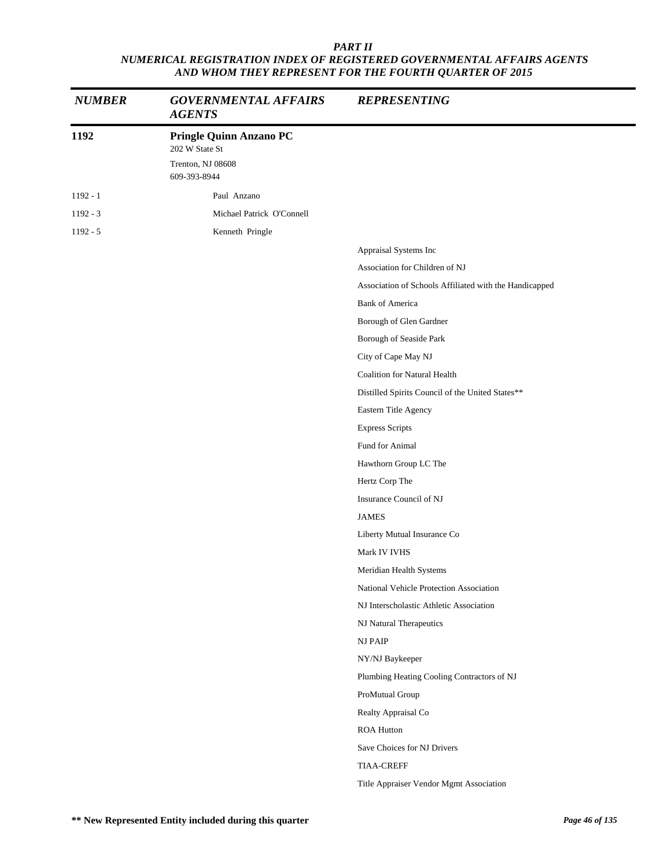| <b>NUMBER</b> | <b>GOVERNMENTAL AFFAIRS</b><br><b>AGENTS</b>                                          | <b>REPRESENTING</b>                                    |
|---------------|---------------------------------------------------------------------------------------|--------------------------------------------------------|
| 1192          | <b>Pringle Quinn Anzano PC</b><br>202 W State St<br>Trenton, NJ 08608<br>609-393-8944 |                                                        |
| $1192 - 1$    | Paul Anzano                                                                           |                                                        |
| $1192 - 3$    | Michael Patrick O'Connell                                                             |                                                        |
| $1192 - 5$    | Kenneth Pringle                                                                       |                                                        |
|               |                                                                                       | Appraisal Systems Inc                                  |
|               |                                                                                       | Association for Children of NJ                         |
|               |                                                                                       | Association of Schools Affiliated with the Handicapped |
|               |                                                                                       | <b>Bank of America</b>                                 |
|               |                                                                                       | Borough of Glen Gardner                                |
|               |                                                                                       | Borough of Seaside Park                                |
|               |                                                                                       | City of Cape May NJ                                    |
|               |                                                                                       | <b>Coalition for Natural Health</b>                    |
|               |                                                                                       | Distilled Spirits Council of the United States**       |
|               |                                                                                       | Eastern Title Agency                                   |
|               |                                                                                       | <b>Express Scripts</b>                                 |
|               |                                                                                       | Fund for Animal                                        |
|               |                                                                                       | Hawthorn Group LC The                                  |
|               |                                                                                       | Hertz Corp The                                         |
|               |                                                                                       | Insurance Council of NJ                                |
|               |                                                                                       | <b>JAMES</b>                                           |
|               |                                                                                       | Liberty Mutual Insurance Co                            |
|               |                                                                                       | Mark IV IVHS                                           |
|               |                                                                                       | Meridian Health Systems                                |
|               |                                                                                       | National Vehicle Protection Association                |
|               |                                                                                       | NJ Interscholastic Athletic Association                |
|               |                                                                                       | NJ Natural Therapeutics                                |
|               |                                                                                       | <b>NJ PAIP</b>                                         |
|               |                                                                                       | NY/NJ Baykeeper                                        |
|               |                                                                                       | Plumbing Heating Cooling Contractors of NJ             |
|               |                                                                                       | ProMutual Group                                        |
|               |                                                                                       | Realty Appraisal Co                                    |
|               |                                                                                       | ROA Hutton                                             |
|               |                                                                                       | Save Choices for NJ Drivers                            |
|               |                                                                                       | <b>TIAA-CREFF</b>                                      |
|               |                                                                                       | Title Appraiser Vendor Mgmt Association                |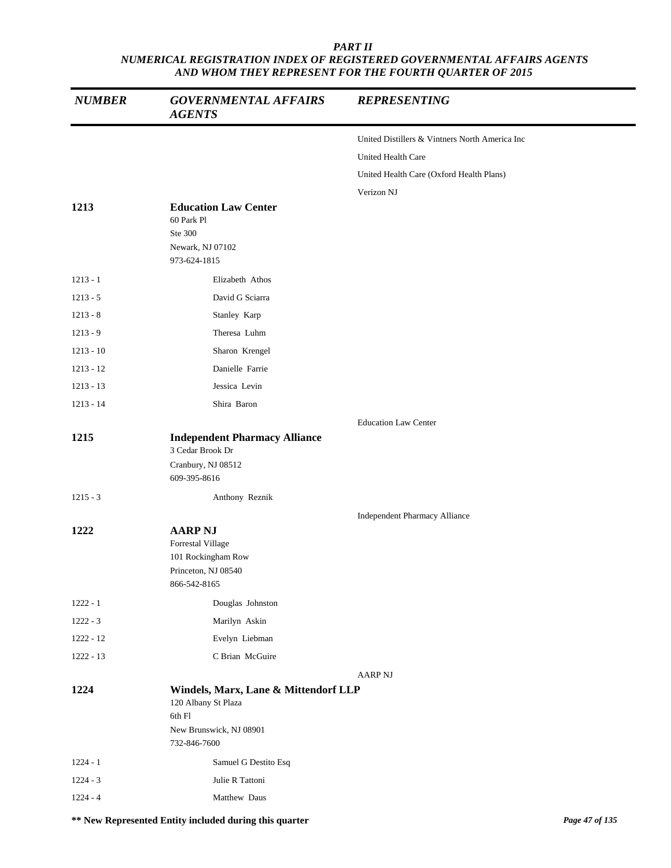| <b>NUMBER</b> | <b>GOVERNMENTAL AFFAIRS</b><br><b>AGENTS</b>                                                     | <b>REPRESENTING</b>                            |  |
|---------------|--------------------------------------------------------------------------------------------------|------------------------------------------------|--|
|               |                                                                                                  | United Distillers & Vintners North America Inc |  |
|               |                                                                                                  | United Health Care                             |  |
|               |                                                                                                  | United Health Care (Oxford Health Plans)       |  |
|               |                                                                                                  | Verizon NJ                                     |  |
| 1213          | <b>Education Law Center</b><br>60 Park Pl<br>Ste 300<br>Newark, NJ 07102<br>973-624-1815         |                                                |  |
| $1213 - 1$    | Elizabeth Athos                                                                                  |                                                |  |
| $1213 - 5$    | David G Sciarra                                                                                  |                                                |  |
| $1213 - 8$    | Stanley Karp                                                                                     |                                                |  |
| $1213 - 9$    | Theresa Luhm                                                                                     |                                                |  |
| $1213 - 10$   | Sharon Krengel                                                                                   |                                                |  |
| $1213 - 12$   | Danielle Farrie                                                                                  |                                                |  |
| $1213 - 13$   | Jessica Levin                                                                                    |                                                |  |
| $1213 - 14$   | Shira Baron                                                                                      |                                                |  |
|               |                                                                                                  | <b>Education Law Center</b>                    |  |
| 1215          | <b>Independent Pharmacy Alliance</b>                                                             |                                                |  |
|               | 3 Cedar Brook Dr<br>Cranbury, NJ 08512<br>609-395-8616                                           |                                                |  |
| $1215 - 3$    | Anthony Reznik                                                                                   |                                                |  |
|               |                                                                                                  | <b>Independent Pharmacy Alliance</b>           |  |
| 1222          | <b>AARP NJ</b><br>Forrestal Village<br>101 Rockingham Row<br>Princeton, NJ 08540<br>866-542-8165 |                                                |  |
| $1222 - 1$    | Douglas Johnston                                                                                 |                                                |  |
| $1222 - 3$    | Marilyn Askin                                                                                    |                                                |  |
| $1222 - 12$   | Evelyn Liebman                                                                                   |                                                |  |
| $1222 - 13$   | C Brian McGuire                                                                                  |                                                |  |
| 1224          | Windels, Marx, Lane & Mittendorf LLP<br>120 Albany St Plaza<br>6th Fl<br>New Brunswick, NJ 08901 | <b>AARP NJ</b>                                 |  |
|               | 732-846-7600                                                                                     |                                                |  |
| $1224 - 1$    | Samuel G Destito Esq                                                                             |                                                |  |
| $1224 - 3$    | Julie R Tattoni                                                                                  |                                                |  |
| $1224 - 4$    | Matthew Daus                                                                                     |                                                |  |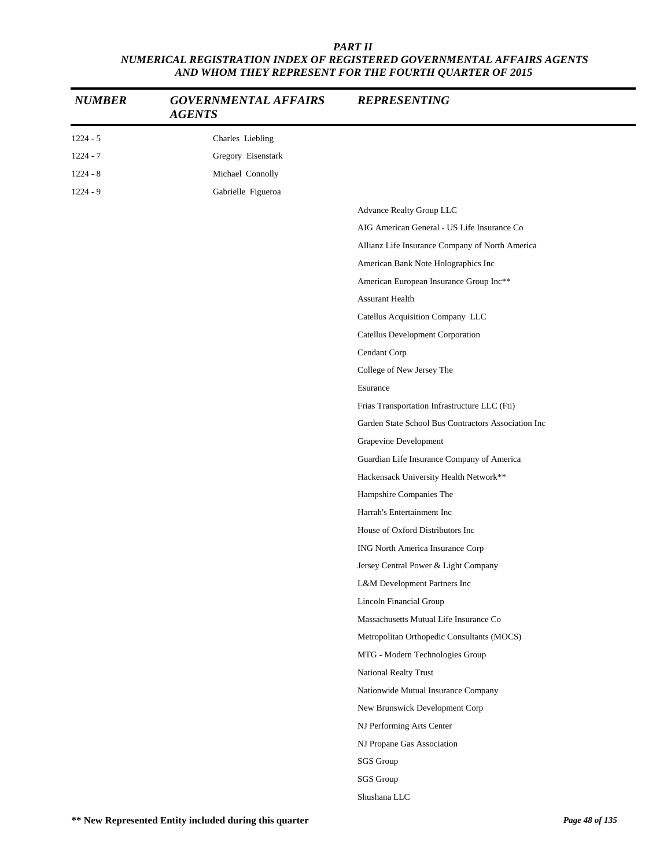| <b>NUMBER</b> | <b>GOVERNMENTAL AFFAIRS</b><br><b>AGENTS</b> | <b>REPRESENTING</b>                                 |
|---------------|----------------------------------------------|-----------------------------------------------------|
| $1224 - 5$    | Charles Liebling                             |                                                     |
| $1224 - 7$    | Gregory Eisenstark                           |                                                     |
| $1224 - 8$    | Michael Connolly                             |                                                     |
| $1224 - 9$    | Gabrielle Figueroa                           |                                                     |
|               |                                              | Advance Realty Group LLC                            |
|               |                                              | AIG American General - US Life Insurance Co         |
|               |                                              | Allianz Life Insurance Company of North America     |
|               |                                              | American Bank Note Holographics Inc                 |
|               |                                              | American European Insurance Group Inc**             |
|               |                                              | <b>Assurant Health</b>                              |
|               |                                              | Catellus Acquisition Company LLC                    |
|               |                                              | Catellus Development Corporation                    |
|               |                                              | Cendant Corp                                        |
|               |                                              | College of New Jersey The                           |
|               |                                              | Esurance                                            |
|               |                                              | Frias Transportation Infrastructure LLC (Fti)       |
|               |                                              | Garden State School Bus Contractors Association Inc |
|               |                                              | Grapevine Development                               |
|               |                                              | Guardian Life Insurance Company of America          |
|               |                                              | Hackensack University Health Network**              |
|               |                                              | Hampshire Companies The                             |
|               |                                              | Harrah's Entertainment Inc                          |
|               |                                              | House of Oxford Distributors Inc                    |
|               |                                              | ING North America Insurance Corp                    |
|               |                                              | Jersey Central Power & Light Company                |
|               |                                              | L&M Development Partners Inc                        |
|               |                                              | Lincoln Financial Group                             |
|               |                                              | Massachusetts Mutual Life Insurance Co              |
|               |                                              | Metropolitan Orthopedic Consultants (MOCS)          |
|               |                                              | MTG - Modern Technologies Group                     |
|               |                                              | National Realty Trust                               |
|               |                                              | Nationwide Mutual Insurance Company                 |
|               |                                              | New Brunswick Development Corp                      |
|               |                                              | NJ Performing Arts Center                           |
|               |                                              | NJ Propane Gas Association                          |
|               |                                              | SGS Group                                           |
|               |                                              | SGS Group                                           |
|               |                                              | Shushana LLC                                        |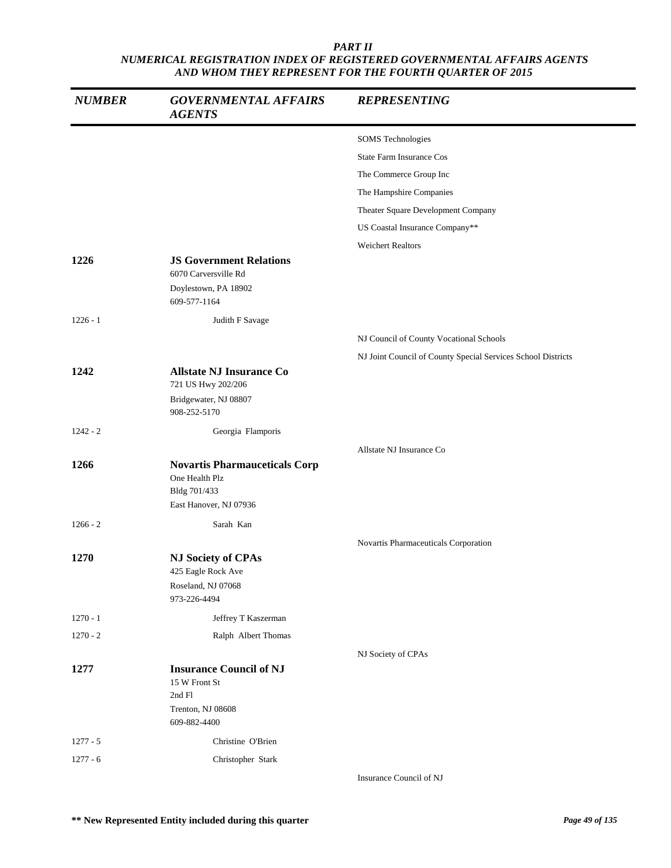| <b>NUMBER</b> | <b>GOVERNMENTAL AFFAIRS</b><br><b>AGENTS</b>                                                   | <b>REPRESENTING</b>                                          |
|---------------|------------------------------------------------------------------------------------------------|--------------------------------------------------------------|
|               |                                                                                                | <b>SOMS</b> Technologies                                     |
|               |                                                                                                | State Farm Insurance Cos                                     |
|               |                                                                                                | The Commerce Group Inc                                       |
|               |                                                                                                | The Hampshire Companies                                      |
|               |                                                                                                | Theater Square Development Company                           |
|               |                                                                                                | US Coastal Insurance Company**                               |
|               |                                                                                                | <b>Weichert Realtors</b>                                     |
| 1226          | <b>JS Government Relations</b><br>6070 Carversville Rd                                         |                                                              |
|               | Doylestown, PA 18902<br>609-577-1164                                                           |                                                              |
| $1226 - 1$    | Judith F Savage                                                                                |                                                              |
|               |                                                                                                | NJ Council of County Vocational Schools                      |
|               |                                                                                                | NJ Joint Council of County Special Services School Districts |
| 1242          | <b>Allstate NJ Insurance Co</b><br>721 US Hwy 202/206<br>Bridgewater, NJ 08807                 |                                                              |
|               | 908-252-5170                                                                                   |                                                              |
| $1242 - 2$    | Georgia Flamporis                                                                              |                                                              |
|               |                                                                                                | Allstate NJ Insurance Co                                     |
| 1266          | <b>Novartis Pharmauceticals Corp</b><br>One Health Plz<br>Bldg 701/433                         |                                                              |
|               | East Hanover, NJ 07936                                                                         |                                                              |
| $1266 - 2$    | Sarah Kan                                                                                      |                                                              |
|               |                                                                                                | Novartis Pharmaceuticals Corporation                         |
| 1270          | <b>NJ Society of CPAs</b><br>425 Eagle Rock Ave<br>Roseland, NJ 07068<br>973-226-4494          |                                                              |
| $1270 - 1$    | Jeffrey T Kaszerman                                                                            |                                                              |
| $1270 - 2$    | Ralph Albert Thomas                                                                            |                                                              |
|               |                                                                                                | NJ Society of CPAs                                           |
| 1277          | <b>Insurance Council of NJ</b><br>15 W Front St<br>2nd Fl<br>Trenton, NJ 08608<br>609-882-4400 |                                                              |
| $1277 - 5$    | Christine O'Brien                                                                              |                                                              |
| $1277 - 6$    | Christopher Stark                                                                              |                                                              |
|               |                                                                                                | Insurance Council of NJ                                      |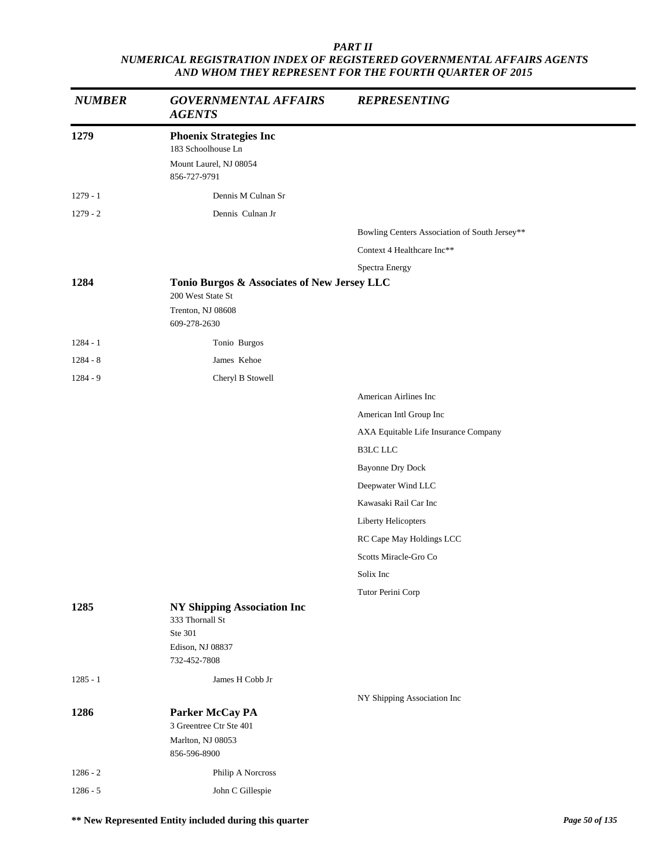| <b>NUMBER</b> | <b>GOVERNMENTAL AFFAIRS</b><br><b>AGENTS</b>                                                         | <b>REPRESENTING</b>                           |  |
|---------------|------------------------------------------------------------------------------------------------------|-----------------------------------------------|--|
| 1279          | <b>Phoenix Strategies Inc</b><br>183 Schoolhouse Ln<br>Mount Laurel, NJ 08054<br>856-727-9791        |                                               |  |
| $1279 - 1$    | Dennis M Culnan Sr                                                                                   |                                               |  |
| $1279 - 2$    | Dennis Culnan Jr                                                                                     |                                               |  |
|               |                                                                                                      | Bowling Centers Association of South Jersey** |  |
|               |                                                                                                      | Context 4 Healthcare Inc**                    |  |
|               |                                                                                                      | Spectra Energy                                |  |
| 1284          | Tonio Burgos & Associates of New Jersey LLC                                                          |                                               |  |
|               | 200 West State St<br>Trenton, NJ 08608                                                               |                                               |  |
|               | 609-278-2630                                                                                         |                                               |  |
| $1284 - 1$    | Tonio Burgos                                                                                         |                                               |  |
| $1284 - 8$    | James Kehoe                                                                                          |                                               |  |
| $1284 - 9$    | Cheryl B Stowell                                                                                     |                                               |  |
|               |                                                                                                      | American Airlines Inc                         |  |
|               |                                                                                                      | American Intl Group Inc                       |  |
|               |                                                                                                      | AXA Equitable Life Insurance Company          |  |
|               |                                                                                                      | <b>B3LC LLC</b>                               |  |
|               |                                                                                                      | <b>Bayonne Dry Dock</b>                       |  |
|               |                                                                                                      | Deepwater Wind LLC                            |  |
|               |                                                                                                      | Kawasaki Rail Car Inc                         |  |
|               |                                                                                                      | Liberty Helicopters                           |  |
|               |                                                                                                      | RC Cape May Holdings LCC                      |  |
|               |                                                                                                      | Scotts Miracle-Gro Co                         |  |
|               |                                                                                                      | Solix Inc                                     |  |
|               |                                                                                                      | Tutor Perini Corp                             |  |
| 1285          | <b>NY Shipping Association Inc</b><br>333 Thornall St<br>Ste 301<br>Edison, NJ 08837<br>732-452-7808 |                                               |  |
| $1285 - 1$    | James H Cobb Jr                                                                                      |                                               |  |
|               |                                                                                                      | NY Shipping Association Inc                   |  |
| 1286          | Parker McCay PA<br>3 Greentree Ctr Ste 401<br>Marlton, NJ 08053<br>856-596-8900                      |                                               |  |
| $1286 - 2$    | Philip A Norcross                                                                                    |                                               |  |
| $1286 - 5$    | John C Gillespie                                                                                     |                                               |  |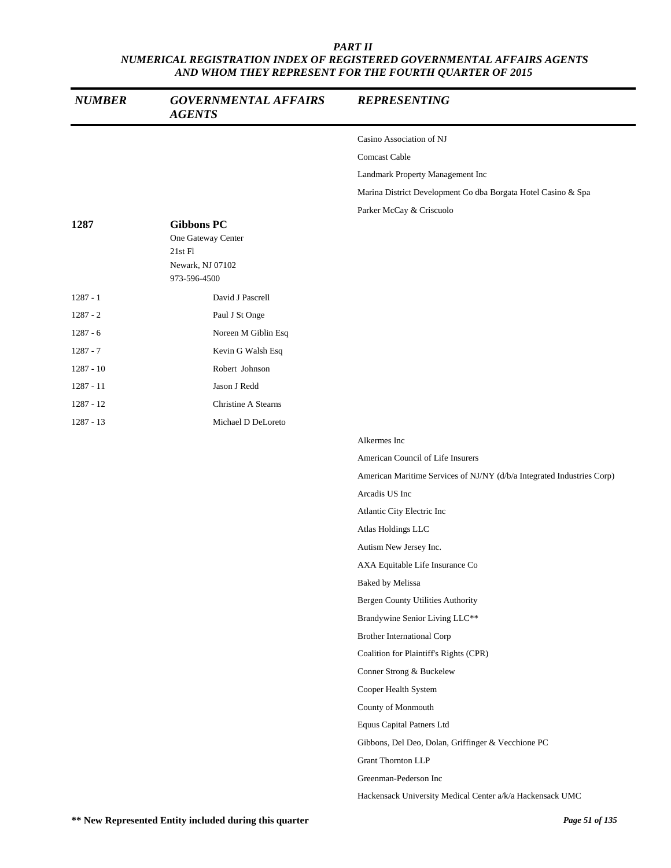| <b>NUMBER</b> | <b>GOVERNMENTAL AFFAIRS</b><br><b>AGENTS</b>                                           | <b>REPRESENTING</b>                                                    |
|---------------|----------------------------------------------------------------------------------------|------------------------------------------------------------------------|
|               |                                                                                        | Casino Association of NJ                                               |
|               |                                                                                        | <b>Comcast Cable</b>                                                   |
|               |                                                                                        | Landmark Property Management Inc                                       |
|               |                                                                                        | Marina District Development Co dba Borgata Hotel Casino & Spa          |
|               |                                                                                        | Parker McCay & Criscuolo                                               |
| 1287          | <b>Gibbons PC</b><br>One Gateway Center<br>21st Fl<br>Newark, NJ 07102<br>973-596-4500 |                                                                        |
| $1287 - 1$    | David J Pascrell                                                                       |                                                                        |
| $1287 - 2$    | Paul J St Onge                                                                         |                                                                        |
| $1287 - 6$    | Noreen M Giblin Esq                                                                    |                                                                        |
| $1287 - 7$    | Kevin G Walsh Esq                                                                      |                                                                        |
| $1287 - 10$   | Robert Johnson                                                                         |                                                                        |
| $1287 - 11$   | Jason J Redd                                                                           |                                                                        |
| $1287 - 12$   | Christine A Stearns                                                                    |                                                                        |
| $1287 - 13$   | Michael D DeLoreto                                                                     |                                                                        |
|               |                                                                                        | Alkermes Inc                                                           |
|               |                                                                                        | American Council of Life Insurers                                      |
|               |                                                                                        | American Maritime Services of NJ/NY (d/b/a Integrated Industries Corp) |
|               |                                                                                        | Arcadis US Inc                                                         |
|               |                                                                                        | Atlantic City Electric Inc                                             |
|               |                                                                                        | Atlas Holdings LLC                                                     |
|               |                                                                                        | Autism New Jersey Inc.                                                 |
|               |                                                                                        | AXA Equitable Life Insurance Co                                        |
|               |                                                                                        | <b>Baked by Melissa</b>                                                |
|               |                                                                                        | Bergen County Utilities Authority                                      |
|               |                                                                                        | Brandywine Senior Living LLC**                                         |
|               |                                                                                        | <b>Brother International Corp</b>                                      |
|               |                                                                                        | Coalition for Plaintiff's Rights (CPR)                                 |
|               |                                                                                        | Conner Strong & Buckelew                                               |
|               |                                                                                        | Cooper Health System                                                   |
|               |                                                                                        | County of Monmouth                                                     |
|               |                                                                                        | Equus Capital Patners Ltd                                              |
|               |                                                                                        | Gibbons, Del Deo, Dolan, Griffinger & Vecchione PC                     |
|               |                                                                                        | Grant Thornton LLP                                                     |
|               |                                                                                        | Greenman-Pederson Inc                                                  |
|               |                                                                                        | Hackensack University Medical Center a/k/a Hackensack UMC              |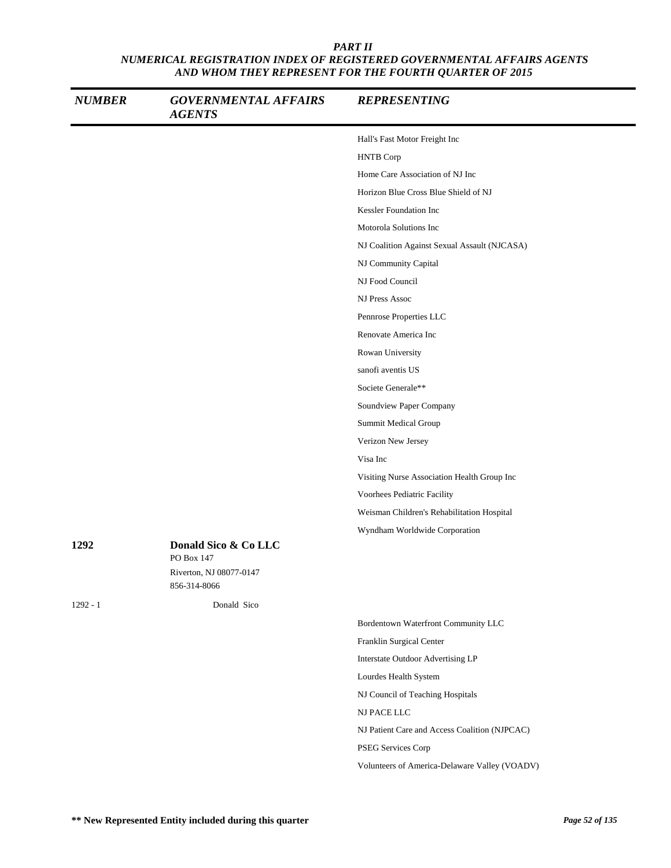| <b>NUMBER</b> | <b>GOVERNMENTAL AFFAIRS</b><br><b>AGENTS</b>                                  | <b>REPRESENTING</b>                           |
|---------------|-------------------------------------------------------------------------------|-----------------------------------------------|
|               |                                                                               | Hall's Fast Motor Freight Inc                 |
|               |                                                                               | <b>HNTB</b> Corp                              |
|               |                                                                               | Home Care Association of NJ Inc               |
|               |                                                                               | Horizon Blue Cross Blue Shield of NJ          |
|               |                                                                               | Kessler Foundation Inc                        |
|               |                                                                               | Motorola Solutions Inc                        |
|               |                                                                               | NJ Coalition Against Sexual Assault (NJCASA)  |
|               |                                                                               | NJ Community Capital                          |
|               |                                                                               | NJ Food Council                               |
|               |                                                                               | NJ Press Assoc                                |
|               |                                                                               | Pennrose Properties LLC                       |
|               |                                                                               | Renovate America Inc                          |
|               |                                                                               | Rowan University                              |
|               |                                                                               | sanofi aventis US                             |
|               |                                                                               | Societe Generale**                            |
|               |                                                                               | Soundview Paper Company                       |
|               |                                                                               | Summit Medical Group                          |
|               |                                                                               | Verizon New Jersey                            |
|               |                                                                               | Visa Inc                                      |
|               |                                                                               | Visiting Nurse Association Health Group Inc   |
|               |                                                                               | Voorhees Pediatric Facility                   |
|               |                                                                               | Weisman Children's Rehabilitation Hospital    |
|               |                                                                               | Wyndham Worldwide Corporation                 |
| 1292          | Donald Sico & Co LLC<br>PO Box 147<br>Riverton, NJ 08077-0147<br>856-314-8066 |                                               |
| $1292 - 1$    | Donald Sico                                                                   |                                               |
|               |                                                                               | Bordentown Waterfront Community LLC           |
|               |                                                                               | Franklin Surgical Center                      |
|               |                                                                               | Interstate Outdoor Advertising LP             |
|               |                                                                               | Lourdes Health System                         |
|               |                                                                               | NJ Council of Teaching Hospitals              |
|               |                                                                               | NJ PACE LLC                                   |
|               |                                                                               | NJ Patient Care and Access Coalition (NJPCAC) |
|               |                                                                               | PSEG Services Corp                            |
|               |                                                                               | Volunteers of America-Delaware Valley (VOADV) |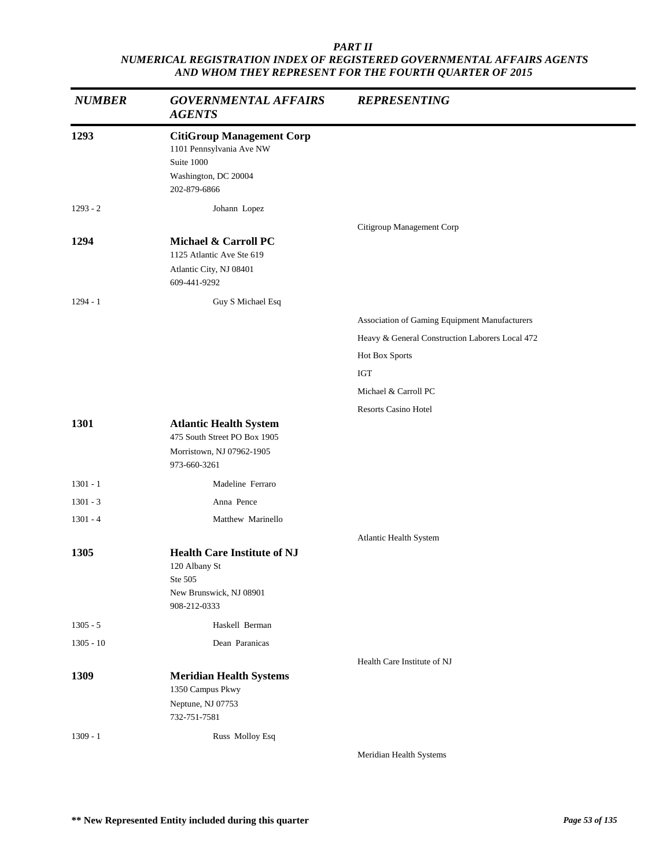| <b>NUMBER</b>            | <b>GOVERNMENTAL AFFAIRS</b><br><b>AGENTS</b>                                                                       | <b>REPRESENTING</b>                             |
|--------------------------|--------------------------------------------------------------------------------------------------------------------|-------------------------------------------------|
| 1293                     | <b>CitiGroup Management Corp</b><br>1101 Pennsylvania Ave NW<br>Suite 1000<br>Washington, DC 20004<br>202-879-6866 |                                                 |
| $1293 - 2$               | Johann Lopez                                                                                                       |                                                 |
| 1294                     | Michael & Carroll PC<br>1125 Atlantic Ave Ste 619<br>Atlantic City, NJ 08401<br>609-441-9292                       | Citigroup Management Corp                       |
| $1294 - 1$               | Guy S Michael Esq                                                                                                  |                                                 |
|                          |                                                                                                                    | Association of Gaming Equipment Manufacturers   |
|                          |                                                                                                                    | Heavy & General Construction Laborers Local 472 |
|                          |                                                                                                                    | Hot Box Sports                                  |
|                          |                                                                                                                    | <b>IGT</b>                                      |
|                          |                                                                                                                    | Michael & Carroll PC                            |
|                          |                                                                                                                    | <b>Resorts Casino Hotel</b>                     |
| 1301                     | <b>Atlantic Health System</b><br>475 South Street PO Box 1905<br>Morristown, NJ 07962-1905                         |                                                 |
|                          | 973-660-3261                                                                                                       |                                                 |
| $1301 - 1$               | Madeline Ferraro                                                                                                   |                                                 |
| $1301 - 3$<br>$1301 - 4$ | Anna Pence<br>Matthew Marinello                                                                                    |                                                 |
|                          |                                                                                                                    |                                                 |
| 1305                     | <b>Health Care Institute of NJ</b><br>120 Albany St<br>Ste 505<br>New Brunswick, NJ 08901<br>908-212-0333          | Atlantic Health System                          |
| $1305 - 5$               | Haskell Berman                                                                                                     |                                                 |
| $1305 - 10$              | Dean Paranicas                                                                                                     |                                                 |
|                          |                                                                                                                    | Health Care Institute of NJ                     |
| 1309                     | <b>Meridian Health Systems</b><br>1350 Campus Pkwy<br>Neptune, NJ 07753<br>732-751-7581                            |                                                 |
| $1309 - 1$               | Russ Molloy Esq                                                                                                    |                                                 |
|                          |                                                                                                                    | Meridian Health Systems                         |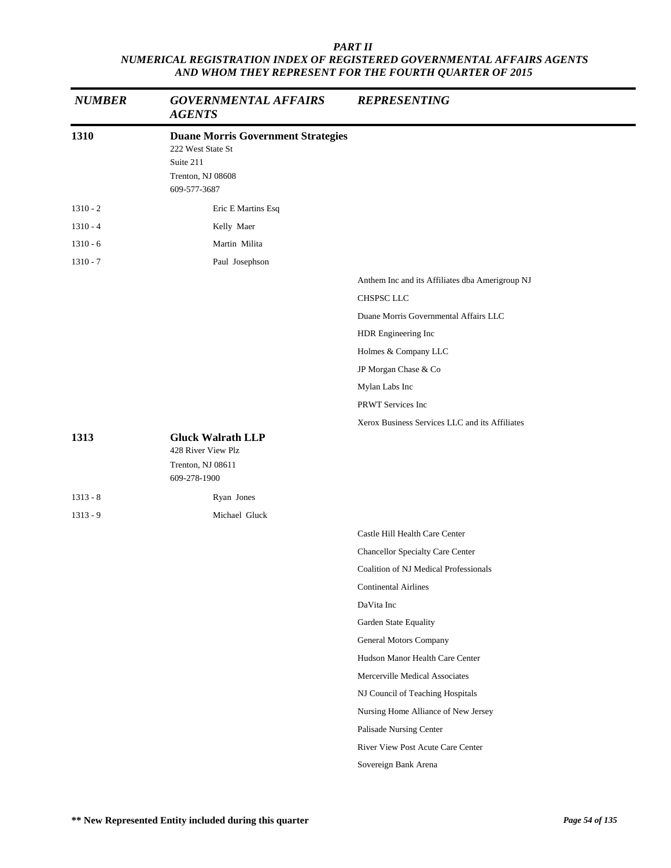| <b>NUMBER</b> | <b>GOVERNMENTAL AFFAIRS</b><br><b>AGENTS</b>                                                                     | <b>REPRESENTING</b>                             |
|---------------|------------------------------------------------------------------------------------------------------------------|-------------------------------------------------|
| 1310          | <b>Duane Morris Government Strategies</b><br>222 West State St<br>Suite 211<br>Trenton, NJ 08608<br>609-577-3687 |                                                 |
| $1310 - 2$    | Eric E Martins Esq                                                                                               |                                                 |
| $1310 - 4$    | Kelly Maer                                                                                                       |                                                 |
| $1310 - 6$    | Martin Milita                                                                                                    |                                                 |
| $1310 - 7$    | Paul Josephson                                                                                                   |                                                 |
|               |                                                                                                                  | Anthem Inc and its Affiliates dba Amerigroup NJ |
|               |                                                                                                                  | CHSPSC LLC                                      |
|               |                                                                                                                  | Duane Morris Governmental Affairs LLC           |
|               |                                                                                                                  | HDR Engineering Inc                             |
|               |                                                                                                                  | Holmes & Company LLC                            |
|               |                                                                                                                  | JP Morgan Chase & Co                            |
|               |                                                                                                                  | Mylan Labs Inc                                  |
|               |                                                                                                                  | PRWT Services Inc                               |
|               |                                                                                                                  | Xerox Business Services LLC and its Affiliates  |
| 1313          | <b>Gluck Walrath LLP</b><br>428 River View Plz                                                                   |                                                 |
|               | Trenton, NJ 08611<br>609-278-1900                                                                                |                                                 |
| $1313 - 8$    | Ryan Jones                                                                                                       |                                                 |
| $1313 - 9$    | Michael Gluck                                                                                                    |                                                 |
|               |                                                                                                                  | Castle Hill Health Care Center                  |
|               |                                                                                                                  | Chancellor Specialty Care Center                |
|               |                                                                                                                  | Coalition of NJ Medical Professionals           |
|               |                                                                                                                  | <b>Continental Airlines</b>                     |
|               |                                                                                                                  | DaVita Inc                                      |
|               |                                                                                                                  | Garden State Equality                           |
|               |                                                                                                                  | <b>General Motors Company</b>                   |
|               |                                                                                                                  | Hudson Manor Health Care Center                 |
|               |                                                                                                                  | Mercerville Medical Associates                  |
|               |                                                                                                                  | NJ Council of Teaching Hospitals                |
|               |                                                                                                                  | Nursing Home Alliance of New Jersey             |
|               |                                                                                                                  | Palisade Nursing Center                         |
|               |                                                                                                                  | River View Post Acute Care Center               |
|               |                                                                                                                  | Sovereign Bank Arena                            |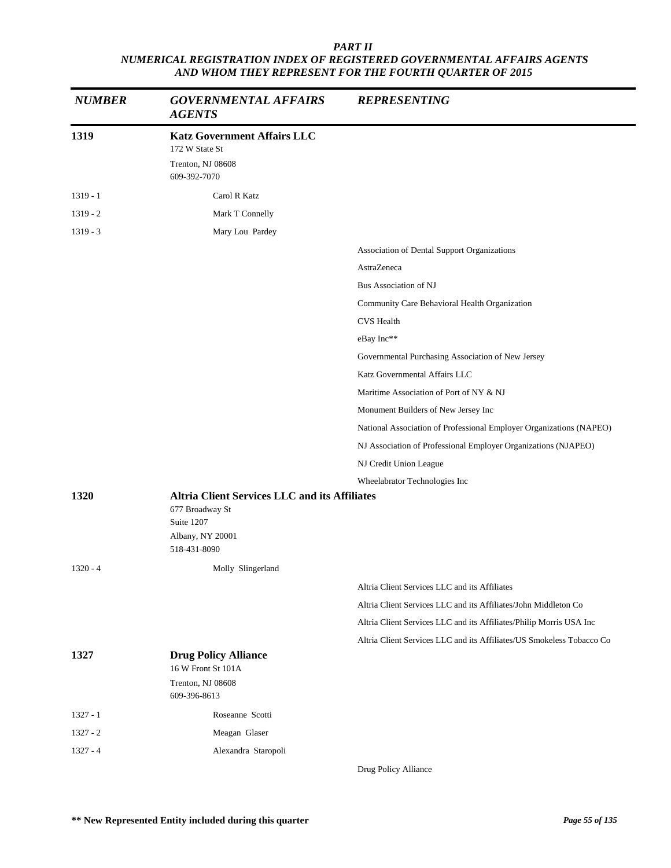| <b>NUMBER</b> | <b>GOVERNMENTAL AFFAIRS</b><br><b>AGENTS</b>                                                                              | <b>REPRESENTING</b>                                                   |
|---------------|---------------------------------------------------------------------------------------------------------------------------|-----------------------------------------------------------------------|
| 1319          | <b>Katz Government Affairs LLC</b><br>172 W State St<br>Trenton, NJ 08608<br>609-392-7070                                 |                                                                       |
| $1319 - 1$    | Carol R Katz                                                                                                              |                                                                       |
| $1319 - 2$    | Mark T Connelly                                                                                                           |                                                                       |
| $1319 - 3$    | Mary Lou Pardey                                                                                                           |                                                                       |
|               |                                                                                                                           | Association of Dental Support Organizations                           |
|               |                                                                                                                           | AstraZeneca                                                           |
|               |                                                                                                                           | Bus Association of NJ                                                 |
|               |                                                                                                                           | Community Care Behavioral Health Organization                         |
|               |                                                                                                                           | <b>CVS</b> Health                                                     |
|               |                                                                                                                           | eBay Inc**                                                            |
|               |                                                                                                                           | Governmental Purchasing Association of New Jersey                     |
|               |                                                                                                                           | Katz Governmental Affairs LLC                                         |
|               |                                                                                                                           | Maritime Association of Port of NY & NJ                               |
|               |                                                                                                                           | Monument Builders of New Jersey Inc                                   |
|               |                                                                                                                           | National Association of Professional Employer Organizations (NAPEO)   |
|               |                                                                                                                           | NJ Association of Professional Employer Organizations (NJAPEO)        |
|               |                                                                                                                           | NJ Credit Union League                                                |
|               |                                                                                                                           | Wheelabrator Technologies Inc                                         |
| 1320          | <b>Altria Client Services LLC and its Affiliates</b><br>677 Broadway St<br>Suite 1207<br>Albany, NY 20001<br>518-431-8090 |                                                                       |
| $1320 - 4$    | Molly Slingerland                                                                                                         |                                                                       |
|               |                                                                                                                           | Altria Client Services LLC and its Affiliates                         |
|               |                                                                                                                           | Altria Client Services LLC and its Affiliates/John Middleton Co       |
|               |                                                                                                                           | Altria Client Services LLC and its Affiliates/Philip Morris USA Inc   |
|               |                                                                                                                           | Altria Client Services LLC and its Affiliates/US Smokeless Tobacco Co |
| 1327          | <b>Drug Policy Alliance</b><br>16 W Front St 101A<br>Trenton, NJ 08608                                                    |                                                                       |
|               | 609-396-8613                                                                                                              |                                                                       |
| $1327 - 1$    | Roseanne Scotti                                                                                                           |                                                                       |
| $1327 - 2$    | Meagan Glaser                                                                                                             |                                                                       |
| $1327 - 4$    | Alexandra Staropoli                                                                                                       | Drug Policy Alliance                                                  |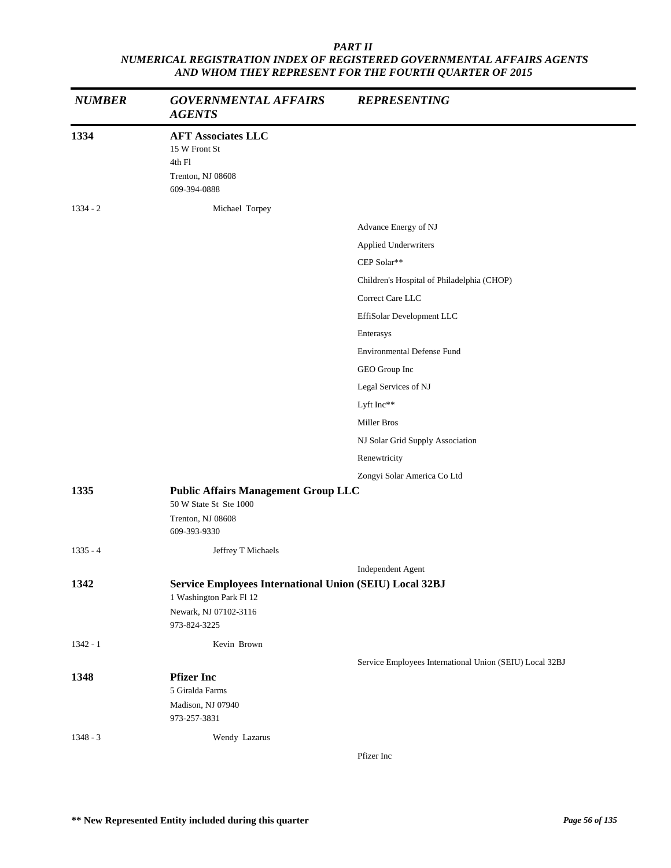| <b>NUMBER</b> | <b>GOVERNMENTAL AFFAIRS</b><br><b>AGENTS</b>                                              | <b>REPRESENTING</b>                                     |
|---------------|-------------------------------------------------------------------------------------------|---------------------------------------------------------|
| 1334          | <b>AFT Associates LLC</b><br>15 W Front St<br>4th Fl<br>Trenton, NJ 08608<br>609-394-0888 |                                                         |
| $1334 - 2$    | Michael Torpey                                                                            |                                                         |
|               |                                                                                           | Advance Energy of NJ                                    |
|               |                                                                                           | Applied Underwriters                                    |
|               |                                                                                           | CEP Solar**                                             |
|               |                                                                                           | Children's Hospital of Philadelphia (CHOP)              |
|               |                                                                                           | Correct Care LLC                                        |
|               |                                                                                           | EffiSolar Development LLC                               |
|               |                                                                                           | Enterasys                                               |
|               |                                                                                           | <b>Environmental Defense Fund</b>                       |
|               |                                                                                           | GEO Group Inc                                           |
|               |                                                                                           | Legal Services of NJ                                    |
|               |                                                                                           | Lyft Inc**                                              |
|               |                                                                                           | Miller Bros                                             |
|               |                                                                                           | NJ Solar Grid Supply Association                        |
|               |                                                                                           | Renewtricity                                            |
|               |                                                                                           | Zongyi Solar America Co Ltd                             |
| 1335          | <b>Public Affairs Management Group LLC</b>                                                |                                                         |
|               | 50 W State St Ste 1000<br>Trenton, NJ 08608                                               |                                                         |
|               | 609-393-9330                                                                              |                                                         |
| $1335 - 4$    | Jeffrey T Michaels                                                                        |                                                         |
|               |                                                                                           | Independent Agent                                       |
| 1342          | Service Employees International Union (SEIU) Local 32BJ<br>1 Washington Park Fl 12        |                                                         |
|               | Newark, NJ 07102-3116<br>973-824-3225                                                     |                                                         |
| $1342 - 1$    | Kevin Brown                                                                               |                                                         |
|               |                                                                                           | Service Employees International Union (SEIU) Local 32BJ |
| 1348          | <b>Pfizer Inc</b>                                                                         |                                                         |
|               | 5 Giralda Farms                                                                           |                                                         |
|               | Madison, NJ 07940<br>973-257-3831                                                         |                                                         |
| $1348 - 3$    | Wendy Lazarus                                                                             |                                                         |
|               |                                                                                           | $D$ fizor Ino                                           |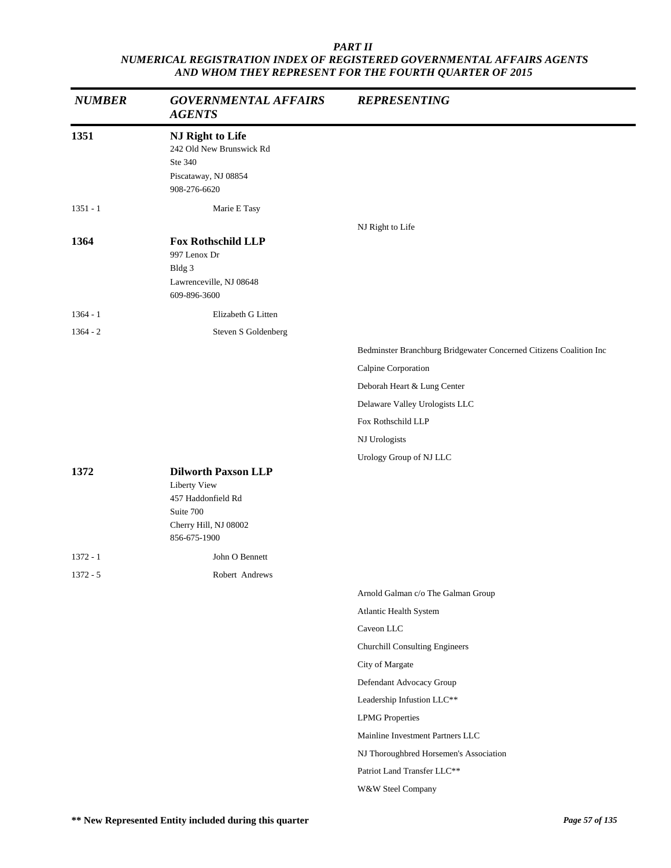| <b>NUMBER</b> | <b>GOVERNMENTAL AFFAIRS</b><br><b>AGENTS</b>                                                                           | <b>REPRESENTING</b>                                                |
|---------------|------------------------------------------------------------------------------------------------------------------------|--------------------------------------------------------------------|
| 1351          | NJ Right to Life<br>242 Old New Brunswick Rd<br>Ste 340<br>Piscataway, NJ 08854<br>908-276-6620                        |                                                                    |
| $1351 - 1$    | Marie E Tasy                                                                                                           |                                                                    |
| 1364          | <b>Fox Rothschild LLP</b><br>997 Lenox Dr<br>Bldg 3<br>Lawrenceville, NJ 08648<br>609-896-3600                         | NJ Right to Life                                                   |
| $1364 - 1$    | Elizabeth G Litten                                                                                                     |                                                                    |
| $1364 - 2$    | Steven S Goldenberg                                                                                                    |                                                                    |
|               |                                                                                                                        | Bedminster Branchburg Bridgewater Concerned Citizens Coalition Inc |
|               |                                                                                                                        | Calpine Corporation                                                |
|               |                                                                                                                        | Deborah Heart & Lung Center                                        |
|               |                                                                                                                        | Delaware Valley Urologists LLC                                     |
|               |                                                                                                                        | Fox Rothschild LLP                                                 |
|               |                                                                                                                        | NJ Urologists                                                      |
|               |                                                                                                                        | Urology Group of NJ LLC                                            |
| 1372          | <b>Dilworth Paxson LLP</b><br>Liberty View<br>457 Haddonfield Rd<br>Suite 700<br>Cherry Hill, NJ 08002<br>856-675-1900 |                                                                    |
| $1372 - 1$    | John O Bennett                                                                                                         |                                                                    |
| $1372 - 5$    | Robert Andrews                                                                                                         |                                                                    |
|               |                                                                                                                        | Arnold Galman c/o The Galman Group                                 |
|               |                                                                                                                        | Atlantic Health System                                             |
|               |                                                                                                                        | Caveon LLC                                                         |
|               |                                                                                                                        | <b>Churchill Consulting Engineers</b>                              |
|               |                                                                                                                        | City of Margate                                                    |
|               |                                                                                                                        | Defendant Advocacy Group                                           |
|               |                                                                                                                        | Leadership Infustion LLC**                                         |
|               |                                                                                                                        | <b>LPMG</b> Properties                                             |
|               |                                                                                                                        | Mainline Investment Partners LLC                                   |
|               |                                                                                                                        | NJ Thoroughbred Horsemen's Association                             |
|               |                                                                                                                        | Patriot Land Transfer LLC**                                        |
|               |                                                                                                                        | W&W Steel Company                                                  |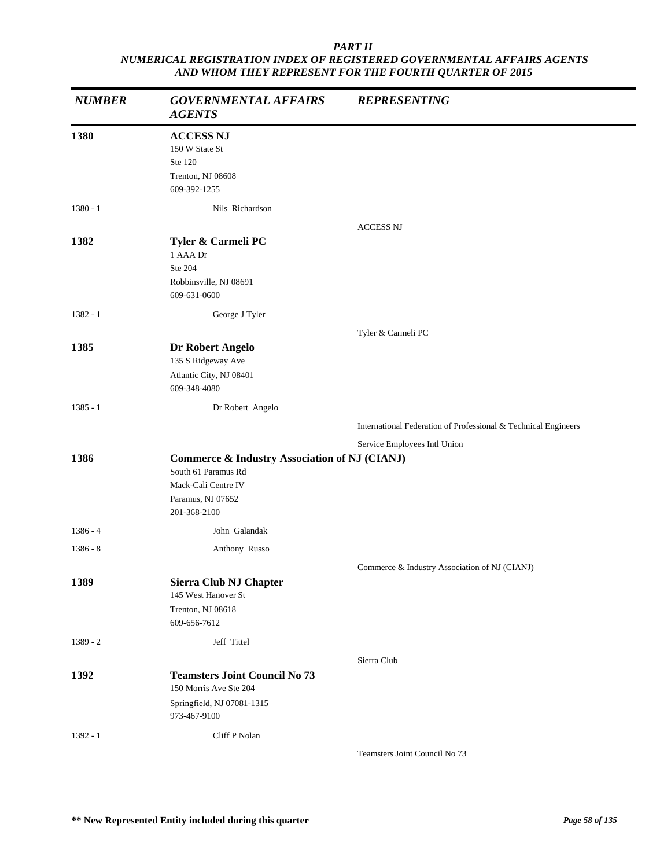| <b>NUMBER</b> | <b>GOVERNMENTAL AFFAIRS</b><br><b>AGENTS</b>                                                                                                | <b>REPRESENTING</b>                                            |
|---------------|---------------------------------------------------------------------------------------------------------------------------------------------|----------------------------------------------------------------|
| 1380          | <b>ACCESS NJ</b><br>150 W State St<br>Ste 120<br>Trenton, NJ 08608<br>609-392-1255                                                          |                                                                |
| $1380 - 1$    | Nils Richardson                                                                                                                             |                                                                |
| 1382          | Tyler & Carmeli PC<br>1 AAA Dr<br>Ste 204<br>Robbinsville, NJ 08691<br>609-631-0600                                                         | <b>ACCESS NJ</b>                                               |
| $1382 - 1$    | George J Tyler                                                                                                                              |                                                                |
| 1385          | Dr Robert Angelo<br>135 S Ridgeway Ave<br>Atlantic City, NJ 08401<br>609-348-4080                                                           | Tyler & Carmeli PC                                             |
| $1385 - 1$    | Dr Robert Angelo                                                                                                                            |                                                                |
|               |                                                                                                                                             | International Federation of Professional & Technical Engineers |
|               |                                                                                                                                             | Service Employees Intl Union                                   |
| 1386          | <b>Commerce &amp; Industry Association of NJ (CIANJ)</b><br>South 61 Paramus Rd<br>Mack-Cali Centre IV<br>Paramus, NJ 07652<br>201-368-2100 |                                                                |
| $1386 - 4$    | John Galandak                                                                                                                               |                                                                |
| $1386 - 8$    | Anthony Russo                                                                                                                               |                                                                |
|               |                                                                                                                                             | Commerce & Industry Association of NJ (CIANJ)                  |
| 1389          | Sierra Club NJ Chapter<br>145 West Hanover St<br>Trenton, NJ 08618<br>609-656-7612                                                          |                                                                |
| $1389 - 2$    | Jeff Tittel                                                                                                                                 |                                                                |
|               |                                                                                                                                             | Sierra Club                                                    |
| 1392          | <b>Teamsters Joint Council No 73</b><br>150 Morris Ave Ste 204<br>Springfield, NJ 07081-1315<br>973-467-9100                                |                                                                |
| $1392 - 1$    | Cliff P Nolan                                                                                                                               | Teamsters Joint Council No 73                                  |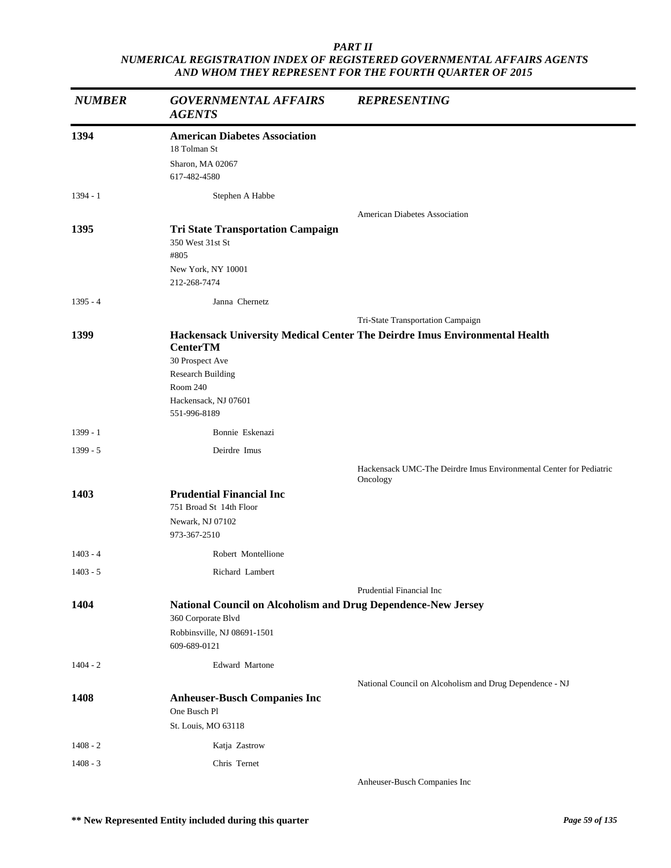| <b>NUMBER</b> | <b>GOVERNMENTAL AFFAIRS</b><br><b>AGENTS</b>                                                                       | <b>REPRESENTING</b>                                                            |
|---------------|--------------------------------------------------------------------------------------------------------------------|--------------------------------------------------------------------------------|
| 1394          | <b>American Diabetes Association</b><br>18 Tolman St<br>Sharon, MA 02067<br>617-482-4580                           |                                                                                |
| $1394 - 1$    | Stephen A Habbe                                                                                                    |                                                                                |
|               |                                                                                                                    | <b>American Diabetes Association</b>                                           |
| 1395          | <b>Tri State Transportation Campaign</b><br>350 West 31st St<br>#805<br>New York, NY 10001<br>212-268-7474         |                                                                                |
| $1395 - 4$    | Janna Chernetz                                                                                                     |                                                                                |
|               |                                                                                                                    | Tri-State Transportation Campaign                                              |
| 1399          | <b>CenterTM</b><br>30 Prospect Ave<br><b>Research Building</b><br>Room 240<br>Hackensack, NJ 07601<br>551-996-8189 | Hackensack University Medical Center The Deirdre Imus Environmental Health     |
| $1399 - 1$    | Bonnie Eskenazi                                                                                                    |                                                                                |
| $1399 - 5$    | Deirdre Imus                                                                                                       |                                                                                |
|               |                                                                                                                    | Hackensack UMC-The Deirdre Imus Environmental Center for Pediatric<br>Oncology |
| 1403          | <b>Prudential Financial Inc</b><br>751 Broad St 14th Floor<br>Newark, NJ 07102<br>973-367-2510                     |                                                                                |
| $1403 - 4$    | Robert Montellione                                                                                                 |                                                                                |
| $1403 - 5$    | Richard Lambert                                                                                                    |                                                                                |
|               |                                                                                                                    | Prudential Financial Inc                                                       |
| 1404          | National Council on Alcoholism and Drug Dependence-New Jersey                                                      |                                                                                |
|               | 360 Corporate Blvd<br>Robbinsville, NJ 08691-1501<br>609-689-0121                                                  |                                                                                |
| $1404 - 2$    | Edward Martone                                                                                                     |                                                                                |
|               |                                                                                                                    | National Council on Alcoholism and Drug Dependence - NJ                        |
| 1408          | <b>Anheuser-Busch Companies Inc</b><br>One Busch Pl                                                                |                                                                                |
|               | St. Louis, MO 63118                                                                                                |                                                                                |
| $1408 - 2$    | Katja Zastrow                                                                                                      |                                                                                |
| $1408 - 3$    | Chris Ternet                                                                                                       | Anheuser-Busch Companies Inc                                                   |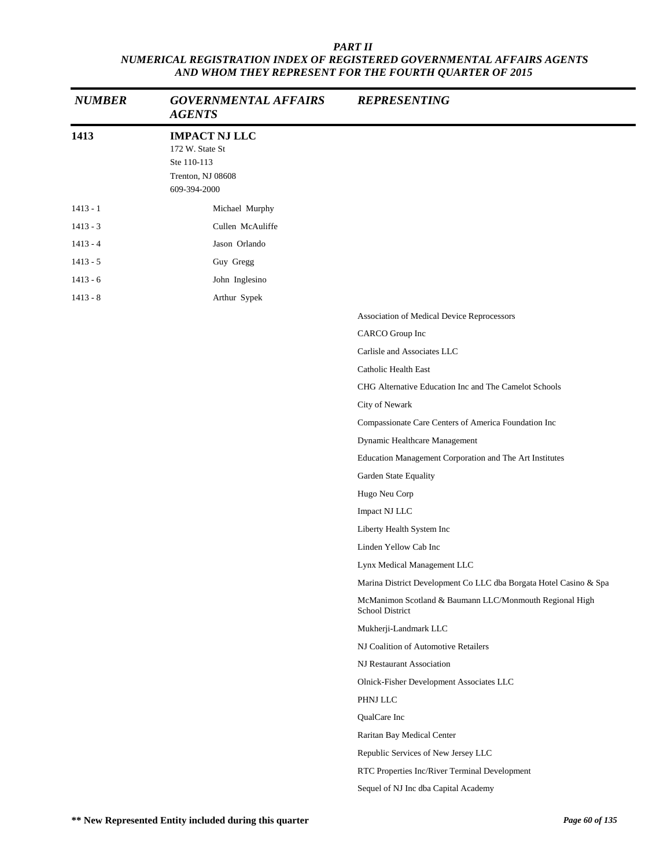| <b>NUMBER</b> | <b>GOVERNMENTAL AFFAIRS</b><br><b>AGENTS</b>                                                | <b>REPRESENTING</b>                                                        |
|---------------|---------------------------------------------------------------------------------------------|----------------------------------------------------------------------------|
| 1413          | <b>IMPACT NJ LLC</b><br>172 W. State St<br>Ste 110-113<br>Trenton, NJ 08608<br>609-394-2000 |                                                                            |
| $1413 - 1$    | Michael Murphy                                                                              |                                                                            |
| $1413 - 3$    | Cullen McAuliffe                                                                            |                                                                            |
| $1413 - 4$    | Jason Orlando                                                                               |                                                                            |
| $1413 - 5$    | Guy Gregg                                                                                   |                                                                            |
| $1413 - 6$    | John Inglesino                                                                              |                                                                            |
| $1413 - 8$    | Arthur Sypek                                                                                |                                                                            |
|               |                                                                                             | Association of Medical Device Reprocessors                                 |
|               |                                                                                             | CARCO Group Inc                                                            |
|               |                                                                                             | Carlisle and Associates LLC                                                |
|               |                                                                                             | Catholic Health East                                                       |
|               |                                                                                             | CHG Alternative Education Inc and The Camelot Schools                      |
|               |                                                                                             | City of Newark                                                             |
|               |                                                                                             | Compassionate Care Centers of America Foundation Inc                       |
|               |                                                                                             | Dynamic Healthcare Management                                              |
|               |                                                                                             | Education Management Corporation and The Art Institutes                    |
|               |                                                                                             | Garden State Equality                                                      |
|               |                                                                                             | Hugo Neu Corp                                                              |
|               |                                                                                             | Impact NJ LLC                                                              |
|               |                                                                                             | Liberty Health System Inc                                                  |
|               |                                                                                             | Linden Yellow Cab Inc                                                      |
|               |                                                                                             | Lynx Medical Management LLC                                                |
|               |                                                                                             | Marina District Development Co LLC dba Borgata Hotel Casino & Spa          |
|               |                                                                                             | McManimon Scotland & Baumann LLC/Monmouth Regional High<br>School District |
|               |                                                                                             | Mukherji-Landmark LLC                                                      |
|               |                                                                                             | NJ Coalition of Automotive Retailers                                       |
|               |                                                                                             | NJ Restaurant Association                                                  |
|               |                                                                                             | Olnick-Fisher Development Associates LLC                                   |
|               |                                                                                             | PHNJ LLC                                                                   |
|               |                                                                                             | QualCare Inc                                                               |
|               |                                                                                             | Raritan Bay Medical Center                                                 |
|               |                                                                                             | Republic Services of New Jersey LLC                                        |
|               |                                                                                             | RTC Properties Inc/River Terminal Development                              |
|               |                                                                                             | Sequel of NJ Inc dba Capital Academy                                       |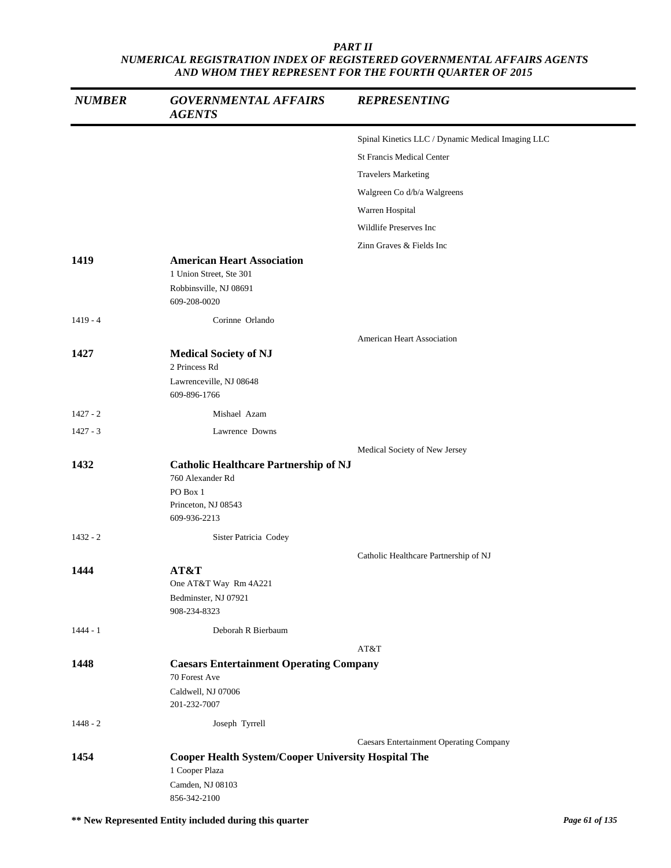| <b>NUMBER</b> | <b>GOVERNMENTAL AFFAIRS</b><br><b>AGENTS</b>                                                                        | <b>REPRESENTING</b>                               |
|---------------|---------------------------------------------------------------------------------------------------------------------|---------------------------------------------------|
|               |                                                                                                                     | Spinal Kinetics LLC / Dynamic Medical Imaging LLC |
|               |                                                                                                                     | <b>St Francis Medical Center</b>                  |
|               |                                                                                                                     | <b>Travelers Marketing</b>                        |
|               |                                                                                                                     | Walgreen Co d/b/a Walgreens                       |
|               |                                                                                                                     | Warren Hospital                                   |
|               |                                                                                                                     | Wildlife Preserves Inc                            |
|               |                                                                                                                     | Zinn Graves & Fields Inc                          |
| 1419          | <b>American Heart Association</b><br>1 Union Street, Ste 301<br>Robbinsville, NJ 08691<br>609-208-0020              |                                                   |
| $1419 - 4$    | Corinne Orlando                                                                                                     |                                                   |
| 1427          | <b>Medical Society of NJ</b><br>2 Princess Rd<br>Lawrenceville, NJ 08648                                            | <b>American Heart Association</b>                 |
|               | 609-896-1766                                                                                                        |                                                   |
| $1427 - 2$    | Mishael Azam                                                                                                        |                                                   |
| $1427 - 3$    | Lawrence Downs                                                                                                      |                                                   |
| 1432          | <b>Catholic Healthcare Partnership of NJ</b><br>760 Alexander Rd<br>PO Box 1<br>Princeton, NJ 08543<br>609-936-2213 | Medical Society of New Jersey                     |
| $1432 - 2$    | Sister Patricia Codey                                                                                               |                                                   |
| 1444          | AT&T<br>One AT&T Way Rm 4A221<br>Bedminster, NJ 07921<br>908-234-8323                                               | Catholic Healthcare Partnership of NJ             |
| $1444 - 1$    | Deborah R Bierbaum                                                                                                  |                                                   |
|               |                                                                                                                     | AT&T                                              |
| 1448          | <b>Caesars Entertainment Operating Company</b><br>70 Forest Ave<br>Caldwell, NJ 07006<br>201-232-7007               |                                                   |
| $1448 - 2$    | Joseph Tyrrell                                                                                                      |                                                   |
|               |                                                                                                                     | <b>Caesars Entertainment Operating Company</b>    |
| 1454          | <b>Cooper Health System/Cooper University Hospital The</b><br>1 Cooper Plaza<br>Camden, NJ 08103<br>856-342-2100    |                                                   |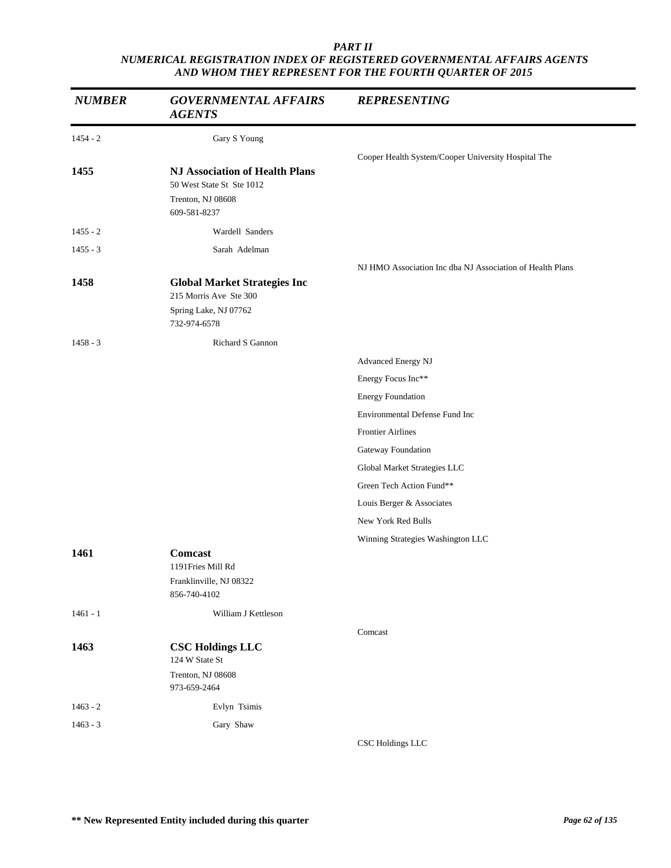| <b>NUMBER</b> | <b>GOVERNMENTAL AFFAIRS</b><br><b>AGENTS</b>                                                            | <b>REPRESENTING</b>                                       |
|---------------|---------------------------------------------------------------------------------------------------------|-----------------------------------------------------------|
| $1454 - 2$    | Gary S Young                                                                                            |                                                           |
| 1455          | <b>NJ Association of Health Plans</b><br>50 West State St Ste 1012<br>Trenton, NJ 08608<br>609-581-8237 | Cooper Health System/Cooper University Hospital The       |
| $1455 - 2$    | Wardell Sanders                                                                                         |                                                           |
| $1455 - 3$    | Sarah Adelman                                                                                           |                                                           |
| 1458          | <b>Global Market Strategies Inc</b><br>215 Morris Ave Ste 300<br>Spring Lake, NJ 07762<br>732-974-6578  | NJ HMO Association Inc dba NJ Association of Health Plans |
| $1458 - 3$    | Richard S Gannon                                                                                        |                                                           |
|               |                                                                                                         | Advanced Energy NJ                                        |
|               |                                                                                                         | Energy Focus Inc**                                        |
|               |                                                                                                         | <b>Energy Foundation</b>                                  |
|               |                                                                                                         | Environmental Defense Fund Inc                            |
|               |                                                                                                         | <b>Frontier Airlines</b>                                  |
|               |                                                                                                         | Gateway Foundation                                        |
|               |                                                                                                         | Global Market Strategies LLC                              |
|               |                                                                                                         | Green Tech Action Fund**                                  |
|               |                                                                                                         | Louis Berger & Associates                                 |
|               |                                                                                                         | New York Red Bulls                                        |
|               |                                                                                                         | Winning Strategies Washington LLC                         |
| 1461          | Comcast<br>1191 Fries Mill Rd<br>Franklinville, NJ 08322<br>856-740-4102                                |                                                           |
| $1461 - 1$    | William J Kettleson                                                                                     |                                                           |
|               |                                                                                                         | Comcast                                                   |
| 1463          | <b>CSC Holdings LLC</b><br>124 W State St                                                               |                                                           |
|               | Trenton, NJ 08608<br>973-659-2464                                                                       |                                                           |
| $1463 - 2$    | Evlyn Tsimis                                                                                            |                                                           |
| $1463 - 3$    | Gary Shaw                                                                                               |                                                           |
|               |                                                                                                         | CSC Holdings LLC                                          |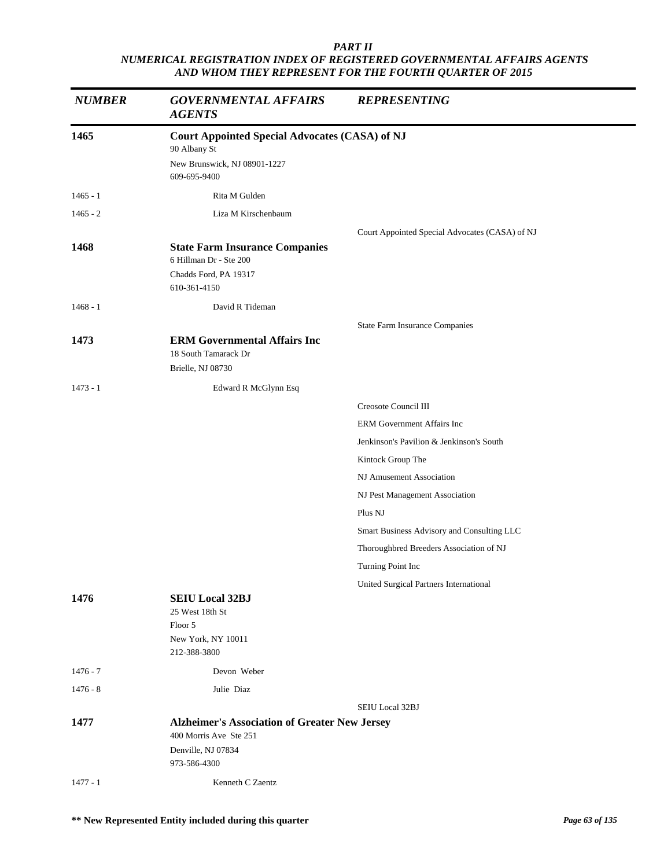| 1465<br><b>Court Appointed Special Advocates (CASA) of NJ</b><br>90 Albany St<br>New Brunswick, NJ 08901-1227<br>609-695-9400<br>Rita M Gulden<br>$1465 - 1$<br>$1465 - 2$<br>Liza M Kirschenbaum<br>Court Appointed Special Advocates (CASA) of NJ<br>1468<br><b>State Farm Insurance Companies</b><br>6 Hillman Dr - Ste 200<br>Chadds Ford, PA 19317<br>610-361-4150<br>$1468 - 1$<br>David R Tideman<br><b>State Farm Insurance Companies</b><br><b>ERM Governmental Affairs Inc</b><br>1473<br>18 South Tamarack Dr<br>Brielle, NJ 08730<br>$1473 - 1$<br>Edward R McGlynn Esq<br>Creosote Council III<br><b>ERM Government Affairs Inc</b><br>Jenkinson's Pavilion & Jenkinson's South<br>Kintock Group The<br>NJ Amusement Association<br>NJ Pest Management Association | <b>NUMBER</b> | <b>GOVERNMENTAL AFFAIRS</b><br><b>AGENTS</b> | <b>REPRESENTING</b> |  |
|---------------------------------------------------------------------------------------------------------------------------------------------------------------------------------------------------------------------------------------------------------------------------------------------------------------------------------------------------------------------------------------------------------------------------------------------------------------------------------------------------------------------------------------------------------------------------------------------------------------------------------------------------------------------------------------------------------------------------------------------------------------------------------|---------------|----------------------------------------------|---------------------|--|
|                                                                                                                                                                                                                                                                                                                                                                                                                                                                                                                                                                                                                                                                                                                                                                                 |               |                                              |                     |  |
|                                                                                                                                                                                                                                                                                                                                                                                                                                                                                                                                                                                                                                                                                                                                                                                 |               |                                              |                     |  |
|                                                                                                                                                                                                                                                                                                                                                                                                                                                                                                                                                                                                                                                                                                                                                                                 |               |                                              |                     |  |
|                                                                                                                                                                                                                                                                                                                                                                                                                                                                                                                                                                                                                                                                                                                                                                                 |               |                                              |                     |  |
|                                                                                                                                                                                                                                                                                                                                                                                                                                                                                                                                                                                                                                                                                                                                                                                 |               |                                              |                     |  |
|                                                                                                                                                                                                                                                                                                                                                                                                                                                                                                                                                                                                                                                                                                                                                                                 |               |                                              |                     |  |
|                                                                                                                                                                                                                                                                                                                                                                                                                                                                                                                                                                                                                                                                                                                                                                                 |               |                                              |                     |  |
|                                                                                                                                                                                                                                                                                                                                                                                                                                                                                                                                                                                                                                                                                                                                                                                 |               |                                              |                     |  |
|                                                                                                                                                                                                                                                                                                                                                                                                                                                                                                                                                                                                                                                                                                                                                                                 |               |                                              |                     |  |
|                                                                                                                                                                                                                                                                                                                                                                                                                                                                                                                                                                                                                                                                                                                                                                                 |               |                                              |                     |  |
|                                                                                                                                                                                                                                                                                                                                                                                                                                                                                                                                                                                                                                                                                                                                                                                 |               |                                              |                     |  |
|                                                                                                                                                                                                                                                                                                                                                                                                                                                                                                                                                                                                                                                                                                                                                                                 |               |                                              |                     |  |
|                                                                                                                                                                                                                                                                                                                                                                                                                                                                                                                                                                                                                                                                                                                                                                                 |               |                                              |                     |  |
|                                                                                                                                                                                                                                                                                                                                                                                                                                                                                                                                                                                                                                                                                                                                                                                 |               |                                              |                     |  |
|                                                                                                                                                                                                                                                                                                                                                                                                                                                                                                                                                                                                                                                                                                                                                                                 |               |                                              |                     |  |
|                                                                                                                                                                                                                                                                                                                                                                                                                                                                                                                                                                                                                                                                                                                                                                                 |               |                                              |                     |  |
|                                                                                                                                                                                                                                                                                                                                                                                                                                                                                                                                                                                                                                                                                                                                                                                 |               |                                              |                     |  |
|                                                                                                                                                                                                                                                                                                                                                                                                                                                                                                                                                                                                                                                                                                                                                                                 |               |                                              |                     |  |
|                                                                                                                                                                                                                                                                                                                                                                                                                                                                                                                                                                                                                                                                                                                                                                                 |               |                                              |                     |  |
|                                                                                                                                                                                                                                                                                                                                                                                                                                                                                                                                                                                                                                                                                                                                                                                 |               |                                              |                     |  |
| Plus NJ                                                                                                                                                                                                                                                                                                                                                                                                                                                                                                                                                                                                                                                                                                                                                                         |               |                                              |                     |  |
| Smart Business Advisory and Consulting LLC                                                                                                                                                                                                                                                                                                                                                                                                                                                                                                                                                                                                                                                                                                                                      |               |                                              |                     |  |
| Thoroughbred Breeders Association of NJ                                                                                                                                                                                                                                                                                                                                                                                                                                                                                                                                                                                                                                                                                                                                         |               |                                              |                     |  |
| Turning Point Inc                                                                                                                                                                                                                                                                                                                                                                                                                                                                                                                                                                                                                                                                                                                                                               |               |                                              |                     |  |
| United Surgical Partners International                                                                                                                                                                                                                                                                                                                                                                                                                                                                                                                                                                                                                                                                                                                                          |               |                                              |                     |  |
| <b>SEIU Local 32BJ</b><br>1476<br>25 West 18th St                                                                                                                                                                                                                                                                                                                                                                                                                                                                                                                                                                                                                                                                                                                               |               |                                              |                     |  |
| Floor 5                                                                                                                                                                                                                                                                                                                                                                                                                                                                                                                                                                                                                                                                                                                                                                         |               |                                              |                     |  |
| New York, NY 10011<br>212-388-3800                                                                                                                                                                                                                                                                                                                                                                                                                                                                                                                                                                                                                                                                                                                                              |               |                                              |                     |  |
| Devon Weber<br>$1476 - 7$                                                                                                                                                                                                                                                                                                                                                                                                                                                                                                                                                                                                                                                                                                                                                       |               |                                              |                     |  |
| $1476 - 8$<br>Julie Diaz                                                                                                                                                                                                                                                                                                                                                                                                                                                                                                                                                                                                                                                                                                                                                        |               |                                              |                     |  |
| SEIU Local 32BJ                                                                                                                                                                                                                                                                                                                                                                                                                                                                                                                                                                                                                                                                                                                                                                 |               |                                              |                     |  |
| 1477<br><b>Alzheimer's Association of Greater New Jersey</b>                                                                                                                                                                                                                                                                                                                                                                                                                                                                                                                                                                                                                                                                                                                    |               |                                              |                     |  |
| 400 Morris Ave Ste 251                                                                                                                                                                                                                                                                                                                                                                                                                                                                                                                                                                                                                                                                                                                                                          |               |                                              |                     |  |
| Denville, NJ 07834<br>973-586-4300                                                                                                                                                                                                                                                                                                                                                                                                                                                                                                                                                                                                                                                                                                                                              |               |                                              |                     |  |
| Kenneth C Zaentz<br>$1477 - 1$                                                                                                                                                                                                                                                                                                                                                                                                                                                                                                                                                                                                                                                                                                                                                  |               |                                              |                     |  |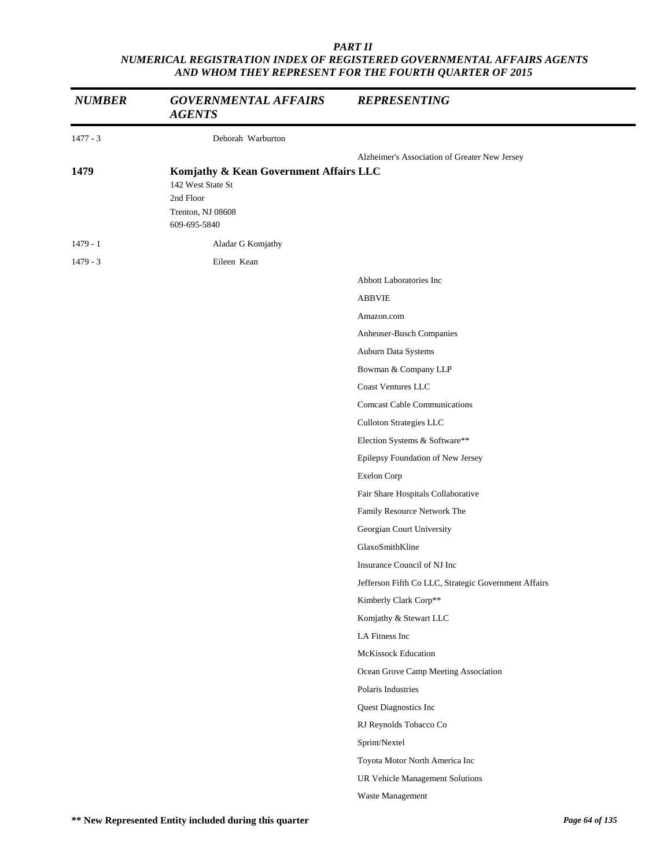| <b>NUMBER</b> | <b>GOVERNMENTAL AFFAIRS</b><br><b>AGENTS</b>                                                                  | <b>REPRESENTING</b>                                  |
|---------------|---------------------------------------------------------------------------------------------------------------|------------------------------------------------------|
| $1477 - 3$    | Deborah Warburton                                                                                             |                                                      |
|               |                                                                                                               | Alzheimer's Association of Greater New Jersey        |
| 1479          | Komjathy & Kean Government Affairs LLC<br>142 West State St<br>2nd Floor<br>Trenton, NJ 08608<br>609-695-5840 |                                                      |
| $1479 - 1$    | Aladar G Komjathy                                                                                             |                                                      |
| $1479 - 3$    | Eileen Kean                                                                                                   |                                                      |
|               |                                                                                                               | Abbott Laboratories Inc                              |
|               |                                                                                                               | <b>ABBVIE</b>                                        |
|               |                                                                                                               | Amazon.com                                           |
|               |                                                                                                               | Anheuser-Busch Companies                             |
|               |                                                                                                               | Auburn Data Systems                                  |
|               |                                                                                                               | Bowman & Company LLP                                 |
|               |                                                                                                               | <b>Coast Ventures LLC</b>                            |
|               |                                                                                                               | <b>Comcast Cable Communications</b>                  |
|               |                                                                                                               | Culloton Strategies LLC                              |
|               |                                                                                                               | Election Systems & Software**                        |
|               |                                                                                                               | Epilepsy Foundation of New Jersey                    |
|               |                                                                                                               | Exelon Corp                                          |
|               |                                                                                                               | Fair Share Hospitals Collaborative                   |
|               |                                                                                                               | Family Resource Network The                          |
|               |                                                                                                               | Georgian Court University                            |
|               |                                                                                                               | GlaxoSmithKline                                      |
|               |                                                                                                               | Insurance Council of NJ Inc                          |
|               |                                                                                                               | Jefferson Fifth Co LLC, Strategic Government Affairs |
|               |                                                                                                               | Kimberly Clark Corp**                                |
|               |                                                                                                               | Komjathy & Stewart LLC                               |
|               |                                                                                                               | LA Fitness Inc                                       |
|               |                                                                                                               | <b>McKissock Education</b>                           |
|               |                                                                                                               | Ocean Grove Camp Meeting Association                 |
|               |                                                                                                               | Polaris Industries                                   |
|               |                                                                                                               | Quest Diagnostics Inc                                |
|               |                                                                                                               | RJ Reynolds Tobacco Co                               |
|               |                                                                                                               | Sprint/Nextel                                        |
|               |                                                                                                               | Toyota Motor North America Inc                       |
|               |                                                                                                               | UR Vehicle Management Solutions                      |
|               |                                                                                                               | Waste Management                                     |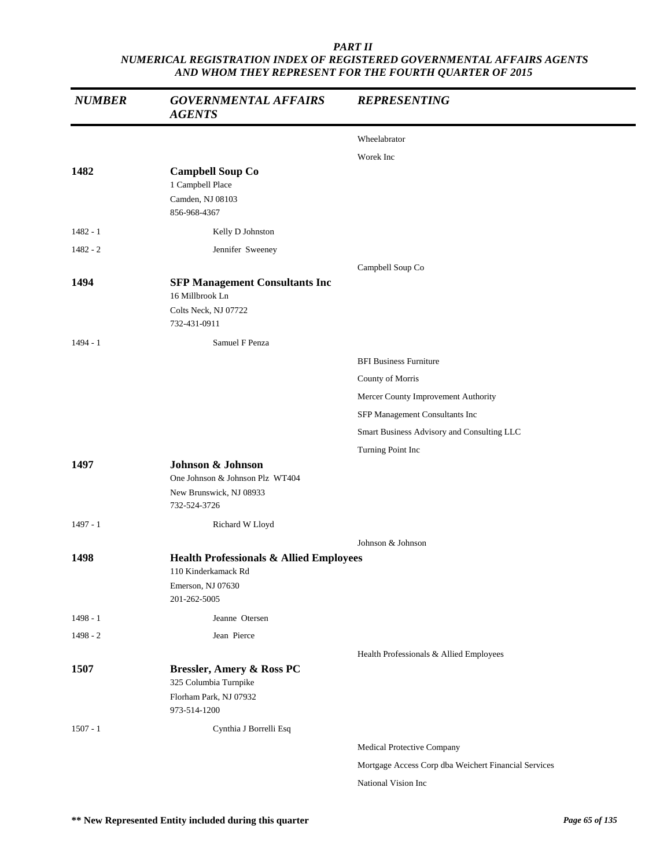| <b>NUMBER</b> | <b>GOVERNMENTAL AFFAIRS</b><br><b>AGENTS</b>                                                                   | <b>REPRESENTING</b>                                  |
|---------------|----------------------------------------------------------------------------------------------------------------|------------------------------------------------------|
|               |                                                                                                                | Wheelabrator                                         |
|               |                                                                                                                | Worek Inc                                            |
| 1482          | <b>Campbell Soup Co</b><br>1 Campbell Place<br>Camden, NJ 08103<br>856-968-4367                                |                                                      |
| $1482 - 1$    | Kelly D Johnston                                                                                               |                                                      |
| $1482 - 2$    | Jennifer Sweeney                                                                                               |                                                      |
|               |                                                                                                                | Campbell Soup Co                                     |
| 1494          | <b>SFP Management Consultants Inc</b><br>16 Millbrook Ln<br>Colts Neck, NJ 07722<br>732-431-0911               |                                                      |
| 1494 - 1      | Samuel F Penza                                                                                                 |                                                      |
|               |                                                                                                                | <b>BFI Business Furniture</b>                        |
|               |                                                                                                                | County of Morris                                     |
|               |                                                                                                                | Mercer County Improvement Authority                  |
|               |                                                                                                                | SFP Management Consultants Inc                       |
|               |                                                                                                                | Smart Business Advisory and Consulting LLC           |
|               |                                                                                                                | Turning Point Inc                                    |
| 1497          | Johnson & Johnson<br>One Johnson & Johnson Plz WT404                                                           |                                                      |
|               | New Brunswick, NJ 08933<br>732-524-3726                                                                        |                                                      |
| $1497 - 1$    | Richard W Lloyd                                                                                                |                                                      |
|               |                                                                                                                | Johnson & Johnson                                    |
| 1498          | <b>Health Professionals &amp; Allied Employees</b><br>110 Kinderkamack Rd<br>Emerson, NJ 07630<br>201-262-5005 |                                                      |
| $1498 - 1$    | Jeanne Otersen                                                                                                 |                                                      |
| $1498 - 2$    | Jean Pierce                                                                                                    |                                                      |
|               |                                                                                                                | Health Professionals & Allied Employees              |
| 1507          | <b>Bressler, Amery &amp; Ross PC</b><br>325 Columbia Turnpike<br>Florham Park, NJ 07932<br>973-514-1200        |                                                      |
| $1507 - 1$    | Cynthia J Borrelli Esq                                                                                         |                                                      |
|               |                                                                                                                | Medical Protective Company                           |
|               |                                                                                                                | Mortgage Access Corp dba Weichert Financial Services |
|               |                                                                                                                | National Vision Inc                                  |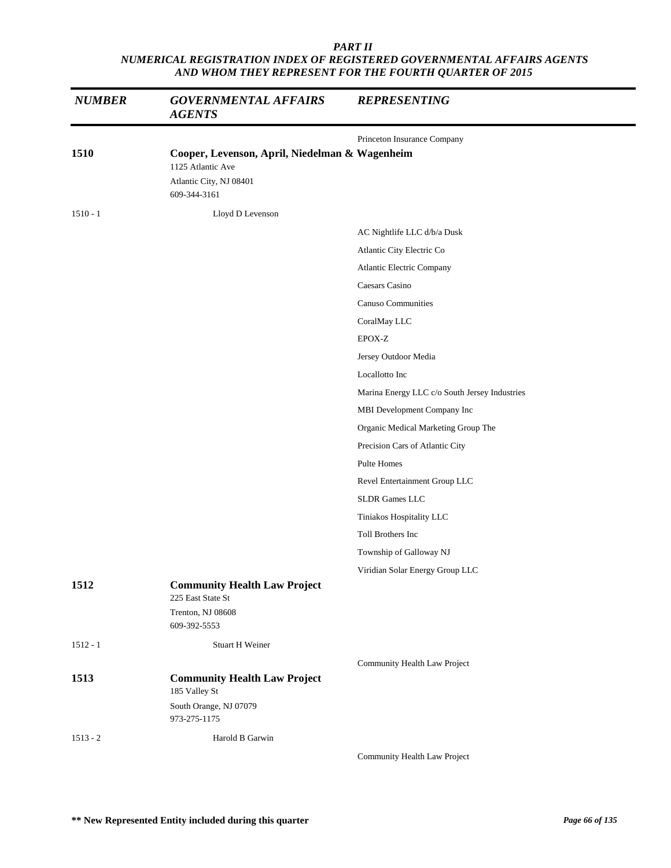| <b>NUMBER</b> | <b>GOVERNMENTAL AFFAIRS</b><br><b>AGENTS</b>                                                                   | <b>REPRESENTING</b>                           |
|---------------|----------------------------------------------------------------------------------------------------------------|-----------------------------------------------|
|               |                                                                                                                | Princeton Insurance Company                   |
| 1510          | Cooper, Levenson, April, Niedelman & Wagenheim<br>1125 Atlantic Ave<br>Atlantic City, NJ 08401<br>609-344-3161 |                                               |
| $1510 - 1$    | Lloyd D Levenson                                                                                               |                                               |
|               |                                                                                                                | AC Nightlife LLC d/b/a Dusk                   |
|               |                                                                                                                | Atlantic City Electric Co                     |
|               |                                                                                                                | Atlantic Electric Company                     |
|               |                                                                                                                | Caesars Casino                                |
|               |                                                                                                                | <b>Canuso Communities</b>                     |
|               |                                                                                                                | CoralMay LLC                                  |
|               |                                                                                                                | EPOX-Z                                        |
|               |                                                                                                                | Jersey Outdoor Media                          |
|               |                                                                                                                | Locallotto Inc                                |
|               |                                                                                                                | Marina Energy LLC c/o South Jersey Industries |
|               |                                                                                                                | MBI Development Company Inc                   |
|               |                                                                                                                | Organic Medical Marketing Group The           |
|               |                                                                                                                | Precision Cars of Atlantic City               |
|               |                                                                                                                | Pulte Homes                                   |
|               |                                                                                                                | Revel Entertainment Group LLC                 |
|               |                                                                                                                | <b>SLDR</b> Games LLC                         |
|               |                                                                                                                | Tiniakos Hospitality LLC                      |
|               |                                                                                                                | Toll Brothers Inc                             |
|               |                                                                                                                | Township of Galloway NJ                       |
|               |                                                                                                                | Viridian Solar Energy Group LLC               |
| 1512          | <b>Community Health Law Project</b><br>225 East State St<br>Trenton, NJ 08608                                  |                                               |
|               | 609-392-5553                                                                                                   |                                               |
| $1512 - 1$    | <b>Stuart H Weiner</b>                                                                                         |                                               |
|               |                                                                                                                | Community Health Law Project                  |
| 1513          | <b>Community Health Law Project</b><br>185 Valley St                                                           |                                               |
|               | South Orange, NJ 07079<br>973-275-1175                                                                         |                                               |
| $1513 - 2$    | Harold B Garwin                                                                                                |                                               |
|               |                                                                                                                | Community Health Law Project                  |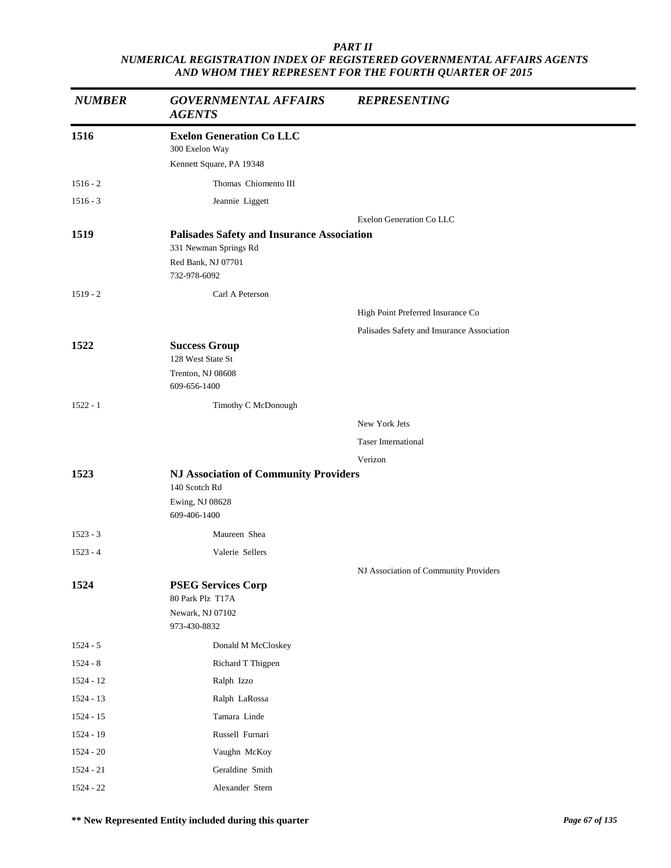| <b>NUMBER</b> | <b>GOVERNMENTAL AFFAIRS</b><br><b>AGENTS</b>                               | <b>REPRESENTING</b>                        |
|---------------|----------------------------------------------------------------------------|--------------------------------------------|
| 1516          | <b>Exelon Generation Co LLC</b><br>300 Exelon Way                          |                                            |
|               | Kennett Square, PA 19348                                                   |                                            |
| $1516 - 2$    | Thomas Chiomento III                                                       |                                            |
| $1516 - 3$    | Jeannie Liggett                                                            |                                            |
| 1519          | <b>Palisades Safety and Insurance Association</b><br>331 Newman Springs Rd | Exelon Generation Co LLC                   |
|               | Red Bank, NJ 07701<br>732-978-6092                                         |                                            |
| $1519 - 2$    | Carl A Peterson                                                            |                                            |
|               |                                                                            | High Point Preferred Insurance Co          |
|               |                                                                            | Palisades Safety and Insurance Association |
| 1522          | <b>Success Group</b><br>128 West State St                                  |                                            |
|               | Trenton, NJ 08608<br>609-656-1400                                          |                                            |
| $1522 - 1$    | Timothy C McDonough                                                        |                                            |
|               |                                                                            | New York Jets                              |
|               |                                                                            | <b>Taser International</b>                 |
|               |                                                                            | Verizon                                    |
| 1523          | <b>NJ Association of Community Providers</b>                               |                                            |
|               | 140 Scotch Rd                                                              |                                            |
|               | Ewing, NJ 08628<br>609-406-1400                                            |                                            |
| $1523 - 3$    | Maureen Shea                                                               |                                            |
| $1523 - 4$    | Valerie Sellers                                                            |                                            |
|               |                                                                            | NJ Association of Community Providers      |
| 1524          | <b>PSEG Services Corp</b><br>80 Park Plz T17A                              |                                            |
|               | Newark, NJ 07102<br>973-430-8832                                           |                                            |
| $1524 - 5$    | Donald M McCloskey                                                         |                                            |
| $1524 - 8$    | Richard T Thigpen                                                          |                                            |
| $1524 - 12$   | Ralph Izzo                                                                 |                                            |
| 1524 - 13     | Ralph LaRossa                                                              |                                            |
| $1524 - 15$   | Tamara Linde                                                               |                                            |
| 1524 - 19     | Russell Furnari                                                            |                                            |
| $1524 - 20$   | Vaughn McKoy                                                               |                                            |
| $1524 - 21$   | Geraldine Smith                                                            |                                            |
| $1524 - 22$   | Alexander Stern                                                            |                                            |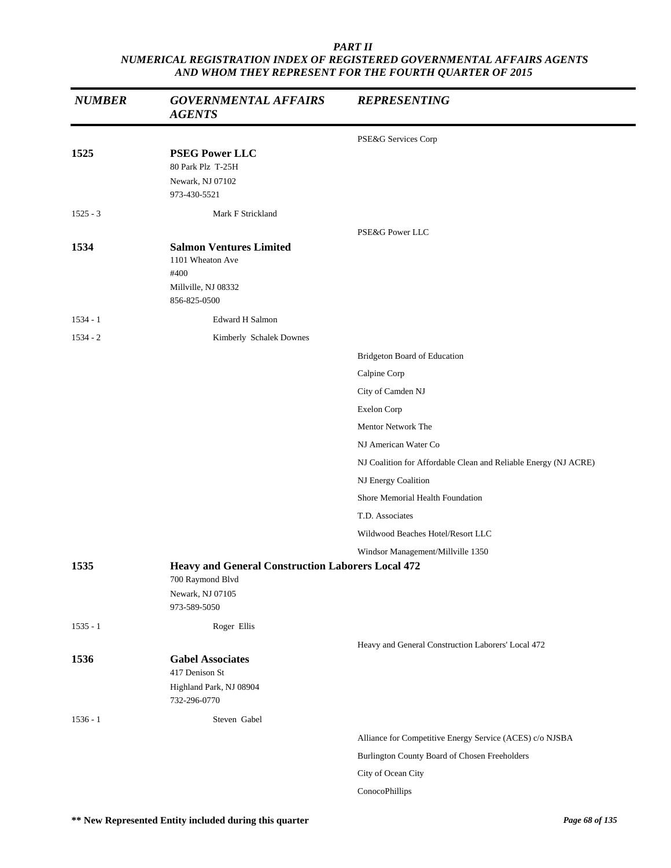| <b>NUMBER</b> | <b>GOVERNMENTAL AFFAIRS</b><br><b>AGENTS</b>                                                                     | <b>REPRESENTING</b>                                             |
|---------------|------------------------------------------------------------------------------------------------------------------|-----------------------------------------------------------------|
|               |                                                                                                                  | PSE&G Services Corp                                             |
| 1525          | <b>PSEG Power LLC</b><br>80 Park Plz T-25H<br>Newark, NJ 07102<br>973-430-5521                                   |                                                                 |
| $1525 - 3$    | Mark F Strickland                                                                                                |                                                                 |
| 1534          | <b>Salmon Ventures Limited</b><br>1101 Wheaton Ave<br>#400<br>Millville, NJ 08332<br>856-825-0500                | PSE&G Power LLC                                                 |
| $1534 - 1$    | <b>Edward H Salmon</b>                                                                                           |                                                                 |
| $1534 - 2$    | Kimberly Schalek Downes                                                                                          |                                                                 |
|               |                                                                                                                  | Bridgeton Board of Education                                    |
|               |                                                                                                                  | Calpine Corp                                                    |
|               |                                                                                                                  | City of Camden NJ                                               |
|               |                                                                                                                  | Exelon Corp                                                     |
|               |                                                                                                                  | Mentor Network The                                              |
|               |                                                                                                                  | NJ American Water Co                                            |
|               |                                                                                                                  | NJ Coalition for Affordable Clean and Reliable Energy (NJ ACRE) |
|               |                                                                                                                  | NJ Energy Coalition                                             |
|               |                                                                                                                  | Shore Memorial Health Foundation                                |
|               |                                                                                                                  | T.D. Associates                                                 |
|               |                                                                                                                  | Wildwood Beaches Hotel/Resort LLC                               |
|               |                                                                                                                  | Windsor Management/Millville 1350                               |
| 1535          | <b>Heavy and General Construction Laborers Local 472</b><br>700 Raymond Blvd<br>Newark, NJ 07105<br>973-589-5050 |                                                                 |
| $1535 - 1$    | Roger Ellis                                                                                                      |                                                                 |
|               |                                                                                                                  | Heavy and General Construction Laborers' Local 472              |
| 1536          | <b>Gabel Associates</b><br>417 Denison St<br>Highland Park, NJ 08904<br>732-296-0770                             |                                                                 |
| $1536 - 1$    | Steven Gabel                                                                                                     |                                                                 |
|               |                                                                                                                  | Alliance for Competitive Energy Service (ACES) c/o NJSBA        |
|               |                                                                                                                  | Burlington County Board of Chosen Freeholders                   |
|               |                                                                                                                  | City of Ocean City                                              |
|               |                                                                                                                  | ConocoPhillips                                                  |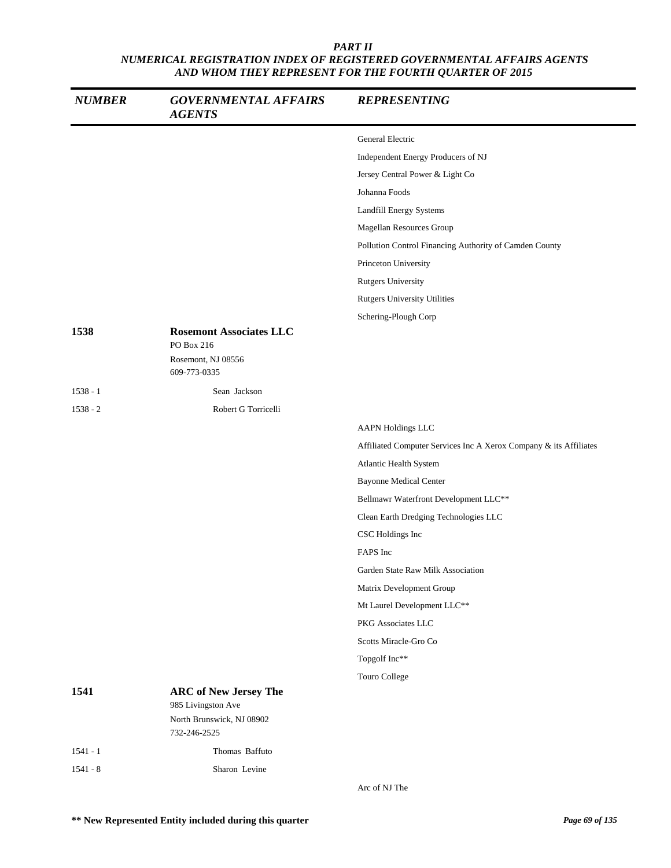| <b>NUMBER</b> | <b>GOVERNMENTAL AFFAIRS</b><br><b>AGENTS</b>       | <b>REPRESENTING</b>                                               |
|---------------|----------------------------------------------------|-------------------------------------------------------------------|
|               |                                                    | General Electric                                                  |
|               |                                                    | Independent Energy Producers of NJ                                |
|               |                                                    | Jersey Central Power & Light Co                                   |
|               |                                                    | Johanna Foods                                                     |
|               |                                                    | Landfill Energy Systems                                           |
|               |                                                    | Magellan Resources Group                                          |
|               |                                                    | Pollution Control Financing Authority of Camden County            |
|               |                                                    | Princeton University                                              |
|               |                                                    | <b>Rutgers University</b>                                         |
|               |                                                    | Rutgers University Utilities                                      |
|               |                                                    | Schering-Plough Corp                                              |
| 1538          | <b>Rosemont Associates LLC</b><br>PO Box 216       |                                                                   |
|               | Rosemont, NJ 08556<br>609-773-0335                 |                                                                   |
| $1538 - 1$    | Sean Jackson                                       |                                                                   |
| $1538 - 2$    | Robert G Torricelli                                |                                                                   |
|               |                                                    | <b>AAPN Holdings LLC</b>                                          |
|               |                                                    | Affiliated Computer Services Inc A Xerox Company & its Affiliates |
|               |                                                    | Atlantic Health System                                            |
|               |                                                    | <b>Bayonne Medical Center</b>                                     |
|               |                                                    | Bellmawr Waterfront Development LLC**                             |
|               |                                                    | Clean Earth Dredging Technologies LLC                             |
|               |                                                    | CSC Holdings Inc                                                  |
|               |                                                    | FAPS Inc                                                          |
|               |                                                    | Garden State Raw Milk Association                                 |
|               |                                                    | Matrix Development Group                                          |
|               |                                                    | Mt Laurel Development LLC**                                       |
|               |                                                    | PKG Associates LLC                                                |
|               |                                                    | Scotts Miracle-Gro Co                                             |
|               |                                                    | Topgolf Inc**                                                     |
|               |                                                    | Touro College                                                     |
| 1541          | <b>ARC of New Jersey The</b><br>985 Livingston Ave |                                                                   |
|               | North Brunswick, NJ 08902<br>732-246-2525          |                                                                   |
| $1541 - 1$    | Thomas Baffuto                                     |                                                                   |
| $1541 - 8$    | Sharon Levine                                      |                                                                   |
|               |                                                    | Arc of NJ The                                                     |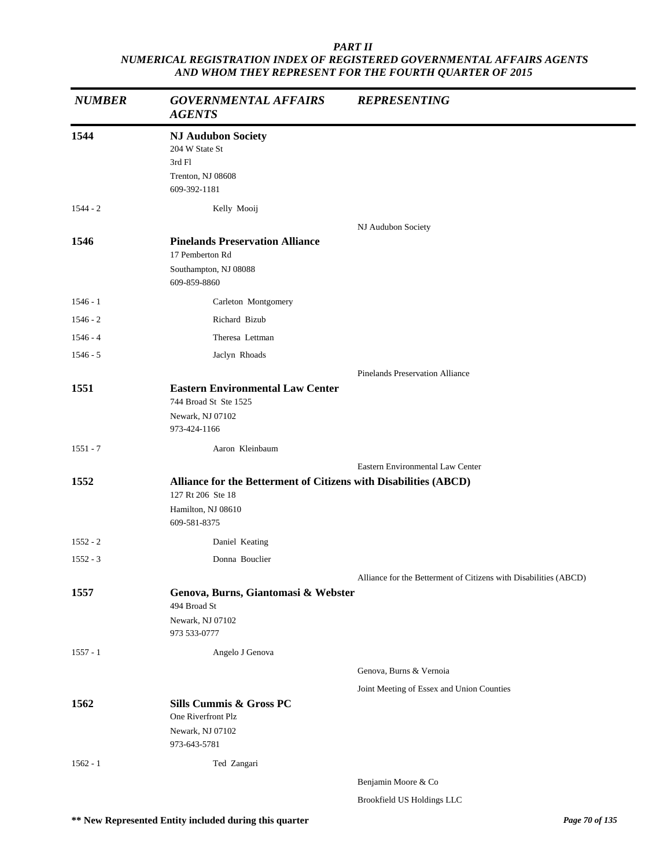| <b>NUMBER</b> | <b>GOVERNMENTAL AFFAIRS</b><br><b>AGENTS</b>                                                                                | <b>REPRESENTING</b>                                              |
|---------------|-----------------------------------------------------------------------------------------------------------------------------|------------------------------------------------------------------|
| 1544          | <b>NJ Audubon Society</b><br>204 W State St<br>3rd Fl<br>Trenton, NJ 08608<br>609-392-1181                                  |                                                                  |
| $1544 - 2$    | Kelly Mooij                                                                                                                 |                                                                  |
| 1546          | <b>Pinelands Preservation Alliance</b><br>17 Pemberton Rd<br>Southampton, NJ 08088<br>609-859-8860                          | NJ Audubon Society                                               |
| $1546 - 1$    | Carleton Montgomery                                                                                                         |                                                                  |
| $1546 - 2$    | Richard Bizub                                                                                                               |                                                                  |
| $1546 - 4$    | Theresa Lettman                                                                                                             |                                                                  |
| $1546 - 5$    | Jaclyn Rhoads                                                                                                               |                                                                  |
|               |                                                                                                                             | <b>Pinelands Preservation Alliance</b>                           |
| 1551          | <b>Eastern Environmental Law Center</b><br>744 Broad St Ste 1525<br>Newark, NJ 07102<br>973-424-1166                        |                                                                  |
| $1551 - 7$    | Aaron Kleinbaum                                                                                                             |                                                                  |
|               |                                                                                                                             | Eastern Environmental Law Center                                 |
| 1552          | Alliance for the Betterment of Citizens with Disabilities (ABCD)<br>127 Rt 206 Ste 18<br>Hamilton, NJ 08610<br>609-581-8375 |                                                                  |
| $1552 - 2$    | Daniel Keating                                                                                                              |                                                                  |
| $1552 - 3$    | Donna Bouclier                                                                                                              |                                                                  |
|               |                                                                                                                             | Alliance for the Betterment of Citizens with Disabilities (ABCD) |
| 1557          | Genova, Burns, Giantomasi & Webster<br>494 Broad St<br>Newark, NJ 07102<br>973 533-0777                                     |                                                                  |
| $1557 - 1$    | Angelo J Genova                                                                                                             |                                                                  |
|               |                                                                                                                             | Genova, Burns & Vernoia                                          |
|               |                                                                                                                             | Joint Meeting of Essex and Union Counties                        |
| 1562          | Sills Cummis & Gross PC<br>One Riverfront Plz<br>Newark, NJ 07102<br>973-643-5781                                           |                                                                  |
| $1562 - 1$    | Ted Zangari                                                                                                                 |                                                                  |
|               |                                                                                                                             | Benjamin Moore & Co                                              |

Brookfield US Holdings LLC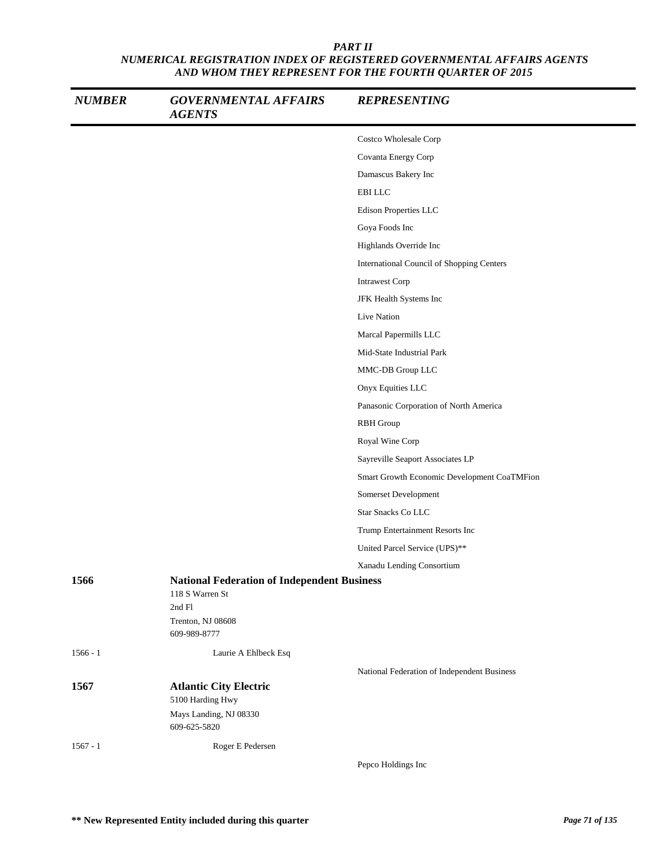| <b>NUMBER</b> | <b>GOVERNMENTAL AFFAIRS</b><br><b>AGENTS</b>                                                                         | <b>REPRESENTING</b>                         |
|---------------|----------------------------------------------------------------------------------------------------------------------|---------------------------------------------|
|               |                                                                                                                      | Costco Wholesale Corp                       |
|               |                                                                                                                      | Covanta Energy Corp                         |
|               |                                                                                                                      | Damascus Bakery Inc                         |
|               |                                                                                                                      | <b>EBILLC</b>                               |
|               |                                                                                                                      | Edison Properties LLC                       |
|               |                                                                                                                      | Goya Foods Inc                              |
|               |                                                                                                                      | Highlands Override Inc                      |
|               |                                                                                                                      | International Council of Shopping Centers   |
|               |                                                                                                                      | <b>Intrawest Corp</b>                       |
|               |                                                                                                                      | JFK Health Systems Inc                      |
|               |                                                                                                                      | Live Nation                                 |
|               |                                                                                                                      | Marcal Papermills LLC                       |
|               |                                                                                                                      | Mid-State Industrial Park                   |
|               |                                                                                                                      | MMC-DB Group LLC                            |
|               |                                                                                                                      | Onyx Equities LLC                           |
|               |                                                                                                                      | Panasonic Corporation of North America      |
|               |                                                                                                                      | <b>RBH</b> Group                            |
|               |                                                                                                                      | Royal Wine Corp                             |
|               |                                                                                                                      | Sayreville Seaport Associates LP            |
|               |                                                                                                                      | Smart Growth Economic Development CoaTMFion |
|               |                                                                                                                      | Somerset Development                        |
|               |                                                                                                                      | <b>Star Snacks Co LLC</b>                   |
|               |                                                                                                                      | Trump Entertainment Resorts Inc             |
|               |                                                                                                                      | United Parcel Service (UPS)**               |
|               |                                                                                                                      | Xanadu Lending Consortium                   |
| 1566          | <b>National Federation of Independent Business</b><br>118 S Warren St<br>2nd Fl<br>Trenton, NJ 08608<br>609-989-8777 |                                             |
| $1566 - 1$    | Laurie A Ehlbeck Esq                                                                                                 |                                             |
|               |                                                                                                                      | National Federation of Independent Business |
| 1567          | <b>Atlantic City Electric</b><br>5100 Harding Hwy                                                                    |                                             |
|               | Mays Landing, NJ 08330<br>609-625-5820                                                                               |                                             |
| $1567 - 1$    | Roger E Pedersen                                                                                                     |                                             |
|               |                                                                                                                      | Pepco Holdings Inc                          |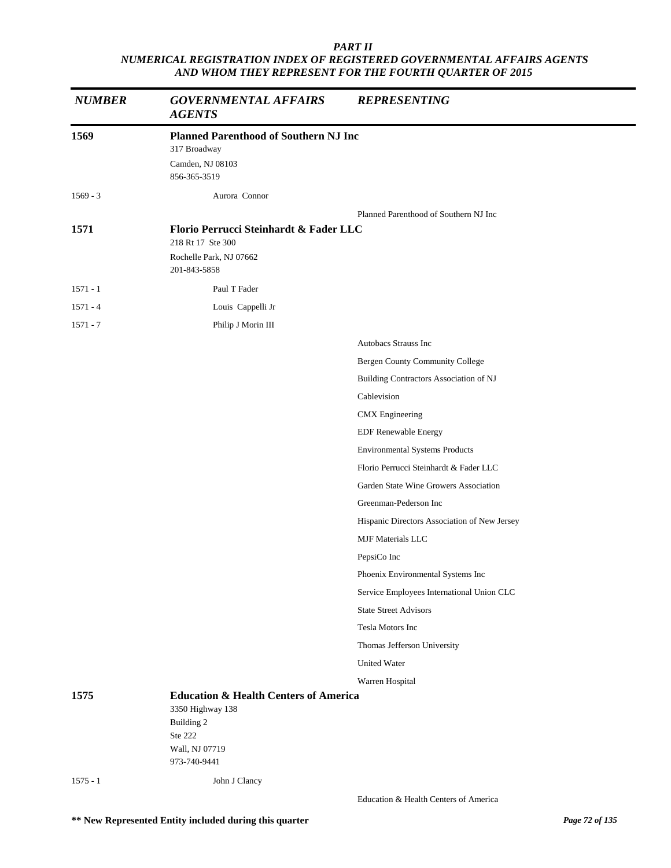| <b>NUMBER</b> | <b>GOVERNMENTAL AFFAIRS</b><br><b>AGENTS</b>                                                                                    | <b>REPRESENTING</b>                          |  |
|---------------|---------------------------------------------------------------------------------------------------------------------------------|----------------------------------------------|--|
| 1569          | <b>Planned Parenthood of Southern NJ Inc</b>                                                                                    |                                              |  |
|               | 317 Broadway                                                                                                                    |                                              |  |
|               | Camden, NJ 08103<br>856-365-3519                                                                                                |                                              |  |
| $1569 - 3$    | Aurora Connor                                                                                                                   |                                              |  |
|               |                                                                                                                                 |                                              |  |
| 1571          | Florio Perrucci Steinhardt & Fader LLC<br>218 Rt 17 Ste 300                                                                     | Planned Parenthood of Southern NJ Inc        |  |
|               | Rochelle Park, NJ 07662<br>201-843-5858                                                                                         |                                              |  |
| $1571 - 1$    | Paul T Fader                                                                                                                    |                                              |  |
| $1571 - 4$    | Louis Cappelli Jr                                                                                                               |                                              |  |
| $1571 - 7$    | Philip J Morin III                                                                                                              |                                              |  |
|               |                                                                                                                                 | Autobacs Strauss Inc                         |  |
|               |                                                                                                                                 | Bergen County Community College              |  |
|               |                                                                                                                                 | Building Contractors Association of NJ       |  |
|               |                                                                                                                                 | Cablevision                                  |  |
|               |                                                                                                                                 | <b>CMX</b> Engineering                       |  |
|               |                                                                                                                                 | EDF Renewable Energy                         |  |
|               |                                                                                                                                 | <b>Environmental Systems Products</b>        |  |
|               |                                                                                                                                 | Florio Perrucci Steinhardt & Fader LLC       |  |
|               |                                                                                                                                 | Garden State Wine Growers Association        |  |
|               |                                                                                                                                 | Greenman-Pederson Inc                        |  |
|               |                                                                                                                                 | Hispanic Directors Association of New Jersey |  |
|               |                                                                                                                                 | MJF Materials LLC                            |  |
|               |                                                                                                                                 | PepsiCo Inc                                  |  |
|               |                                                                                                                                 | Phoenix Environmental Systems Inc            |  |
|               |                                                                                                                                 | Service Employees International Union CLC    |  |
|               |                                                                                                                                 | <b>State Street Advisors</b>                 |  |
|               |                                                                                                                                 | Tesla Motors Inc                             |  |
|               |                                                                                                                                 | Thomas Jefferson University                  |  |
|               |                                                                                                                                 | <b>United Water</b>                          |  |
|               |                                                                                                                                 | Warren Hospital                              |  |
| 1575          | <b>Education &amp; Health Centers of America</b><br>3350 Highway 138<br>Building 2<br>Ste 222<br>Wall, NJ 07719<br>973-740-9441 |                                              |  |
| $1575 - 1$    | John J Clancy                                                                                                                   |                                              |  |
|               |                                                                                                                                 | Education & Health Centers of America        |  |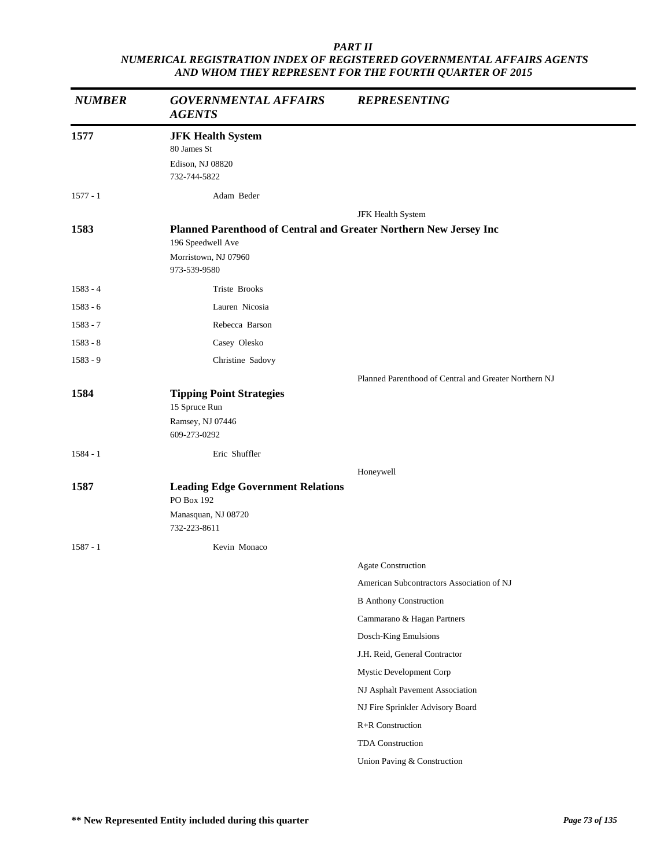| <b>NUMBER</b> | <b>GOVERNMENTAL AFFAIRS</b><br><b>AGENTS</b>                                                                                   | <b>REPRESENTING</b>                                   |
|---------------|--------------------------------------------------------------------------------------------------------------------------------|-------------------------------------------------------|
| 1577          | <b>JFK Health System</b><br>80 James St<br>Edison, NJ 08820<br>732-744-5822                                                    |                                                       |
| $1577 - 1$    | Adam Beder                                                                                                                     |                                                       |
| 1583          | Planned Parenthood of Central and Greater Northern New Jersey Inc<br>196 Speedwell Ave<br>Morristown, NJ 07960<br>973-539-9580 | JFK Health System                                     |
| $1583 - 4$    | Triste Brooks                                                                                                                  |                                                       |
| $1583 - 6$    | Lauren Nicosia                                                                                                                 |                                                       |
| $1583 - 7$    | Rebecca Barson                                                                                                                 |                                                       |
| $1583 - 8$    | Casey Olesko                                                                                                                   |                                                       |
| 1583 - 9      | Christine Sadovy                                                                                                               |                                                       |
|               |                                                                                                                                | Planned Parenthood of Central and Greater Northern NJ |
| 1584          | <b>Tipping Point Strategies</b><br>15 Spruce Run<br>Ramsey, NJ 07446<br>609-273-0292                                           |                                                       |
| $1584 - 1$    | Eric Shuffler                                                                                                                  |                                                       |
| 1587          | <b>Leading Edge Government Relations</b><br>PO Box 192<br>Manasquan, NJ 08720<br>732-223-8611                                  | Honeywell                                             |
| $1587 - 1$    | Kevin Monaco                                                                                                                   |                                                       |
|               |                                                                                                                                | Agate Construction                                    |
|               |                                                                                                                                | American Subcontractors Association of NJ             |
|               |                                                                                                                                | <b>B</b> Anthony Construction                         |
|               |                                                                                                                                | Cammarano & Hagan Partners                            |
|               |                                                                                                                                | Dosch-King Emulsions                                  |
|               |                                                                                                                                | J.H. Reid, General Contractor                         |
|               |                                                                                                                                | Mystic Development Corp                               |
|               |                                                                                                                                | NJ Asphalt Pavement Association                       |
|               |                                                                                                                                | NJ Fire Sprinkler Advisory Board                      |
|               |                                                                                                                                | R+R Construction                                      |
|               |                                                                                                                                | TDA Construction                                      |
|               |                                                                                                                                | Union Paving & Construction                           |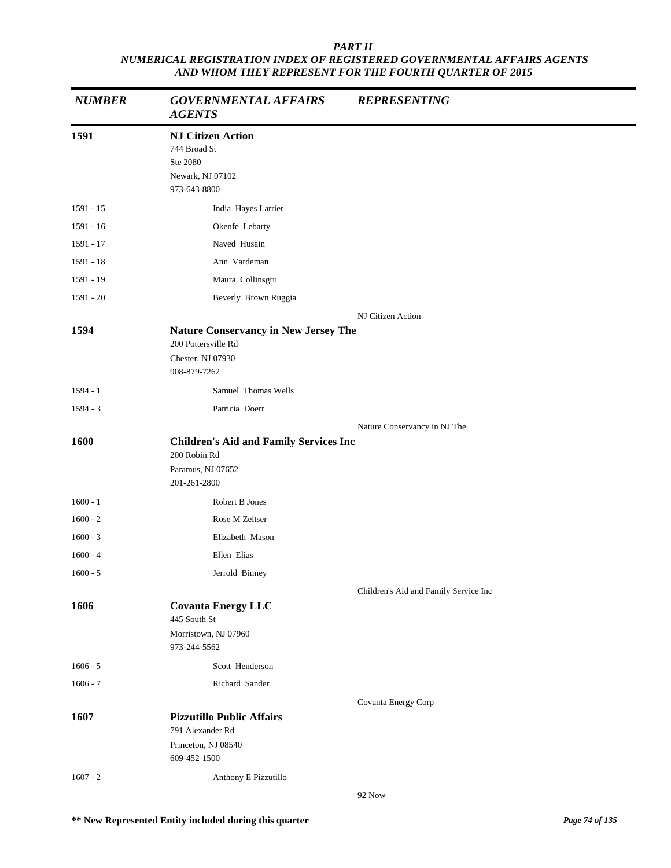| <b>NUMBER</b> | <b>GOVERNMENTAL AFFAIRS</b><br><b>AGENTS</b>                                                            | <b>REPRESENTING</b>                   |
|---------------|---------------------------------------------------------------------------------------------------------|---------------------------------------|
| 1591          | <b>NJ Citizen Action</b><br>744 Broad St<br>Ste 2080<br>Newark, NJ 07102<br>973-643-8800                |                                       |
| $1591 - 15$   | India Hayes Larrier                                                                                     |                                       |
| 1591 - 16     | Okenfe Lebarty                                                                                          |                                       |
| 1591 - 17     | Naved Husain                                                                                            |                                       |
| 1591 - 18     | Ann Vardeman                                                                                            |                                       |
| 1591 - 19     | Maura Collinsgru                                                                                        |                                       |
| 1591 - 20     | Beverly Brown Ruggia                                                                                    |                                       |
|               |                                                                                                         | NJ Citizen Action                     |
| 1594          | <b>Nature Conservancy in New Jersey The</b><br>200 Pottersville Rd<br>Chester, NJ 07930<br>908-879-7262 |                                       |
| 1594 - 1      | Samuel Thomas Wells                                                                                     |                                       |
| $1594 - 3$    | Patricia Doerr                                                                                          |                                       |
|               |                                                                                                         | Nature Conservancy in NJ The          |
| 1600          | <b>Children's Aid and Family Services Inc</b>                                                           |                                       |
|               | 200 Robin Rd                                                                                            |                                       |
|               | Paramus, NJ 07652<br>201-261-2800                                                                       |                                       |
| $1600 - 1$    | Robert B Jones                                                                                          |                                       |
| $1600 - 2$    | Rose M Zeltser                                                                                          |                                       |
| $1600 - 3$    | Elizabeth Mason                                                                                         |                                       |
| $1600 - 4$    | Ellen Elias                                                                                             |                                       |
| $1600 - 5$    | Jerrold Binney                                                                                          |                                       |
|               |                                                                                                         | Children's Aid and Family Service Inc |
| 1606          | <b>Covanta Energy LLC</b>                                                                               |                                       |
|               | 445 South St                                                                                            |                                       |
|               | Morristown, NJ 07960<br>973-244-5562                                                                    |                                       |
| $1606 - 5$    | Scott Henderson                                                                                         |                                       |
| $1606 - 7$    | Richard Sander                                                                                          |                                       |
|               |                                                                                                         | Covanta Energy Corp                   |
| 1607          | <b>Pizzutillo Public Affairs</b><br>791 Alexander Rd                                                    |                                       |
|               | Princeton, NJ 08540<br>609-452-1500                                                                     |                                       |
| $1607 - 2$    | Anthony E Pizzutillo                                                                                    |                                       |
|               |                                                                                                         | 92 Now                                |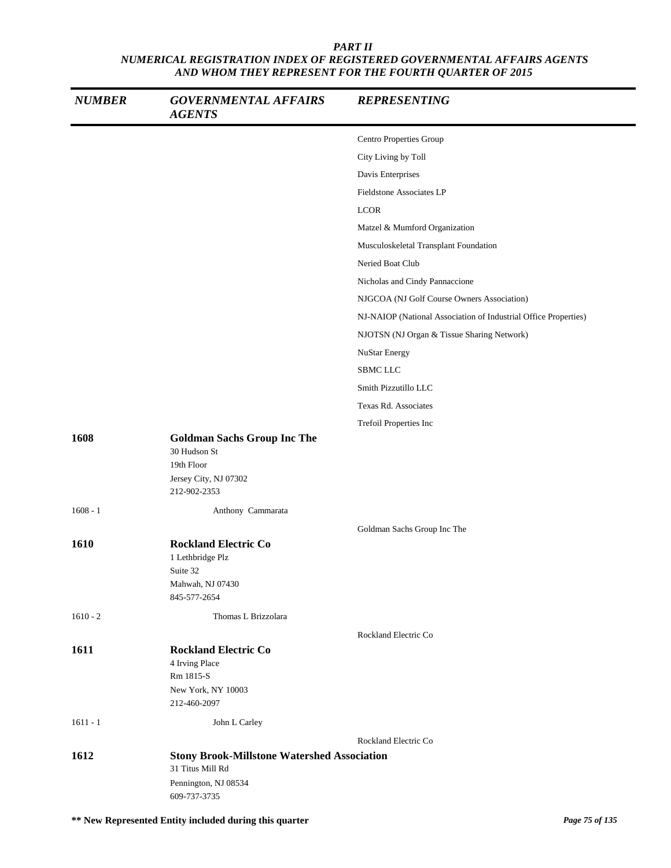| <b>NUMBER</b> | <b>GOVERNMENTAL AFFAIRS</b><br><b>AGENTS</b>                                                                   | <b>REPRESENTING</b>                                             |
|---------------|----------------------------------------------------------------------------------------------------------------|-----------------------------------------------------------------|
|               |                                                                                                                | Centro Properties Group                                         |
|               |                                                                                                                | City Living by Toll                                             |
|               |                                                                                                                | Davis Enterprises                                               |
|               |                                                                                                                | Fieldstone Associates LP                                        |
|               |                                                                                                                | <b>LCOR</b>                                                     |
|               |                                                                                                                | Matzel & Mumford Organization                                   |
|               |                                                                                                                | Musculoskeletal Transplant Foundation                           |
|               |                                                                                                                | Neried Boat Club                                                |
|               |                                                                                                                | Nicholas and Cindy Pannaccione                                  |
|               |                                                                                                                | NJGCOA (NJ Golf Course Owners Association)                      |
|               |                                                                                                                | NJ-NAIOP (National Association of Industrial Office Properties) |
|               |                                                                                                                | NJOTSN (NJ Organ & Tissue Sharing Network)                      |
|               |                                                                                                                | NuStar Energy                                                   |
|               |                                                                                                                | SBMC LLC                                                        |
|               |                                                                                                                | Smith Pizzutillo LLC                                            |
|               |                                                                                                                | Texas Rd. Associates                                            |
|               |                                                                                                                | Trefoil Properties Inc                                          |
| 1608          | <b>Goldman Sachs Group Inc The</b><br>30 Hudson St<br>19th Floor<br>Jersey City, NJ 07302<br>212-902-2353      |                                                                 |
| $1608 - 1$    | Anthony Cammarata                                                                                              |                                                                 |
|               |                                                                                                                | Goldman Sachs Group Inc The                                     |
| 1610          | <b>Rockland Electric Co</b><br>1 Lethbridge Plz<br>Suite 32<br>Mahwah, NJ 07430<br>845-577-2654                |                                                                 |
| $1610 - 2$    | Thomas L Brizzolara                                                                                            |                                                                 |
|               |                                                                                                                | Rockland Electric Co                                            |
| 1611          | <b>Rockland Electric Co</b><br>4 Irving Place<br>Rm 1815-S<br>New York, NY 10003<br>212-460-2097               |                                                                 |
| $1611 - 1$    | John L Carley                                                                                                  |                                                                 |
|               |                                                                                                                | Rockland Electric Co                                            |
| 1612          | <b>Stony Brook-Millstone Watershed Association</b><br>31 Titus Mill Rd<br>Pennington, NJ 08534<br>609-737-3735 |                                                                 |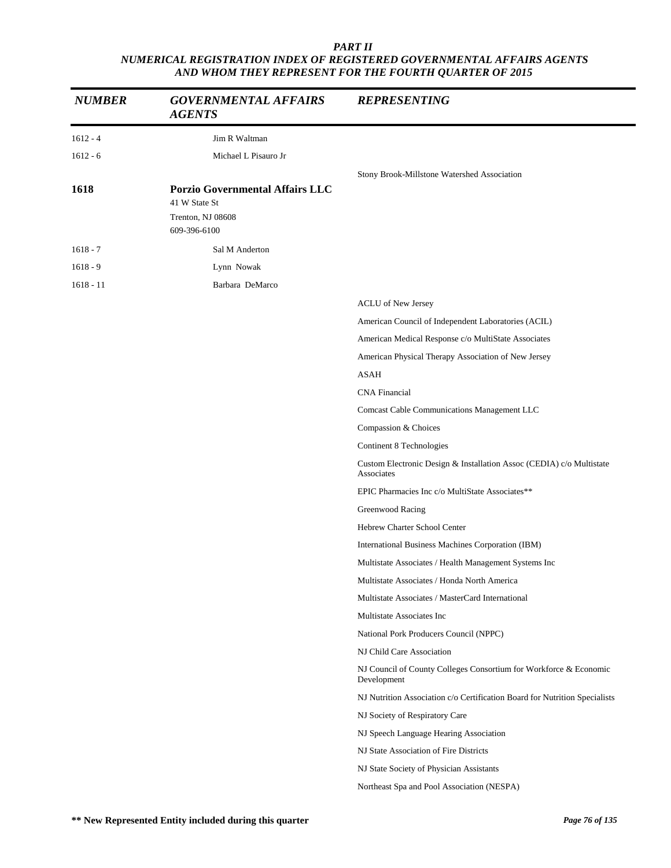| <b>NUMBER</b> | <b>GOVERNMENTAL AFFAIRS</b><br><b>AGENTS</b>            | <b>REPRESENTING</b>                                                                |
|---------------|---------------------------------------------------------|------------------------------------------------------------------------------------|
| $1612 - 4$    | Jim R Waltman                                           |                                                                                    |
| $1612 - 6$    | Michael L Pisauro Jr                                    |                                                                                    |
|               |                                                         | Stony Brook-Millstone Watershed Association                                        |
| 1618          | <b>Porzio Governmental Affairs LLC</b><br>41 W State St |                                                                                    |
|               | Trenton, NJ 08608<br>609-396-6100                       |                                                                                    |
| $1618 - 7$    | Sal M Anderton                                          |                                                                                    |
| $1618 - 9$    | Lynn Nowak                                              |                                                                                    |
| $1618 - 11$   | Barbara DeMarco                                         |                                                                                    |
|               |                                                         | <b>ACLU</b> of New Jersey                                                          |
|               |                                                         | American Council of Independent Laboratories (ACIL)                                |
|               |                                                         | American Medical Response c/o MultiState Associates                                |
|               |                                                         | American Physical Therapy Association of New Jersey                                |
|               |                                                         | <b>ASAH</b>                                                                        |
|               |                                                         | <b>CNA</b> Financial                                                               |
|               |                                                         | Comcast Cable Communications Management LLC                                        |
|               |                                                         | Compassion & Choices                                                               |
|               |                                                         | Continent 8 Technologies                                                           |
|               |                                                         | Custom Electronic Design & Installation Assoc (CEDIA) c/o Multistate<br>Associates |
|               |                                                         | EPIC Pharmacies Inc c/o MultiState Associates**                                    |
|               |                                                         | Greenwood Racing                                                                   |
|               |                                                         | Hebrew Charter School Center                                                       |
|               |                                                         | International Business Machines Corporation (IBM)                                  |
|               |                                                         | Multistate Associates / Health Management Systems Inc                              |
|               |                                                         | Multistate Associates / Honda North America                                        |
|               |                                                         | Multistate Associates / MasterCard International                                   |
|               |                                                         | Multistate Associates Inc                                                          |
|               |                                                         | National Pork Producers Council (NPPC)                                             |
|               |                                                         | NJ Child Care Association                                                          |
|               |                                                         | NJ Council of County Colleges Consortium for Workforce & Economic<br>Development   |
|               |                                                         | NJ Nutrition Association c/o Certification Board for Nutrition Specialists         |
|               |                                                         | NJ Society of Respiratory Care                                                     |
|               |                                                         | NJ Speech Language Hearing Association                                             |
|               |                                                         | NJ State Association of Fire Districts                                             |
|               |                                                         | NJ State Society of Physician Assistants                                           |
|               |                                                         | Northeast Spa and Pool Association (NESPA)                                         |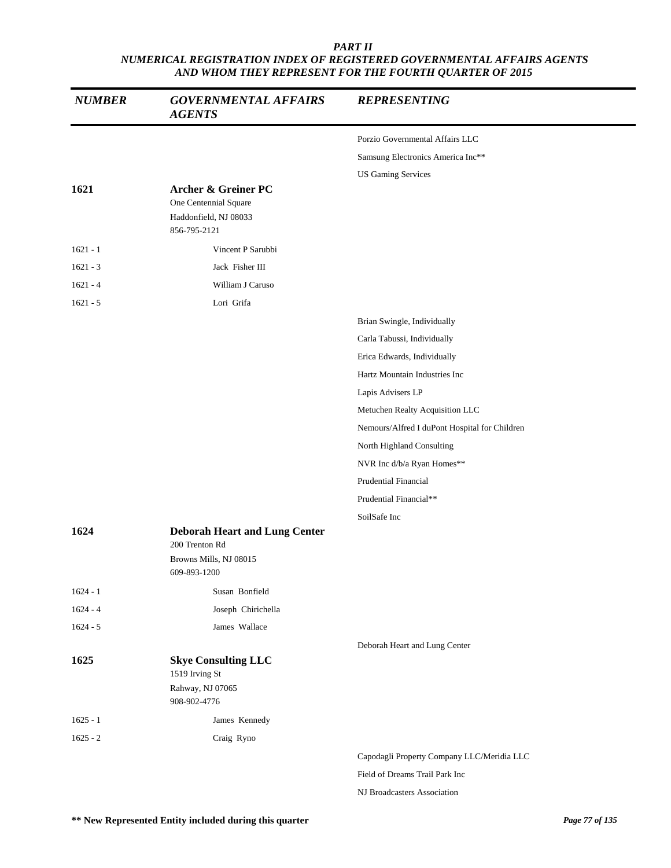| <b>NUMBER</b> | <b>GOVERNMENTAL AFFAIRS</b><br><b>AGENTS</b>                                     | <b>REPRESENTING</b>                           |
|---------------|----------------------------------------------------------------------------------|-----------------------------------------------|
|               |                                                                                  | Porzio Governmental Affairs LLC               |
|               |                                                                                  | Samsung Electronics America Inc**             |
|               |                                                                                  | <b>US Gaming Services</b>                     |
| 1621          | Archer & Greiner PC<br>One Centennial Square<br>Haddonfield, NJ 08033            |                                               |
|               | 856-795-2121                                                                     |                                               |
| $1621 - 1$    | Vincent P Sarubbi                                                                |                                               |
| $1621 - 3$    | Jack Fisher III                                                                  |                                               |
| $1621 - 4$    | William J Caruso                                                                 |                                               |
| $1621 - 5$    | Lori Grifa                                                                       |                                               |
|               |                                                                                  | Brian Swingle, Individually                   |
|               |                                                                                  | Carla Tabussi, Individually                   |
|               |                                                                                  | Erica Edwards, Individually                   |
|               |                                                                                  | Hartz Mountain Industries Inc                 |
|               |                                                                                  | Lapis Advisers LP                             |
|               |                                                                                  | Metuchen Realty Acquisition LLC               |
|               |                                                                                  | Nemours/Alfred I duPont Hospital for Children |
|               |                                                                                  | North Highland Consulting                     |
|               |                                                                                  | NVR Inc d/b/a Ryan Homes**                    |
|               |                                                                                  | <b>Prudential Financial</b>                   |
|               |                                                                                  | Prudential Financial**                        |
|               |                                                                                  | SoilSafe Inc                                  |
| 1624          | <b>Deborah Heart and Lung Center</b><br>200 Trenton Rd                           |                                               |
|               | Browns Mills, NJ 08015<br>609-893-1200                                           |                                               |
| $1624 - 1$    | Susan Bonfield                                                                   |                                               |
| $1624 - 4$    | Joseph Chirichella                                                               |                                               |
| $1624 - 5$    | James Wallace                                                                    |                                               |
|               |                                                                                  | Deborah Heart and Lung Center                 |
| 1625          | <b>Skye Consulting LLC</b><br>1519 Irving St<br>Rahway, NJ 07065<br>908-902-4776 |                                               |
| $1625 - 1$    | James Kennedy                                                                    |                                               |
| $1625 - 2$    | Craig Ryno                                                                       |                                               |
|               |                                                                                  | Capodagli Property Company LLC/Meridia LLC    |
|               |                                                                                  | Field of Dreams Trail Park Inc                |

NJ Broadcasters Association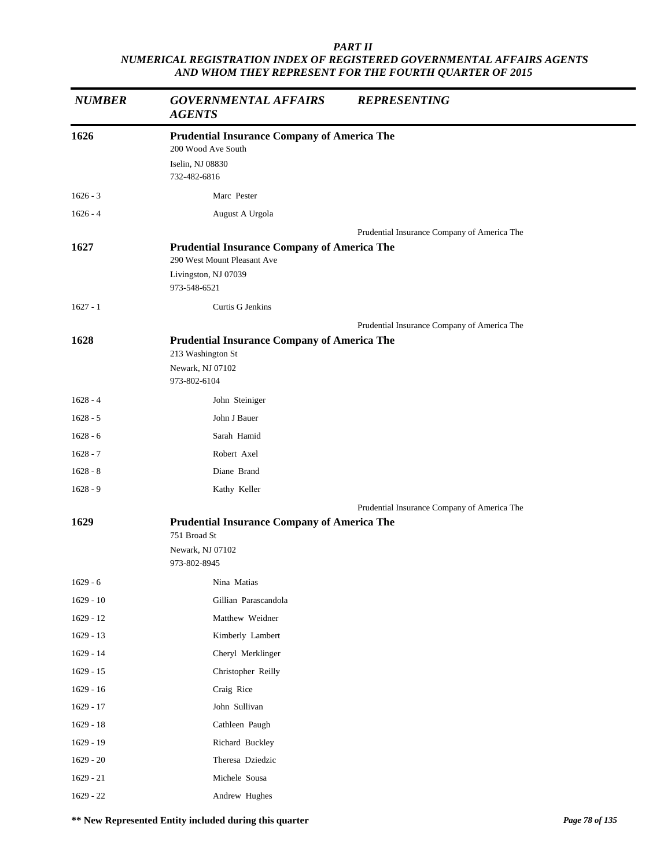| <b>NUMBER</b> | <b>GOVERNMENTAL AFFAIRS</b><br><b>AGENTS</b>                       | <b>REPRESENTING</b>                         |
|---------------|--------------------------------------------------------------------|---------------------------------------------|
| 1626          | <b>Prudential Insurance Company of America The</b>                 |                                             |
|               | 200 Wood Ave South                                                 |                                             |
|               | Iselin, NJ 08830<br>732-482-6816                                   |                                             |
| $1626 - 3$    | Marc Pester                                                        |                                             |
| $1626 - 4$    | August A Urgola                                                    |                                             |
|               |                                                                    | Prudential Insurance Company of America The |
| 1627          | <b>Prudential Insurance Company of America The</b>                 |                                             |
|               | 290 West Mount Pleasant Ave                                        |                                             |
|               | Livingston, NJ 07039<br>973-548-6521                               |                                             |
| $1627 - 1$    | Curtis G Jenkins                                                   |                                             |
|               |                                                                    | Prudential Insurance Company of America The |
| 1628          | <b>Prudential Insurance Company of America The</b>                 |                                             |
|               | 213 Washington St                                                  |                                             |
|               | Newark, NJ 07102                                                   |                                             |
|               | 973-802-6104                                                       |                                             |
| $1628 - 4$    | John Steiniger                                                     |                                             |
| $1628 - 5$    | John J Bauer                                                       |                                             |
| $1628 - 6$    | Sarah Hamid                                                        |                                             |
| $1628 - 7$    | Robert Axel                                                        |                                             |
| $1628 - 8$    | Diane Brand                                                        |                                             |
| $1628 - 9$    | Kathy Keller                                                       |                                             |
|               |                                                                    | Prudential Insurance Company of America The |
| 1629          | <b>Prudential Insurance Company of America The</b><br>751 Broad St |                                             |
|               | Newark, NJ 07102                                                   |                                             |
|               | 973-802-8945                                                       |                                             |
| $1629 - 6$    | Nina Matias                                                        |                                             |
| $1629 - 10$   | Gillian Parascandola                                               |                                             |
| $1629 - 12$   | Matthew Weidner                                                    |                                             |
| $1629 - 13$   | Kimberly Lambert                                                   |                                             |
| 1629 - 14     | Cheryl Merklinger                                                  |                                             |
| $1629 - 15$   | Christopher Reilly                                                 |                                             |
| $1629 - 16$   | Craig Rice                                                         |                                             |
| $1629 - 17$   | John Sullivan                                                      |                                             |
| $1629 - 18$   | Cathleen Paugh                                                     |                                             |
| 1629 - 19     | Richard Buckley                                                    |                                             |
| $1629 - 20$   | Theresa Dziedzic                                                   |                                             |
| $1629 - 21$   | Michele Sousa                                                      |                                             |
| $1629 - 22$   | Andrew Hughes                                                      |                                             |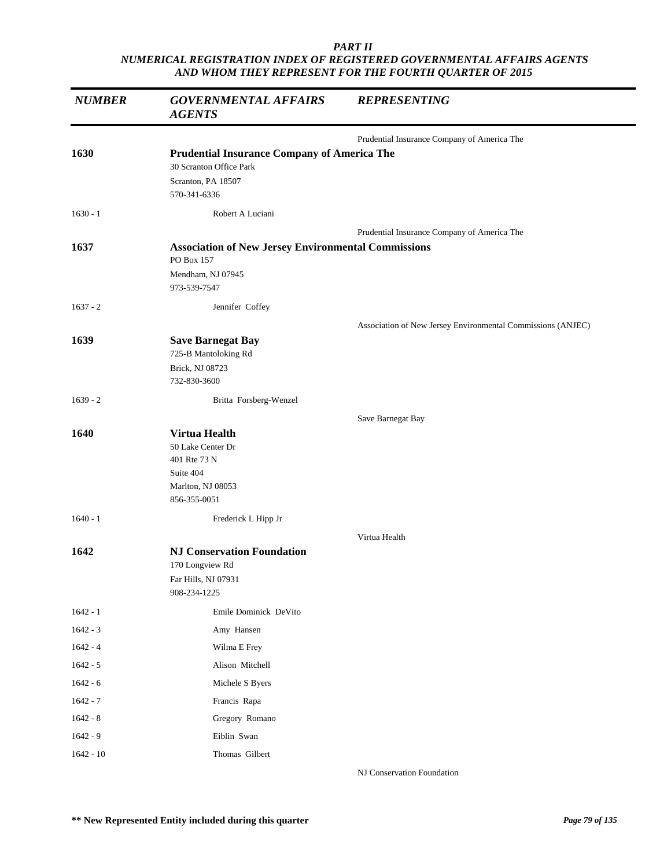| <b>NUMBER</b> | <b>GOVERNMENTAL AFFAIRS</b><br><b>AGENTS</b>                                                                        | <b>REPRESENTING</b>                                         |
|---------------|---------------------------------------------------------------------------------------------------------------------|-------------------------------------------------------------|
|               |                                                                                                                     | Prudential Insurance Company of America The                 |
| 1630          | <b>Prudential Insurance Company of America The</b><br>30 Scranton Office Park<br>Scranton, PA 18507<br>570-341-6336 |                                                             |
| $1630 - 1$    | Robert A Luciani                                                                                                    |                                                             |
|               |                                                                                                                     | Prudential Insurance Company of America The                 |
| 1637          | <b>Association of New Jersey Environmental Commissions</b><br>PO Box 157                                            |                                                             |
|               | Mendham, NJ 07945<br>973-539-7547                                                                                   |                                                             |
| $1637 - 2$    | Jennifer Coffey                                                                                                     |                                                             |
|               |                                                                                                                     | Association of New Jersey Environmental Commissions (ANJEC) |
| 1639          | <b>Save Barnegat Bay</b><br>725-B Mantoloking Rd                                                                    |                                                             |
|               | Brick, NJ 08723<br>732-830-3600                                                                                     |                                                             |
| $1639 - 2$    | Britta Forsberg-Wenzel                                                                                              |                                                             |
|               |                                                                                                                     | Save Barnegat Bay                                           |
| 1640          | <b>Virtua Health</b><br>50 Lake Center Dr<br>401 Rte 73 N<br>Suite 404<br>Marlton, NJ 08053<br>856-355-0051         |                                                             |
| $1640 - 1$    | Frederick L Hipp Jr                                                                                                 |                                                             |
|               |                                                                                                                     | Virtua Health                                               |
| 1642          | <b>NJ Conservation Foundation</b><br>170 Longview Rd<br>Far Hills, NJ 07931<br>908-234-1225                         |                                                             |
| $1642 - 1$    | Emile Dominick DeVito                                                                                               |                                                             |
| $1642 - 3$    | Amy Hansen                                                                                                          |                                                             |
| $1642 - 4$    | Wilma E Frey                                                                                                        |                                                             |
| $1642 - 5$    | Alison Mitchell                                                                                                     |                                                             |
| $1642 - 6$    | Michele S Byers                                                                                                     |                                                             |
| $1642 - 7$    | Francis Rapa                                                                                                        |                                                             |
| $1642 - 8$    | Gregory Romano                                                                                                      |                                                             |
| $1642 - 9$    | Eiblin Swan                                                                                                         |                                                             |
| $1642 - 10$   | Thomas Gilbert                                                                                                      |                                                             |

NJ Conservation Foundation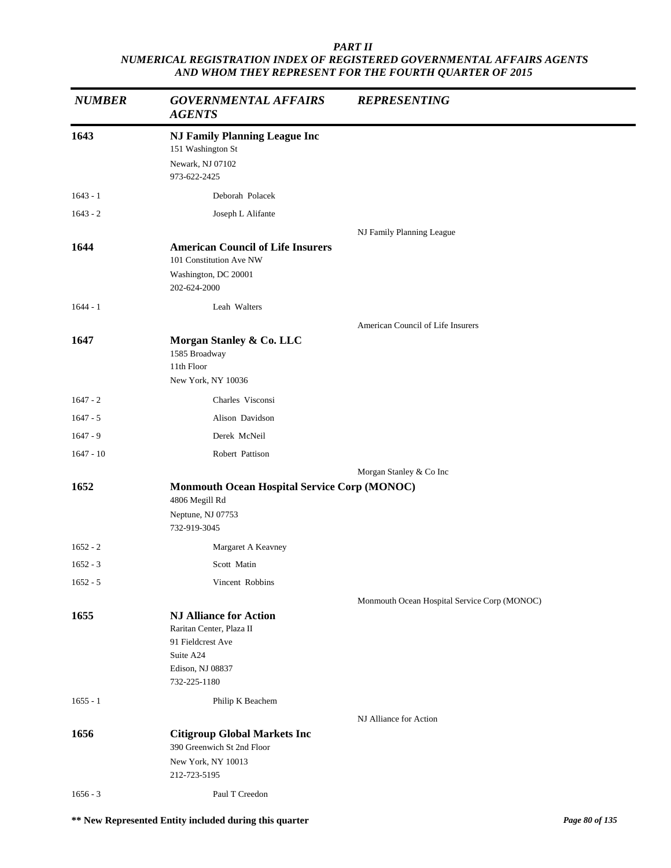| <b>NUMBER</b> | <b>GOVERNMENTAL AFFAIRS</b><br><b>AGENTS</b>                                                                                    | <b>REPRESENTING</b>                          |
|---------------|---------------------------------------------------------------------------------------------------------------------------------|----------------------------------------------|
| 1643          | <b>NJ Family Planning League Inc</b><br>151 Washington St<br>Newark, NJ 07102<br>973-622-2425                                   |                                              |
| $1643 - 1$    | Deborah Polacek                                                                                                                 |                                              |
| $1643 - 2$    | Joseph L Alifante                                                                                                               |                                              |
|               |                                                                                                                                 | NJ Family Planning League                    |
| 1644          | <b>American Council of Life Insurers</b><br>101 Constitution Ave NW                                                             |                                              |
|               | Washington, DC 20001<br>202-624-2000                                                                                            |                                              |
| $1644 - 1$    | Leah Walters                                                                                                                    |                                              |
|               |                                                                                                                                 | American Council of Life Insurers            |
| 1647          | Morgan Stanley & Co. LLC<br>1585 Broadway<br>11th Floor<br>New York, NY 10036                                                   |                                              |
| $1647 - 2$    | Charles Visconsi                                                                                                                |                                              |
| $1647 - 5$    | Alison Davidson                                                                                                                 |                                              |
| $1647 - 9$    | Derek McNeil                                                                                                                    |                                              |
| $1647 - 10$   | Robert Pattison                                                                                                                 |                                              |
|               |                                                                                                                                 | Morgan Stanley & Co Inc                      |
| 1652          | <b>Monmouth Ocean Hospital Service Corp (MONOC)</b><br>4806 Megill Rd<br>Neptune, NJ 07753<br>732-919-3045                      |                                              |
| $1652 - 2$    | Margaret A Keavney                                                                                                              |                                              |
| $1652 - 3$    | Scott Matin                                                                                                                     |                                              |
| $1652 - 5$    | Vincent Robbins                                                                                                                 |                                              |
|               |                                                                                                                                 | Monmouth Ocean Hospital Service Corp (MONOC) |
| 1655          | <b>NJ Alliance for Action</b><br>Raritan Center, Plaza II<br>91 Fieldcrest Ave<br>Suite A24<br>Edison, NJ 08837<br>732-225-1180 |                                              |
| $1655 - 1$    | Philip K Beachem                                                                                                                |                                              |
|               |                                                                                                                                 | NJ Alliance for Action                       |
| 1656          | <b>Citigroup Global Markets Inc</b><br>390 Greenwich St 2nd Floor                                                               |                                              |
|               | New York, NY 10013<br>212-723-5195                                                                                              |                                              |
| $1656 - 3$    | Paul T Creedon                                                                                                                  |                                              |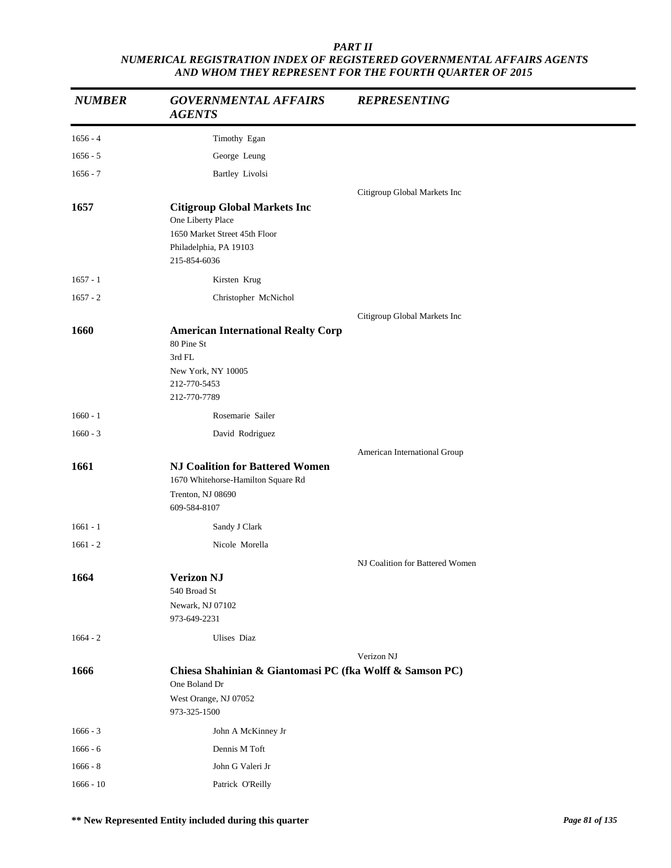| <b>NUMBER</b> | <b>GOVERNMENTAL AFFAIRS</b><br><b>AGENTS</b>                                                                            | <b>REPRESENTING</b>             |
|---------------|-------------------------------------------------------------------------------------------------------------------------|---------------------------------|
| $1656 - 4$    | Timothy Egan                                                                                                            |                                 |
| $1656 - 5$    | George Leung                                                                                                            |                                 |
| $1656 - 7$    | Bartley Livolsi                                                                                                         |                                 |
|               |                                                                                                                         | Citigroup Global Markets Inc    |
| 1657          | <b>Citigroup Global Markets Inc</b><br>One Liberty Place                                                                |                                 |
|               | 1650 Market Street 45th Floor<br>Philadelphia, PA 19103<br>215-854-6036                                                 |                                 |
| $1657 - 1$    | Kirsten Krug                                                                                                            |                                 |
| $1657 - 2$    | Christopher McNichol                                                                                                    |                                 |
|               |                                                                                                                         | Citigroup Global Markets Inc    |
| 1660          | <b>American International Realty Corp</b><br>80 Pine St<br>3rd FL<br>New York, NY 10005<br>212-770-5453<br>212-770-7789 |                                 |
| $1660 - 1$    | Rosemarie Sailer                                                                                                        |                                 |
| $1660 - 3$    | David Rodriguez                                                                                                         |                                 |
|               |                                                                                                                         | American International Group    |
| 1661          | <b>NJ Coalition for Battered Women</b><br>1670 Whitehorse-Hamilton Square Rd<br>Trenton, NJ 08690                       |                                 |
|               | 609-584-8107                                                                                                            |                                 |
| $1661 - 1$    | Sandy J Clark                                                                                                           |                                 |
| $1661 - 2$    | Nicole Morella                                                                                                          |                                 |
|               |                                                                                                                         | NJ Coalition for Battered Women |
| 1664          | <b>Verizon NJ</b><br>540 Broad St                                                                                       |                                 |
|               | Newark, NJ 07102<br>973-649-2231                                                                                        |                                 |
| $1664 - 2$    | <b>Ulises</b> Diaz                                                                                                      |                                 |
|               |                                                                                                                         | Verizon NJ                      |
| 1666          | Chiesa Shahinian & Giantomasi PC (fka Wolff & Samson PC)<br>One Boland Dr                                               |                                 |
|               | West Orange, NJ 07052<br>973-325-1500                                                                                   |                                 |
| $1666 - 3$    | John A McKinney Jr                                                                                                      |                                 |
| $1666 - 6$    | Dennis M Toft                                                                                                           |                                 |
| $1666 - 8$    | John G Valeri Jr                                                                                                        |                                 |
| $1666 - 10$   | Patrick O'Reilly                                                                                                        |                                 |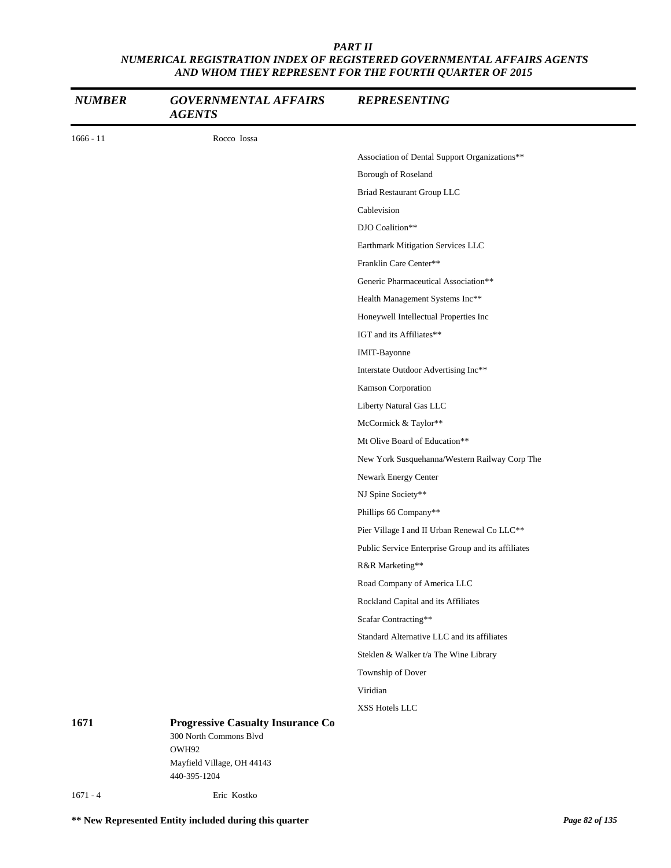| <b>NUMBER</b> | <b>GOVERNMENTAL AFFAIRS</b><br><b>AGENTS</b>                                | <b>REPRESENTING</b>                                |
|---------------|-----------------------------------------------------------------------------|----------------------------------------------------|
| $1666 - 11$   | Rocco Iossa                                                                 |                                                    |
|               |                                                                             | Association of Dental Support Organizations**      |
|               |                                                                             | Borough of Roseland                                |
|               |                                                                             | Briad Restaurant Group LLC                         |
|               |                                                                             | Cablevision                                        |
|               |                                                                             | DJO Coalition**                                    |
|               |                                                                             | Earthmark Mitigation Services LLC                  |
|               |                                                                             | Franklin Care Center**                             |
|               |                                                                             | Generic Pharmaceutical Association**               |
|               |                                                                             | Health Management Systems Inc**                    |
|               |                                                                             | Honeywell Intellectual Properties Inc              |
|               |                                                                             | IGT and its Affiliates**                           |
|               |                                                                             | IMIT-Bayonne                                       |
|               |                                                                             | Interstate Outdoor Advertising Inc**               |
|               |                                                                             | Kamson Corporation                                 |
|               |                                                                             | Liberty Natural Gas LLC                            |
|               |                                                                             | McCormick & Taylor**                               |
|               |                                                                             | Mt Olive Board of Education**                      |
|               |                                                                             | New York Susquehanna/Western Railway Corp The      |
|               |                                                                             | Newark Energy Center                               |
|               |                                                                             | NJ Spine Society**                                 |
|               |                                                                             | Phillips 66 Company**                              |
|               |                                                                             | Pier Village I and II Urban Renewal Co LLC**       |
|               |                                                                             | Public Service Enterprise Group and its affiliates |
|               |                                                                             | R&R Marketing**                                    |
|               |                                                                             | Road Company of America LLC                        |
|               |                                                                             | Rockland Capital and its Affiliates                |
|               |                                                                             | Scafar Contracting**                               |
|               |                                                                             | Standard Alternative LLC and its affiliates        |
|               |                                                                             | Steklen & Walker t/a The Wine Library              |
|               |                                                                             | Township of Dover                                  |
|               |                                                                             | Viridian                                           |
|               |                                                                             | XSS Hotels LLC                                     |
| 1671          | <b>Progressive Casualty Insurance Co</b><br>300 North Commons Blvd<br>OWH92 |                                                    |
|               | Mayfield Village, OH 44143<br>440-395-1204                                  |                                                    |
| $1671 - 4$    | Eric Kostko                                                                 |                                                    |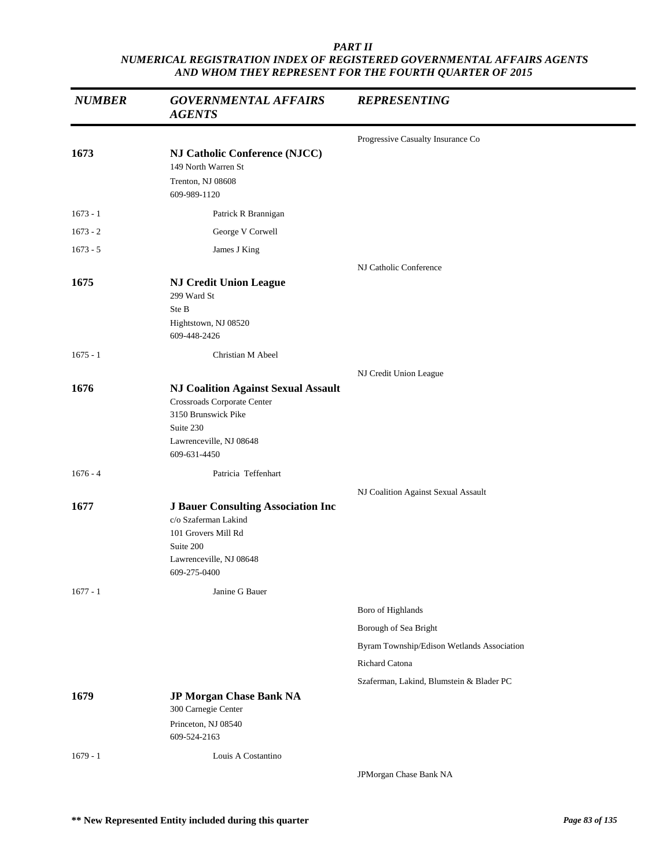| <b>NUMBER</b> | <b>GOVERNMENTAL AFFAIRS</b><br><b>AGENTS</b>                                                                                                             | <b>REPRESENTING</b>                        |
|---------------|----------------------------------------------------------------------------------------------------------------------------------------------------------|--------------------------------------------|
|               |                                                                                                                                                          | Progressive Casualty Insurance Co          |
| 1673          | NJ Catholic Conference (NJCC)<br>149 North Warren St<br>Trenton, NJ 08608<br>609-989-1120                                                                |                                            |
| $1673 - 1$    | Patrick R Brannigan                                                                                                                                      |                                            |
| $1673 - 2$    | George V Corwell                                                                                                                                         |                                            |
| $1673 - 5$    | James J King                                                                                                                                             |                                            |
|               |                                                                                                                                                          | NJ Catholic Conference                     |
| 1675          | <b>NJ Credit Union League</b><br>299 Ward St<br>Ste B<br>Hightstown, NJ 08520<br>609-448-2426                                                            |                                            |
| $1675 - 1$    | Christian M Abeel                                                                                                                                        |                                            |
|               |                                                                                                                                                          | NJ Credit Union League                     |
| 1676          | <b>NJ Coalition Against Sexual Assault</b><br>Crossroads Corporate Center<br>3150 Brunswick Pike<br>Suite 230<br>Lawrenceville, NJ 08648<br>609-631-4450 |                                            |
| $1676 - 4$    | Patricia Teffenhart                                                                                                                                      |                                            |
|               |                                                                                                                                                          | NJ Coalition Against Sexual Assault        |
| 1677          | <b>J Bauer Consulting Association Inc</b><br>c/o Szaferman Lakind<br>101 Grovers Mill Rd<br>Suite 200<br>Lawrenceville, NJ 08648<br>609-275-0400         |                                            |
| $1677 - 1$    | Janine G Bauer                                                                                                                                           |                                            |
|               |                                                                                                                                                          | Boro of Highlands                          |
|               |                                                                                                                                                          | Borough of Sea Bright                      |
|               |                                                                                                                                                          | Byram Township/Edison Wetlands Association |
|               |                                                                                                                                                          | Richard Catona                             |
|               |                                                                                                                                                          | Szaferman, Lakind, Blumstein & Blader PC   |
| 1679          | JP Morgan Chase Bank NA<br>300 Carnegie Center<br>Princeton, NJ 08540<br>609-524-2163                                                                    |                                            |
| $1679 - 1$    | Louis A Costantino                                                                                                                                       |                                            |
|               |                                                                                                                                                          | JPMorgan Chase Bank NA                     |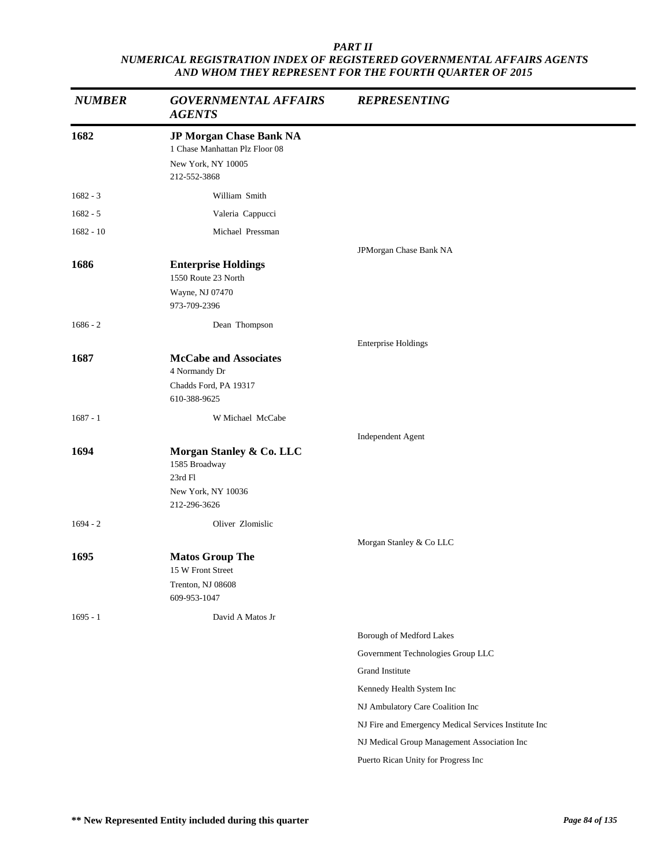| <b>NUMBER</b> | <b>GOVERNMENTAL AFFAIRS</b><br><b>AGENTS</b>                                                    | <b>REPRESENTING</b>                                  |
|---------------|-------------------------------------------------------------------------------------------------|------------------------------------------------------|
| 1682          | JP Morgan Chase Bank NA<br>1 Chase Manhattan Plz Floor 08<br>New York, NY 10005<br>212-552-3868 |                                                      |
| $1682 - 3$    | William Smith                                                                                   |                                                      |
| $1682 - 5$    | Valeria Cappucci                                                                                |                                                      |
| $1682 - 10$   | Michael Pressman                                                                                |                                                      |
| 1686          | <b>Enterprise Holdings</b><br>1550 Route 23 North<br>Wayne, NJ 07470<br>973-709-2396            | JPMorgan Chase Bank NA                               |
| $1686 - 2$    | Dean Thompson                                                                                   |                                                      |
|               |                                                                                                 | <b>Enterprise Holdings</b>                           |
| 1687          | <b>McCabe and Associates</b><br>4 Normandy Dr<br>Chadds Ford, PA 19317<br>610-388-9625          |                                                      |
| $1687 - 1$    | W Michael McCabe                                                                                |                                                      |
|               |                                                                                                 | Independent Agent                                    |
| 1694          | Morgan Stanley & Co. LLC<br>1585 Broadway<br>23rd Fl<br>New York, NY 10036<br>212-296-3626      |                                                      |
| $1694 - 2$    | Oliver Zlomislic                                                                                |                                                      |
|               |                                                                                                 | Morgan Stanley & Co LLC                              |
| 1695          | <b>Matos Group The</b><br>15 W Front Street<br>Trenton, NJ 08608<br>609-953-1047                |                                                      |
| $1695 - 1$    | David A Matos Jr                                                                                |                                                      |
|               |                                                                                                 | Borough of Medford Lakes                             |
|               |                                                                                                 | Government Technologies Group LLC                    |
|               |                                                                                                 | Grand Institute                                      |
|               |                                                                                                 | Kennedy Health System Inc                            |
|               |                                                                                                 | NJ Ambulatory Care Coalition Inc                     |
|               |                                                                                                 | NJ Fire and Emergency Medical Services Institute Inc |
|               |                                                                                                 | NJ Medical Group Management Association Inc          |
|               |                                                                                                 | Puerto Rican Unity for Progress Inc                  |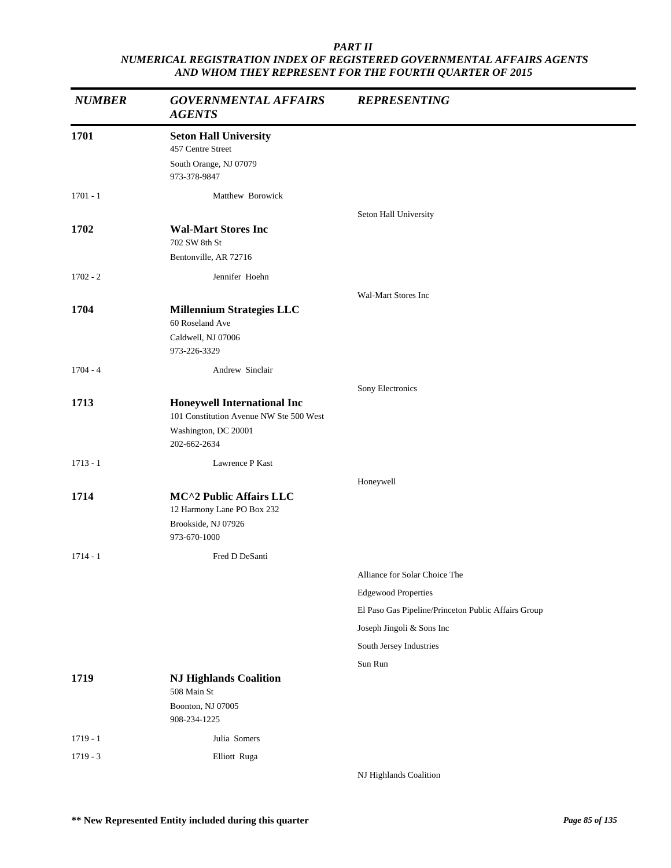| <b>NUMBER</b> | <b>GOVERNMENTAL AFFAIRS</b><br><b>AGENTS</b>                                | <b>REPRESENTING</b>                                 |
|---------------|-----------------------------------------------------------------------------|-----------------------------------------------------|
| 1701          | <b>Seton Hall University</b><br>457 Centre Street<br>South Orange, NJ 07079 |                                                     |
|               | 973-378-9847                                                                |                                                     |
| $1701 - 1$    | Matthew Borowick                                                            |                                                     |
|               |                                                                             | Seton Hall University                               |
| 1702          | <b>Wal-Mart Stores Inc</b><br>702 SW 8th St                                 |                                                     |
|               | Bentonville, AR 72716                                                       |                                                     |
| $1702 - 2$    | Jennifer Hoehn                                                              |                                                     |
|               |                                                                             | Wal-Mart Stores Inc                                 |
| 1704          | <b>Millennium Strategies LLC</b><br>60 Roseland Ave                         |                                                     |
|               | Caldwell, NJ 07006<br>973-226-3329                                          |                                                     |
| $1704 - 4$    | Andrew Sinclair                                                             |                                                     |
|               |                                                                             | Sony Electronics                                    |
| 1713          | <b>Honeywell International Inc</b>                                          |                                                     |
|               | 101 Constitution Avenue NW Ste 500 West<br>Washington, DC 20001             |                                                     |
|               | 202-662-2634                                                                |                                                     |
| $1713 - 1$    | Lawrence P Kast                                                             |                                                     |
|               |                                                                             | Honeywell                                           |
| 1714          | MC^2 Public Affairs LLC<br>12 Harmony Lane PO Box 232                       |                                                     |
|               | Brookside, NJ 07926                                                         |                                                     |
|               | 973-670-1000                                                                |                                                     |
| $1714 - 1$    | Fred D DeSanti                                                              |                                                     |
|               |                                                                             | Alliance for Solar Choice The                       |
|               |                                                                             | <b>Edgewood Properties</b>                          |
|               |                                                                             | El Paso Gas Pipeline/Princeton Public Affairs Group |
|               |                                                                             | Joseph Jingoli & Sons Inc                           |
|               |                                                                             | South Jersey Industries                             |
|               |                                                                             | Sun Run                                             |
| 1719          | <b>NJ Highlands Coalition</b><br>508 Main St                                |                                                     |
|               | Boonton, NJ 07005<br>908-234-1225                                           |                                                     |
| $1719 - 1$    | Julia Somers                                                                |                                                     |
| $1719 - 3$    | Elliott Ruga                                                                |                                                     |
|               |                                                                             | NJ Highlands Coalition                              |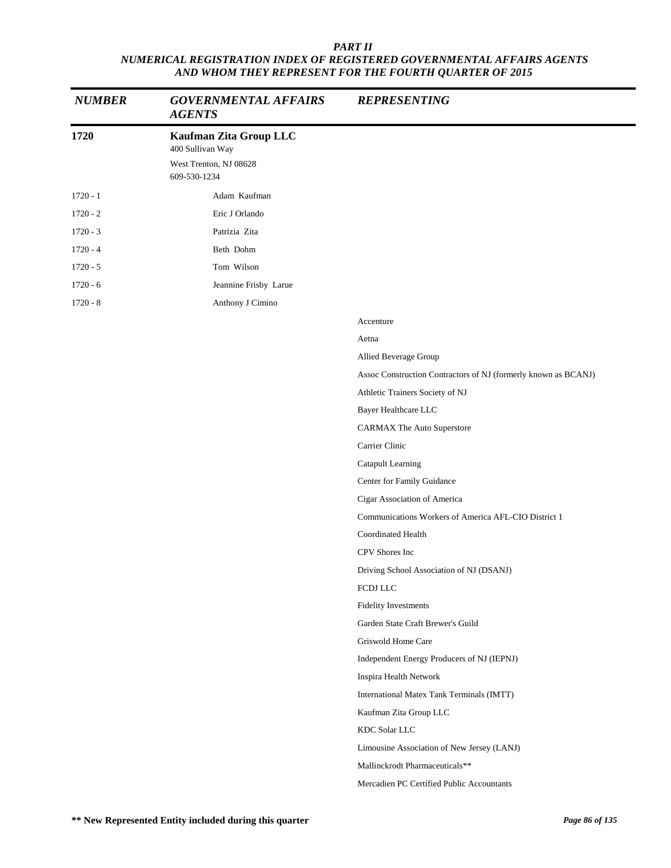| <b>NUMBER</b> | <b>GOVERNMENTAL AFFAIRS</b><br><b>AGENTS</b>                                         | <b>REPRESENTING</b>                                            |
|---------------|--------------------------------------------------------------------------------------|----------------------------------------------------------------|
| 1720          | Kaufman Zita Group LLC<br>400 Sullivan Way<br>West Trenton, NJ 08628<br>609-530-1234 |                                                                |
| $1720 - 1$    | Adam Kaufman                                                                         |                                                                |
| $1720 - 2$    | Eric J Orlando                                                                       |                                                                |
| $1720 - 3$    | Patrizia Zita                                                                        |                                                                |
| $1720 - 4$    | Beth Dohm                                                                            |                                                                |
| $1720 - 5$    | Tom Wilson                                                                           |                                                                |
| $1720 - 6$    | Jeannine Frisby Larue                                                                |                                                                |
| $1720 - 8$    | Anthony J Cimino                                                                     |                                                                |
|               |                                                                                      | Accenture                                                      |
|               |                                                                                      | Aetna                                                          |
|               |                                                                                      | Allied Beverage Group                                          |
|               |                                                                                      | Assoc Construction Contractors of NJ (formerly known as BCANJ) |
|               |                                                                                      | Athletic Trainers Society of NJ                                |
|               |                                                                                      | Bayer Healthcare LLC                                           |
|               |                                                                                      | <b>CARMAX The Auto Superstore</b>                              |
|               |                                                                                      | Carrier Clinic                                                 |
|               |                                                                                      | Catapult Learning                                              |
|               |                                                                                      | Center for Family Guidance                                     |
|               |                                                                                      | Cigar Association of America                                   |
|               |                                                                                      | Communications Workers of America AFL-CIO District 1           |
|               |                                                                                      | <b>Coordinated Health</b>                                      |
|               |                                                                                      | CPV Shores Inc                                                 |
|               |                                                                                      | Driving School Association of NJ (DSANJ)                       |
|               |                                                                                      | FCDJ LLC                                                       |
|               |                                                                                      | <b>Fidelity Investments</b>                                    |
|               |                                                                                      | Garden State Craft Brewer's Guild                              |
|               |                                                                                      | Griswold Home Care                                             |
|               |                                                                                      | Independent Energy Producers of NJ (IEPNJ)                     |
|               |                                                                                      | Inspira Health Network                                         |
|               |                                                                                      | International Matex Tank Terminals (IMTT)                      |
|               |                                                                                      | Kaufman Zita Group LLC                                         |
|               |                                                                                      | KDC Solar LLC                                                  |
|               |                                                                                      | Limousine Association of New Jersey (LANJ)                     |
|               |                                                                                      | Mallinckrodt Pharmaceuticals**                                 |
|               |                                                                                      | Mercadien PC Certified Public Accountants                      |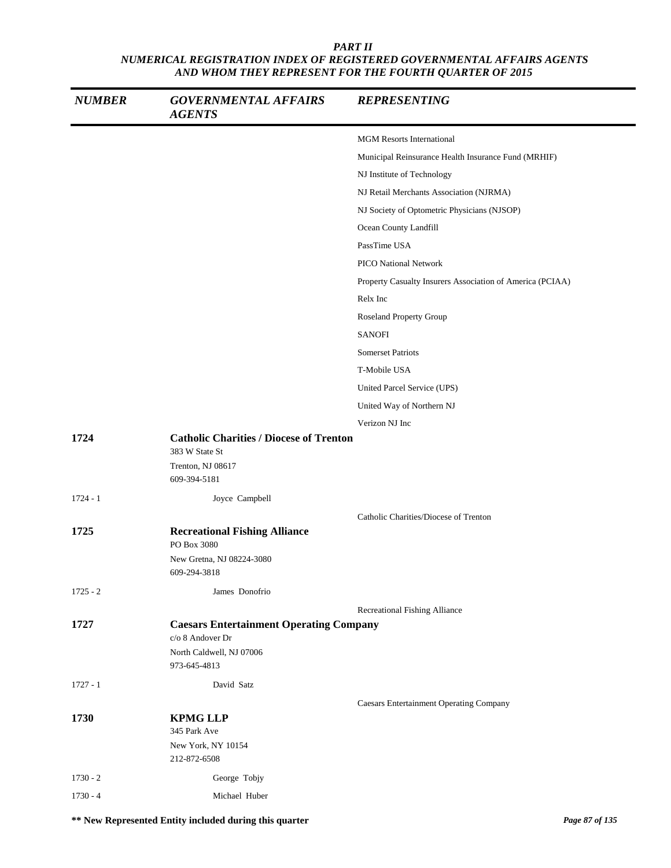| <b>NUMBER</b> | <b>GOVERNMENTAL AFFAIRS</b><br><b>AGENTS</b>                                                                   | <b>REPRESENTING</b>                                       |
|---------------|----------------------------------------------------------------------------------------------------------------|-----------------------------------------------------------|
|               |                                                                                                                | <b>MGM Resorts International</b>                          |
|               |                                                                                                                | Municipal Reinsurance Health Insurance Fund (MRHIF)       |
|               |                                                                                                                | NJ Institute of Technology                                |
|               |                                                                                                                | NJ Retail Merchants Association (NJRMA)                   |
|               |                                                                                                                | NJ Society of Optometric Physicians (NJSOP)               |
|               |                                                                                                                | Ocean County Landfill                                     |
|               |                                                                                                                | PassTime USA                                              |
|               |                                                                                                                | <b>PICO National Network</b>                              |
|               |                                                                                                                | Property Casualty Insurers Association of America (PCIAA) |
|               |                                                                                                                | Relx Inc                                                  |
|               |                                                                                                                | <b>Roseland Property Group</b>                            |
|               |                                                                                                                | <b>SANOFI</b>                                             |
|               |                                                                                                                | <b>Somerset Patriots</b>                                  |
|               |                                                                                                                | T-Mobile USA                                              |
|               |                                                                                                                | United Parcel Service (UPS)                               |
|               |                                                                                                                | United Way of Northern NJ                                 |
|               |                                                                                                                | Verizon NJ Inc                                            |
| 1724          | <b>Catholic Charities / Diocese of Trenton</b><br>383 W State St<br>Trenton, NJ 08617<br>609-394-5181          |                                                           |
| $1724 - 1$    | Joyce Campbell                                                                                                 |                                                           |
|               |                                                                                                                | Catholic Charities/Diocese of Trenton                     |
| 1725          | <b>Recreational Fishing Alliance</b><br>PO Box 3080                                                            |                                                           |
|               | New Gretna, NJ 08224-3080<br>609-294-3818                                                                      |                                                           |
| $1725 - 2$    | James Donofrio                                                                                                 |                                                           |
|               |                                                                                                                | Recreational Fishing Alliance                             |
| 1727          | <b>Caesars Entertainment Operating Company</b><br>c/o 8 Andover Dr<br>North Caldwell, NJ 07006<br>973-645-4813 |                                                           |
| $1727 - 1$    | David Satz                                                                                                     |                                                           |
| 1730          | <b>KPMG LLP</b><br>345 Park Ave<br>New York, NY 10154                                                          | <b>Caesars Entertainment Operating Company</b>            |
|               | 212-872-6508                                                                                                   |                                                           |
| $1730 - 2$    | George Tobjy                                                                                                   |                                                           |
| $1730 - 4$    | Michael Huber                                                                                                  |                                                           |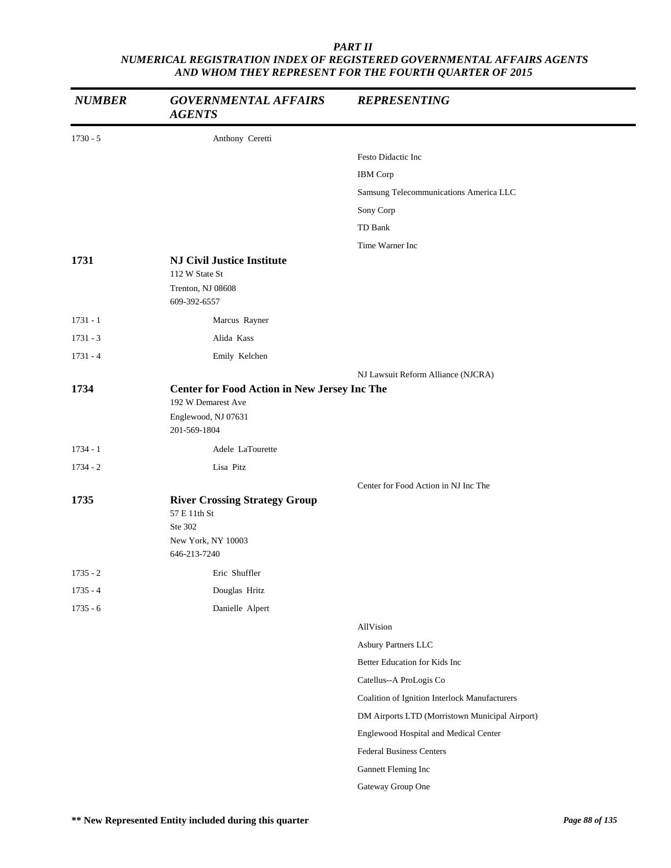| <b>NUMBER</b> | <b>GOVERNMENTAL AFFAIRS</b><br><b>AGENTS</b>                                                                     | <b>REPRESENTING</b>                            |
|---------------|------------------------------------------------------------------------------------------------------------------|------------------------------------------------|
| $1730 - 5$    | Anthony Ceretti                                                                                                  |                                                |
|               |                                                                                                                  | Festo Didactic Inc                             |
|               |                                                                                                                  | <b>IBM</b> Corp                                |
|               |                                                                                                                  | Samsung Telecommunications America LLC         |
|               |                                                                                                                  | Sony Corp                                      |
|               |                                                                                                                  | TD Bank                                        |
|               |                                                                                                                  | Time Warner Inc                                |
| 1731          | <b>NJ Civil Justice Institute</b><br>112 W State St<br>Trenton, NJ 08608                                         |                                                |
|               | 609-392-6557                                                                                                     |                                                |
| $1731 - 1$    | Marcus Rayner                                                                                                    |                                                |
| $1731 - 3$    | Alida Kass                                                                                                       |                                                |
| $1731 - 4$    | Emily Kelchen                                                                                                    |                                                |
|               |                                                                                                                  | NJ Lawsuit Reform Alliance (NJCRA)             |
| 1734          | <b>Center for Food Action in New Jersey Inc The</b><br>192 W Demarest Ave<br>Englewood, NJ 07631<br>201-569-1804 |                                                |
| $1734 - 1$    | Adele LaTourette                                                                                                 |                                                |
| $1734 - 2$    | Lisa Pitz                                                                                                        |                                                |
|               |                                                                                                                  | Center for Food Action in NJ Inc The           |
| 1735          | <b>River Crossing Strategy Group</b><br>57 E 11th St<br>Ste 302<br>New York, NY 10003<br>646-213-7240            |                                                |
| $1735 - 2$    | Eric Shuffler                                                                                                    |                                                |
| $1735 - 4$    | Douglas Hritz                                                                                                    |                                                |
| $1735 - 6$    | Danielle Alpert                                                                                                  |                                                |
|               |                                                                                                                  | AllVision                                      |
|               |                                                                                                                  | Asbury Partners LLC                            |
|               |                                                                                                                  | Better Education for Kids Inc                  |
|               |                                                                                                                  | Catellus--A ProLogis Co                        |
|               |                                                                                                                  | Coalition of Ignition Interlock Manufacturers  |
|               |                                                                                                                  | DM Airports LTD (Morristown Municipal Airport) |
|               |                                                                                                                  | Englewood Hospital and Medical Center          |
|               |                                                                                                                  | <b>Federal Business Centers</b>                |
|               |                                                                                                                  | Gannett Fleming Inc                            |
|               |                                                                                                                  | Gateway Group One                              |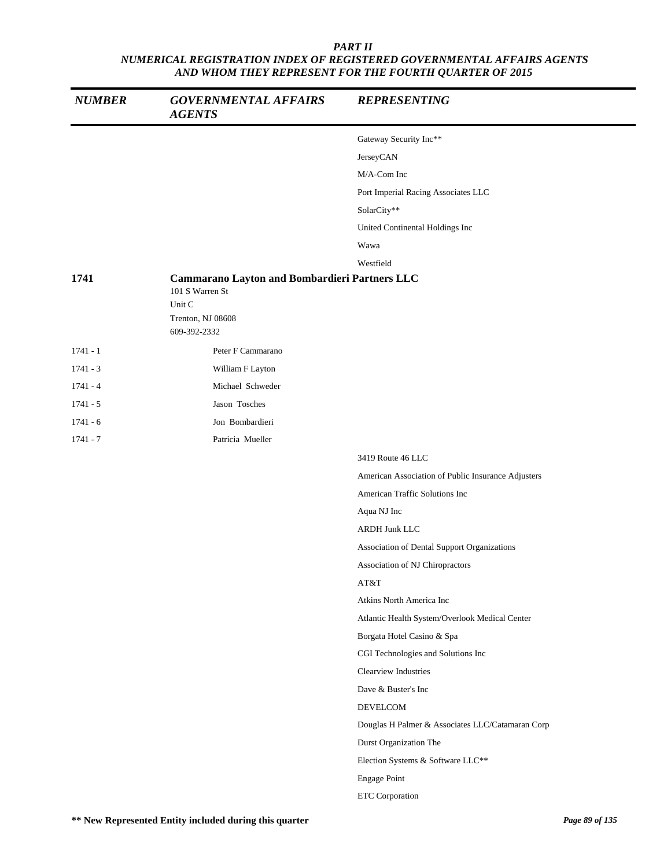| <b>NUMBER</b> | <b>GOVERNMENTAL AFFAIRS</b><br><b>AGENTS</b>                                                    | <b>REPRESENTING</b>                                |
|---------------|-------------------------------------------------------------------------------------------------|----------------------------------------------------|
|               |                                                                                                 | Gateway Security Inc**                             |
|               |                                                                                                 | JerseyCAN                                          |
|               |                                                                                                 | M/A-Com Inc                                        |
|               |                                                                                                 | Port Imperial Racing Associates LLC                |
|               |                                                                                                 | SolarCity**                                        |
|               |                                                                                                 | United Continental Holdings Inc                    |
|               |                                                                                                 | Wawa                                               |
|               |                                                                                                 | Westfield                                          |
| 1741          | Cammarano Layton and Bombardieri Partners LLC<br>101 S Warren St<br>Unit C<br>Trenton, NJ 08608 |                                                    |
|               | 609-392-2332                                                                                    |                                                    |
| $1741 - 1$    | Peter F Cammarano                                                                               |                                                    |
| $1741 - 3$    | William F Layton                                                                                |                                                    |
| $1741 - 4$    | Michael Schweder                                                                                |                                                    |
| $1741 - 5$    | Jason Tosches                                                                                   |                                                    |
| $1741 - 6$    | Jon Bombardieri                                                                                 |                                                    |
| $1741 - 7$    | Patricia Mueller                                                                                |                                                    |
|               |                                                                                                 | 3419 Route 46 LLC                                  |
|               |                                                                                                 | American Association of Public Insurance Adjusters |
|               |                                                                                                 | American Traffic Solutions Inc                     |
|               |                                                                                                 | Aqua NJ Inc                                        |
|               |                                                                                                 | <b>ARDH Junk LLC</b>                               |
|               |                                                                                                 | Association of Dental Support Organizations        |
|               |                                                                                                 | Association of NJ Chiropractors                    |
|               |                                                                                                 | AT&T                                               |
|               |                                                                                                 | Atkins North America Inc                           |
|               |                                                                                                 | Atlantic Health System/Overlook Medical Center     |
|               |                                                                                                 | Borgata Hotel Casino & Spa                         |
|               |                                                                                                 | CGI Technologies and Solutions Inc                 |
|               |                                                                                                 | Clearview Industries                               |
|               |                                                                                                 | Dave & Buster's Inc                                |
|               |                                                                                                 | DEVELCOM                                           |
|               |                                                                                                 | Douglas H Palmer & Associates LLC/Catamaran Corp   |
|               |                                                                                                 | Durst Organization The                             |
|               |                                                                                                 | Election Systems & Software LLC**                  |
|               |                                                                                                 | <b>Engage Point</b>                                |
|               |                                                                                                 | <b>ETC</b> Corporation                             |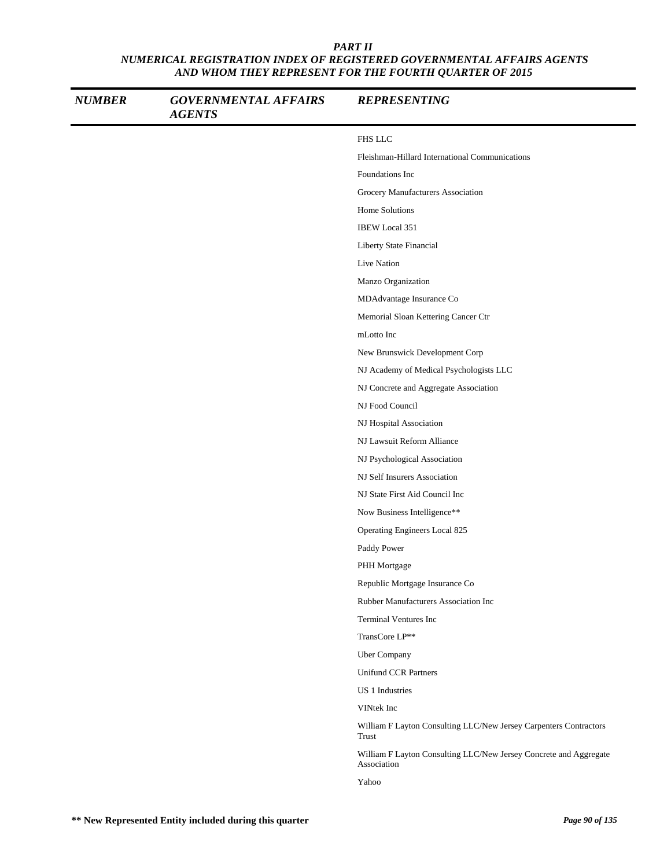| <b>NUMBER</b> | <b>GOVERNMENTAL AFFAIRS</b><br><b>AGENTS</b> | <b>REPRESENTING</b>                                                              |
|---------------|----------------------------------------------|----------------------------------------------------------------------------------|
|               |                                              | FHS LLC                                                                          |
|               |                                              | Fleishman-Hillard International Communications                                   |
|               |                                              | Foundations Inc                                                                  |
|               |                                              | Grocery Manufacturers Association                                                |
|               |                                              | <b>Home Solutions</b>                                                            |
|               |                                              | <b>IBEW</b> Local 351                                                            |
|               |                                              | Liberty State Financial                                                          |
|               |                                              | Live Nation                                                                      |
|               |                                              | Manzo Organization                                                               |
|               |                                              | MDAdvantage Insurance Co                                                         |
|               |                                              | Memorial Sloan Kettering Cancer Ctr                                              |
|               |                                              | mLotto Inc                                                                       |
|               |                                              | New Brunswick Development Corp                                                   |
|               |                                              | NJ Academy of Medical Psychologists LLC                                          |
|               |                                              | NJ Concrete and Aggregate Association                                            |
|               |                                              | NJ Food Council                                                                  |
|               |                                              | NJ Hospital Association                                                          |
|               |                                              | NJ Lawsuit Reform Alliance                                                       |
|               |                                              | NJ Psychological Association                                                     |
|               |                                              | NJ Self Insurers Association                                                     |
|               |                                              | NJ State First Aid Council Inc                                                   |
|               |                                              | Now Business Intelligence**                                                      |
|               |                                              | Operating Engineers Local 825                                                    |
|               |                                              | Paddy Power                                                                      |
|               |                                              | PHH Mortgage                                                                     |
|               |                                              | Republic Mortgage Insurance Co                                                   |
|               |                                              | Rubber Manufacturers Association Inc                                             |
|               |                                              | <b>Terminal Ventures Inc</b>                                                     |
|               |                                              | TransCore LP**                                                                   |
|               |                                              | Uber Company                                                                     |
|               |                                              | <b>Unifund CCR Partners</b>                                                      |
|               |                                              | US 1 Industries                                                                  |
|               |                                              | VINtek Inc                                                                       |
|               |                                              | William F Layton Consulting LLC/New Jersey Carpenters Contractors<br>Trust       |
|               |                                              | William F Layton Consulting LLC/New Jersey Concrete and Aggregate<br>Association |
|               |                                              | Yahoo                                                                            |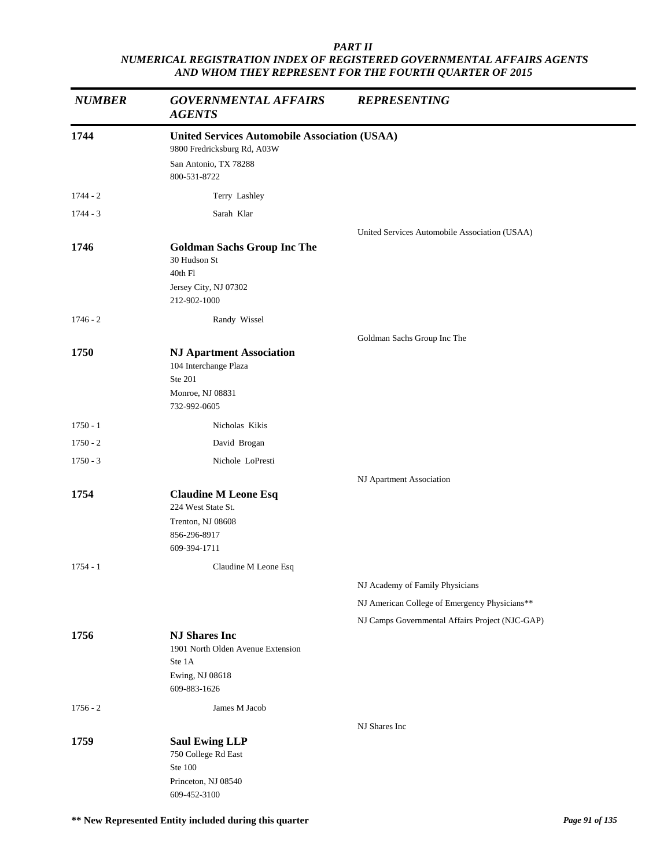| <b>NUMBER</b> | <b>GOVERNMENTAL AFFAIRS</b><br><b>AGENTS</b>         | <b>REPRESENTING</b>                             |
|---------------|------------------------------------------------------|-------------------------------------------------|
| 1744          | <b>United Services Automobile Association (USAA)</b> |                                                 |
|               | 9800 Fredricksburg Rd, A03W                          |                                                 |
|               | San Antonio, TX 78288<br>800-531-8722                |                                                 |
| $1744 - 2$    | Terry Lashley                                        |                                                 |
| $1744 - 3$    | Sarah Klar                                           |                                                 |
|               |                                                      | United Services Automobile Association (USAA)   |
| 1746          | <b>Goldman Sachs Group Inc The</b>                   |                                                 |
|               | 30 Hudson St<br>40th Fl                              |                                                 |
|               | Jersey City, NJ 07302                                |                                                 |
|               | 212-902-1000                                         |                                                 |
| $1746 - 2$    | Randy Wissel                                         |                                                 |
|               |                                                      | Goldman Sachs Group Inc The                     |
| 1750          | <b>NJ Apartment Association</b>                      |                                                 |
|               | 104 Interchange Plaza<br>Ste 201                     |                                                 |
|               | Monroe, NJ 08831                                     |                                                 |
|               | 732-992-0605                                         |                                                 |
| $1750 - 1$    | Nicholas Kikis                                       |                                                 |
| $1750 - 2$    | David Brogan                                         |                                                 |
| $1750 - 3$    | Nichole LoPresti                                     |                                                 |
|               |                                                      | NJ Apartment Association                        |
| 1754          | <b>Claudine M Leone Esq</b>                          |                                                 |
|               | 224 West State St.                                   |                                                 |
|               | Trenton, NJ 08608<br>856-296-8917                    |                                                 |
|               | 609-394-1711                                         |                                                 |
| $1754 - 1$    | Claudine M Leone Esq                                 |                                                 |
|               |                                                      | NJ Academy of Family Physicians                 |
|               |                                                      | NJ American College of Emergency Physicians**   |
|               |                                                      | NJ Camps Governmental Affairs Project (NJC-GAP) |
| 1756          | <b>NJ Shares Inc</b>                                 |                                                 |
|               | 1901 North Olden Avenue Extension                    |                                                 |
|               | Ste 1A<br>Ewing, NJ 08618                            |                                                 |
|               | 609-883-1626                                         |                                                 |
| $1756 - 2$    | James M Jacob                                        |                                                 |
|               |                                                      | NJ Shares Inc                                   |
| 1759          | <b>Saul Ewing LLP</b>                                |                                                 |
|               | 750 College Rd East                                  |                                                 |
|               | Ste 100<br>Princeton, NJ 08540                       |                                                 |
|               | 609-452-3100                                         |                                                 |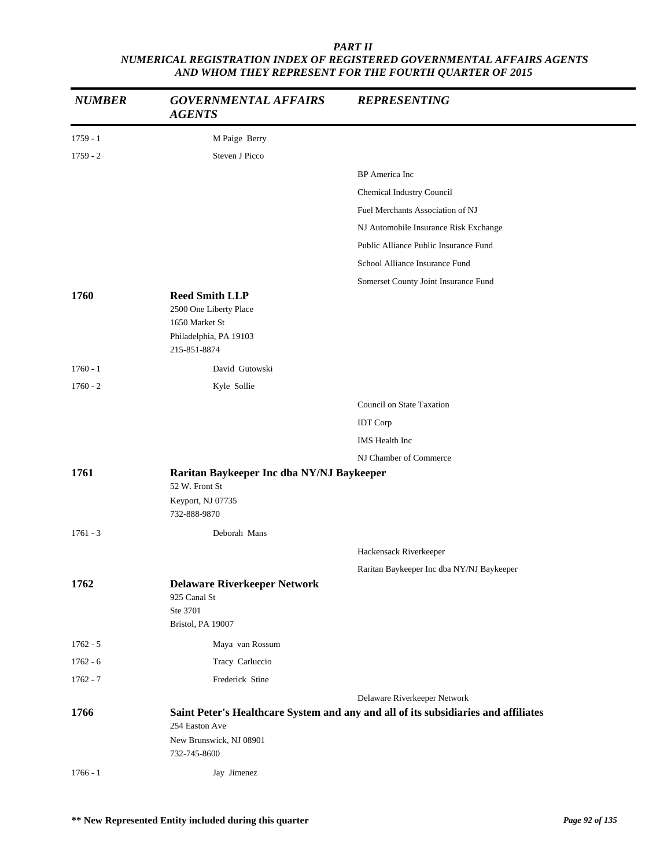| <b>NUMBER</b> | <b>GOVERNMENTAL AFFAIRS</b><br><b>AGENTS</b>                                                                | <b>REPRESENTING</b>                                                                |
|---------------|-------------------------------------------------------------------------------------------------------------|------------------------------------------------------------------------------------|
| $1759 - 1$    | M Paige Berry                                                                                               |                                                                                    |
| $1759 - 2$    | Steven J Picco                                                                                              |                                                                                    |
|               |                                                                                                             | <b>BP</b> America Inc                                                              |
|               |                                                                                                             | Chemical Industry Council                                                          |
|               |                                                                                                             | Fuel Merchants Association of NJ                                                   |
|               |                                                                                                             | NJ Automobile Insurance Risk Exchange                                              |
|               |                                                                                                             | Public Alliance Public Insurance Fund                                              |
|               |                                                                                                             | School Alliance Insurance Fund                                                     |
|               |                                                                                                             | Somerset County Joint Insurance Fund                                               |
| 1760          | <b>Reed Smith LLP</b><br>2500 One Liberty Place<br>1650 Market St<br>Philadelphia, PA 19103<br>215-851-8874 |                                                                                    |
| $1760 - 1$    | David Gutowski                                                                                              |                                                                                    |
| $1760 - 2$    | Kyle Sollie                                                                                                 |                                                                                    |
|               |                                                                                                             | Council on State Taxation                                                          |
|               |                                                                                                             | <b>IDT</b> Corp                                                                    |
|               |                                                                                                             | IMS Health Inc                                                                     |
|               |                                                                                                             | NJ Chamber of Commerce                                                             |
| 1761          | Raritan Baykeeper Inc dba NY/NJ Baykeeper                                                                   |                                                                                    |
|               | 52 W. Front St<br>Keyport, NJ 07735<br>732-888-9870                                                         |                                                                                    |
| $1761 - 3$    | Deborah Mans                                                                                                |                                                                                    |
|               |                                                                                                             | Hackensack Riverkeeper                                                             |
|               |                                                                                                             | Raritan Baykeeper Inc dba NY/NJ Baykeeper                                          |
| 1762          | <b>Delaware Riverkeeper Network</b><br>925 Canal St<br>Ste 3701<br>Bristol, PA 19007                        |                                                                                    |
| $1762 - 5$    | Maya van Rossum                                                                                             |                                                                                    |
| $1762 - 6$    | Tracy Carluccio                                                                                             |                                                                                    |
| $1762 - 7$    | Frederick Stine                                                                                             |                                                                                    |
|               |                                                                                                             | Delaware Riverkeeper Network                                                       |
| 1766          | 254 Easton Ave                                                                                              | Saint Peter's Healthcare System and any and all of its subsidiaries and affiliates |
|               | New Brunswick, NJ 08901<br>732-745-8600                                                                     |                                                                                    |
| $1766 - 1$    | Jay Jimenez                                                                                                 |                                                                                    |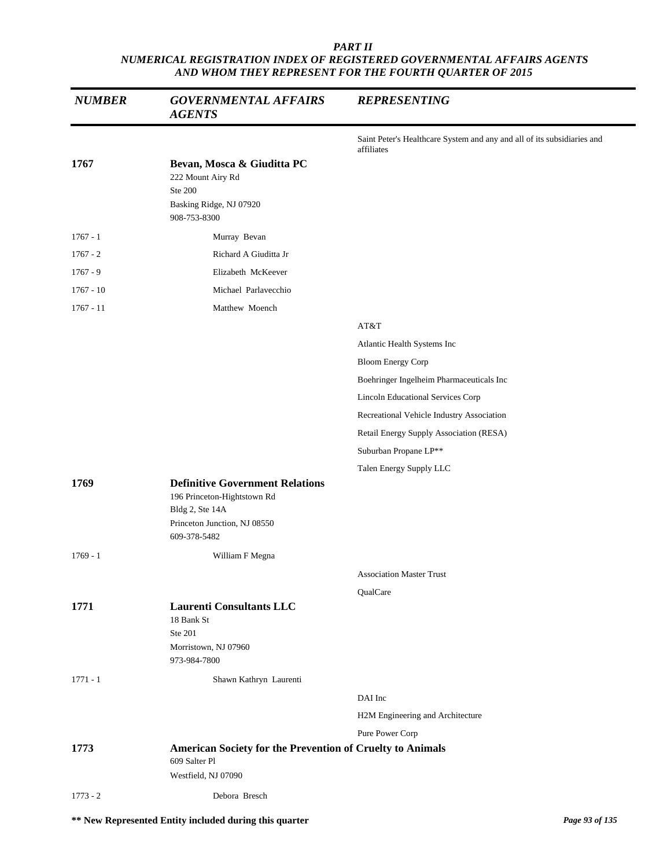| <b>NUMBER</b> | <b>GOVERNMENTAL AFFAIRS</b><br><b>AGENTS</b>                                                                                             | <b>REPRESENTING</b>                                                                   |
|---------------|------------------------------------------------------------------------------------------------------------------------------------------|---------------------------------------------------------------------------------------|
|               |                                                                                                                                          | Saint Peter's Healthcare System and any and all of its subsidiaries and<br>affiliates |
| 1767          | Bevan, Mosca & Giuditta PC<br>222 Mount Airy Rd<br>Ste 200<br>Basking Ridge, NJ 07920<br>908-753-8300                                    |                                                                                       |
| $1767 - 1$    | Murray Bevan                                                                                                                             |                                                                                       |
| $1767 - 2$    | Richard A Giuditta Jr                                                                                                                    |                                                                                       |
| $1767 - 9$    | Elizabeth McKeever                                                                                                                       |                                                                                       |
| $1767 - 10$   | Michael Parlavecchio                                                                                                                     |                                                                                       |
| $1767 - 11$   | Matthew Moench                                                                                                                           |                                                                                       |
|               |                                                                                                                                          | AT&T                                                                                  |
|               |                                                                                                                                          | Atlantic Health Systems Inc                                                           |
|               |                                                                                                                                          | <b>Bloom Energy Corp</b>                                                              |
|               |                                                                                                                                          | Boehringer Ingelheim Pharmaceuticals Inc                                              |
|               |                                                                                                                                          | <b>Lincoln Educational Services Corp</b>                                              |
|               |                                                                                                                                          | Recreational Vehicle Industry Association                                             |
|               |                                                                                                                                          | Retail Energy Supply Association (RESA)                                               |
|               |                                                                                                                                          | Suburban Propane LP**                                                                 |
|               |                                                                                                                                          | Talen Energy Supply LLC                                                               |
| 1769          | <b>Definitive Government Relations</b><br>196 Princeton-Hightstown Rd<br>Bldg 2, Ste 14A<br>Princeton Junction, NJ 08550<br>609-378-5482 |                                                                                       |
| $1769 - 1$    | William F Megna                                                                                                                          |                                                                                       |
|               |                                                                                                                                          | <b>Association Master Trust</b>                                                       |
|               |                                                                                                                                          | QualCare                                                                              |
| 1771          | <b>Laurenti Consultants LLC</b><br>18 Bank St<br>Ste 201<br>Morristown, NJ 07960<br>973-984-7800                                         |                                                                                       |
| $1771 - 1$    | Shawn Kathryn Laurenti                                                                                                                   |                                                                                       |
|               |                                                                                                                                          | DAI Inc                                                                               |
|               |                                                                                                                                          | H2M Engineering and Architecture                                                      |
|               |                                                                                                                                          | Pure Power Corp                                                                       |
| 1773          | American Society for the Prevention of Cruelty to Animals<br>609 Salter Pl                                                               |                                                                                       |
|               | Westfield, NJ 07090                                                                                                                      |                                                                                       |
| $1773 - 2$    | Debora Bresch                                                                                                                            |                                                                                       |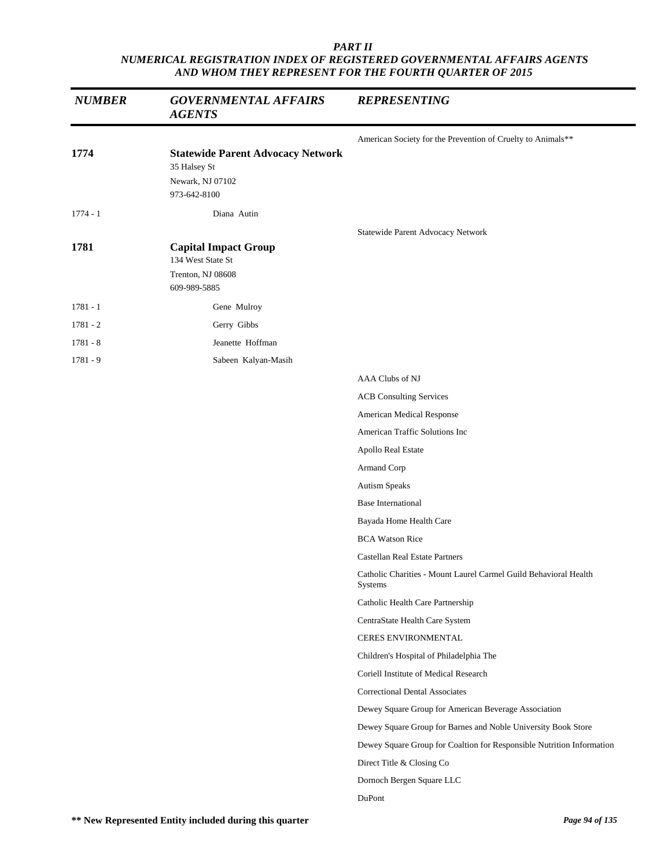| <b>NUMBER</b> | <b>GOVERNMENTAL AFFAIRS</b><br><b>AGENTS</b>                                                 | <b>REPRESENTING</b>                                                         |
|---------------|----------------------------------------------------------------------------------------------|-----------------------------------------------------------------------------|
|               |                                                                                              | American Society for the Prevention of Cruelty to Animals**                 |
| 1774          | <b>Statewide Parent Advocacy Network</b><br>35 Halsey St<br>Newark, NJ 07102<br>973-642-8100 |                                                                             |
| $1774 - 1$    | Diana Autin                                                                                  |                                                                             |
| 1781          | <b>Capital Impact Group</b><br>134 West State St<br>Trenton, NJ 08608<br>609-989-5885        | Statewide Parent Advocacy Network                                           |
| $1781 - 1$    | Gene Mulroy                                                                                  |                                                                             |
| $1781 - 2$    | Gerry Gibbs                                                                                  |                                                                             |
| $1781 - 8$    | Jeanette Hoffman                                                                             |                                                                             |
| $1781 - 9$    | Sabeen Kalyan-Masih                                                                          |                                                                             |
|               |                                                                                              | AAA Clubs of NJ                                                             |
|               |                                                                                              | <b>ACB Consulting Services</b>                                              |
|               |                                                                                              | American Medical Response                                                   |
|               |                                                                                              | American Traffic Solutions Inc                                              |
|               |                                                                                              | Apollo Real Estate                                                          |
|               |                                                                                              | Armand Corp                                                                 |
|               |                                                                                              | Autism Speaks                                                               |
|               |                                                                                              | <b>Base International</b>                                                   |
|               |                                                                                              | Bayada Home Health Care                                                     |
|               |                                                                                              | <b>BCA Watson Rice</b>                                                      |
|               |                                                                                              | Castellan Real Estate Partners                                              |
|               |                                                                                              | Catholic Charities - Mount Laurel Carmel Guild Behavioral Health<br>Systems |
|               |                                                                                              | Catholic Health Care Partnership                                            |
|               |                                                                                              | CentraState Health Care System                                              |
|               |                                                                                              | CERES ENVIRONMENTAL                                                         |
|               |                                                                                              | Children's Hospital of Philadelphia The                                     |
|               |                                                                                              | Coriell Institute of Medical Research                                       |
|               |                                                                                              | <b>Correctional Dental Associates</b>                                       |
|               |                                                                                              | Dewey Square Group for American Beverage Association                        |
|               |                                                                                              | Dewey Square Group for Barnes and Noble University Book Store               |
|               |                                                                                              | Dewey Square Group for Coaltion for Responsible Nutrition Information       |
|               |                                                                                              | Direct Title & Closing Co                                                   |
|               |                                                                                              | Dornoch Bergen Square LLC                                                   |
|               |                                                                                              | DuPont                                                                      |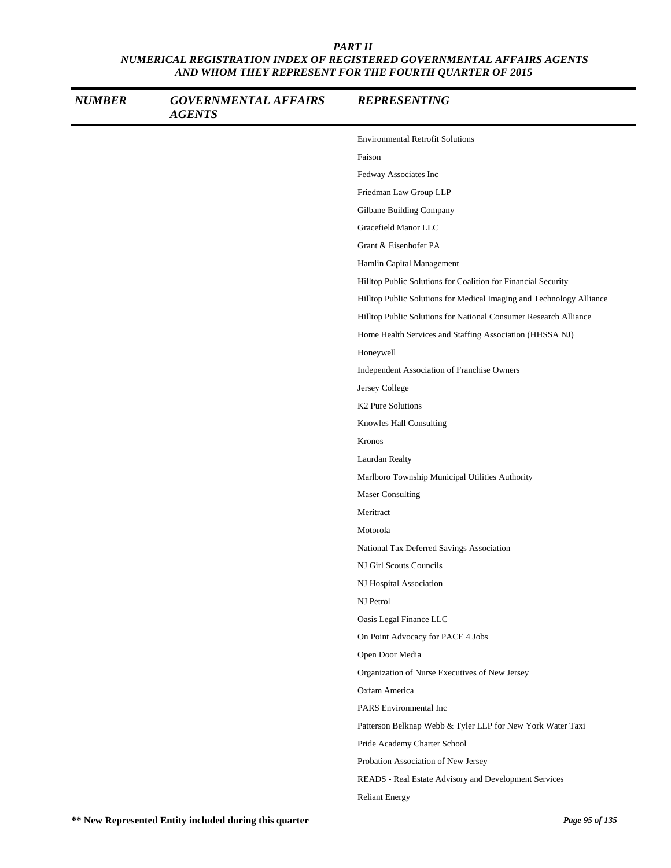| <b>NUMBER</b> | <b>GOVERNMENTAL AFFAIRS</b><br><b>AGENTS</b> | <b>REPRESENTING</b>                                                  |
|---------------|----------------------------------------------|----------------------------------------------------------------------|
|               |                                              | <b>Environmental Retrofit Solutions</b>                              |
|               |                                              | Faison                                                               |
|               |                                              | Fedway Associates Inc                                                |
|               |                                              | Friedman Law Group LLP                                               |
|               |                                              | Gilbane Building Company                                             |
|               |                                              | Gracefield Manor LLC                                                 |
|               |                                              | Grant & Eisenhofer PA                                                |
|               |                                              | Hamlin Capital Management                                            |
|               |                                              | Hilltop Public Solutions for Coalition for Financial Security        |
|               |                                              | Hilltop Public Solutions for Medical Imaging and Technology Alliance |
|               |                                              | Hilltop Public Solutions for National Consumer Research Alliance     |
|               |                                              | Home Health Services and Staffing Association (HHSSA NJ)             |
|               |                                              | Honeywell                                                            |
|               |                                              | Independent Association of Franchise Owners                          |
|               |                                              | Jersey College                                                       |
|               |                                              | K2 Pure Solutions                                                    |
|               |                                              | Knowles Hall Consulting                                              |
|               |                                              | Kronos                                                               |
|               |                                              | Laurdan Realty                                                       |
|               |                                              | Marlboro Township Municipal Utilities Authority                      |
|               |                                              | <b>Maser Consulting</b>                                              |
|               |                                              | Meritract                                                            |
|               |                                              | Motorola                                                             |
|               |                                              | National Tax Deferred Savings Association                            |
|               |                                              | NJ Girl Scouts Councils                                              |
|               |                                              | NJ Hospital Association                                              |
|               |                                              | NJ Petrol                                                            |
|               |                                              | Oasis Legal Finance LLC                                              |
|               |                                              | On Point Advocacy for PACE 4 Jobs                                    |
|               |                                              | Open Door Media                                                      |
|               |                                              | Organization of Nurse Executives of New Jersey                       |
|               |                                              | Oxfam America                                                        |
|               |                                              | PARS Environmental Inc                                               |
|               |                                              | Patterson Belknap Webb & Tyler LLP for New York Water Taxi           |
|               |                                              | Pride Academy Charter School                                         |
|               |                                              | Probation Association of New Jersey                                  |
|               |                                              | READS - Real Estate Advisory and Development Services                |
|               |                                              | <b>Reliant Energy</b>                                                |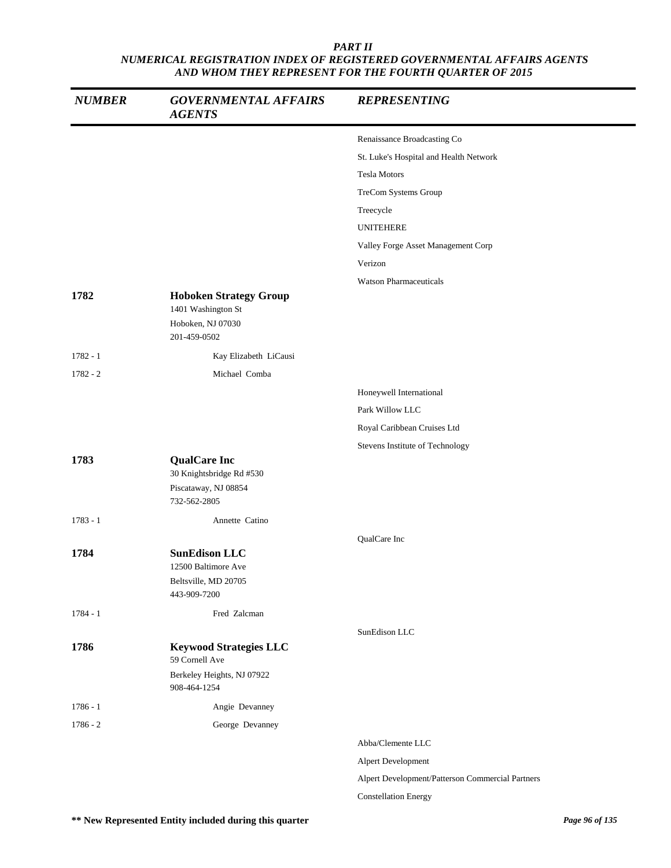| <b>NUMBER</b> | <b>GOVERNMENTAL AFFAIRS</b><br><b>AGENTS</b>                                             | <b>REPRESENTING</b>                              |
|---------------|------------------------------------------------------------------------------------------|--------------------------------------------------|
|               |                                                                                          | Renaissance Broadcasting Co                      |
|               |                                                                                          | St. Luke's Hospital and Health Network           |
|               |                                                                                          | <b>Tesla Motors</b>                              |
|               |                                                                                          | TreCom Systems Group                             |
|               |                                                                                          | Treecycle                                        |
|               |                                                                                          | <b>UNITEHERE</b>                                 |
|               |                                                                                          | Valley Forge Asset Management Corp               |
|               |                                                                                          | Verizon                                          |
|               |                                                                                          | <b>Watson Pharmaceuticals</b>                    |
| 1782          | <b>Hoboken Strategy Group</b><br>1401 Washington St<br>Hoboken, NJ 07030<br>201-459-0502 |                                                  |
| $1782 - 1$    | Kay Elizabeth LiCausi                                                                    |                                                  |
| $1782 - 2$    | Michael Comba                                                                            |                                                  |
|               |                                                                                          | Honeywell International                          |
|               |                                                                                          | Park Willow LLC                                  |
|               |                                                                                          | Royal Caribbean Cruises Ltd                      |
|               |                                                                                          | Stevens Institute of Technology                  |
| 1783          | <b>QualCare Inc</b><br>30 Knightsbridge Rd #530<br>Piscataway, NJ 08854<br>732-562-2805  |                                                  |
| $1783 - 1$    | Annette Catino                                                                           |                                                  |
|               |                                                                                          | QualCare Inc                                     |
| 1784          | <b>SunEdison LLC</b><br>12500 Baltimore Ave<br>Beltsville, MD 20705<br>443-909-7200      |                                                  |
| $1784 - 1$    | Fred Zalcman                                                                             |                                                  |
|               |                                                                                          | SunEdison LLC                                    |
| 1786          | <b>Keywood Strategies LLC</b><br>59 Cornell Ave                                          |                                                  |
|               | Berkeley Heights, NJ 07922<br>908-464-1254                                               |                                                  |
| $1786 - 1$    | Angie Devanney                                                                           |                                                  |
| $1786 - 2$    | George Devanney                                                                          |                                                  |
|               |                                                                                          | Abba/Clemente LLC                                |
|               |                                                                                          | Alpert Development                               |
|               |                                                                                          | Alpert Development/Patterson Commercial Partners |
|               |                                                                                          | <b>Constellation Energy</b>                      |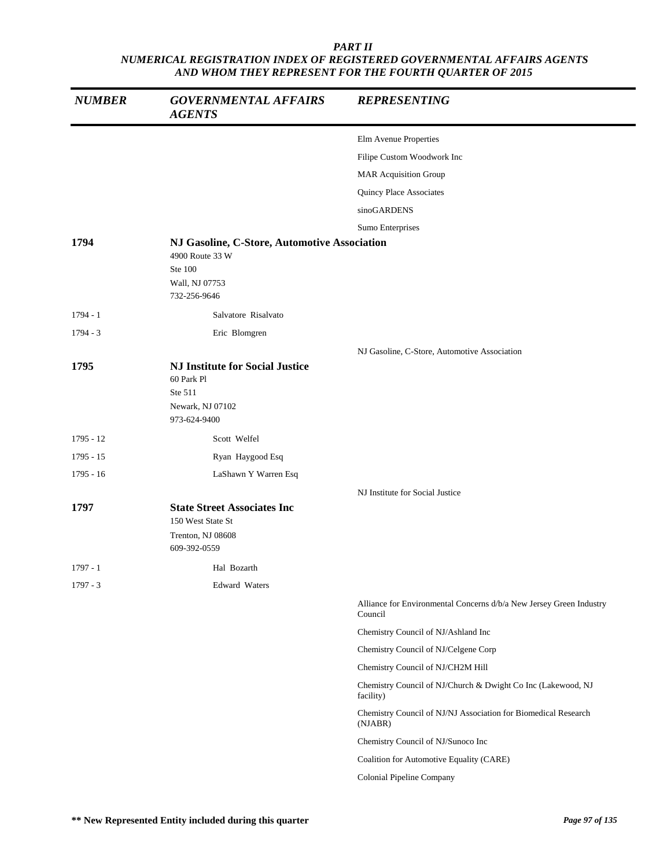| <b>NUMBER</b> | <b>GOVERNMENTAL AFFAIRS</b><br><b>AGENTS</b>                                                        | <b>REPRESENTING</b>                                                            |
|---------------|-----------------------------------------------------------------------------------------------------|--------------------------------------------------------------------------------|
|               |                                                                                                     | Elm Avenue Properties                                                          |
|               |                                                                                                     | Filipe Custom Woodwork Inc                                                     |
|               |                                                                                                     | <b>MAR Acquisition Group</b>                                                   |
|               |                                                                                                     | Quincy Place Associates                                                        |
|               |                                                                                                     | sinoGARDENS                                                                    |
|               |                                                                                                     | Sumo Enterprises                                                               |
| 1794          | NJ Gasoline, C-Store, Automotive Association<br>4900 Route 33 W                                     |                                                                                |
|               | Ste 100<br>Wall, NJ 07753<br>732-256-9646                                                           |                                                                                |
| 1794 - 1      | Salvatore Risalvato                                                                                 |                                                                                |
| $1794 - 3$    | Eric Blomgren                                                                                       |                                                                                |
|               |                                                                                                     | NJ Gasoline, C-Store, Automotive Association                                   |
| 1795          | <b>NJ Institute for Social Justice</b><br>60 Park Pl<br>Ste 511<br>Newark, NJ 07102<br>973-624-9400 |                                                                                |
| $1795 - 12$   | Scott Welfel                                                                                        |                                                                                |
| 1795 - 15     | Ryan Haygood Esq                                                                                    |                                                                                |
| 1795 - 16     | LaShawn Y Warren Esq                                                                                |                                                                                |
|               |                                                                                                     | NJ Institute for Social Justice                                                |
| 1797          | <b>State Street Associates Inc</b><br>150 West State St                                             |                                                                                |
|               | Trenton, NJ 08608<br>609-392-0559                                                                   |                                                                                |
| 1797 - 1      | Hal Bozarth                                                                                         |                                                                                |
| $1797 - 3$    | <b>Edward Waters</b>                                                                                |                                                                                |
|               |                                                                                                     | Alliance for Environmental Concerns d/b/a New Jersey Green Industry<br>Council |
|               |                                                                                                     | Chemistry Council of NJ/Ashland Inc                                            |
|               |                                                                                                     | Chemistry Council of NJ/Celgene Corp                                           |
|               |                                                                                                     | Chemistry Council of NJ/CH2M Hill                                              |
|               |                                                                                                     | Chemistry Council of NJ/Church & Dwight Co Inc (Lakewood, NJ<br>facility)      |
|               |                                                                                                     | Chemistry Council of NJ/NJ Association for Biomedical Research<br>(NJABR)      |
|               |                                                                                                     | Chemistry Council of NJ/Sunoco Inc                                             |
|               |                                                                                                     | Coalition for Automotive Equality (CARE)                                       |
|               |                                                                                                     | Colonial Pipeline Company                                                      |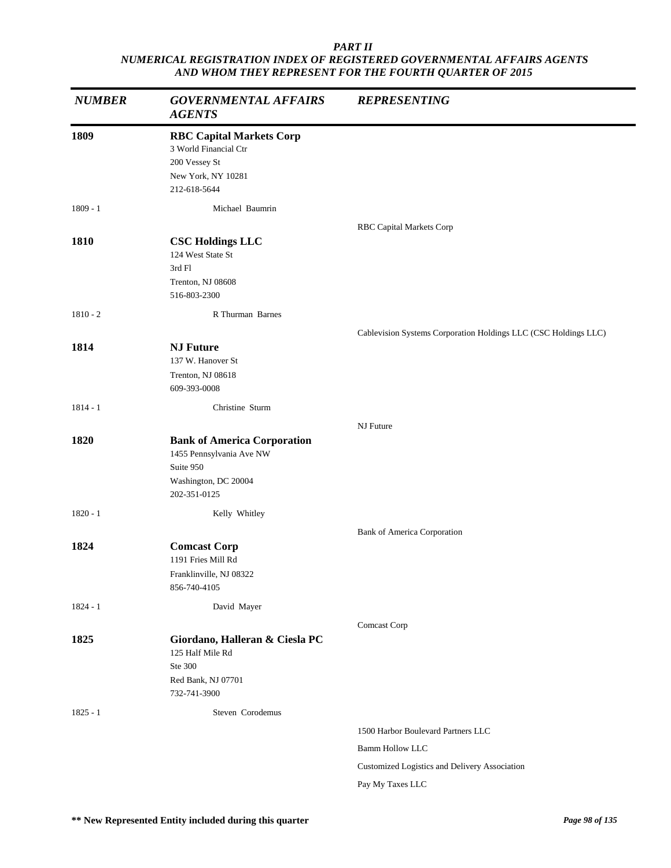| <b>NUMBER</b> | <b>GOVERNMENTAL AFFAIRS</b><br><b>AGENTS</b>                                                                        | <b>REPRESENTING</b>                                               |
|---------------|---------------------------------------------------------------------------------------------------------------------|-------------------------------------------------------------------|
| 1809          | <b>RBC Capital Markets Corp</b><br>3 World Financial Ctr<br>200 Vessey St<br>New York, NY 10281<br>212-618-5644     |                                                                   |
| $1809 - 1$    | Michael Baumrin                                                                                                     |                                                                   |
| 1810          | <b>CSC Holdings LLC</b><br>124 West State St<br>3rd Fl<br>Trenton, NJ 08608<br>516-803-2300                         | <b>RBC Capital Markets Corp</b>                                   |
| $1810 - 2$    | R Thurman Barnes                                                                                                    |                                                                   |
| 1814          | <b>NJ Future</b><br>137 W. Hanover St<br>Trenton, NJ 08618<br>609-393-0008                                          | Cablevision Systems Corporation Holdings LLC (CSC Holdings LLC)   |
| $1814 - 1$    | Christine Sturm                                                                                                     |                                                                   |
| 1820          | <b>Bank of America Corporation</b><br>1455 Pennsylvania Ave NW<br>Suite 950<br>Washington, DC 20004<br>202-351-0125 | NJ Future                                                         |
| $1820 - 1$    | Kelly Whitley                                                                                                       |                                                                   |
| 1824          | <b>Comcast Corp</b><br>1191 Fries Mill Rd<br>Franklinville, NJ 08322<br>856-740-4105                                | <b>Bank of America Corporation</b>                                |
| $1824 - 1$    | David Mayer                                                                                                         |                                                                   |
| 1825          | Giordano, Halleran & Ciesla PC<br>125 Half Mile Rd<br>Ste 300<br>Red Bank, NJ 07701<br>732-741-3900                 | Comcast Corp                                                      |
| $1825 - 1$    | Steven Corodemus                                                                                                    |                                                                   |
|               |                                                                                                                     | 1500 Harbor Boulevard Partners LLC                                |
|               |                                                                                                                     | <b>Bamm Hollow LLC</b>                                            |
|               |                                                                                                                     | Customized Logistics and Delivery Association<br>Pay My Taxes LLC |
|               |                                                                                                                     |                                                                   |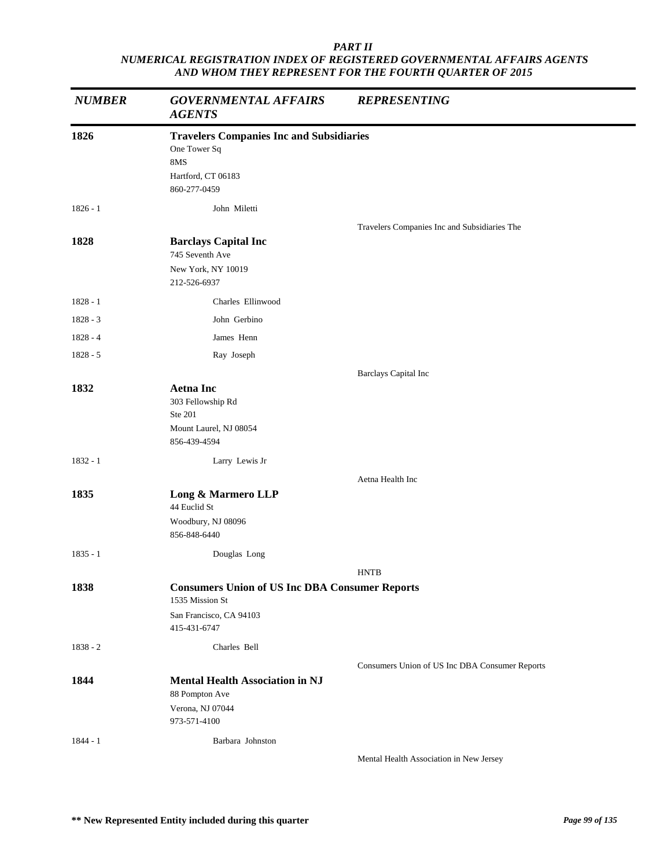| <b>NUMBER</b> | <b>GOVERNMENTAL AFFAIRS</b><br><b>AGENTS</b>                                                                        | <b>REPRESENTING</b>                            |
|---------------|---------------------------------------------------------------------------------------------------------------------|------------------------------------------------|
| 1826          | <b>Travelers Companies Inc and Subsidiaries</b><br>One Tower Sq<br>8MS<br>Hartford, CT 06183<br>860-277-0459        |                                                |
| $1826 - 1$    | John Miletti                                                                                                        |                                                |
| 1828          | <b>Barclays Capital Inc</b><br>745 Seventh Ave<br>New York, NY 10019<br>212-526-6937                                | Travelers Companies Inc and Subsidiaries The   |
| $1828 - 1$    | Charles Ellinwood                                                                                                   |                                                |
| $1828 - 3$    | John Gerbino                                                                                                        |                                                |
| $1828 - 4$    | James Henn                                                                                                          |                                                |
| $1828 - 5$    | Ray Joseph                                                                                                          |                                                |
|               |                                                                                                                     | <b>Barclays Capital Inc</b>                    |
| 1832          | <b>Aetna Inc</b><br>303 Fellowship Rd<br>Ste 201<br>Mount Laurel, NJ 08054<br>856-439-4594                          |                                                |
| $1832 - 1$    | Larry Lewis Jr                                                                                                      |                                                |
|               |                                                                                                                     | Aetna Health Inc                               |
| 1835          | Long & Marmero LLP<br>44 Euclid St<br>Woodbury, NJ 08096                                                            |                                                |
|               | 856-848-6440                                                                                                        |                                                |
| $1835 - 1$    | Douglas Long                                                                                                        |                                                |
|               |                                                                                                                     | <b>HNTB</b>                                    |
| 1838          | <b>Consumers Union of US Inc DBA Consumer Reports</b><br>1535 Mission St<br>San Francisco, CA 94103<br>415-431-6747 |                                                |
| $1838 - 2$    | Charles Bell                                                                                                        |                                                |
|               |                                                                                                                     | Consumers Union of US Inc DBA Consumer Reports |
| 1844          | <b>Mental Health Association in NJ</b><br>88 Pompton Ave<br>Verona, NJ 07044<br>973-571-4100                        |                                                |
| $1844 - 1$    | Barbara Johnston                                                                                                    |                                                |
|               |                                                                                                                     | Mental Health Association in New Jersey        |

**\*\* New Represented Entity included during this quarter** *Page 99 of 135*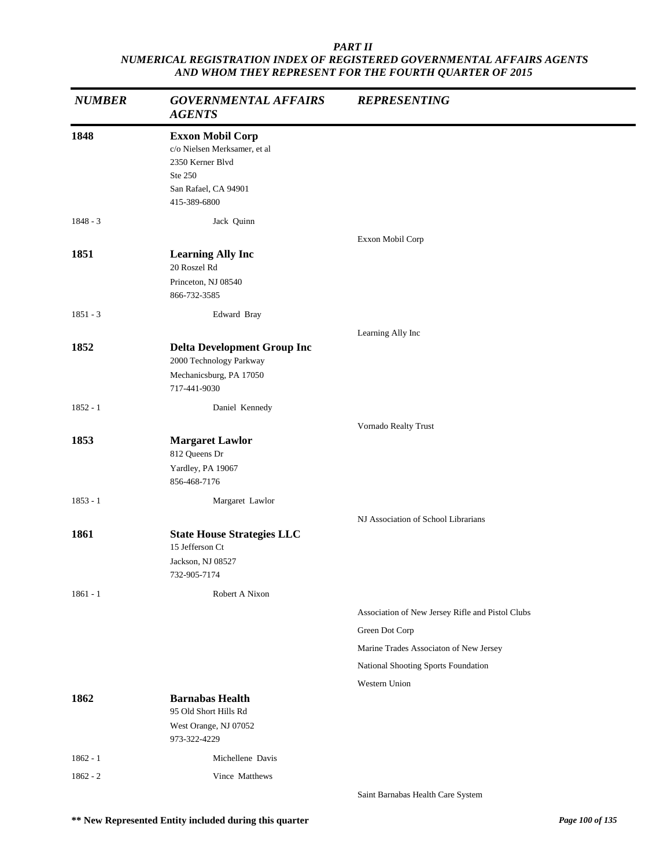| <b>NUMBER</b> | <b>GOVERNMENTAL AFFAIRS</b><br><b>AGENTS</b>                                                                                   | <b>REPRESENTING</b>                                                                                                                                 |
|---------------|--------------------------------------------------------------------------------------------------------------------------------|-----------------------------------------------------------------------------------------------------------------------------------------------------|
| 1848          | <b>Exxon Mobil Corp</b><br>c/o Nielsen Merksamer, et al<br>2350 Kerner Blvd<br>Ste 250<br>San Rafael, CA 94901<br>415-389-6800 |                                                                                                                                                     |
| $1848 - 3$    | Jack Quinn                                                                                                                     |                                                                                                                                                     |
| 1851          | <b>Learning Ally Inc</b><br>20 Roszel Rd<br>Princeton, NJ 08540<br>866-732-3585                                                | Exxon Mobil Corp                                                                                                                                    |
| $1851 - 3$    | Edward Bray                                                                                                                    |                                                                                                                                                     |
| 1852          | <b>Delta Development Group Inc</b><br>2000 Technology Parkway<br>Mechanicsburg, PA 17050<br>717-441-9030                       | Learning Ally Inc                                                                                                                                   |
| $1852 - 1$    | Daniel Kennedy                                                                                                                 |                                                                                                                                                     |
| 1853          | <b>Margaret Lawlor</b><br>812 Queens Dr<br>Yardley, PA 19067<br>856-468-7176                                                   | Vornado Realty Trust                                                                                                                                |
| $1853 - 1$    | Margaret Lawlor                                                                                                                |                                                                                                                                                     |
| 1861          | <b>State House Strategies LLC</b><br>15 Jefferson Ct<br>Jackson, NJ 08527<br>732-905-7174                                      | NJ Association of School Librarians                                                                                                                 |
| $1861 - 1$    | Robert A Nixon                                                                                                                 |                                                                                                                                                     |
|               |                                                                                                                                | Association of New Jersey Rifle and Pistol Clubs<br>Green Dot Corp<br>Marine Trades Associaton of New Jersey<br>National Shooting Sports Foundation |
| 1862          | <b>Barnabas Health</b><br>95 Old Short Hills Rd<br>West Orange, NJ 07052<br>973-322-4229                                       | Western Union                                                                                                                                       |
| $1862 - 1$    | Michellene Davis                                                                                                               |                                                                                                                                                     |
| $1862 - 2$    | Vince Matthews                                                                                                                 | Saint Barnabas Health Care System                                                                                                                   |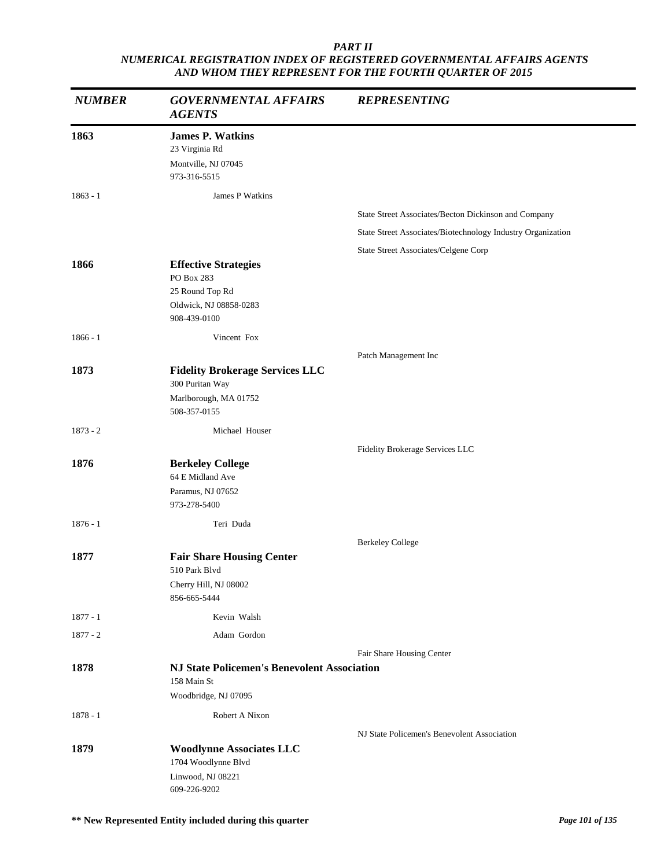| <b>NUMBER</b> | <b>GOVERNMENTAL AFFAIRS</b><br><b>AGENTS</b>                                                           | <b>REPRESENTING</b>                                         |
|---------------|--------------------------------------------------------------------------------------------------------|-------------------------------------------------------------|
| 1863          | <b>James P. Watkins</b><br>23 Virginia Rd<br>Montville, NJ 07045<br>973-316-5515                       |                                                             |
| $1863 - 1$    | James P Watkins                                                                                        |                                                             |
|               |                                                                                                        | State Street Associates/Becton Dickinson and Company        |
|               |                                                                                                        | State Street Associates/Biotechnology Industry Organization |
|               |                                                                                                        | State Street Associates/Celgene Corp                        |
| 1866          | <b>Effective Strategies</b><br>PO Box 283<br>25 Round Top Rd<br>Oldwick, NJ 08858-0283<br>908-439-0100 |                                                             |
| $1866 - 1$    | Vincent Fox                                                                                            |                                                             |
|               |                                                                                                        | Patch Management Inc                                        |
| 1873          | <b>Fidelity Brokerage Services LLC</b><br>300 Puritan Way<br>Marlborough, MA 01752<br>508-357-0155     |                                                             |
| $1873 - 2$    | Michael Houser                                                                                         |                                                             |
|               |                                                                                                        | Fidelity Brokerage Services LLC                             |
| 1876          | <b>Berkeley College</b><br>64 E Midland Ave<br>Paramus, NJ 07652<br>973-278-5400                       |                                                             |
| $1876 - 1$    | Teri Duda                                                                                              |                                                             |
| 1877          | <b>Fair Share Housing Center</b><br>510 Park Blvd<br>Cherry Hill, NJ 08002<br>856-665-5444             | <b>Berkeley College</b>                                     |
| $1877 - 1$    | Kevin Walsh                                                                                            |                                                             |
| $1877 - 2$    | Adam Gordon                                                                                            |                                                             |
|               |                                                                                                        | Fair Share Housing Center                                   |
| 1878          | <b>NJ State Policemen's Benevolent Association</b><br>158 Main St<br>Woodbridge, NJ 07095              |                                                             |
|               |                                                                                                        |                                                             |
| $1878 - 1$    | Robert A Nixon                                                                                         |                                                             |
| 1879          | <b>Woodlynne Associates LLC</b><br>1704 Woodlynne Blvd<br>Linwood, NJ 08221<br>609-226-9202            | NJ State Policemen's Benevolent Association                 |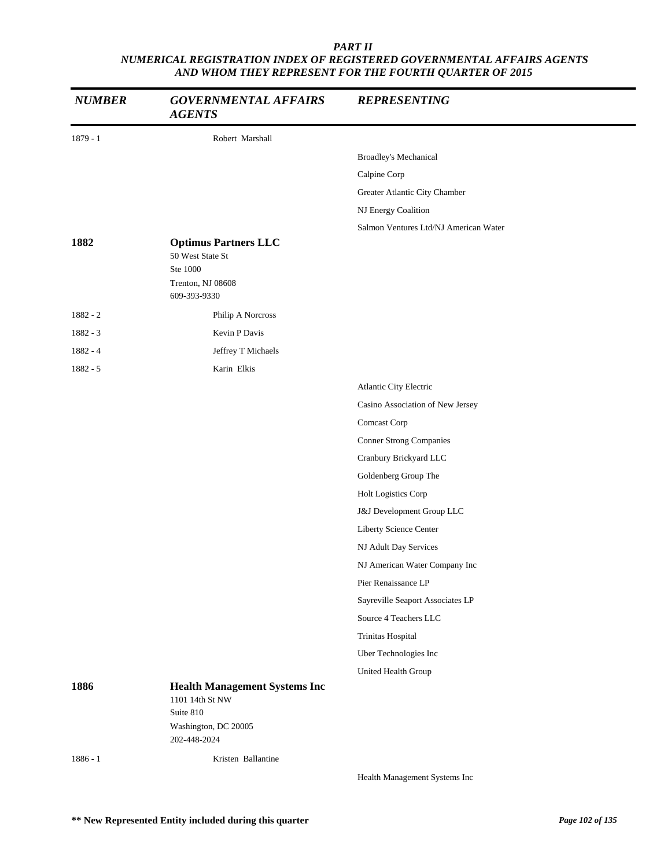| <b>NUMBER</b> | <b>GOVERNMENTAL AFFAIRS</b><br><b>AGENTS</b>                | <b>REPRESENTING</b>                   |
|---------------|-------------------------------------------------------------|---------------------------------------|
| $1879 - 1$    | Robert Marshall                                             |                                       |
|               |                                                             | Broadley's Mechanical                 |
|               |                                                             | Calpine Corp                          |
|               |                                                             | Greater Atlantic City Chamber         |
|               |                                                             | NJ Energy Coalition                   |
|               |                                                             | Salmon Ventures Ltd/NJ American Water |
| 1882          | <b>Optimus Partners LLC</b><br>50 West State St<br>Ste 1000 |                                       |
|               | Trenton, NJ 08608                                           |                                       |
|               | 609-393-9330                                                |                                       |
| $1882 - 2$    | Philip A Norcross                                           |                                       |
| 1882 - 3      | Kevin P Davis                                               |                                       |
| 1882 - 4      | Jeffrey T Michaels                                          |                                       |
| $1882 - 5$    | Karin Elkis                                                 |                                       |
|               |                                                             | Atlantic City Electric                |
|               |                                                             | Casino Association of New Jersey      |
|               |                                                             | Comcast Corp                          |
|               |                                                             | <b>Conner Strong Companies</b>        |
|               |                                                             | Cranbury Brickyard LLC                |
|               |                                                             | Goldenberg Group The                  |
|               |                                                             | Holt Logistics Corp                   |
|               |                                                             | J&J Development Group LLC             |
|               |                                                             | Liberty Science Center                |
|               |                                                             | NJ Adult Day Services                 |
|               |                                                             | NJ American Water Company Inc         |
|               |                                                             | Pier Renaissance LP                   |
|               |                                                             | Sayreville Seaport Associates LP      |
|               |                                                             | Source 4 Teachers LLC                 |
|               |                                                             | Trinitas Hospital                     |
|               |                                                             | Uber Technologies Inc                 |
|               |                                                             | United Health Group                   |
| 1886          | <b>Health Management Systems Inc</b><br>1101 14th St NW     |                                       |
|               | Suite 810                                                   |                                       |
|               | Washington, DC 20005<br>202-448-2024                        |                                       |
|               |                                                             |                                       |
| $1886 - 1$    | Kristen Ballantine                                          | Health Management Systems Inc         |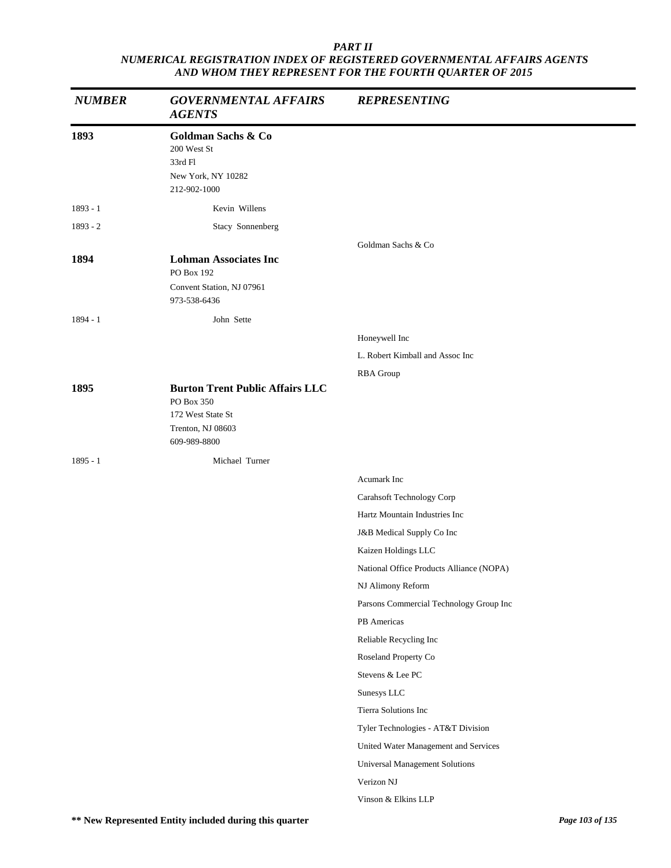| <b>NUMBER</b> | <b>GOVERNMENTAL AFFAIRS</b><br><b>AGENTS</b>                                                                   | <b>REPRESENTING</b>                      |
|---------------|----------------------------------------------------------------------------------------------------------------|------------------------------------------|
| 1893          | Goldman Sachs & Co<br>200 West St<br>33rd Fl<br>New York, NY 10282<br>212-902-1000                             |                                          |
| 1893 - 1      | Kevin Willens                                                                                                  |                                          |
| $1893 - 2$    | Stacy Sonnenberg                                                                                               |                                          |
|               |                                                                                                                | Goldman Sachs & Co                       |
| 1894          | <b>Lohman Associates Inc</b><br>PO Box 192<br>Convent Station, NJ 07961<br>973-538-6436                        |                                          |
| $1894 - 1$    | John Sette                                                                                                     |                                          |
|               |                                                                                                                | Honeywell Inc                            |
|               |                                                                                                                | L. Robert Kimball and Assoc Inc          |
|               |                                                                                                                | RBA Group                                |
| 1895          | <b>Burton Trent Public Affairs LLC</b><br>PO Box 350<br>172 West State St<br>Trenton, NJ 08603<br>609-989-8800 |                                          |
| $1895 - 1$    | Michael Turner                                                                                                 |                                          |
|               |                                                                                                                | Acumark Inc                              |
|               |                                                                                                                | Carahsoft Technology Corp                |
|               |                                                                                                                | Hartz Mountain Industries Inc            |
|               |                                                                                                                | J&B Medical Supply Co Inc                |
|               |                                                                                                                | Kaizen Holdings LLC                      |
|               |                                                                                                                | National Office Products Alliance (NOPA) |
|               |                                                                                                                | NJ Alimony Reform                        |
|               |                                                                                                                | Parsons Commercial Technology Group Inc  |
|               |                                                                                                                | PB Americas                              |
|               |                                                                                                                | Reliable Recycling Inc                   |
|               |                                                                                                                | Roseland Property Co                     |
|               |                                                                                                                | Stevens & Lee PC                         |
|               |                                                                                                                | Sunesys LLC                              |
|               |                                                                                                                | Tierra Solutions Inc                     |
|               |                                                                                                                | Tyler Technologies - AT&T Division       |
|               |                                                                                                                | United Water Management and Services     |
|               |                                                                                                                | Universal Management Solutions           |
|               |                                                                                                                | Verizon NJ                               |
|               |                                                                                                                | Vinson & Elkins LLP                      |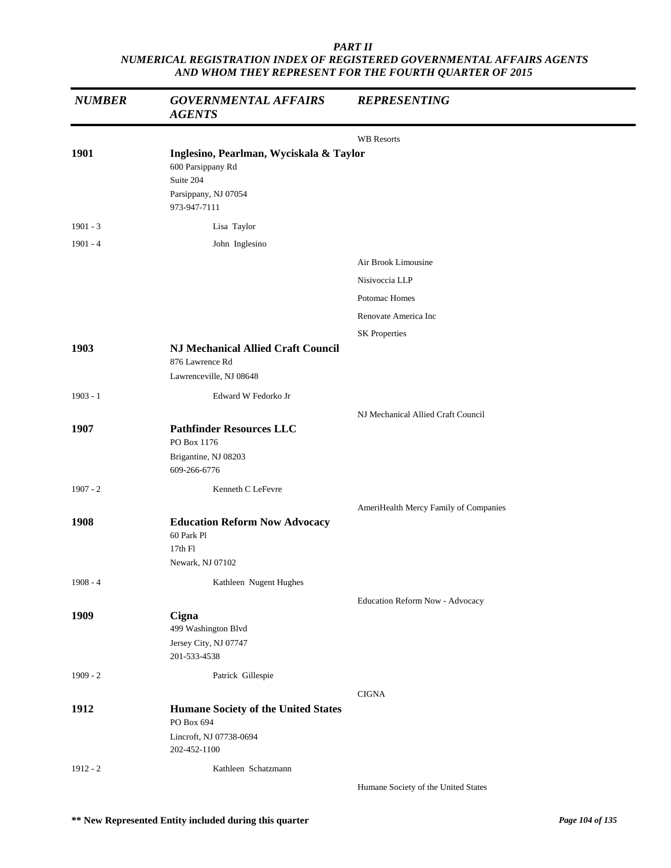| <b>NUMBER</b> | <b>GOVERNMENTAL AFFAIRS</b><br><b>AGENTS</b>                                                                      | <b>REPRESENTING</b>                   |
|---------------|-------------------------------------------------------------------------------------------------------------------|---------------------------------------|
|               |                                                                                                                   | <b>WB</b> Resorts                     |
| 1901          | Inglesino, Pearlman, Wyciskala & Taylor<br>600 Parsippany Rd<br>Suite 204<br>Parsippany, NJ 07054<br>973-947-7111 |                                       |
| $1901 - 3$    | Lisa Taylor                                                                                                       |                                       |
| $1901 - 4$    | John Inglesino                                                                                                    |                                       |
|               |                                                                                                                   | Air Brook Limousine                   |
|               |                                                                                                                   | Nisivoccia LLP                        |
|               |                                                                                                                   | Potomac Homes                         |
|               |                                                                                                                   | Renovate America Inc                  |
|               |                                                                                                                   | <b>SK Properties</b>                  |
| 1903          | <b>NJ Mechanical Allied Craft Council</b><br>876 Lawrence Rd<br>Lawrenceville, NJ 08648                           |                                       |
| $1903 - 1$    | Edward W Fedorko Jr                                                                                               |                                       |
|               |                                                                                                                   | NJ Mechanical Allied Craft Council    |
| 1907          | <b>Pathfinder Resources LLC</b><br>PO Box 1176<br>Brigantine, NJ 08203                                            |                                       |
|               | 609-266-6776                                                                                                      |                                       |
| $1907 - 2$    | Kenneth C LeFevre                                                                                                 |                                       |
|               |                                                                                                                   | AmeriHealth Mercy Family of Companies |
| 1908          | <b>Education Reform Now Advocacy</b><br>60 Park Pl<br>17th Fl<br>Newark, NJ 07102                                 |                                       |
| $1908 - 4$    | Kathleen Nugent Hughes                                                                                            |                                       |
| 1909          | Cigna<br>499 Washington Blvd                                                                                      | Education Reform Now - Advocacy       |
|               | Jersey City, NJ 07747<br>201-533-4538                                                                             |                                       |
| $1909 - 2$    | Patrick Gillespie                                                                                                 |                                       |
| 1912          |                                                                                                                   | <b>CIGNA</b>                          |
|               | <b>Humane Society of the United States</b><br>PO Box 694                                                          |                                       |
|               | Lincroft, NJ 07738-0694<br>202-452-1100                                                                           |                                       |
| $1912 - 2$    | Kathleen Schatzmann                                                                                               |                                       |
|               |                                                                                                                   | Humane Society of the United States   |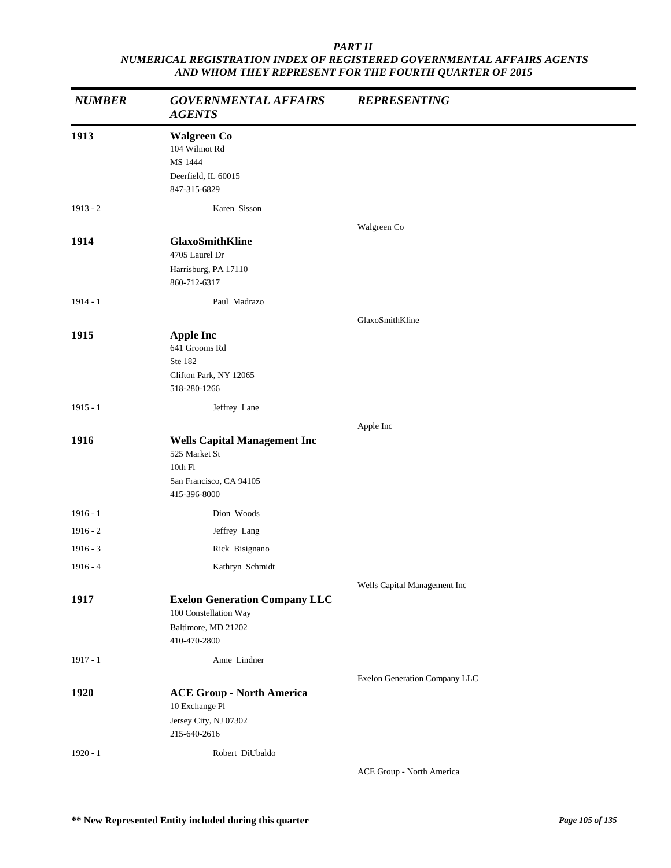| <b>NUMBER</b> | <b>GOVERNMENTAL AFFAIRS</b><br><b>AGENTS</b>                                                               | <b>REPRESENTING</b>           |
|---------------|------------------------------------------------------------------------------------------------------------|-------------------------------|
| 1913          | <b>Walgreen Co</b><br>104 Wilmot Rd<br>MS 1444<br>Deerfield, IL 60015<br>847-315-6829                      |                               |
| $1913 - 2$    | Karen Sisson                                                                                               |                               |
| 1914          | <b>GlaxoSmithKline</b><br>4705 Laurel Dr<br>Harrisburg, PA 17110<br>860-712-6317                           | Walgreen Co                   |
| $1914 - 1$    | Paul Madrazo                                                                                               |                               |
|               |                                                                                                            | GlaxoSmithKline               |
| 1915          | <b>Apple Inc</b><br>641 Grooms Rd<br>Ste 182<br>Clifton Park, NY 12065<br>518-280-1266                     |                               |
| $1915 - 1$    | Jeffrey Lane                                                                                               |                               |
|               |                                                                                                            | Apple Inc                     |
| 1916          | <b>Wells Capital Management Inc</b><br>525 Market St<br>10th Fl<br>San Francisco, CA 94105<br>415-396-8000 |                               |
| $1916 - 1$    | Dion Woods                                                                                                 |                               |
| $1916 - 2$    | Jeffrey Lang                                                                                               |                               |
| $1916 - 3$    | Rick Bisignano                                                                                             |                               |
| $1916 - 4$    | Kathryn Schmidt                                                                                            |                               |
|               |                                                                                                            | Wells Capital Management Inc  |
| 1917          | <b>Exelon Generation Company LLC</b><br>100 Constellation Way<br>Baltimore, MD 21202<br>410-470-2800       |                               |
| $1917 - 1$    | Anne Lindner                                                                                               |                               |
| 1920          | <b>ACE Group - North America</b><br>10 Exchange Pl<br>Jersey City, NJ 07302<br>215-640-2616                | Exelon Generation Company LLC |
| $1920 - 1$    | Robert DiUbaldo                                                                                            |                               |
|               |                                                                                                            | ACE Group - North America     |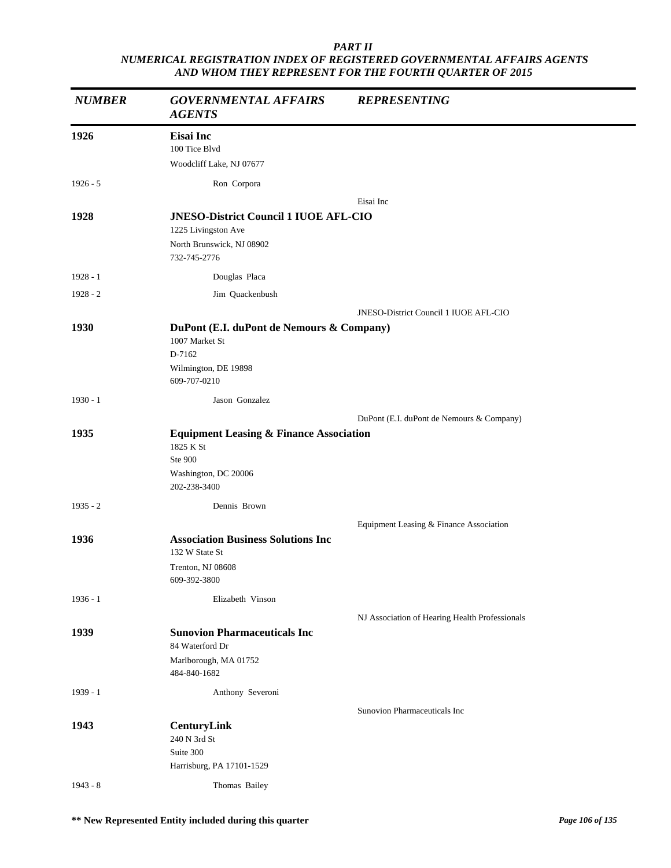| <b>NUMBER</b> | <b>GOVERNMENTAL AFFAIRS</b><br><b>AGENTS</b>                                                                     | <b>REPRESENTING</b>                            |
|---------------|------------------------------------------------------------------------------------------------------------------|------------------------------------------------|
| 1926          | <b>Eisai</b> Inc<br>100 Tice Blvd<br>Woodcliff Lake, NJ 07677                                                    |                                                |
| $1926 - 5$    | Ron Corpora                                                                                                      |                                                |
|               |                                                                                                                  | Eisai Inc                                      |
| 1928          | <b>JNESO-District Council 1 IUOE AFL-CIO</b><br>1225 Livingston Ave<br>North Brunswick, NJ 08902<br>732-745-2776 |                                                |
| $1928 - 1$    | Douglas Placa                                                                                                    |                                                |
| $1928 - 2$    | Jim Quackenbush                                                                                                  |                                                |
|               |                                                                                                                  | JNESO-District Council 1 IUOE AFL-CIO          |
| 1930          | DuPont (E.I. duPont de Nemours & Company)                                                                        |                                                |
|               | 1007 Market St<br>D-7162<br>Wilmington, DE 19898<br>609-707-0210                                                 |                                                |
| $1930 - 1$    | Jason Gonzalez                                                                                                   |                                                |
|               |                                                                                                                  | DuPont (E.I. duPont de Nemours & Company)      |
| 1935          | <b>Equipment Leasing &amp; Finance Association</b><br>1825 K St<br>Ste 900<br>Washington, DC 20006               |                                                |
|               | 202-238-3400                                                                                                     |                                                |
| $1935 - 2$    | Dennis Brown                                                                                                     |                                                |
| 1936          | <b>Association Business Solutions Inc.</b><br>132 W State St<br>Trenton, NJ 08608<br>609-392-3800                | Equipment Leasing & Finance Association        |
| $1936 - 1$    | Elizabeth Vinson                                                                                                 |                                                |
|               |                                                                                                                  | NJ Association of Hearing Health Professionals |
| 1939          | <b>Sunovion Pharmaceuticals Inc</b><br>84 Waterford Dr                                                           |                                                |
|               | Marlborough, MA 01752<br>484-840-1682                                                                            |                                                |
| $1939 - 1$    | Anthony Severoni                                                                                                 |                                                |
|               |                                                                                                                  | Sunovion Pharmaceuticals Inc                   |
| 1943          | CenturyLink<br>240 N 3rd St<br>Suite 300<br>Harrisburg, PA 17101-1529                                            |                                                |
| $1943 - 8$    | Thomas Bailey                                                                                                    |                                                |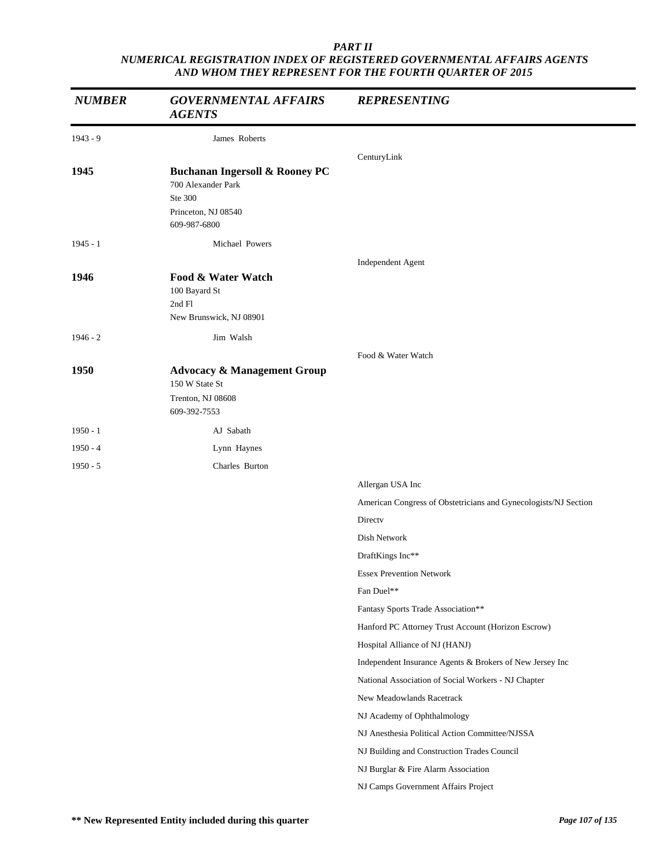| <b>NUMBER</b> | <b>GOVERNMENTAL AFFAIRS</b><br><b>AGENTS</b>                         | <b>REPRESENTING</b>                                                        |
|---------------|----------------------------------------------------------------------|----------------------------------------------------------------------------|
| $1943 - 9$    | James Roberts                                                        |                                                                            |
| 1945          | <b>Buchanan Ingersoll &amp; Rooney PC</b>                            | CenturyLink                                                                |
|               | 700 Alexander Park<br>Ste 300<br>Princeton, NJ 08540<br>609-987-6800 |                                                                            |
| $1945 - 1$    | Michael Powers                                                       |                                                                            |
| 1946          | Food & Water Watch<br>100 Bayard St<br>2nd Fl                        | Independent Agent                                                          |
|               | New Brunswick, NJ 08901                                              |                                                                            |
| $1946 - 2$    | Jim Walsh                                                            |                                                                            |
| 1950          | <b>Advocacy &amp; Management Group</b><br>150 W State St             | Food & Water Watch                                                         |
|               | Trenton, NJ 08608<br>609-392-7553                                    |                                                                            |
| $1950 - 1$    | AJ Sabath                                                            |                                                                            |
| $1950 - 4$    | Lynn Haynes                                                          |                                                                            |
| $1950 - 5$    | Charles Burton                                                       |                                                                            |
|               |                                                                      | Allergan USA Inc                                                           |
|               |                                                                      | American Congress of Obstetricians and Gynecologists/NJ Section            |
|               |                                                                      | Directv                                                                    |
|               |                                                                      | Dish Network                                                               |
|               |                                                                      | DraftKings Inc**                                                           |
|               |                                                                      | <b>Essex Prevention Network</b>                                            |
|               |                                                                      | Fan Duel**                                                                 |
|               |                                                                      | Fantasy Sports Trade Association**                                         |
|               |                                                                      | Hanford PC Attorney Trust Account (Horizon Escrow)                         |
|               |                                                                      | Hospital Alliance of NJ (HANJ)                                             |
|               |                                                                      | Independent Insurance Agents & Brokers of New Jersey Inc                   |
|               |                                                                      | National Association of Social Workers - NJ Chapter                        |
|               |                                                                      | New Meadowlands Racetrack                                                  |
|               |                                                                      | NJ Academy of Ophthalmology                                                |
|               |                                                                      | NJ Anesthesia Political Action Committee/NJSSA                             |
|               |                                                                      | NJ Building and Construction Trades Council                                |
|               |                                                                      | NJ Burglar & Fire Alarm Association<br>NJ Camps Government Affairs Project |
|               |                                                                      |                                                                            |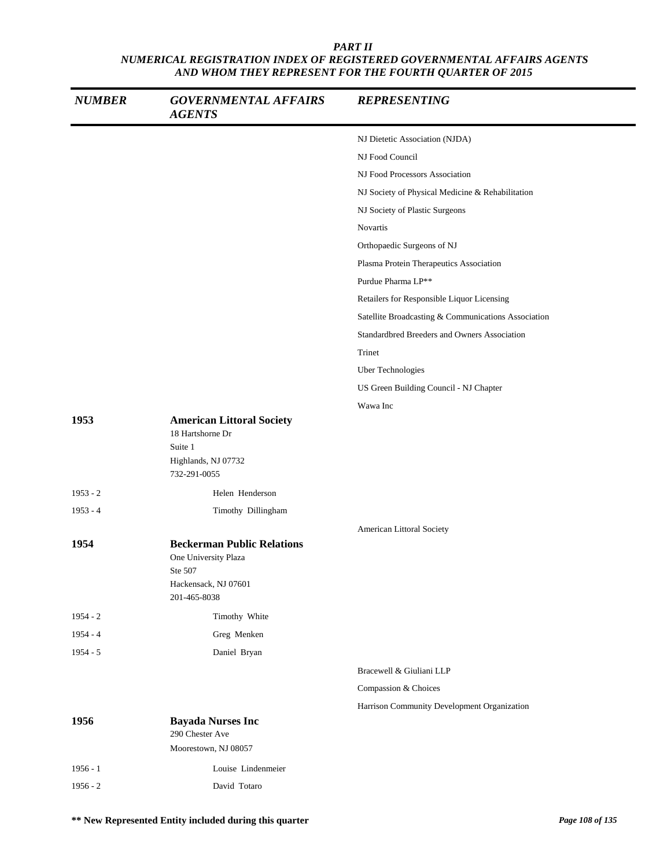| <b>NUMBER</b> | <b>GOVERNMENTAL AFFAIRS</b><br><b>AGENTS</b>                                                                 | <b>REPRESENTING</b>                                 |
|---------------|--------------------------------------------------------------------------------------------------------------|-----------------------------------------------------|
|               |                                                                                                              | NJ Dietetic Association (NJDA)                      |
|               |                                                                                                              | NJ Food Council                                     |
|               |                                                                                                              | NJ Food Processors Association                      |
|               |                                                                                                              | NJ Society of Physical Medicine & Rehabilitation    |
|               |                                                                                                              | NJ Society of Plastic Surgeons                      |
|               |                                                                                                              | Novartis                                            |
|               |                                                                                                              | Orthopaedic Surgeons of NJ                          |
|               |                                                                                                              | Plasma Protein Therapeutics Association             |
|               |                                                                                                              | Purdue Pharma LP**                                  |
|               |                                                                                                              | Retailers for Responsible Liquor Licensing          |
|               |                                                                                                              | Satellite Broadcasting & Communications Association |
|               |                                                                                                              | Standardbred Breeders and Owners Association        |
|               |                                                                                                              | Trinet                                              |
|               |                                                                                                              | Uber Technologies                                   |
|               |                                                                                                              | US Green Building Council - NJ Chapter              |
|               |                                                                                                              | Wawa Inc                                            |
| 1953          | <b>American Littoral Society</b><br>18 Hartshorne Dr<br>Suite 1<br>Highlands, NJ 07732<br>732-291-0055       |                                                     |
| $1953 - 2$    | Helen Henderson                                                                                              |                                                     |
| $1953 - 4$    | Timothy Dillingham                                                                                           |                                                     |
|               |                                                                                                              | American Littoral Society                           |
| 1954          | <b>Beckerman Public Relations</b><br>One University Plaza<br>Ste 507<br>Hackensack, NJ 07601<br>201-465-8038 |                                                     |
| $1954 - 2$    | Timothy White                                                                                                |                                                     |
| $1954 - 4$    | Greg Menken                                                                                                  |                                                     |
| $1954 - 5$    | Daniel Bryan                                                                                                 |                                                     |
|               |                                                                                                              | Bracewell & Giuliani LLP                            |
|               |                                                                                                              | Compassion & Choices                                |
|               |                                                                                                              | Harrison Community Development Organization         |
| 1956          | <b>Bayada Nurses Inc</b><br>290 Chester Ave<br>Moorestown, NJ 08057                                          |                                                     |
| $1956 - 1$    | Louise Lindenmeier                                                                                           |                                                     |
| $1956 - 2$    | David Totaro                                                                                                 |                                                     |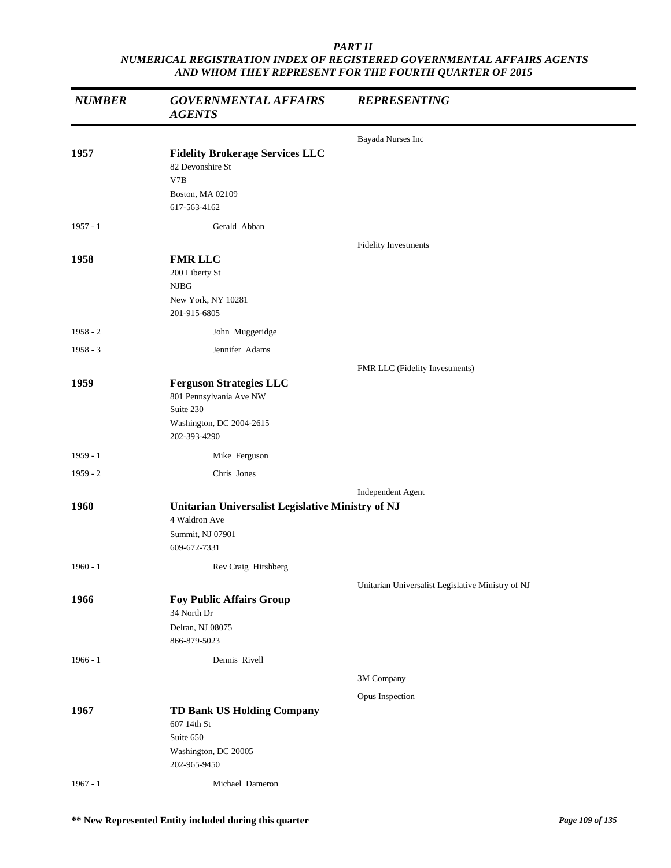| <b>NUMBER</b> | <b>GOVERNMENTAL AFFAIRS</b><br><b>AGENTS</b>                                                                       | <b>REPRESENTING</b>                               |
|---------------|--------------------------------------------------------------------------------------------------------------------|---------------------------------------------------|
|               |                                                                                                                    | Bayada Nurses Inc                                 |
| 1957          | <b>Fidelity Brokerage Services LLC</b><br>82 Devonshire St<br>V7B<br>Boston, MA 02109<br>617-563-4162              |                                                   |
| $1957 - 1$    | Gerald Abban                                                                                                       |                                                   |
| 1958          | <b>FMR LLC</b><br>200 Liberty St<br>NJBG<br>New York, NY 10281<br>201-915-6805                                     | Fidelity Investments                              |
| $1958 - 2$    | John Muggeridge                                                                                                    |                                                   |
| $1958 - 3$    | Jennifer Adams                                                                                                     |                                                   |
|               |                                                                                                                    | FMR LLC (Fidelity Investments)                    |
| 1959          | <b>Ferguson Strategies LLC</b><br>801 Pennsylvania Ave NW<br>Suite 230<br>Washington, DC 2004-2615<br>202-393-4290 |                                                   |
| 1959 - 1      | Mike Ferguson                                                                                                      |                                                   |
| $1959 - 2$    | Chris Jones                                                                                                        |                                                   |
|               |                                                                                                                    | Independent Agent                                 |
| 1960          | Unitarian Universalist Legislative Ministry of NJ<br>4 Waldron Ave<br>Summit, NJ 07901<br>609-672-7331             |                                                   |
| $1960 - 1$    | Rev Craig Hirshberg                                                                                                |                                                   |
|               |                                                                                                                    | Unitarian Universalist Legislative Ministry of NJ |
| 1966          | <b>Foy Public Affairs Group</b><br>34 North Dr<br>Delran, NJ 08075<br>866-879-5023                                 |                                                   |
| $1966 - 1$    | Dennis Rivell                                                                                                      |                                                   |
|               |                                                                                                                    | 3M Company                                        |
|               |                                                                                                                    | Opus Inspection                                   |
| 1967          | <b>TD Bank US Holding Company</b><br>607 14th St<br>Suite 650<br>Washington, DC 20005<br>202-965-9450              |                                                   |
| $1967 - 1$    | Michael Dameron                                                                                                    |                                                   |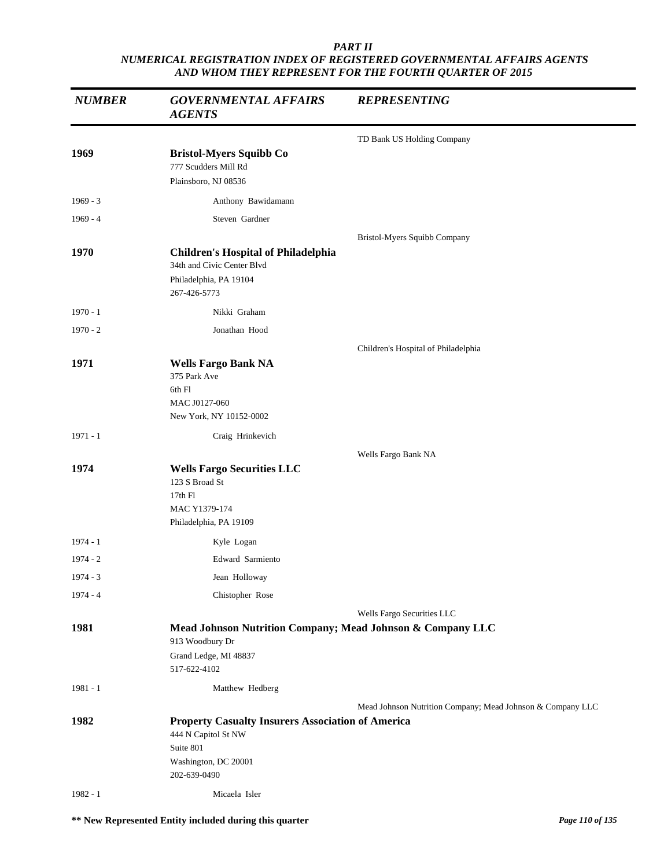| <b>NUMBER</b> | <b>GOVERNMENTAL AFFAIRS</b><br><b>AGENTS</b>                                                                                         | <b>REPRESENTING</b>                                        |
|---------------|--------------------------------------------------------------------------------------------------------------------------------------|------------------------------------------------------------|
|               |                                                                                                                                      | TD Bank US Holding Company                                 |
| 1969          | <b>Bristol-Myers Squibb Co</b><br>777 Scudders Mill Rd<br>Plainsboro, NJ 08536                                                       |                                                            |
| $1969 - 3$    | Anthony Bawidamann                                                                                                                   |                                                            |
| $1969 - 4$    | Steven Gardner                                                                                                                       |                                                            |
| 1970          | <b>Children's Hospital of Philadelphia</b><br>34th and Civic Center Blvd<br>Philadelphia, PA 19104<br>267-426-5773                   | Bristol-Myers Squibb Company                               |
| $1970 - 1$    | Nikki Graham                                                                                                                         |                                                            |
| $1970 - 2$    | Jonathan Hood                                                                                                                        |                                                            |
|               |                                                                                                                                      | Children's Hospital of Philadelphia                        |
| 1971          | <b>Wells Fargo Bank NA</b><br>375 Park Ave<br>6th Fl<br>MAC J0127-060<br>New York, NY 10152-0002                                     |                                                            |
| $1971 - 1$    | Craig Hrinkevich                                                                                                                     |                                                            |
|               |                                                                                                                                      | Wells Fargo Bank NA                                        |
| 1974          | <b>Wells Fargo Securities LLC</b><br>123 S Broad St<br>17th Fl<br>MAC Y1379-174<br>Philadelphia, PA 19109                            |                                                            |
| $1974 - 1$    | Kyle Logan                                                                                                                           |                                                            |
| $1974 - 2$    | Edward Sarmiento                                                                                                                     |                                                            |
| 1974 - 3      | Jean Holloway                                                                                                                        |                                                            |
| $1974 - 4$    | Chistopher Rose                                                                                                                      |                                                            |
|               |                                                                                                                                      | Wells Fargo Securities LLC                                 |
| 1981          | Mead Johnson Nutrition Company; Mead Johnson & Company LLC<br>913 Woodbury Dr<br>Grand Ledge, MI 48837<br>517-622-4102               |                                                            |
| $1981 - 1$    | Matthew Hedberg                                                                                                                      |                                                            |
|               |                                                                                                                                      | Mead Johnson Nutrition Company; Mead Johnson & Company LLC |
| 1982          | <b>Property Casualty Insurers Association of America</b><br>444 N Capitol St NW<br>Suite 801<br>Washington, DC 20001<br>202-639-0490 |                                                            |
| $1982 - 1$    | Micaela Isler                                                                                                                        |                                                            |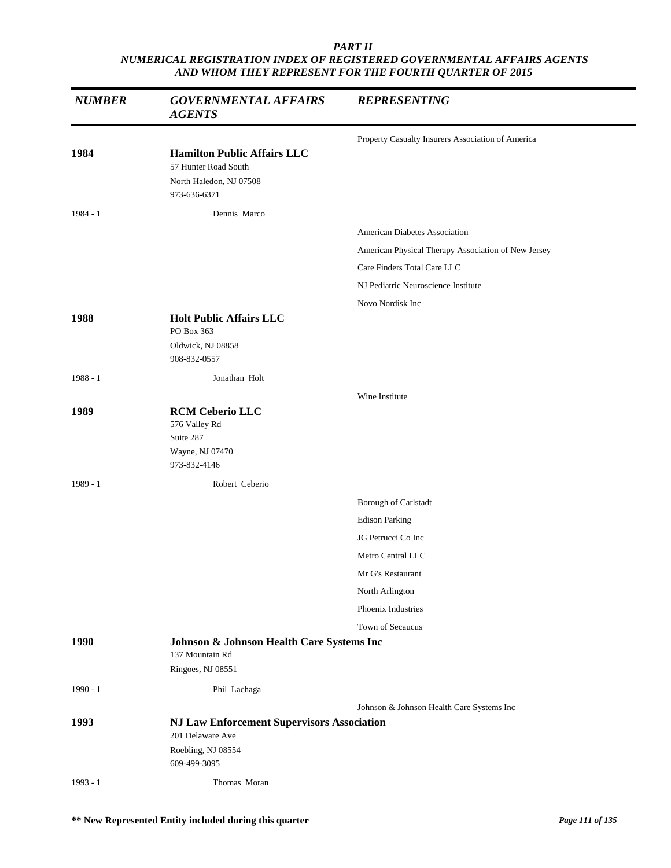| <b>NUMBER</b> | <b>GOVERNMENTAL AFFAIRS</b><br><b>AGENTS</b>                                                          | <b>REPRESENTING</b>                                 |
|---------------|-------------------------------------------------------------------------------------------------------|-----------------------------------------------------|
| 1984          | <b>Hamilton Public Affairs LLC</b><br>57 Hunter Road South<br>North Haledon, NJ 07508<br>973-636-6371 | Property Casualty Insurers Association of America   |
| 1984 - 1      | Dennis Marco                                                                                          |                                                     |
|               |                                                                                                       | <b>American Diabetes Association</b>                |
|               |                                                                                                       | American Physical Therapy Association of New Jersey |
|               |                                                                                                       | Care Finders Total Care LLC                         |
|               |                                                                                                       | NJ Pediatric Neuroscience Institute                 |
|               |                                                                                                       | Novo Nordisk Inc                                    |
| 1988          | <b>Holt Public Affairs LLC</b><br>PO Box 363<br>Oldwick, NJ 08858<br>908-832-0557                     |                                                     |
| $1988 - 1$    | Jonathan Holt                                                                                         |                                                     |
| 1989          | <b>RCM Ceberio LLC</b><br>576 Valley Rd<br>Suite 287<br>Wayne, NJ 07470<br>973-832-4146               | Wine Institute                                      |
| 1989 - 1      | Robert Ceberio                                                                                        |                                                     |
|               |                                                                                                       | Borough of Carlstadt                                |
|               |                                                                                                       | <b>Edison Parking</b>                               |
|               |                                                                                                       | JG Petrucci Co Inc                                  |
|               |                                                                                                       | Metro Central LLC                                   |
|               |                                                                                                       | Mr G's Restaurant                                   |
|               |                                                                                                       | North Arlington                                     |
|               |                                                                                                       | Phoenix Industries                                  |
|               |                                                                                                       | Town of Secaucus                                    |
| 1990          | Johnson & Johnson Health Care Systems Inc<br>137 Mountain Rd<br>Ringoes, NJ 08551                     |                                                     |
| $1990 - 1$    | Phil Lachaga                                                                                          |                                                     |
| 1993          | <b>NJ Law Enforcement Supervisors Association</b><br>201 Delaware Ave                                 | Johnson & Johnson Health Care Systems Inc           |
|               | Roebling, NJ 08554<br>609-499-3095                                                                    |                                                     |
| $1993 - 1$    | Thomas Moran                                                                                          |                                                     |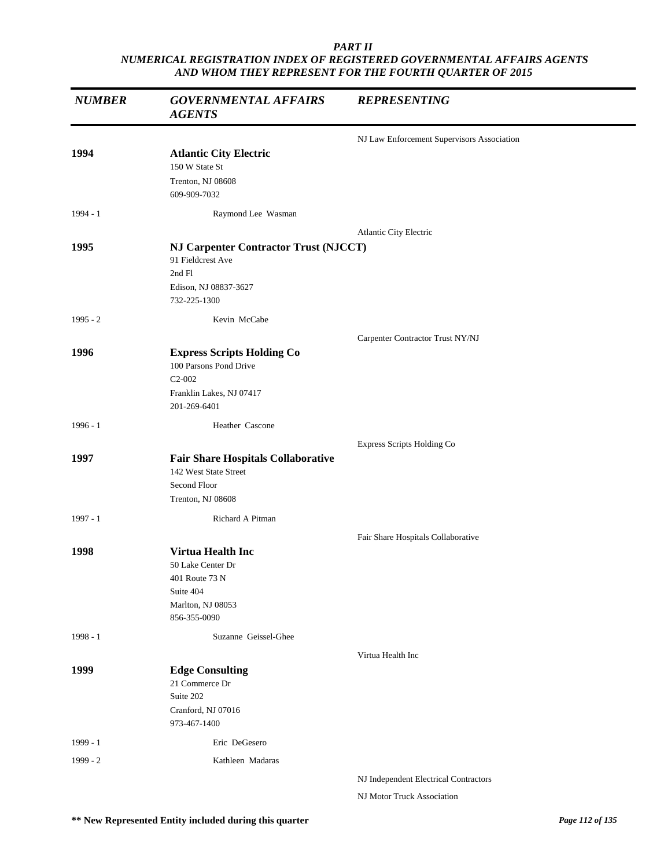| <b>NUMBER</b> | <b>GOVERNMENTAL AFFAIRS</b><br><b>AGENTS</b>                                       | <b>REPRESENTING</b>                        |
|---------------|------------------------------------------------------------------------------------|--------------------------------------------|
|               |                                                                                    | NJ Law Enforcement Supervisors Association |
| 1994          | <b>Atlantic City Electric</b>                                                      |                                            |
|               | 150 W State St                                                                     |                                            |
|               | Trenton, NJ 08608<br>609-909-7032                                                  |                                            |
| 1994 - 1      | Raymond Lee Wasman                                                                 |                                            |
|               |                                                                                    | Atlantic City Electric                     |
| 1995          | <b>NJ Carpenter Contractor Trust (NJCCT)</b><br>91 Fieldcrest Ave<br>2nd Fl        |                                            |
|               | Edison, NJ 08837-3627<br>732-225-1300                                              |                                            |
| $1995 - 2$    | Kevin McCabe                                                                       |                                            |
|               |                                                                                    | Carpenter Contractor Trust NY/NJ           |
| 1996          | <b>Express Scripts Holding Co</b><br>100 Parsons Pond Drive<br>$C2-002$            |                                            |
|               | Franklin Lakes, NJ 07417<br>201-269-6401                                           |                                            |
| $1996 - 1$    | Heather Cascone                                                                    |                                            |
|               |                                                                                    | Express Scripts Holding Co                 |
| 1997          | <b>Fair Share Hospitals Collaborative</b><br>142 West State Street<br>Second Floor |                                            |
|               | Trenton, NJ 08608                                                                  |                                            |
| $1997 - 1$    | Richard A Pitman                                                                   |                                            |
|               |                                                                                    | Fair Share Hospitals Collaborative         |
| 1998          | <b>Virtua Health Inc</b>                                                           |                                            |
|               | 50 Lake Center Dr                                                                  |                                            |
|               | 401 Route 73 N<br>Suite 404                                                        |                                            |
|               | Marlton, NJ 08053                                                                  |                                            |
|               | 856-355-0090                                                                       |                                            |
| $1998 - 1$    | Suzanne Geissel-Ghee                                                               |                                            |
|               |                                                                                    | Virtua Health Inc                          |
| 1999          | <b>Edge Consulting</b><br>21 Commerce Dr                                           |                                            |
|               | Suite 202                                                                          |                                            |
|               | Cranford, NJ 07016                                                                 |                                            |
|               | 973-467-1400                                                                       |                                            |
| 1999 - 1      | Eric DeGesero                                                                      |                                            |
| 1999 - 2      | Kathleen Madaras                                                                   |                                            |
|               |                                                                                    | NJ Independent Electrical Contractors      |
|               |                                                                                    | NJ Motor Truck Association                 |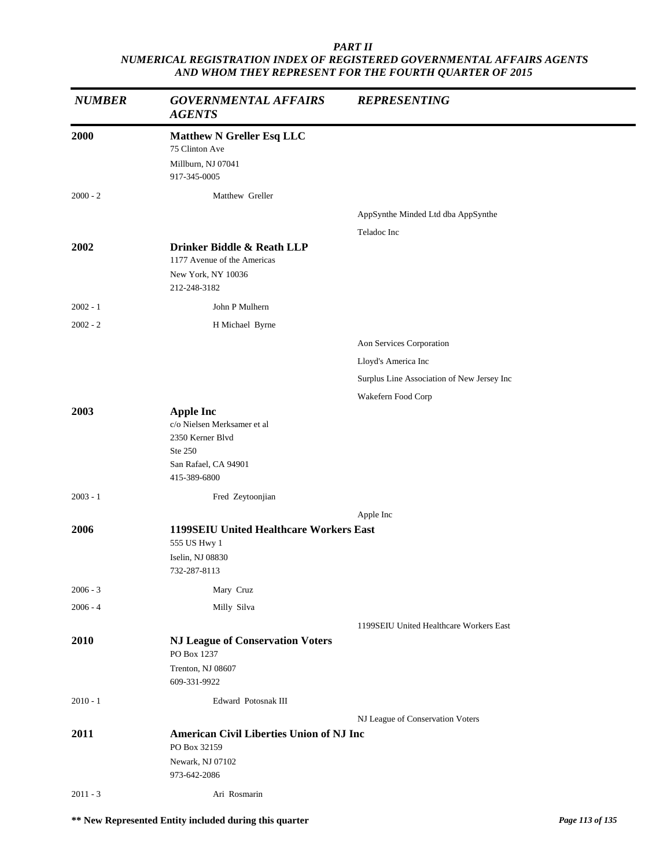| <b>NUMBER</b> | <b>GOVERNMENTAL AFFAIRS</b><br><b>AGENTS</b>                                                                           | <b>REPRESENTING</b>                        |
|---------------|------------------------------------------------------------------------------------------------------------------------|--------------------------------------------|
| 2000          | <b>Matthew N Greller Esq LLC</b><br>75 Clinton Ave<br>Millburn, NJ 07041<br>917-345-0005                               |                                            |
| $2000 - 2$    | Matthew Greller                                                                                                        |                                            |
|               |                                                                                                                        | AppSynthe Minded Ltd dba AppSynthe         |
|               |                                                                                                                        | Teladoc Inc                                |
| 2002          | Drinker Biddle & Reath LLP<br>1177 Avenue of the Americas<br>New York, NY 10036<br>212-248-3182                        |                                            |
| $2002 - 1$    | John P Mulhern                                                                                                         |                                            |
| $2002 - 2$    | H Michael Byrne                                                                                                        |                                            |
|               |                                                                                                                        | Aon Services Corporation                   |
|               |                                                                                                                        | Lloyd's America Inc                        |
|               |                                                                                                                        | Surplus Line Association of New Jersey Inc |
|               |                                                                                                                        | Wakefern Food Corp                         |
| 2003          | <b>Apple Inc</b><br>c/o Nielsen Merksamer et al<br>2350 Kerner Blvd<br>Ste 250<br>San Rafael, CA 94901<br>415-389-6800 |                                            |
| $2003 - 1$    | Fred Zeytoonjian                                                                                                       |                                            |
|               |                                                                                                                        | Apple Inc                                  |
| 2006          | <b>1199SEIU United Healthcare Workers East</b><br>555 US Hwy 1<br>Iselin, NJ 08830<br>732-287-8113                     |                                            |
| $2006 - 3$    | Mary Cruz                                                                                                              |                                            |
| $2006 - 4$    | Milly Silva                                                                                                            |                                            |
|               |                                                                                                                        | 1199SEIU United Healthcare Workers East    |
| 2010          | <b>NJ League of Conservation Voters</b><br>PO Box 1237                                                                 |                                            |
|               | Trenton, NJ 08607<br>609-331-9922                                                                                      |                                            |
| $2010 - 1$    | Edward Potosnak III                                                                                                    |                                            |
|               |                                                                                                                        | NJ League of Conservation Voters           |
| 2011          | <b>American Civil Liberties Union of NJ Inc</b>                                                                        |                                            |
|               | PO Box 32159<br>Newark, NJ 07102<br>973-642-2086                                                                       |                                            |
| $2011 - 3$    | Ari Rosmarin                                                                                                           |                                            |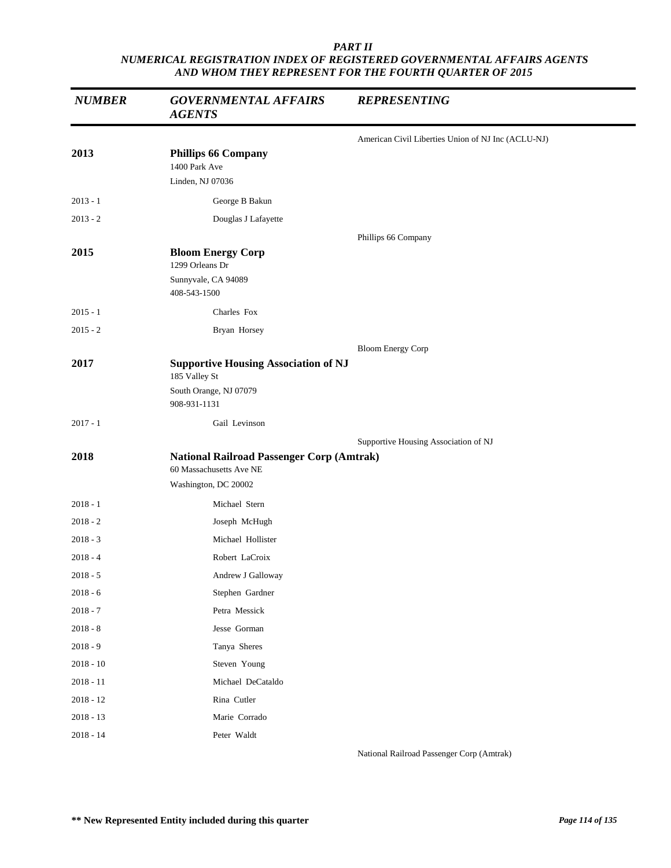| <b>NUMBER</b> | <b>GOVERNMENTAL AFFAIRS</b><br><b>AGENTS</b>                                                        | <b>REPRESENTING</b>                                |
|---------------|-----------------------------------------------------------------------------------------------------|----------------------------------------------------|
|               |                                                                                                     | American Civil Liberties Union of NJ Inc (ACLU-NJ) |
| 2013          | <b>Phillips 66 Company</b><br>1400 Park Ave<br>Linden, NJ 07036                                     |                                                    |
| $2013 - 1$    | George B Bakun                                                                                      |                                                    |
| $2013 - 2$    | Douglas J Lafayette                                                                                 |                                                    |
|               |                                                                                                     | Phillips 66 Company                                |
| 2015          | <b>Bloom Energy Corp</b><br>1299 Orleans Dr<br>Sunnyvale, CA 94089<br>408-543-1500                  |                                                    |
| $2015 - 1$    | Charles Fox                                                                                         |                                                    |
| $2015 - 2$    | Bryan Horsey                                                                                        |                                                    |
|               |                                                                                                     | <b>Bloom Energy Corp</b>                           |
| 2017          | <b>Supportive Housing Association of NJ</b><br>185 Valley St<br>South Orange, NJ 07079              |                                                    |
|               | 908-931-1131                                                                                        |                                                    |
| $2017 - 1$    | Gail Levinson                                                                                       |                                                    |
| 2018          | <b>National Railroad Passenger Corp (Amtrak)</b><br>60 Massachusetts Ave NE<br>Washington, DC 20002 | Supportive Housing Association of NJ               |
| $2018 - 1$    | Michael Stern                                                                                       |                                                    |
| $2018 - 2$    | Joseph McHugh                                                                                       |                                                    |
| $2018 - 3$    | Michael Hollister                                                                                   |                                                    |
| $2018 - 4$    | Robert LaCroix                                                                                      |                                                    |
| 2018 - 5      | Andrew J Galloway                                                                                   |                                                    |
| $2018 - 6$    | Stephen Gardner                                                                                     |                                                    |
| $2018 - 7$    | Petra Messick                                                                                       |                                                    |
| $2018 - 8$    | Jesse Gorman                                                                                        |                                                    |
| $2018 - 9$    | Tanya Sheres                                                                                        |                                                    |
| $2018 - 10$   | Steven Young                                                                                        |                                                    |
| $2018 - 11$   | Michael DeCataldo                                                                                   |                                                    |
| $2018 - 12$   | Rina Cutler                                                                                         |                                                    |
| $2018 - 13$   | Marie Corrado                                                                                       |                                                    |
| $2018 - 14$   | Peter Waldt                                                                                         |                                                    |

National Railroad Passenger Corp (Amtrak)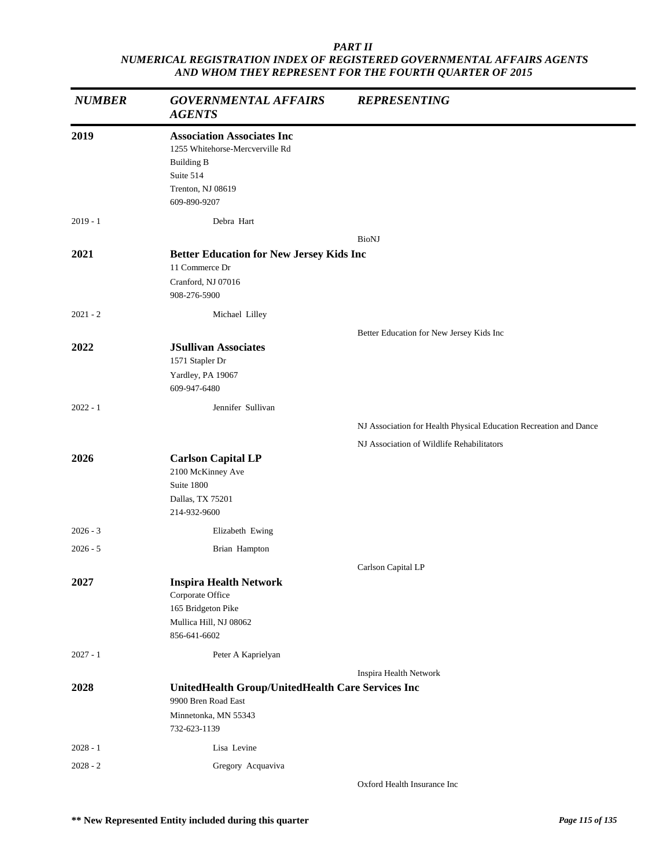| <b>NUMBER</b> | <b>GOVERNMENTAL AFFAIRS</b><br><b>AGENTS</b>                                                                                                | <b>REPRESENTING</b>                                               |
|---------------|---------------------------------------------------------------------------------------------------------------------------------------------|-------------------------------------------------------------------|
| 2019          | <b>Association Associates Inc</b><br>1255 Whitehorse-Mercverville Rd<br><b>Building B</b><br>Suite 514<br>Trenton, NJ 08619<br>609-890-9207 |                                                                   |
| $2019 - 1$    | Debra Hart                                                                                                                                  |                                                                   |
|               |                                                                                                                                             | <b>BioNJ</b>                                                      |
| 2021          | <b>Better Education for New Jersey Kids Inc</b><br>11 Commerce Dr<br>Cranford, NJ 07016<br>908-276-5900                                     |                                                                   |
| $2021 - 2$    | Michael Lilley                                                                                                                              |                                                                   |
| 2022          | <b>JSullivan Associates</b><br>1571 Stapler Dr<br>Yardley, PA 19067<br>609-947-6480                                                         | Better Education for New Jersey Kids Inc                          |
| $2022 - 1$    | Jennifer Sullivan                                                                                                                           |                                                                   |
|               |                                                                                                                                             | NJ Association for Health Physical Education Recreation and Dance |
|               |                                                                                                                                             | NJ Association of Wildlife Rehabilitators                         |
| 2026          | <b>Carlson Capital LP</b><br>2100 McKinney Ave<br>Suite 1800<br>Dallas, TX 75201<br>214-932-9600                                            |                                                                   |
| $2026 - 3$    | Elizabeth Ewing                                                                                                                             |                                                                   |
| $2026 - 5$    | Brian Hampton                                                                                                                               |                                                                   |
|               |                                                                                                                                             | Carlson Capital LP                                                |
| 2027          | <b>Inspira Health Network</b><br>Corporate Office<br>165 Bridgeton Pike<br>Mullica Hill, NJ 08062<br>856-641-6602                           |                                                                   |
| $2027 - 1$    | Peter A Kaprielyan                                                                                                                          |                                                                   |
| 2028          | UnitedHealth Group/UnitedHealth Care Services Inc<br>9900 Bren Road East<br>Minnetonka, MN 55343<br>732-623-1139                            | Inspira Health Network                                            |
| $2028 - 1$    | Lisa Levine                                                                                                                                 |                                                                   |
| $2028 - 2$    | Gregory Acquaviva                                                                                                                           |                                                                   |
|               |                                                                                                                                             | Oxford Health Insurance Inc                                       |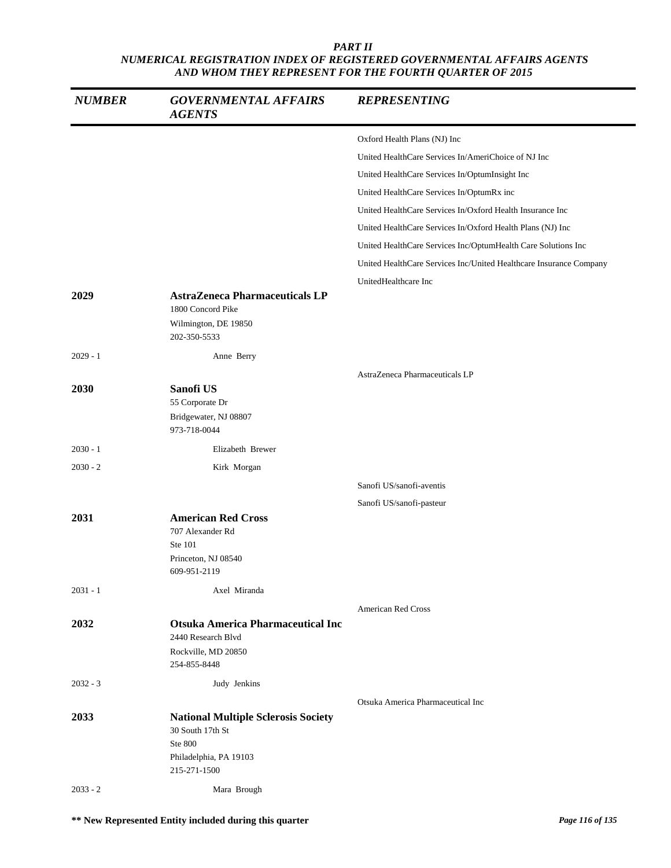| <b>NUMBER</b> | <b>GOVERNMENTAL AFFAIRS</b><br><b>AGENTS</b>                                       | <b>REPRESENTING</b>                                                |
|---------------|------------------------------------------------------------------------------------|--------------------------------------------------------------------|
|               |                                                                                    | Oxford Health Plans (NJ) Inc                                       |
|               |                                                                                    | United HealthCare Services In/AmeriChoice of NJ Inc                |
|               |                                                                                    | United HealthCare Services In/OptumInsight Inc                     |
|               |                                                                                    | United HealthCare Services In/OptumRx inc                          |
|               |                                                                                    | United HealthCare Services In/Oxford Health Insurance Inc          |
|               |                                                                                    | United HealthCare Services In/Oxford Health Plans (NJ) Inc         |
|               |                                                                                    | United HealthCare Services Inc/OptumHealth Care Solutions Inc      |
|               |                                                                                    | United HealthCare Services Inc/United Healthcare Insurance Company |
|               |                                                                                    | UnitedHealthcare Inc                                               |
| 2029          | <b>AstraZeneca Pharmaceuticals LP</b><br>1800 Concord Pike<br>Wilmington, DE 19850 |                                                                    |
|               | 202-350-5533                                                                       |                                                                    |
| $2029 - 1$    | Anne Berry                                                                         |                                                                    |
|               |                                                                                    | AstraZeneca Pharmaceuticals LP                                     |
| 2030          | Sanofi US<br>55 Corporate Dr                                                       |                                                                    |
|               | Bridgewater, NJ 08807<br>973-718-0044                                              |                                                                    |
| $2030 - 1$    | Elizabeth Brewer                                                                   |                                                                    |
| $2030 - 2$    | Kirk Morgan                                                                        |                                                                    |
|               |                                                                                    | Sanofi US/sanofi-aventis                                           |
|               |                                                                                    | Sanofi US/sanofi-pasteur                                           |
| 2031          | <b>American Red Cross</b><br>707 Alexander Rd<br>Ste 101                           |                                                                    |
|               | Princeton, NJ 08540<br>609-951-2119                                                |                                                                    |
| $2031 - 1$    | Axel Miranda                                                                       |                                                                    |
|               |                                                                                    | <b>American Red Cross</b>                                          |
| 2032          | <b>Otsuka America Pharmaceutical Inc</b><br>2440 Research Blvd                     |                                                                    |
|               | Rockville, MD 20850<br>254-855-8448                                                |                                                                    |
| $2032 - 3$    | Judy Jenkins                                                                       |                                                                    |
| 2033          | <b>National Multiple Sclerosis Society</b>                                         | Otsuka America Pharmaceutical Inc                                  |
|               | 30 South 17th St<br>Ste 800                                                        |                                                                    |
|               | Philadelphia, PA 19103<br>215-271-1500                                             |                                                                    |
| $2033 - 2$    | Mara Brough                                                                        |                                                                    |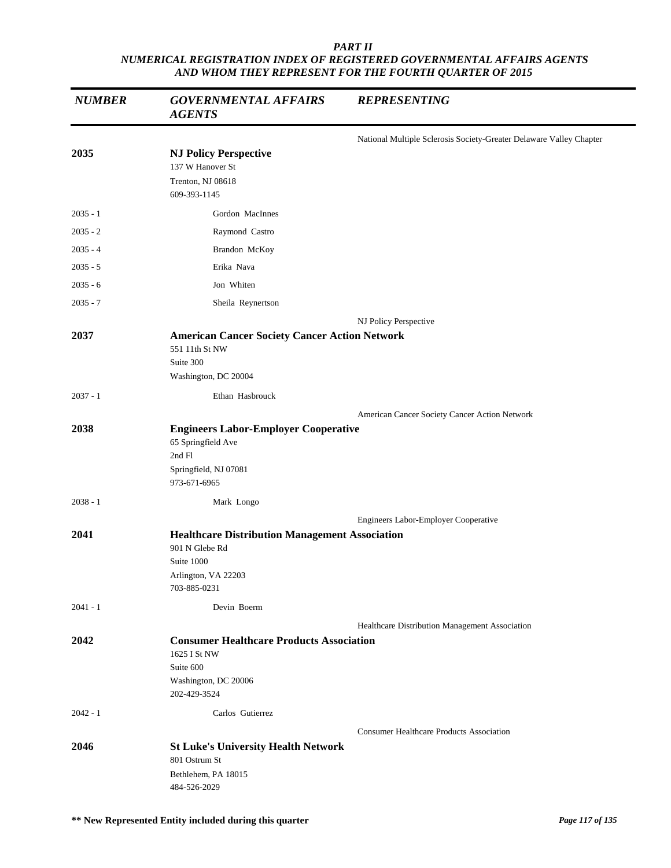| <b>NUMBER</b> | <b>GOVERNMENTAL AFFAIRS</b><br><b>AGENTS</b>                                                                                 | <b>REPRESENTING</b>                                                 |
|---------------|------------------------------------------------------------------------------------------------------------------------------|---------------------------------------------------------------------|
|               |                                                                                                                              | National Multiple Sclerosis Society-Greater Delaware Valley Chapter |
| 2035          | <b>NJ Policy Perspective</b><br>137 W Hanover St<br>Trenton, NJ 08618<br>609-393-1145                                        |                                                                     |
| $2035 - 1$    | Gordon MacInnes                                                                                                              |                                                                     |
| $2035 - 2$    | Raymond Castro                                                                                                               |                                                                     |
| $2035 - 4$    | Brandon McKoy                                                                                                                |                                                                     |
| $2035 - 5$    | Erika Nava                                                                                                                   |                                                                     |
| $2035 - 6$    | Jon Whiten                                                                                                                   |                                                                     |
| $2035 - 7$    | Sheila Reynertson                                                                                                            |                                                                     |
|               |                                                                                                                              | NJ Policy Perspective                                               |
| 2037          | <b>American Cancer Society Cancer Action Network</b><br>551 11th St NW<br>Suite 300<br>Washington, DC 20004                  |                                                                     |
| $2037 - 1$    | Ethan Hasbrouck                                                                                                              |                                                                     |
|               |                                                                                                                              | American Cancer Society Cancer Action Network                       |
| 2038          | <b>Engineers Labor-Employer Cooperative</b><br>65 Springfield Ave<br>2nd Fl<br>Springfield, NJ 07081<br>973-671-6965         |                                                                     |
| $2038 - 1$    | Mark Longo                                                                                                                   |                                                                     |
|               |                                                                                                                              | Engineers Labor-Employer Cooperative                                |
| 2041          | <b>Healthcare Distribution Management Association</b><br>901 N Glebe Rd<br>Suite 1000<br>Arlington, VA 22203<br>703-885-0231 |                                                                     |
| $2041 - 1$    | Devin Boerm                                                                                                                  |                                                                     |
|               |                                                                                                                              | Healthcare Distribution Management Association                      |
| 2042          | <b>Consumer Healthcare Products Association</b><br>1625 I St NW<br>Suite 600<br>Washington, DC 20006<br>202-429-3524         |                                                                     |
| $2042 - 1$    | Carlos Gutierrez                                                                                                             |                                                                     |
|               |                                                                                                                              | <b>Consumer Healthcare Products Association</b>                     |
| 2046          | <b>St Luke's University Health Network</b><br>801 Ostrum St<br>Bethlehem, PA 18015<br>484-526-2029                           |                                                                     |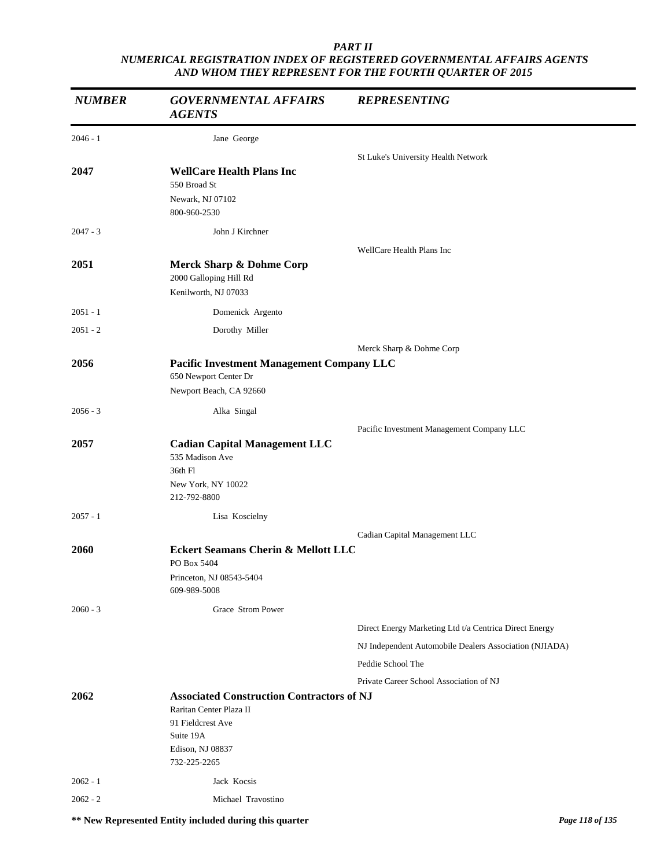| <b>NUMBER</b> | <b>GOVERNMENTAL AFFAIRS</b><br><b>AGENTS</b>                                                             | <b>REPRESENTING</b>                                    |
|---------------|----------------------------------------------------------------------------------------------------------|--------------------------------------------------------|
| $2046 - 1$    | Jane George                                                                                              |                                                        |
|               |                                                                                                          | St Luke's University Health Network                    |
| 2047          | <b>WellCare Health Plans Inc</b><br>550 Broad St<br>Newark, NJ 07102                                     |                                                        |
|               | 800-960-2530                                                                                             |                                                        |
| $2047 - 3$    | John J Kirchner                                                                                          |                                                        |
|               |                                                                                                          | WellCare Health Plans Inc                              |
| 2051          | Merck Sharp & Dohme Corp<br>2000 Galloping Hill Rd<br>Kenilworth, NJ 07033                               |                                                        |
| $2051 - 1$    | Domenick Argento                                                                                         |                                                        |
| $2051 - 2$    | Dorothy Miller                                                                                           |                                                        |
|               |                                                                                                          | Merck Sharp & Dohme Corp                               |
| 2056          | <b>Pacific Investment Management Company LLC</b><br>650 Newport Center Dr                                |                                                        |
|               | Newport Beach, CA 92660                                                                                  |                                                        |
| $2056 - 3$    | Alka Singal                                                                                              |                                                        |
|               |                                                                                                          | Pacific Investment Management Company LLC              |
| 2057          | <b>Cadian Capital Management LLC</b><br>535 Madison Ave<br>36th Fl<br>New York, NY 10022<br>212-792-8800 |                                                        |
| $2057 - 1$    | Lisa Koscielny                                                                                           |                                                        |
|               |                                                                                                          | Cadian Capital Management LLC                          |
| 2060          | Eckert Seamans Cherin & Mellott LLC                                                                      |                                                        |
|               | PO Box 5404                                                                                              |                                                        |
|               | Princeton, NJ 08543-5404<br>609-989-5008                                                                 |                                                        |
| $2060 - 3$    | Grace Strom Power                                                                                        |                                                        |
|               |                                                                                                          | Direct Energy Marketing Ltd t/a Centrica Direct Energy |
|               |                                                                                                          | NJ Independent Automobile Dealers Association (NJIADA) |
|               |                                                                                                          | Peddie School The                                      |
|               |                                                                                                          | Private Career School Association of NJ                |
| 2062          | <b>Associated Construction Contractors of NJ</b>                                                         |                                                        |
|               | Raritan Center Plaza II<br>91 Fieldcrest Ave                                                             |                                                        |
|               | Suite 19A                                                                                                |                                                        |
|               | Edison, NJ 08837<br>732-225-2265                                                                         |                                                        |
| $2062 - 1$    | Jack Kocsis                                                                                              |                                                        |
| $2062 - 2$    | Michael Travostino                                                                                       |                                                        |
|               |                                                                                                          |                                                        |

**\*\* New Represented Entity included during this quarter** *Page 118 of 135*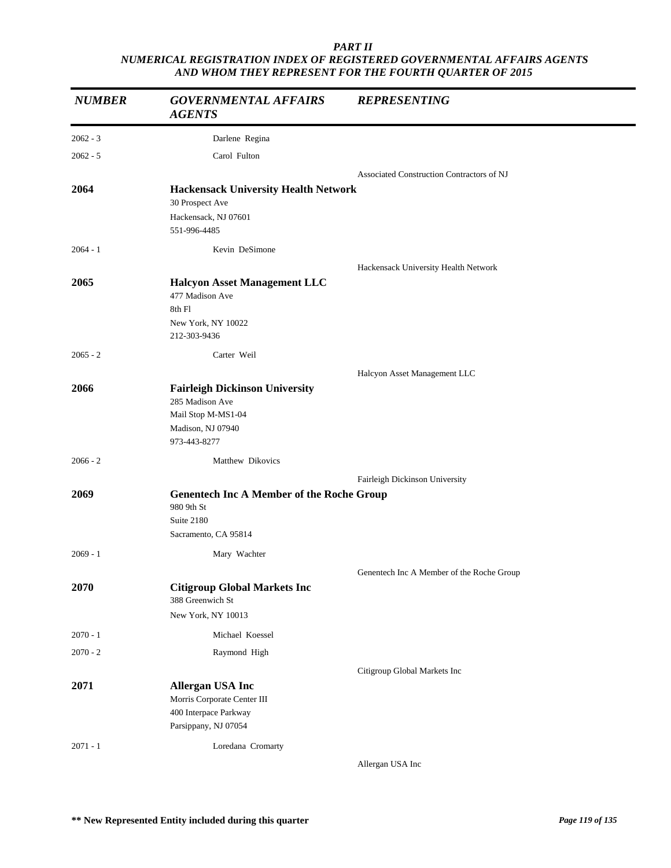| <b>NUMBER</b> | <b>GOVERNMENTAL AFFAIRS</b><br><b>AGENTS</b>                                                                        | <b>REPRESENTING</b>                       |
|---------------|---------------------------------------------------------------------------------------------------------------------|-------------------------------------------|
| $2062 - 3$    | Darlene Regina                                                                                                      |                                           |
| $2062 - 5$    | Carol Fulton                                                                                                        |                                           |
|               |                                                                                                                     | Associated Construction Contractors of NJ |
| 2064          | <b>Hackensack University Health Network</b><br>30 Prospect Ave<br>Hackensack, NJ 07601<br>551-996-4485              |                                           |
| $2064 - 1$    | Kevin DeSimone                                                                                                      |                                           |
|               |                                                                                                                     | Hackensack University Health Network      |
| 2065          | <b>Halcyon Asset Management LLC</b><br>477 Madison Ave<br>8th Fl<br>New York, NY 10022<br>212-303-9436              |                                           |
| $2065 - 2$    | Carter Weil                                                                                                         |                                           |
|               |                                                                                                                     | Halcyon Asset Management LLC              |
| 2066          | <b>Fairleigh Dickinson University</b><br>285 Madison Ave<br>Mail Stop M-MS1-04<br>Madison, NJ 07940<br>973-443-8277 |                                           |
| $2066 - 2$    | Matthew Dikovics                                                                                                    |                                           |
|               |                                                                                                                     | Fairleigh Dickinson University            |
| 2069          | <b>Genentech Inc A Member of the Roche Group</b><br>980 9th St<br>Suite 2180<br>Sacramento, CA 95814                |                                           |
| $2069 - 1$    | Mary Wachter                                                                                                        |                                           |
|               |                                                                                                                     | Genentech Inc A Member of the Roche Group |
| 2070          | <b>Citigroup Global Markets Inc</b><br>388 Greenwich St<br>New York, NY 10013                                       |                                           |
| $2070 - 1$    | Michael Koessel                                                                                                     |                                           |
| $2070 - 2$    | Raymond High                                                                                                        |                                           |
|               |                                                                                                                     | Citigroup Global Markets Inc              |
| 2071          | <b>Allergan USA Inc</b><br>Morris Corporate Center III<br>400 Interpace Parkway<br>Parsippany, NJ 07054             |                                           |
| $2071 - 1$    | Loredana Cromarty                                                                                                   |                                           |

Allergan USA Inc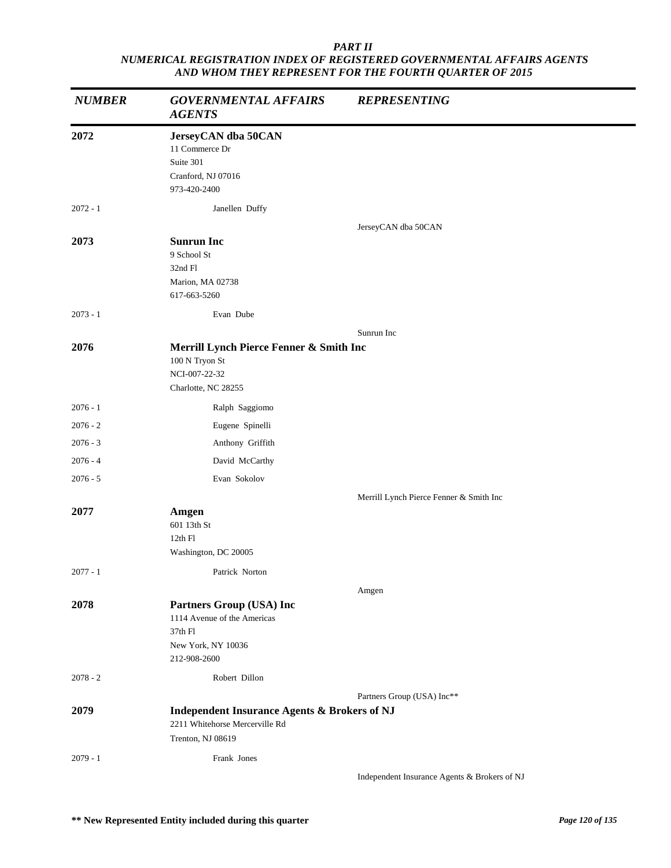| <b>NUMBER</b> | <b>GOVERNMENTAL AFFAIRS</b><br><b>AGENTS</b>                                                                   | <b>REPRESENTING</b>                          |
|---------------|----------------------------------------------------------------------------------------------------------------|----------------------------------------------|
| 2072          | JerseyCAN dba 50CAN<br>11 Commerce Dr<br>Suite 301<br>Cranford, NJ 07016<br>973-420-2400                       |                                              |
| $2072 - 1$    | Janellen Duffy                                                                                                 |                                              |
| 2073          | <b>Sunrun Inc</b><br>9 School St<br>32nd Fl<br>Marion, MA 02738<br>617-663-5260                                | JerseyCAN dba 50CAN                          |
| $2073 - 1$    | Evan Dube                                                                                                      |                                              |
|               |                                                                                                                | Sunrun Inc                                   |
| 2076          | Merrill Lynch Pierce Fenner & Smith Inc<br>100 N Tryon St<br>NCI-007-22-32<br>Charlotte, NC 28255              |                                              |
| $2076 - 1$    | Ralph Saggiomo                                                                                                 |                                              |
| $2076 - 2$    | Eugene Spinelli                                                                                                |                                              |
| $2076 - 3$    | Anthony Griffith                                                                                               |                                              |
| $2076 - 4$    | David McCarthy                                                                                                 |                                              |
| $2076 - 5$    | Evan Sokolov                                                                                                   |                                              |
|               |                                                                                                                | Merrill Lynch Pierce Fenner & Smith Inc      |
| 2077          | Amgen<br>601 13th St<br>12th Fl<br>Washington, DC 20005                                                        |                                              |
| $2077 - 1$    | Patrick Norton                                                                                                 |                                              |
|               |                                                                                                                | Amgen                                        |
| 2078          | Partners Group (USA) Inc<br>1114 Avenue of the Americas<br>37th Fl<br>New York, NY 10036<br>212-908-2600       |                                              |
| $2078 - 2$    | Robert Dillon                                                                                                  |                                              |
| 2079          | <b>Independent Insurance Agents &amp; Brokers of NJ</b><br>2211 Whitehorse Mercerville Rd<br>Trenton, NJ 08619 | Partners Group (USA) Inc**                   |
| $2079 - 1$    | Frank Jones                                                                                                    |                                              |
|               |                                                                                                                | Independent Insurance Agents & Brokers of NJ |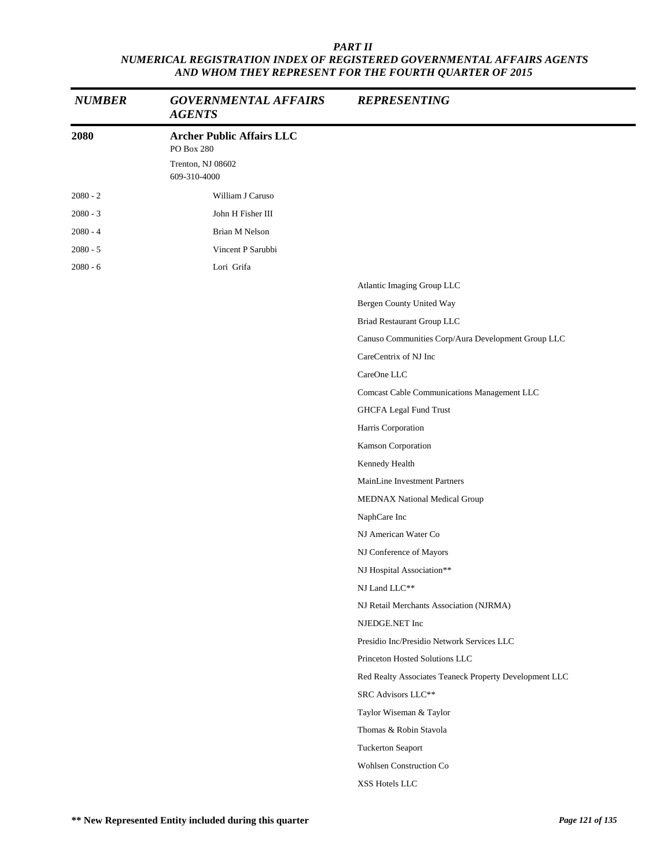| <b>NUMBER</b> | <b>GOVERNMENTAL AFFAIRS</b><br><b>AGENTS</b>                                        | <b>REPRESENTING</b>                                    |
|---------------|-------------------------------------------------------------------------------------|--------------------------------------------------------|
| 2080          | <b>Archer Public Affairs LLC</b><br>PO Box 280<br>Trenton, NJ 08602<br>609-310-4000 |                                                        |
| $2080 - 2$    | William J Caruso                                                                    |                                                        |
| $2080 - 3$    | John H Fisher III                                                                   |                                                        |
| $2080 - 4$    | <b>Brian M Nelson</b>                                                               |                                                        |
| $2080 - 5$    | Vincent P Sarubbi                                                                   |                                                        |
| $2080 - 6$    | Lori Grifa                                                                          |                                                        |
|               |                                                                                     | Atlantic Imaging Group LLC                             |
|               |                                                                                     | Bergen County United Way                               |
|               |                                                                                     | Briad Restaurant Group LLC                             |
|               |                                                                                     | Canuso Communities Corp/Aura Development Group LLC     |
|               |                                                                                     | CareCentrix of NJ Inc                                  |
|               |                                                                                     | CareOne LLC                                            |
|               |                                                                                     | Comcast Cable Communications Management LLC            |
|               |                                                                                     | GHCFA Legal Fund Trust                                 |
|               |                                                                                     | Harris Corporation                                     |
|               |                                                                                     | Kamson Corporation                                     |
|               |                                                                                     | Kennedy Health                                         |
|               |                                                                                     | MainLine Investment Partners                           |
|               |                                                                                     | MEDNAX National Medical Group                          |
|               |                                                                                     | NaphCare Inc                                           |
|               |                                                                                     | NJ American Water Co                                   |
|               |                                                                                     | NJ Conference of Mayors                                |
|               |                                                                                     | NJ Hospital Association**                              |
|               |                                                                                     | NJ Land LLC**                                          |
|               |                                                                                     | NJ Retail Merchants Association (NJRMA)                |
|               |                                                                                     | NJEDGE.NET Inc                                         |
|               |                                                                                     | Presidio Inc/Presidio Network Services LLC             |
|               |                                                                                     | Princeton Hosted Solutions LLC                         |
|               |                                                                                     | Red Realty Associates Teaneck Property Development LLC |
|               |                                                                                     | SRC Advisors LLC**                                     |
|               |                                                                                     | Taylor Wiseman & Taylor                                |
|               |                                                                                     | Thomas & Robin Stavola                                 |
|               |                                                                                     | <b>Tuckerton Seaport</b>                               |
|               |                                                                                     | Wohlsen Construction Co                                |
|               |                                                                                     | XSS Hotels LLC                                         |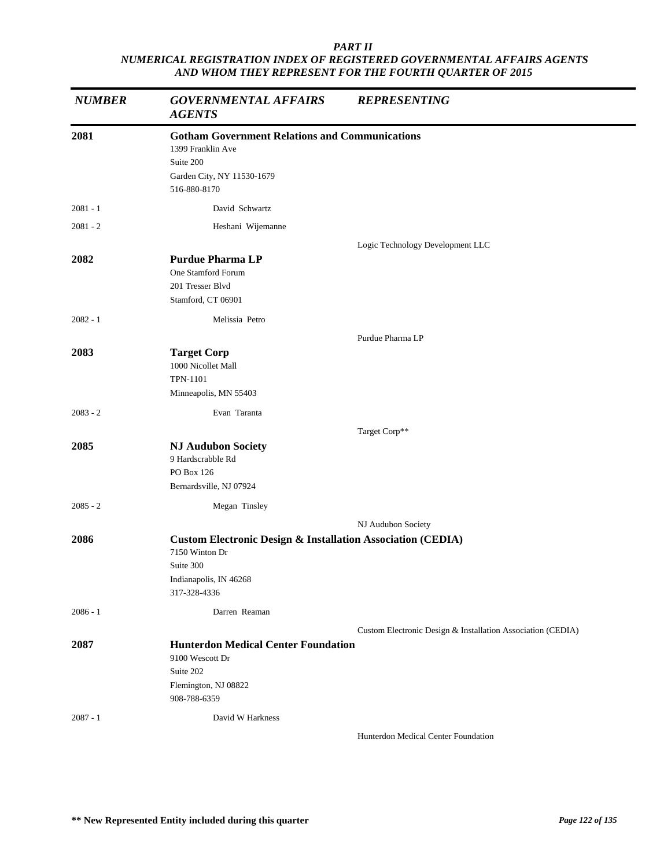| <b>NUMBER</b> | <b>GOVERNMENTAL AFFAIRS</b><br><b>AGENTS</b>                                                                                                    | <b>REPRESENTING</b>                                         |
|---------------|-------------------------------------------------------------------------------------------------------------------------------------------------|-------------------------------------------------------------|
| 2081          | <b>Gotham Government Relations and Communications</b><br>1399 Franklin Ave<br>Suite 200<br>Garden City, NY 11530-1679<br>516-880-8170           |                                                             |
| $2081 - 1$    | David Schwartz                                                                                                                                  |                                                             |
| $2081 - 2$    | Heshani Wijemanne                                                                                                                               |                                                             |
| 2082          | <b>Purdue Pharma LP</b><br>One Stamford Forum<br>201 Tresser Blvd<br>Stamford, CT 06901                                                         | Logic Technology Development LLC                            |
| $2082 - 1$    | Melissia Petro                                                                                                                                  |                                                             |
|               |                                                                                                                                                 | Purdue Pharma LP                                            |
| 2083          | <b>Target Corp</b><br>1000 Nicollet Mall<br><b>TPN-1101</b><br>Minneapolis, MN 55403                                                            |                                                             |
| $2083 - 2$    | Evan Taranta                                                                                                                                    |                                                             |
|               |                                                                                                                                                 | Target Corp**                                               |
| 2085          | <b>NJ Audubon Society</b><br>9 Hardscrabble Rd<br>PO Box 126<br>Bernardsville, NJ 07924                                                         |                                                             |
| $2085 - 2$    | Megan Tinsley                                                                                                                                   |                                                             |
|               |                                                                                                                                                 | NJ Audubon Society                                          |
| 2086          | <b>Custom Electronic Design &amp; Installation Association (CEDIA)</b><br>7150 Winton Dr<br>Suite 300<br>Indianapolis, IN 46268<br>317-328-4336 |                                                             |
| $2086 - 1$    | Darren Reaman                                                                                                                                   |                                                             |
|               |                                                                                                                                                 | Custom Electronic Design & Installation Association (CEDIA) |
| 2087          | <b>Hunterdon Medical Center Foundation</b><br>9100 Wescott Dr<br>Suite 202<br>Flemington, NJ 08822<br>908-788-6359                              |                                                             |
| $2087 - 1$    | David W Harkness                                                                                                                                |                                                             |
|               |                                                                                                                                                 | Hunterdon Medical Center Foundation                         |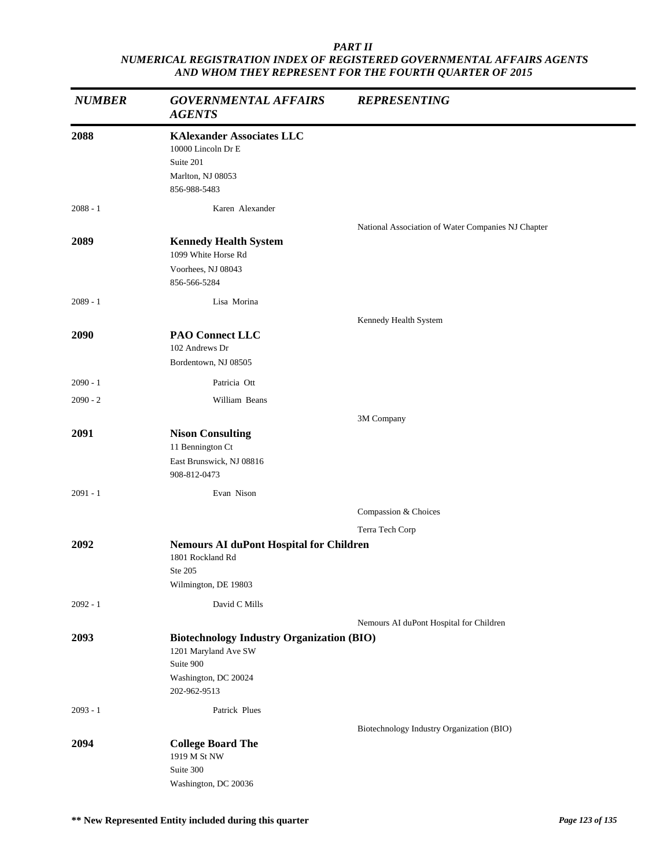| <b>NUMBER</b> | <b>GOVERNMENTAL AFFAIRS</b><br><b>AGENTS</b>                                                                                  | <b>REPRESENTING</b>                                |
|---------------|-------------------------------------------------------------------------------------------------------------------------------|----------------------------------------------------|
| 2088          | <b>KAlexander Associates LLC</b><br>10000 Lincoln Dr E<br>Suite 201<br>Marlton, NJ 08053<br>856-988-5483                      |                                                    |
| $2088 - 1$    | Karen Alexander                                                                                                               |                                                    |
| 2089          | <b>Kennedy Health System</b><br>1099 White Horse Rd<br>Voorhees, NJ 08043<br>856-566-5284                                     | National Association of Water Companies NJ Chapter |
| $2089 - 1$    | Lisa Morina                                                                                                                   |                                                    |
| 2090          | <b>PAO Connect LLC</b><br>102 Andrews Dr<br>Bordentown, NJ 08505                                                              | Kennedy Health System                              |
| $2090 - 1$    | Patricia Ott                                                                                                                  |                                                    |
| $2090 - 2$    | William Beans                                                                                                                 |                                                    |
|               |                                                                                                                               | 3M Company                                         |
| 2091          | <b>Nison Consulting</b><br>11 Bennington Ct<br>East Brunswick, NJ 08816<br>908-812-0473                                       |                                                    |
| $2091 - 1$    | Evan Nison                                                                                                                    |                                                    |
|               |                                                                                                                               | Compassion & Choices                               |
|               |                                                                                                                               | Terra Tech Corp                                    |
| 2092          | <b>Nemours AI duPont Hospital for Children</b><br>1801 Rockland Rd<br>Ste 205<br>Wilmington, DE 19803                         |                                                    |
| $2092 - 1$    | David C Mills                                                                                                                 |                                                    |
|               |                                                                                                                               | Nemours AI duPont Hospital for Children            |
| 2093          | <b>Biotechnology Industry Organization (BIO)</b><br>1201 Maryland Ave SW<br>Suite 900<br>Washington, DC 20024<br>202-962-9513 |                                                    |
| $2093 - 1$    | Patrick Plues                                                                                                                 |                                                    |
|               |                                                                                                                               | Biotechnology Industry Organization (BIO)          |
| 2094          | <b>College Board The</b><br>1919 M St NW<br>Suite 300<br>Washington, DC 20036                                                 |                                                    |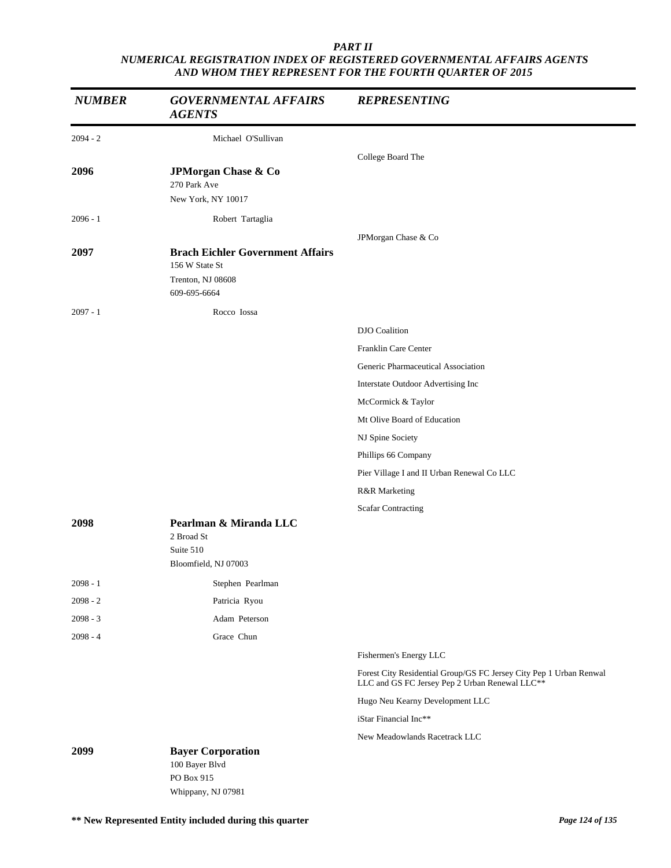| <b>NUMBER</b> | <b>GOVERNMENTAL AFFAIRS</b><br><b>AGENTS</b>                                                   | <b>REPRESENTING</b>                                                                                                  |
|---------------|------------------------------------------------------------------------------------------------|----------------------------------------------------------------------------------------------------------------------|
| $2094 - 2$    | Michael O'Sullivan                                                                             |                                                                                                                      |
|               |                                                                                                | College Board The                                                                                                    |
| 2096          | JPMorgan Chase & Co<br>270 Park Ave<br>New York, NY 10017                                      |                                                                                                                      |
| $2096 - 1$    | Robert Tartaglia                                                                               |                                                                                                                      |
|               |                                                                                                | JPMorgan Chase & Co                                                                                                  |
| 2097          | <b>Brach Eichler Government Affairs</b><br>156 W State St<br>Trenton, NJ 08608<br>609-695-6664 |                                                                                                                      |
| $2097 - 1$    | Rocco Iossa                                                                                    |                                                                                                                      |
|               |                                                                                                | DJO Coalition                                                                                                        |
|               |                                                                                                | Franklin Care Center                                                                                                 |
|               |                                                                                                | Generic Pharmaceutical Association                                                                                   |
|               |                                                                                                | Interstate Outdoor Advertising Inc                                                                                   |
|               |                                                                                                | McCormick & Taylor                                                                                                   |
|               |                                                                                                | Mt Olive Board of Education                                                                                          |
|               |                                                                                                | NJ Spine Society                                                                                                     |
|               |                                                                                                | Phillips 66 Company                                                                                                  |
|               |                                                                                                | Pier Village I and II Urban Renewal Co LLC                                                                           |
|               |                                                                                                | R&R Marketing                                                                                                        |
|               |                                                                                                | <b>Scafar Contracting</b>                                                                                            |
| 2098          | Pearlman & Miranda LLC<br>2 Broad St<br>Suite 510<br>Bloomfield, NJ 07003                      |                                                                                                                      |
| $2098 - 1$    | Stephen Pearlman                                                                               |                                                                                                                      |
| $2098 - 2$    | Patricia Ryou                                                                                  |                                                                                                                      |
| $2098 - 3$    | Adam Peterson                                                                                  |                                                                                                                      |
| $2098 - 4$    | Grace Chun                                                                                     |                                                                                                                      |
|               |                                                                                                | Fishermen's Energy LLC                                                                                               |
|               |                                                                                                | Forest City Residential Group/GS FC Jersey City Pep 1 Urban Renwal<br>LLC and GS FC Jersey Pep 2 Urban Renewal LLC** |
|               |                                                                                                | Hugo Neu Kearny Development LLC                                                                                      |
|               |                                                                                                | iStar Financial Inc**                                                                                                |
|               |                                                                                                | New Meadowlands Racetrack LLC                                                                                        |
| 2099          | <b>Bayer Corporation</b><br>100 Bayer Blvd<br>PO Box 915<br>Whippany, NJ 07981                 |                                                                                                                      |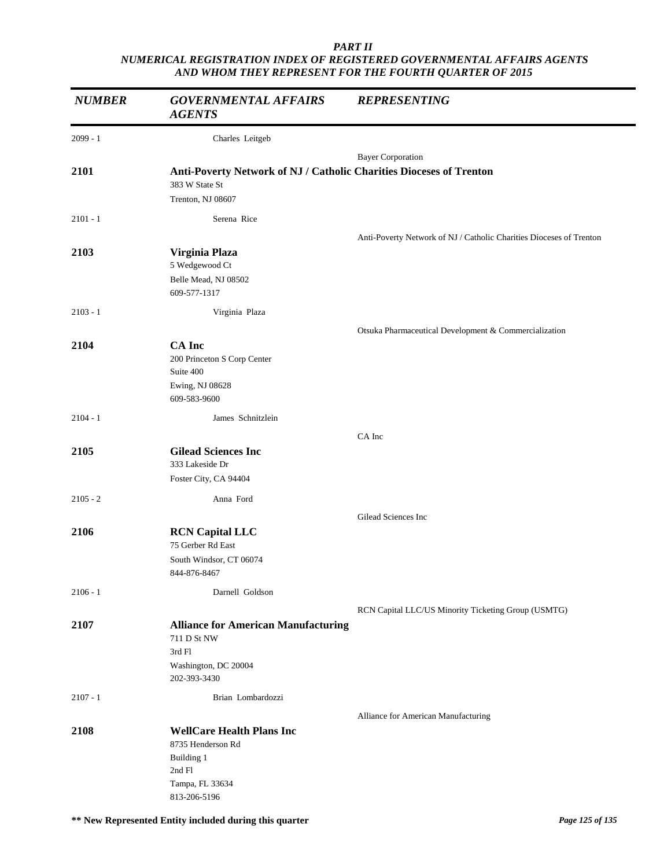| <b>NUMBER</b> | <b>GOVERNMENTAL AFFAIRS</b><br><b>AGENTS</b>                                                                     | <b>REPRESENTING</b>                                                 |
|---------------|------------------------------------------------------------------------------------------------------------------|---------------------------------------------------------------------|
| $2099 - 1$    | Charles Leitgeb                                                                                                  |                                                                     |
|               |                                                                                                                  | <b>Bayer Corporation</b>                                            |
| 2101          | Anti-Poverty Network of NJ / Catholic Charities Dioceses of Trenton<br>383 W State St<br>Trenton, NJ 08607       |                                                                     |
| $2101 - 1$    | Serena Rice                                                                                                      |                                                                     |
|               |                                                                                                                  | Anti-Poverty Network of NJ / Catholic Charities Dioceses of Trenton |
| 2103          | Virginia Plaza<br>5 Wedgewood Ct                                                                                 |                                                                     |
|               | Belle Mead, NJ 08502<br>609-577-1317                                                                             |                                                                     |
| $2103 - 1$    | Virginia Plaza                                                                                                   |                                                                     |
|               |                                                                                                                  | Otsuka Pharmaceutical Development & Commercialization               |
| 2104          | <b>CA</b> Inc<br>200 Princeton S Corp Center<br>Suite 400<br>Ewing, NJ 08628<br>609-583-9600                     |                                                                     |
| $2104 - 1$    | James Schnitzlein                                                                                                |                                                                     |
|               |                                                                                                                  | CA Inc                                                              |
| 2105          | <b>Gilead Sciences Inc</b><br>333 Lakeside Dr                                                                    |                                                                     |
|               | Foster City, CA 94404                                                                                            |                                                                     |
| $2105 - 2$    | Anna Ford                                                                                                        |                                                                     |
|               |                                                                                                                  | Gilead Sciences Inc                                                 |
| 2106          | <b>RCN</b> Capital LLC<br>75 Gerber Rd East<br>South Windsor, CT 06074<br>844-876-8467                           |                                                                     |
| $2106 - 1$    | Darnell Goldson                                                                                                  |                                                                     |
|               |                                                                                                                  | RCN Capital LLC/US Minority Ticketing Group (USMTG)                 |
| 2107          | <b>Alliance for American Manufacturing</b><br>711 D St NW<br>3rd Fl<br>Washington, DC 20004<br>202-393-3430      |                                                                     |
| $2107 - 1$    | Brian Lombardozzi                                                                                                |                                                                     |
| 2108          | <b>WellCare Health Plans Inc</b><br>8735 Henderson Rd<br>Building 1<br>2nd Fl<br>Tampa, FL 33634<br>813-206-5196 | Alliance for American Manufacturing                                 |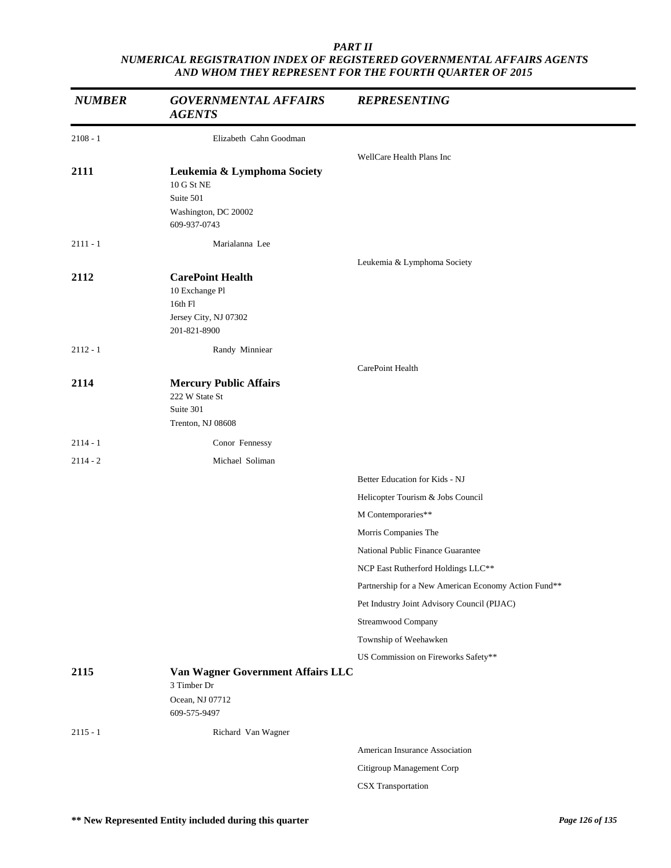| <b>NUMBER</b> | <b>GOVERNMENTAL AFFAIRS</b><br><b>AGENTS</b>                                                   | <b>REPRESENTING</b>                                  |
|---------------|------------------------------------------------------------------------------------------------|------------------------------------------------------|
| $2108 - 1$    | Elizabeth Cahn Goodman                                                                         |                                                      |
|               |                                                                                                | WellCare Health Plans Inc                            |
| 2111          | Leukemia & Lymphoma Society<br>10 G St NE<br>Suite 501<br>Washington, DC 20002<br>609-937-0743 |                                                      |
| $2111 - 1$    | Marialanna Lee                                                                                 |                                                      |
|               |                                                                                                | Leukemia & Lymphoma Society                          |
| 2112          | <b>CarePoint Health</b><br>10 Exchange Pl<br>16th Fl<br>Jersey City, NJ 07302<br>201-821-8900  |                                                      |
| $2112 - 1$    | Randy Minniear                                                                                 |                                                      |
|               |                                                                                                | CarePoint Health                                     |
| 2114          | <b>Mercury Public Affairs</b><br>222 W State St<br>Suite 301<br>Trenton, NJ 08608              |                                                      |
| $2114 - 1$    | Conor Fennessy                                                                                 |                                                      |
| $2114 - 2$    | Michael Soliman                                                                                |                                                      |
|               |                                                                                                | Better Education for Kids - NJ                       |
|               |                                                                                                | Helicopter Tourism & Jobs Council                    |
|               |                                                                                                | M Contemporaries**                                   |
|               |                                                                                                | Morris Companies The                                 |
|               |                                                                                                | National Public Finance Guarantee                    |
|               |                                                                                                | NCP East Rutherford Holdings LLC**                   |
|               |                                                                                                | Partnership for a New American Economy Action Fund** |
|               |                                                                                                | Pet Industry Joint Advisory Council (PIJAC)          |
|               |                                                                                                | Streamwood Company                                   |
|               |                                                                                                | Township of Weehawken                                |
|               |                                                                                                | US Commission on Fireworks Safety**                  |
| 2115          | Van Wagner Government Affairs LLC<br>3 Timber Dr                                               |                                                      |
|               | Ocean, NJ 07712<br>609-575-9497                                                                |                                                      |
| $2115 - 1$    | Richard Van Wagner                                                                             |                                                      |
|               |                                                                                                | American Insurance Association                       |
|               |                                                                                                | Citigroup Management Corp                            |
|               |                                                                                                | CSX Transportation                                   |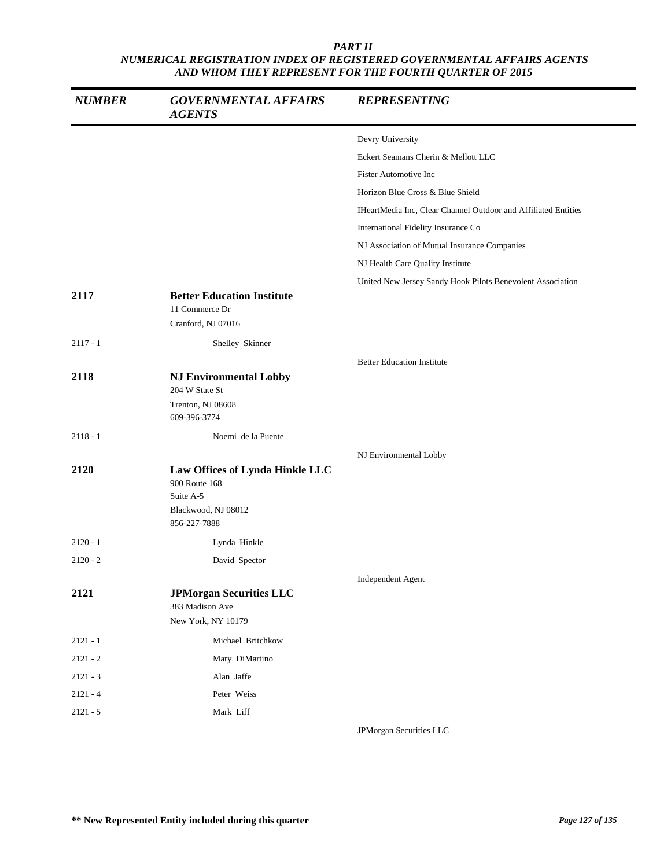| <b>NUMBER</b> | <b>GOVERNMENTAL AFFAIRS</b><br><b>AGENTS</b>                                         | <b>REPRESENTING</b>                                            |
|---------------|--------------------------------------------------------------------------------------|----------------------------------------------------------------|
|               |                                                                                      | Devry University                                               |
|               |                                                                                      | Eckert Seamans Cherin & Mellott LLC                            |
|               |                                                                                      | <b>Fister Automotive Inc</b>                                   |
|               |                                                                                      | Horizon Blue Cross & Blue Shield                               |
|               |                                                                                      | IHeartMedia Inc, Clear Channel Outdoor and Affiliated Entities |
|               |                                                                                      | International Fidelity Insurance Co                            |
|               |                                                                                      | NJ Association of Mutual Insurance Companies                   |
|               |                                                                                      | NJ Health Care Quality Institute                               |
|               |                                                                                      | United New Jersey Sandy Hook Pilots Benevolent Association     |
| 2117          | <b>Better Education Institute</b><br>11 Commerce Dr<br>Cranford, NJ 07016            |                                                                |
| $2117 - 1$    | Shelley Skinner                                                                      |                                                                |
|               |                                                                                      | <b>Better Education Institute</b>                              |
| 2118          | <b>NJ Environmental Lobby</b><br>204 W State St                                      |                                                                |
|               | Trenton, NJ 08608<br>609-396-3774                                                    |                                                                |
| $2118 - 1$    | Noemi de la Puente                                                                   |                                                                |
|               |                                                                                      | NJ Environmental Lobby                                         |
| 2120          | Law Offices of Lynda Hinkle LLC<br>900 Route 168<br>Suite A-5<br>Blackwood, NJ 08012 |                                                                |
|               | 856-227-7888                                                                         |                                                                |
| $2120 - 1$    | Lynda Hinkle                                                                         |                                                                |
| $2120 - 2$    | David Spector                                                                        |                                                                |
| 2121          | <b>JPMorgan Securities LLC</b><br>383 Madison Ave<br>New York, NY 10179              | Independent Agent                                              |
|               |                                                                                      |                                                                |
| $2121 - 1$    | Michael Britchkow                                                                    |                                                                |
| $2121 - 2$    | Mary DiMartino                                                                       |                                                                |
| $2121 - 3$    | Alan Jaffe                                                                           |                                                                |
| $2121 - 4$    | Peter Weiss                                                                          |                                                                |
| $2121 - 5$    | Mark Liff                                                                            | JPMorgan Securities LLC                                        |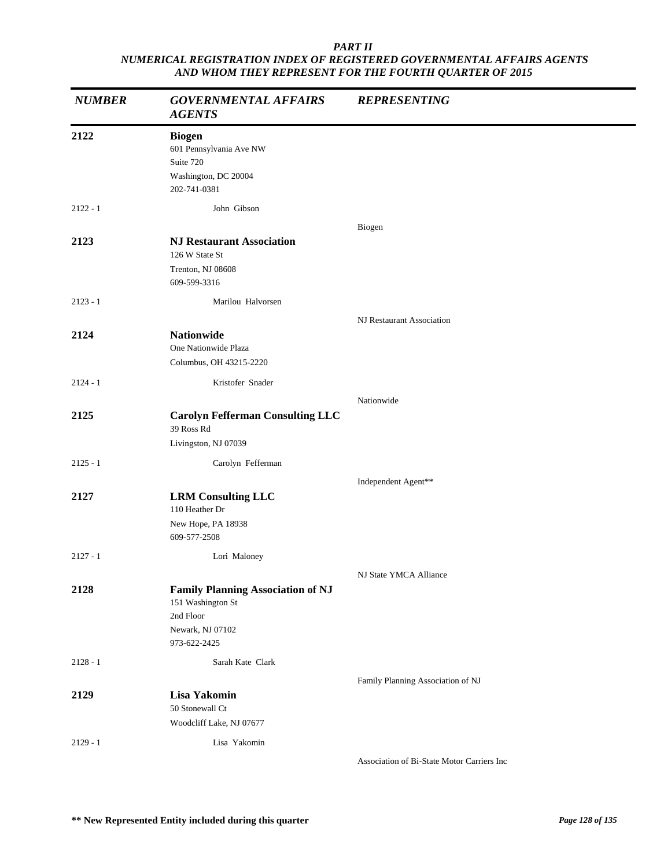| <b>NUMBER</b> | <b>GOVERNMENTAL AFFAIRS</b><br><b>AGENTS</b>                                                                   | <b>REPRESENTING</b>               |
|---------------|----------------------------------------------------------------------------------------------------------------|-----------------------------------|
| 2122          | <b>Biogen</b><br>601 Pennsylvania Ave NW<br>Suite 720<br>Washington, DC 20004<br>202-741-0381                  |                                   |
| $2122 - 1$    | John Gibson                                                                                                    |                                   |
| 2123          | <b>NJ Restaurant Association</b><br>126 W State St<br>Trenton, NJ 08608<br>609-599-3316                        | Biogen                            |
| $2123 - 1$    | Marilou Halvorsen                                                                                              |                                   |
| 2124          | <b>Nationwide</b><br>One Nationwide Plaza<br>Columbus, OH 43215-2220                                           | NJ Restaurant Association         |
| $2124 - 1$    | Kristofer Snader                                                                                               |                                   |
| 2125          | <b>Carolyn Fefferman Consulting LLC</b><br>39 Ross Rd<br>Livingston, NJ 07039                                  | Nationwide                        |
| $2125 - 1$    | Carolyn Fefferman                                                                                              |                                   |
| 2127          | <b>LRM Consulting LLC</b><br>110 Heather Dr<br>New Hope, PA 18938<br>609-577-2508                              | Independent Agent**               |
| $2127 - 1$    | Lori Maloney                                                                                                   |                                   |
| 2128          | <b>Family Planning Association of NJ</b><br>151 Washington St<br>2nd Floor<br>Newark, NJ 07102<br>973-622-2425 | NJ State YMCA Alliance            |
| $2128 - 1$    | Sarah Kate Clark                                                                                               |                                   |
| 2129          | Lisa Yakomin<br>50 Stonewall Ct<br>Woodcliff Lake, NJ 07677                                                    | Family Planning Association of NJ |
| $2129 - 1$    | Lisa Yakomin                                                                                                   |                                   |

Association of Bi-State Motor Carriers Inc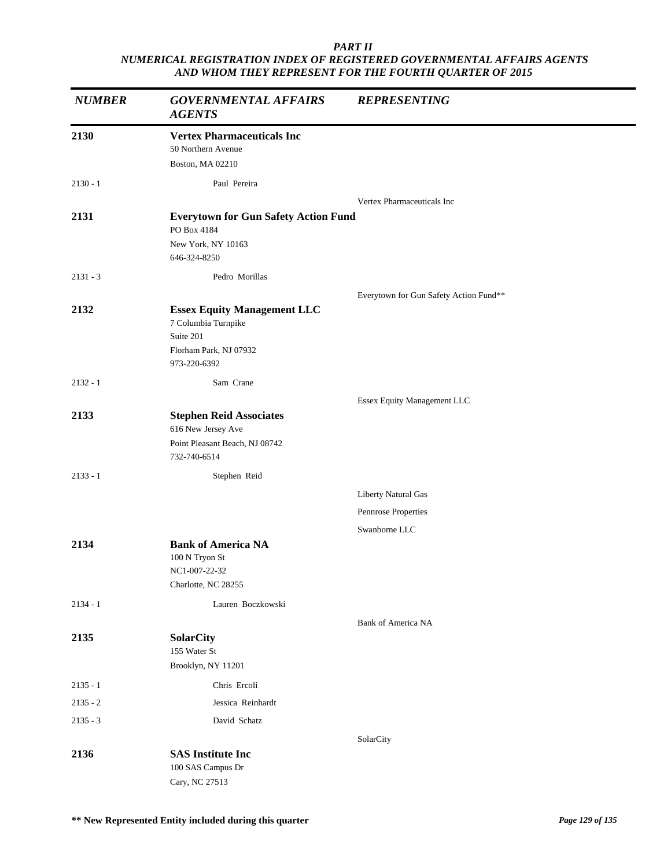| <b>NUMBER</b> | <b>GOVERNMENTAL AFFAIRS</b><br><b>AGENTS</b>                                                                     | <b>REPRESENTING</b>                    |
|---------------|------------------------------------------------------------------------------------------------------------------|----------------------------------------|
| 2130          | <b>Vertex Pharmaceuticals Inc</b><br>50 Northern Avenue<br>Boston, MA 02210                                      |                                        |
| $2130 - 1$    | Paul Pereira                                                                                                     |                                        |
| 2131          | <b>Everytown for Gun Safety Action Fund</b><br>PO Box 4184<br>New York, NY 10163<br>646-324-8250                 | Vertex Pharmaceuticals Inc             |
| $2131 - 3$    | Pedro Morillas                                                                                                   |                                        |
| 2132          | <b>Essex Equity Management LLC</b><br>7 Columbia Turnpike<br>Suite 201<br>Florham Park, NJ 07932<br>973-220-6392 | Everytown for Gun Safety Action Fund** |
| $2132 - 1$    | Sam Crane                                                                                                        |                                        |
| 2133          | <b>Stephen Reid Associates</b><br>616 New Jersey Ave<br>Point Pleasant Beach, NJ 08742<br>732-740-6514           | Essex Equity Management LLC            |
| $2133 - 1$    | Stephen Reid                                                                                                     |                                        |
|               |                                                                                                                  | Liberty Natural Gas                    |
|               |                                                                                                                  | Pennrose Properties                    |
| 2134          | <b>Bank of America NA</b><br>100 N Tryon St<br>NC1-007-22-32<br>Charlotte, NC 28255                              | Swanborne LLC                          |
| $2134 - 1$    | Lauren Boczkowski                                                                                                |                                        |
| 2135          | <b>SolarCity</b><br>155 Water St<br>Brooklyn, NY 11201                                                           | <b>Bank of America NA</b>              |
| $2135 - 1$    | Chris Ercoli                                                                                                     |                                        |
| $2135 - 2$    | Jessica Reinhardt                                                                                                |                                        |
| $2135 - 3$    | David Schatz                                                                                                     |                                        |
| 2136          | <b>SAS Institute Inc</b><br>100 SAS Campus Dr<br>Cary, NC 27513                                                  | SolarCity                              |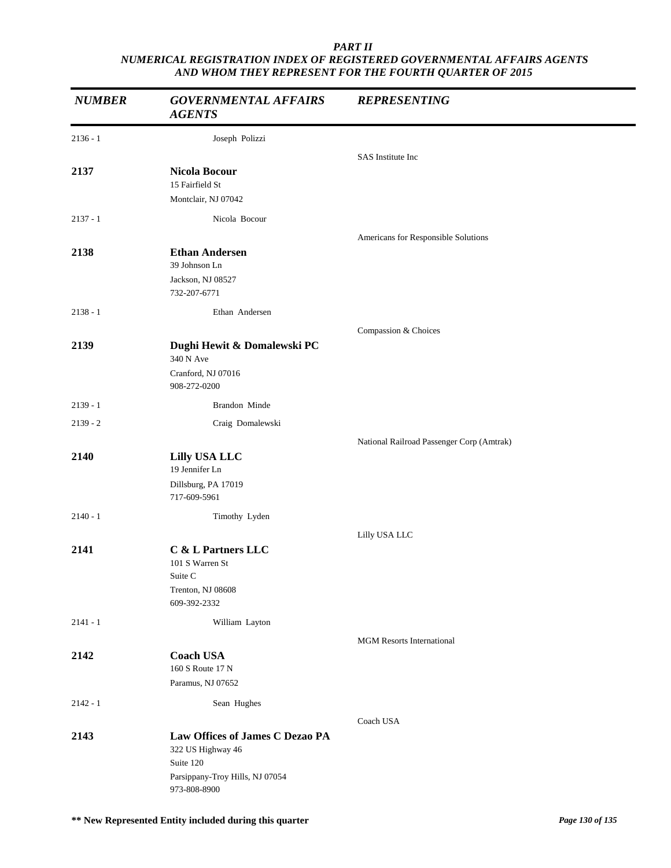| <b>NUMBER</b> | <b>GOVERNMENTAL AFFAIRS</b><br><b>AGENTS</b>    | <b>REPRESENTING</b>                       |
|---------------|-------------------------------------------------|-------------------------------------------|
| $2136 - 1$    | Joseph Polizzi                                  |                                           |
|               |                                                 | SAS Institute Inc                         |
| 2137          | Nicola Bocour                                   |                                           |
|               | 15 Fairfield St<br>Montclair, NJ 07042          |                                           |
| $2137 - 1$    | Nicola Bocour                                   |                                           |
|               |                                                 |                                           |
| 2138          | <b>Ethan Andersen</b>                           | Americans for Responsible Solutions       |
|               | 39 Johnson Ln                                   |                                           |
|               | Jackson, NJ 08527                               |                                           |
|               | 732-207-6771                                    |                                           |
| $2138 - 1$    | Ethan Andersen                                  |                                           |
|               |                                                 | Compassion & Choices                      |
| 2139          | Dughi Hewit & Domalewski PC<br>340 N Ave        |                                           |
|               | Cranford, NJ 07016<br>908-272-0200              |                                           |
| $2139 - 1$    | Brandon Minde                                   |                                           |
| $2139 - 2$    | Craig Domalewski                                |                                           |
|               |                                                 | National Railroad Passenger Corp (Amtrak) |
| 2140          | <b>Lilly USA LLC</b><br>19 Jennifer Ln          |                                           |
|               | Dillsburg, PA 17019<br>717-609-5961             |                                           |
| $2140 - 1$    | Timothy Lyden                                   |                                           |
|               |                                                 | Lilly USA LLC                             |
| 2141          | C & L Partners LLC                              |                                           |
|               | 101 S Warren St                                 |                                           |
|               | Suite C<br>Trenton, NJ 08608                    |                                           |
|               | 609-392-2332                                    |                                           |
| $2141 - 1$    | William Layton                                  |                                           |
|               |                                                 | <b>MGM Resorts International</b>          |
| 2142          | <b>Coach USA</b>                                |                                           |
|               | 160 S Route 17 N<br>Paramus, NJ 07652           |                                           |
|               |                                                 |                                           |
| $2142 - 1$    | Sean Hughes                                     |                                           |
| 2143          | Law Offices of James C Dezao PA                 | Coach USA                                 |
|               | 322 US Highway 46                               |                                           |
|               | Suite 120                                       |                                           |
|               | Parsippany-Troy Hills, NJ 07054<br>973-808-8900 |                                           |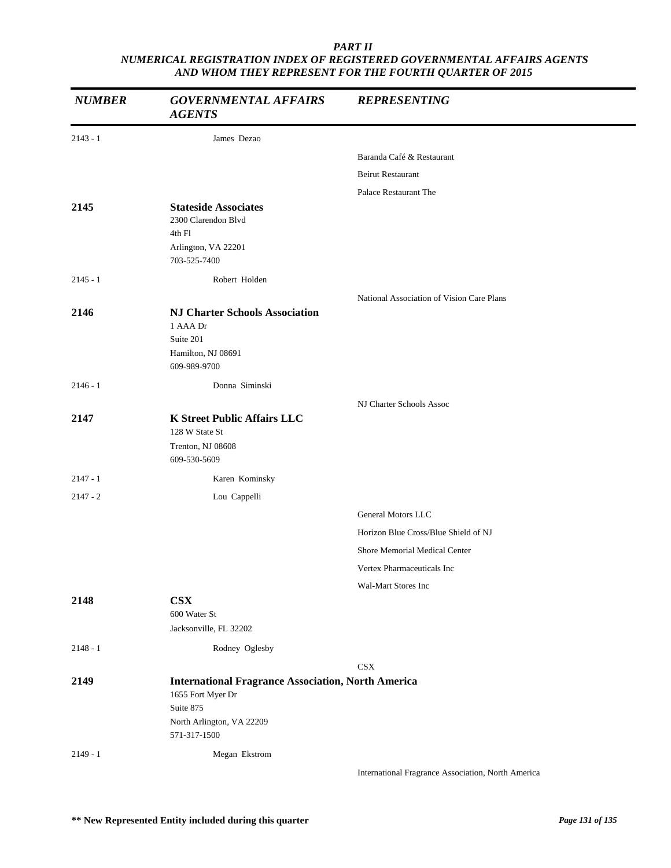| <b>NUMBER</b> | <b>GOVERNMENTAL AFFAIRS</b><br><b>AGENTS</b>                                                                                             | <b>REPRESENTING</b>                                |
|---------------|------------------------------------------------------------------------------------------------------------------------------------------|----------------------------------------------------|
| $2143 - 1$    | James Dezao                                                                                                                              |                                                    |
|               |                                                                                                                                          | Baranda Café & Restaurant                          |
|               |                                                                                                                                          | Beirut Restaurant                                  |
|               |                                                                                                                                          | Palace Restaurant The                              |
| 2145          | <b>Stateside Associates</b><br>2300 Clarendon Blvd<br>4th Fl<br>Arlington, VA 22201<br>703-525-7400                                      |                                                    |
| $2145 - 1$    | Robert Holden                                                                                                                            |                                                    |
|               |                                                                                                                                          | National Association of Vision Care Plans          |
| 2146          | <b>NJ Charter Schools Association</b><br>1 AAA Dr<br>Suite 201<br>Hamilton, NJ 08691<br>609-989-9700                                     |                                                    |
| $2146 - 1$    | Donna Siminski                                                                                                                           |                                                    |
|               |                                                                                                                                          | NJ Charter Schools Assoc                           |
| 2147          | <b>K Street Public Affairs LLC</b><br>128 W State St<br>Trenton, NJ 08608<br>609-530-5609                                                |                                                    |
| $2147 - 1$    | Karen Kominsky                                                                                                                           |                                                    |
| $2147 - 2$    | Lou Cappelli                                                                                                                             |                                                    |
|               |                                                                                                                                          | General Motors LLC                                 |
|               |                                                                                                                                          | Horizon Blue Cross/Blue Shield of NJ               |
|               |                                                                                                                                          | Shore Memorial Medical Center                      |
|               |                                                                                                                                          | Vertex Pharmaceuticals Inc                         |
|               |                                                                                                                                          | Wal-Mart Stores Inc                                |
| 2148          | <b>CSX</b><br>600 Water St<br>Jacksonville, FL 32202                                                                                     |                                                    |
| $2148 - 1$    | Rodney Oglesby                                                                                                                           |                                                    |
|               |                                                                                                                                          | <b>CSX</b>                                         |
| 2149          | <b>International Fragrance Association, North America</b><br>1655 Fort Myer Dr<br>Suite 875<br>North Arlington, VA 22209<br>571-317-1500 |                                                    |
| $2149 - 1$    | Megan Ekstrom                                                                                                                            |                                                    |
|               |                                                                                                                                          | International Fragrance Association, North America |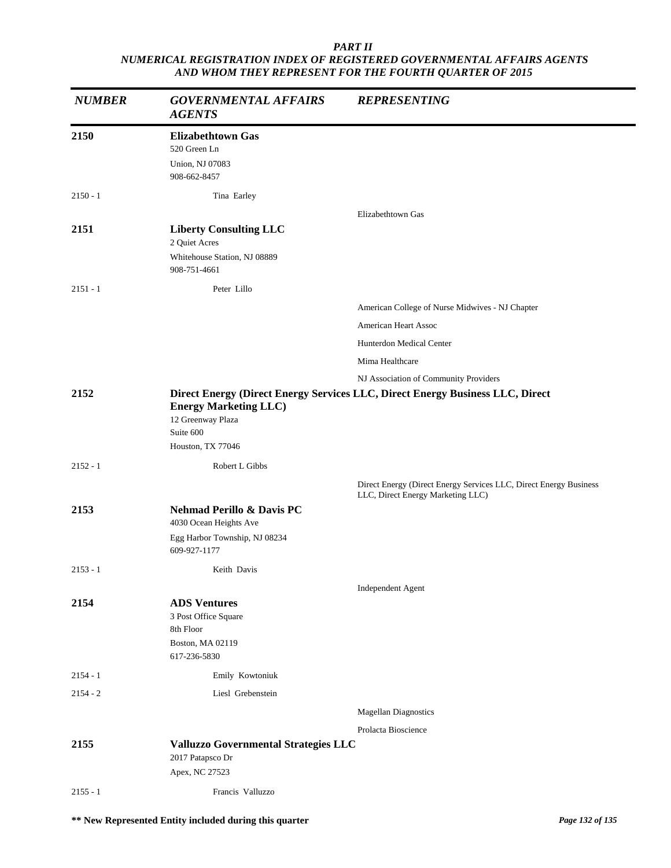| <b>NUMBER</b> | <b>GOVERNMENTAL AFFAIRS</b><br><b>AGENTS</b>                                                         | <b>REPRESENTING</b>                                                                                    |
|---------------|------------------------------------------------------------------------------------------------------|--------------------------------------------------------------------------------------------------------|
| 2150          | <b>Elizabethtown Gas</b><br>520 Green Ln<br>Union, NJ 07083<br>908-662-8457                          |                                                                                                        |
| $2150 - 1$    | Tina Earley                                                                                          |                                                                                                        |
|               |                                                                                                      | Elizabethtown Gas                                                                                      |
| 2151          | <b>Liberty Consulting LLC</b><br>2 Quiet Acres<br>Whitehouse Station, NJ 08889<br>908-751-4661       |                                                                                                        |
| $2151 - 1$    | Peter Lillo                                                                                          |                                                                                                        |
|               |                                                                                                      | American College of Nurse Midwives - NJ Chapter                                                        |
|               |                                                                                                      | <b>American Heart Assoc</b>                                                                            |
|               |                                                                                                      | <b>Hunterdon Medical Center</b>                                                                        |
|               |                                                                                                      | Mima Healthcare                                                                                        |
|               |                                                                                                      | NJ Association of Community Providers                                                                  |
| 2152          | <b>Energy Marketing LLC</b> )<br>12 Greenway Plaza<br>Suite 600<br>Houston, TX 77046                 | Direct Energy (Direct Energy Services LLC, Direct Energy Business LLC, Direct                          |
| $2152 - 1$    | Robert L Gibbs                                                                                       |                                                                                                        |
|               |                                                                                                      | Direct Energy (Direct Energy Services LLC, Direct Energy Business<br>LLC, Direct Energy Marketing LLC) |
| 2153          | Nehmad Perillo & Davis PC<br>4030 Ocean Heights Ave<br>Egg Harbor Township, NJ 08234<br>609-927-1177 |                                                                                                        |
| $2153 - 1$    | Keith Davis                                                                                          |                                                                                                        |
|               |                                                                                                      | Independent Agent                                                                                      |
| 2154          | <b>ADS Ventures</b><br>3 Post Office Square<br>8th Floor<br>Boston, MA 02119<br>617-236-5830         |                                                                                                        |
| $2154 - 1$    | Emily Kowtoniuk                                                                                      |                                                                                                        |
| $2154 - 2$    | Liesl Grebenstein                                                                                    |                                                                                                        |
|               |                                                                                                      | <b>Magellan Diagnostics</b>                                                                            |
|               |                                                                                                      | Prolacta Bioscience                                                                                    |
| 2155          | Valluzzo Governmental Strategies LLC<br>2017 Patapsco Dr<br>Apex, NC 27523                           |                                                                                                        |
| $2155 - 1$    | Francis Valluzzo                                                                                     |                                                                                                        |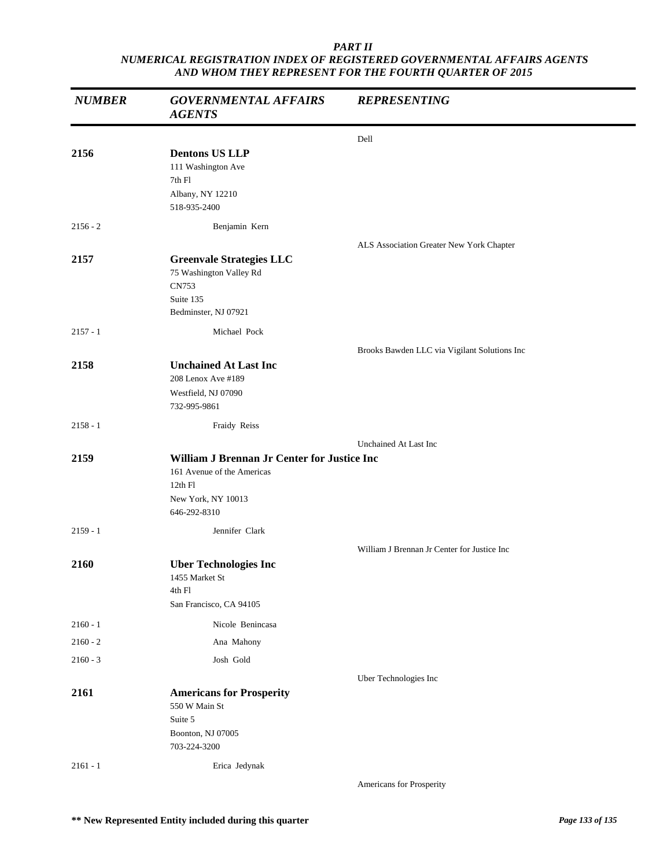| <b>NUMBER</b> | <b>GOVERNMENTAL AFFAIRS</b><br><b>AGENTS</b>                                                                               | <b>REPRESENTING</b>                          |
|---------------|----------------------------------------------------------------------------------------------------------------------------|----------------------------------------------|
|               |                                                                                                                            | Dell                                         |
| 2156          | <b>Dentons US LLP</b><br>111 Washington Ave<br>7th Fl<br>Albany, NY 12210<br>518-935-2400                                  |                                              |
| $2156 - 2$    | Benjamin Kern                                                                                                              |                                              |
|               |                                                                                                                            | ALS Association Greater New York Chapter     |
| 2157          | <b>Greenvale Strategies LLC</b><br>75 Washington Valley Rd<br>CN753<br>Suite 135<br>Bedminster, NJ 07921                   |                                              |
| $2157 - 1$    | Michael Pock                                                                                                               |                                              |
|               |                                                                                                                            | Brooks Bawden LLC via Vigilant Solutions Inc |
| 2158          | <b>Unchained At Last Inc</b><br>208 Lenox Ave #189<br>Westfield, NJ 07090<br>732-995-9861                                  |                                              |
| $2158 - 1$    | Fraidy Reiss                                                                                                               |                                              |
|               |                                                                                                                            | Unchained At Last Inc                        |
| 2159          | William J Brennan Jr Center for Justice Inc<br>161 Avenue of the Americas<br>12th Fl<br>New York, NY 10013<br>646-292-8310 |                                              |
| $2159 - 1$    | Jennifer Clark                                                                                                             |                                              |
| 2160          | <b>Uber Technologies Inc</b><br>1455 Market St<br>4th Fl<br>San Francisco, CA 94105                                        | William J Brennan Jr Center for Justice Inc  |
| $2160 - 1$    | Nicole Benincasa                                                                                                           |                                              |
| $2160 - 2$    | Ana Mahony                                                                                                                 |                                              |
| $2160 - 3$    | Josh Gold                                                                                                                  |                                              |
|               |                                                                                                                            | Uber Technologies Inc                        |
| 2161          | <b>Americans for Prosperity</b><br>550 W Main St<br>Suite 5<br>Boonton, NJ 07005<br>703-224-3200                           |                                              |
| $2161 - 1$    | Erica Jedynak                                                                                                              |                                              |
|               |                                                                                                                            | Americans for Prosperity                     |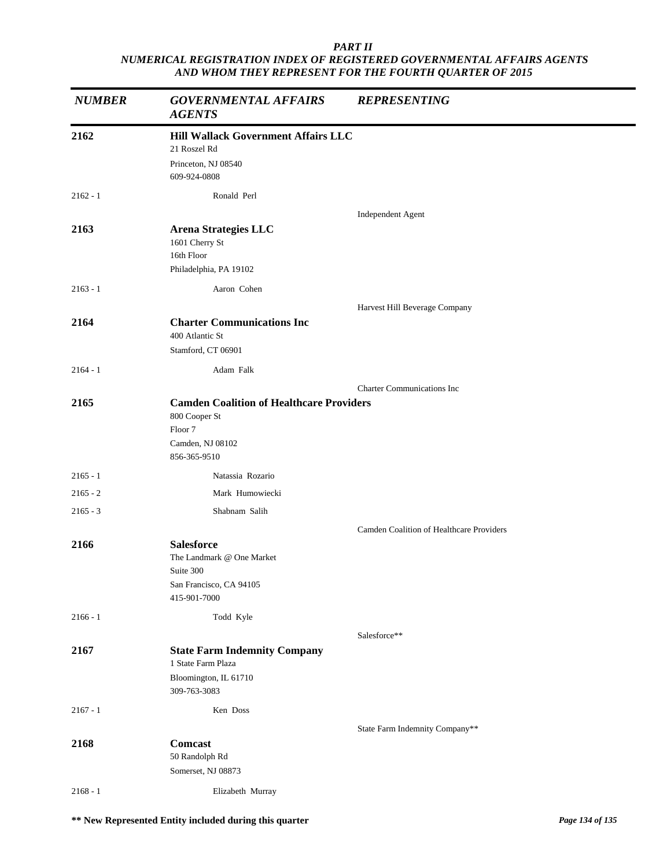| <b>NUMBER</b> | <b>GOVERNMENTAL AFFAIRS</b><br><b>AGENTS</b>                                                           | <b>REPRESENTING</b>                      |  |
|---------------|--------------------------------------------------------------------------------------------------------|------------------------------------------|--|
| 2162          | Hill Wallack Government Affairs LLC                                                                    |                                          |  |
|               | 21 Roszel Rd                                                                                           |                                          |  |
|               | Princeton, NJ 08540<br>609-924-0808                                                                    |                                          |  |
| $2162 - 1$    | Ronald Perl                                                                                            |                                          |  |
|               |                                                                                                        | Independent Agent                        |  |
| 2163          | <b>Arena Strategies LLC</b><br>1601 Cherry St<br>16th Floor<br>Philadelphia, PA 19102                  |                                          |  |
| $2163 - 1$    | Aaron Cohen                                                                                            |                                          |  |
|               |                                                                                                        | Harvest Hill Beverage Company            |  |
| 2164          | <b>Charter Communications Inc</b><br>400 Atlantic St                                                   |                                          |  |
|               | Stamford, CT 06901                                                                                     |                                          |  |
| $2164 - 1$    | Adam Falk                                                                                              |                                          |  |
|               |                                                                                                        | <b>Charter Communications Inc</b>        |  |
| 2165          | <b>Camden Coalition of Healthcare Providers</b><br>800 Cooper St<br>Floor 7<br>Camden, NJ 08102        |                                          |  |
|               | 856-365-9510                                                                                           |                                          |  |
| $2165 - 1$    | Natassia Rozario                                                                                       |                                          |  |
| $2165 - 2$    | Mark Humowiecki                                                                                        |                                          |  |
| $2165 - 3$    | Shabnam Salih                                                                                          |                                          |  |
|               |                                                                                                        | Camden Coalition of Healthcare Providers |  |
| 2166          | <b>Salesforce</b><br>The Landmark @ One Market<br>Suite 300<br>San Francisco, CA 94105<br>415-901-7000 |                                          |  |
| $2166 - 1$    | Todd Kyle                                                                                              |                                          |  |
|               |                                                                                                        | Salesforce**                             |  |
| 2167          | <b>State Farm Indemnity Company</b><br>1 State Farm Plaza                                              |                                          |  |
|               | Bloomington, IL 61710<br>309-763-3083                                                                  |                                          |  |
| $2167 - 1$    | Ken Doss                                                                                               |                                          |  |
|               |                                                                                                        | State Farm Indemnity Company**           |  |
| 2168          | <b>Comcast</b><br>50 Randolph Rd<br>Somerset, NJ 08873                                                 |                                          |  |
| $2168 - 1$    | Elizabeth Murray                                                                                       |                                          |  |
|               |                                                                                                        |                                          |  |